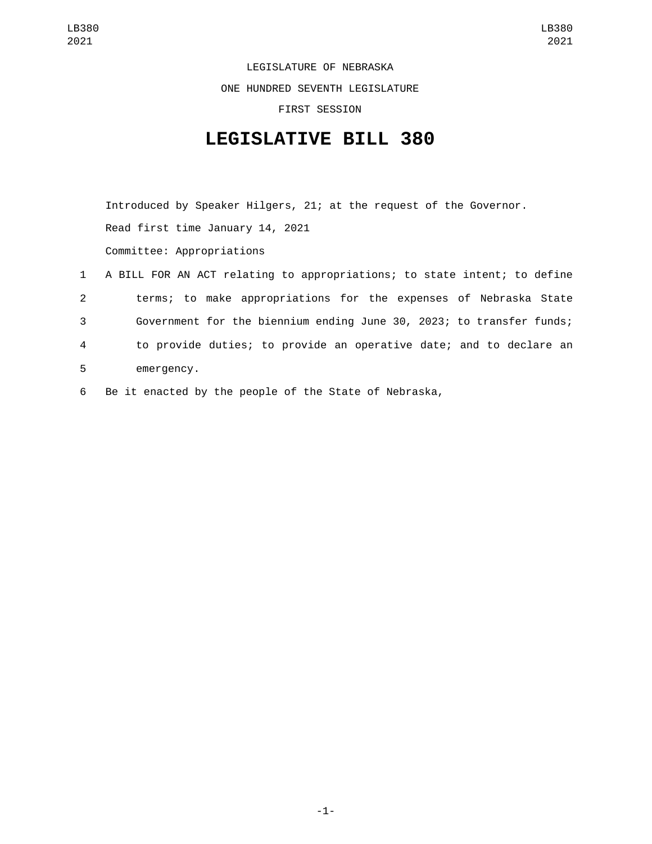LEGISLATURE OF NEBRASKA ONE HUNDRED SEVENTH LEGISLATURE FIRST SESSION

## **LEGISLATIVE BILL 380**

Introduced by Speaker Hilgers, 21; at the request of the Governor. Read first time January 14, 2021 Committee: Appropriations

- 1 A BILL FOR AN ACT relating to appropriations; to state intent; to define 2 terms; to make appropriations for the expenses of Nebraska State 3 Government for the biennium ending June 30, 2023; to transfer funds; 4 to provide duties; to provide an operative date; and to declare an 5 emergency.
- 6 Be it enacted by the people of the State of Nebraska,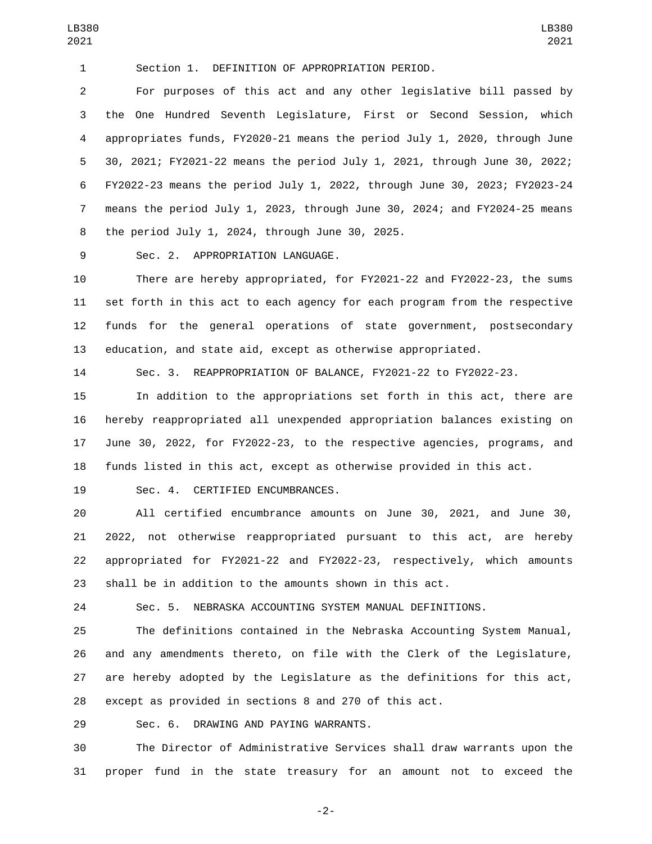Section 1. DEFINITION OF APPROPRIATION PERIOD.

 For purposes of this act and any other legislative bill passed by the One Hundred Seventh Legislature, First or Second Session, which appropriates funds, FY2020-21 means the period July 1, 2020, through June 30, 2021; FY2021-22 means the period July 1, 2021, through June 30, 2022; FY2022-23 means the period July 1, 2022, through June 30, 2023; FY2023-24 means the period July 1, 2023, through June 30, 2024; and FY2024-25 means 8 the period July 1, 2024, through June 30, 2025.

9 Sec. 2. APPROPRIATION LANGUAGE.

 There are hereby appropriated, for FY2021-22 and FY2022-23, the sums set forth in this act to each agency for each program from the respective funds for the general operations of state government, postsecondary education, and state aid, except as otherwise appropriated.

Sec. 3. REAPPROPRIATION OF BALANCE, FY2021-22 to FY2022-23.

 In addition to the appropriations set forth in this act, there are hereby reappropriated all unexpended appropriation balances existing on June 30, 2022, for FY2022-23, to the respective agencies, programs, and funds listed in this act, except as otherwise provided in this act.

19 Sec. 4. CERTIFIED ENCUMBRANCES.

 All certified encumbrance amounts on June 30, 2021, and June 30, 2022, not otherwise reappropriated pursuant to this act, are hereby appropriated for FY2021-22 and FY2022-23, respectively, which amounts shall be in addition to the amounts shown in this act.

Sec. 5. NEBRASKA ACCOUNTING SYSTEM MANUAL DEFINITIONS.

 The definitions contained in the Nebraska Accounting System Manual, and any amendments thereto, on file with the Clerk of the Legislature, are hereby adopted by the Legislature as the definitions for this act, except as provided in sections 8 and 270 of this act.

29 Sec. 6. DRAWING AND PAYING WARRANTS.

 The Director of Administrative Services shall draw warrants upon the proper fund in the state treasury for an amount not to exceed the

-2-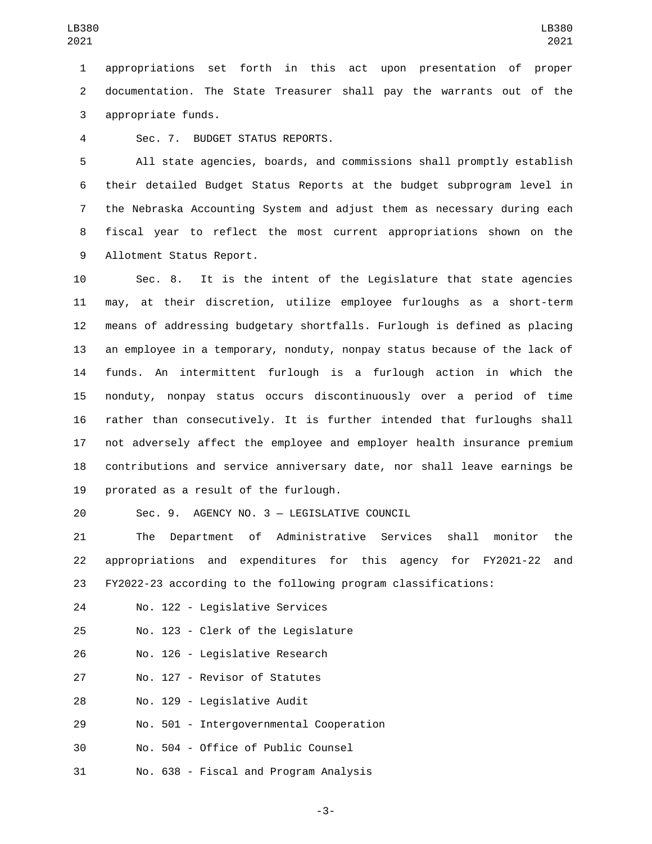1 appropriations set forth in this act upon presentation of proper 2 documentation. The State Treasurer shall pay the warrants out of the 3 appropriate funds.

Sec. 7. BUDGET STATUS REPORTS.4

 All state agencies, boards, and commissions shall promptly establish their detailed Budget Status Reports at the budget subprogram level in the Nebraska Accounting System and adjust them as necessary during each fiscal year to reflect the most current appropriations shown on the 9 Allotment Status Report.

 Sec. 8. It is the intent of the Legislature that state agencies may, at their discretion, utilize employee furloughs as a short-term means of addressing budgetary shortfalls. Furlough is defined as placing an employee in a temporary, nonduty, nonpay status because of the lack of funds. An intermittent furlough is a furlough action in which the nonduty, nonpay status occurs discontinuously over a period of time rather than consecutively. It is further intended that furloughs shall not adversely affect the employee and employer health insurance premium contributions and service anniversary date, nor shall leave earnings be 19 prorated as a result of the furlough.

Sec. 9. AGENCY NO. 3 — LEGISLATIVE COUNCIL20

21 The Department of Administrative Services shall monitor the 22 appropriations and expenditures for this agency for FY2021-22 and 23 FY2022-23 according to the following program classifications:

24 No. 122 - Legislative Services

25 No. 123 - Clerk of the Legislature

26 No. 126 - Legislative Research

27 No. 127 - Revisor of Statutes

28 No. 129 - Legislative Audit

29 No. 501 - Intergovernmental Cooperation

30 No. 504 - Office of Public Counsel

31 No. 638 - Fiscal and Program Analysis

-3-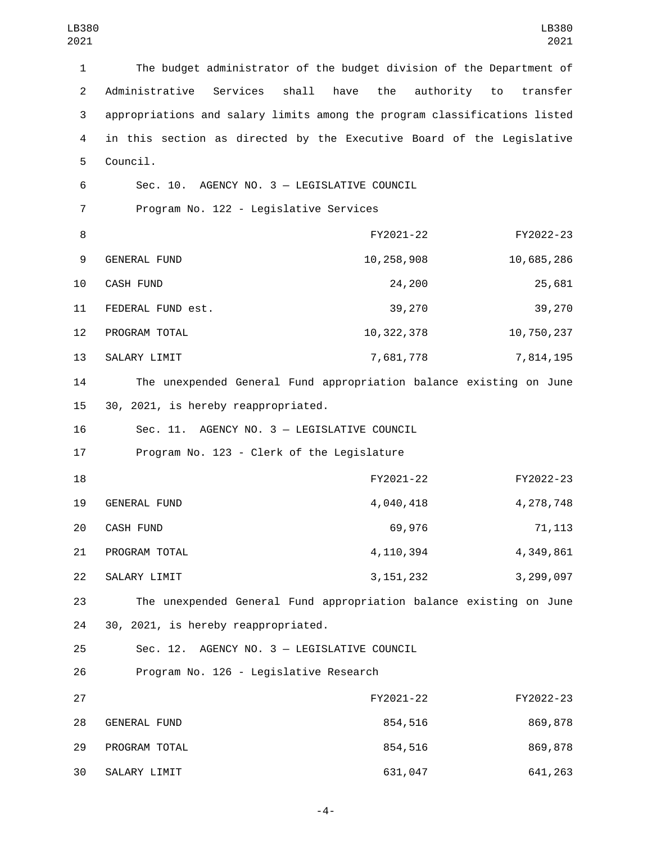| $\mathbf{1}$   | The budget administrator of the budget division of the Department of      |              |                          |
|----------------|---------------------------------------------------------------------------|--------------|--------------------------|
| $\overline{2}$ | shall<br>Administrative<br>Services<br>have                               | the          | authority to<br>transfer |
| 3              | appropriations and salary limits among the program classifications listed |              |                          |
| 4              | in this section as directed by the Executive Board of the Legislative     |              |                          |
| 5              | Council.                                                                  |              |                          |
| 6              | Sec. 10. AGENCY NO. 3 - LEGISLATIVE COUNCIL                               |              |                          |
| $\overline{7}$ | Program No. 122 - Legislative Services                                    |              |                          |
| 8              |                                                                           | FY2021-22    | FY2022-23                |
| 9              | GENERAL FUND                                                              | 10,258,908   | 10,685,286               |
| 10             | <b>CASH FUND</b>                                                          | 24,200       | 25,681                   |
| 11             | FEDERAL FUND est.                                                         | 39,270       | 39,270                   |
| 12             | PROGRAM TOTAL                                                             | 10, 322, 378 | 10,750,237               |
| 13             | SALARY LIMIT                                                              | 7,681,778    | 7,814,195                |
| 14             | The unexpended General Fund appropriation balance existing on June        |              |                          |
| 15             | 30, 2021, is hereby reappropriated.                                       |              |                          |
| 16             | Sec. 11. AGENCY NO. 3 - LEGISLATIVE COUNCIL                               |              |                          |
| 17             | Program No. 123 - Clerk of the Legislature                                |              |                          |
| 18             |                                                                           | FY2021-22    | FY2022-23                |
| 19             | <b>GENERAL FUND</b>                                                       | 4,040,418    | 4,278,748                |
| 20             | CASH FUND                                                                 | 69,976       | 71, 113                  |
| 21             | PROGRAM TOTAL                                                             | 4, 110, 394  | 4,349,861                |
| 22             | SALARY LIMIT                                                              | 3, 151, 232  | 3,299,097                |
| 23             | The unexpended General Fund appropriation balance existing on June        |              |                          |
| 24             | 30, 2021, is hereby reappropriated.                                       |              |                          |
| 25             | Sec. 12. AGENCY NO. 3 - LEGISLATIVE COUNCIL                               |              |                          |
| 26             | Program No. 126 - Legislative Research                                    |              |                          |
| 27             |                                                                           | FY2021-22    | FY2022-23                |
| 28             | <b>GENERAL FUND</b>                                                       | 854,516      | 869,878                  |
| 29             | PROGRAM TOTAL                                                             | 854,516      | 869,878                  |
| 30             | SALARY LIMIT                                                              | 631,047      | 641,263                  |

-4-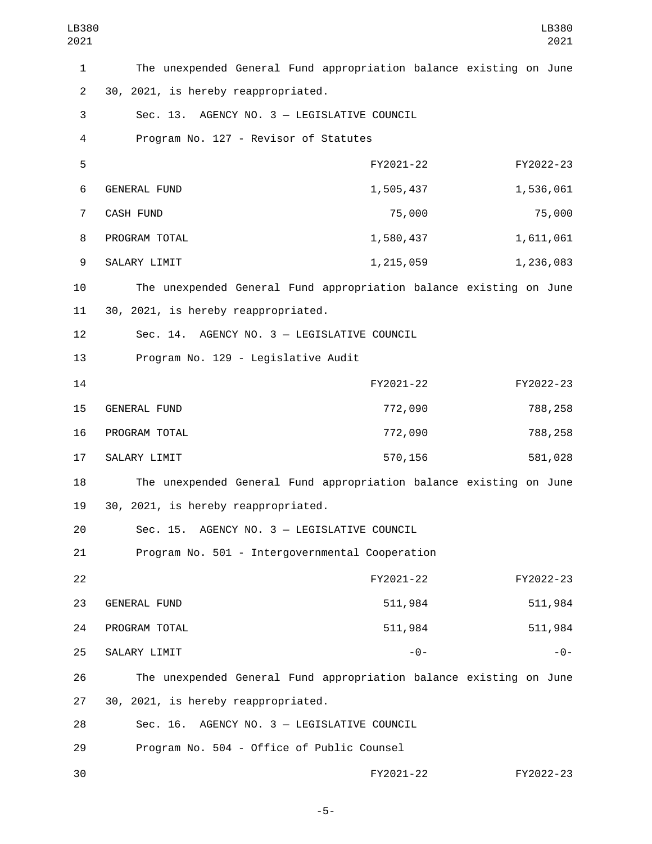| LB380<br>2021  |                                                                    |           | LB380<br>2021 |
|----------------|--------------------------------------------------------------------|-----------|---------------|
| 1              | The unexpended General Fund appropriation balance existing on June |           |               |
| $\overline{2}$ | 30, 2021, is hereby reappropriated.                                |           |               |
| 3              | Sec. 13. AGENCY NO. 3 - LEGISLATIVE COUNCIL                        |           |               |
| 4              | Program No. 127 - Revisor of Statutes                              |           |               |
| 5              |                                                                    | FY2021-22 | FY2022-23     |
| 6              | <b>GENERAL FUND</b>                                                | 1,505,437 | 1,536,061     |
| 7              | CASH FUND                                                          | 75,000    | 75,000        |
| 8              | PROGRAM TOTAL                                                      | 1,580,437 | 1,611,061     |
| 9              | SALARY LIMIT                                                       | 1,215,059 | 1,236,083     |
| 10             | The unexpended General Fund appropriation balance existing on June |           |               |
| 11             | 30, 2021, is hereby reappropriated.                                |           |               |
| 12             | Sec. 14. AGENCY NO. 3 - LEGISLATIVE COUNCIL                        |           |               |
| 13             | Program No. 129 - Legislative Audit                                |           |               |
| 14             |                                                                    | FY2021-22 | FY2022-23     |
| 15             | GENERAL FUND                                                       | 772,090   | 788,258       |
| 16             | PROGRAM TOTAL                                                      | 772,090   | 788,258       |
| 17             | SALARY LIMIT                                                       | 570,156   | 581,028       |
| 18             | The unexpended General Fund appropriation balance existing on June |           |               |
| 19             | 30, 2021, is hereby reappropriated.                                |           |               |
| 20             | AGENCY NO. 3 - LEGISLATIVE COUNCIL<br>Sec. 15.                     |           |               |
| 21             | Program No. 501 - Intergovernmental Cooperation                    |           |               |
| 22             |                                                                    | FY2021-22 | FY2022-23     |
| 23             | GENERAL FUND                                                       | 511,984   | 511,984       |
| 24             | PROGRAM TOTAL                                                      | 511,984   | 511,984       |
| 25             | SALARY LIMIT                                                       | $-0-$     | $-0-$         |
| 26             | The unexpended General Fund appropriation balance existing on June |           |               |
| 27             | 30, 2021, is hereby reappropriated.                                |           |               |
| 28             | Sec. 16. AGENCY NO. 3 - LEGISLATIVE COUNCIL                        |           |               |
| 29             | Program No. 504 - Office of Public Counsel                         |           |               |
| 30             |                                                                    | FY2021-22 | FY2022-23     |

-5-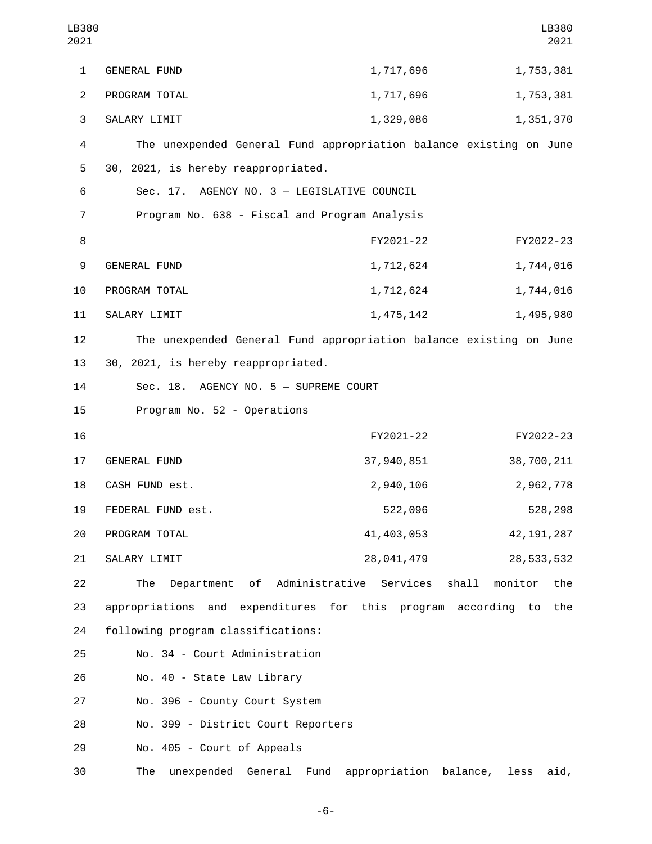| LB380<br>2021  |                                                                    |                           | LB380<br>2021  |
|----------------|--------------------------------------------------------------------|---------------------------|----------------|
| $\mathbf{1}$   | <b>GENERAL FUND</b>                                                | 1,717,696                 | 1,753,381      |
| $\overline{2}$ | PROGRAM TOTAL                                                      | 1,717,696                 | 1,753,381      |
| 3              | SALARY LIMIT                                                       | 1,329,086                 | 1,351,370      |
| 4              | The unexpended General Fund appropriation balance existing on June |                           |                |
| 5              | 30, 2021, is hereby reappropriated.                                |                           |                |
| 6              | Sec. 17. AGENCY NO. 3 - LEGISLATIVE COUNCIL                        |                           |                |
| $\overline{7}$ | Program No. 638 - Fiscal and Program Analysis                      |                           |                |
| 8              |                                                                    | FY2021-22                 | FY2022-23      |
| 9              | <b>GENERAL FUND</b>                                                | 1,712,624                 | 1,744,016      |
| 10             | PROGRAM TOTAL                                                      | 1,712,624                 | 1,744,016      |
| 11             | SALARY LIMIT                                                       | 1,475,142                 | 1,495,980      |
| 12             | The unexpended General Fund appropriation balance existing on June |                           |                |
| 13             | 30, 2021, is hereby reappropriated.                                |                           |                |
| 14             | Sec. 18. AGENCY NO. 5 - SUPREME COURT                              |                           |                |
| 15             | Program No. 52 - Operations                                        |                           |                |
| 16             |                                                                    | FY2021-22                 | FY2022-23      |
| 17             | <b>GENERAL FUND</b>                                                | 37,940,851                | 38,700,211     |
| 18             | CASH FUND est.                                                     | 2,940,106                 | 2,962,778      |
| 19             | FEDERAL FUND est.                                                  | 522,096                   | 528,298        |
| 20             | PROGRAM TOTAL                                                      | 41, 403, 053              | 42, 191, 287   |
| 21             | SALARY LIMIT                                                       | 28,041,479                | 28, 533, 532   |
| 22             | Department of Administrative Services<br>The                       | shall                     | monitor<br>the |
| 23             | appropriations and expenditures for this program according to      |                           | the            |
| 24             | following program classifications:                                 |                           |                |
| 25             | No. 34 - Court Administration                                      |                           |                |
| 26             | No. 40 - State Law Library                                         |                           |                |
| 27             | No. 396 - County Court System                                      |                           |                |
| 28             | No. 399 - District Court Reporters                                 |                           |                |
| 29             | No. 405 - Court of Appeals                                         |                           |                |
| 30             | unexpended General Fund<br>The                                     | appropriation<br>balance, | less<br>aid,   |

-6-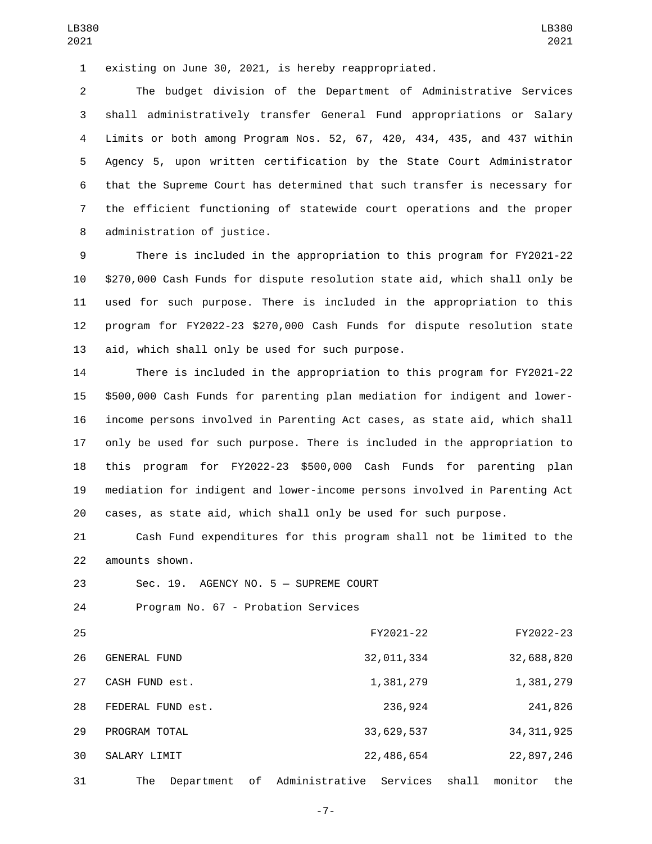existing on June 30, 2021, is hereby reappropriated.

 The budget division of the Department of Administrative Services shall administratively transfer General Fund appropriations or Salary Limits or both among Program Nos. 52, 67, 420, 434, 435, and 437 within Agency 5, upon written certification by the State Court Administrator that the Supreme Court has determined that such transfer is necessary for the efficient functioning of statewide court operations and the proper 8 administration of justice.

 There is included in the appropriation to this program for FY2021-22 \$270,000 Cash Funds for dispute resolution state aid, which shall only be used for such purpose. There is included in the appropriation to this program for FY2022-23 \$270,000 Cash Funds for dispute resolution state 13 aid, which shall only be used for such purpose.

 There is included in the appropriation to this program for FY2021-22 \$500,000 Cash Funds for parenting plan mediation for indigent and lower- income persons involved in Parenting Act cases, as state aid, which shall only be used for such purpose. There is included in the appropriation to this program for FY2022-23 \$500,000 Cash Funds for parenting plan mediation for indigent and lower-income persons involved in Parenting Act cases, as state aid, which shall only be used for such purpose.

 Cash Fund expenditures for this program shall not be limited to the amounts shown.22

23 Sec. 19. AGENCY NO. 5 - SUPREME COURT

24 Program No. 67 - Probation Services

| 25 |                     |            |     |                | FY2021-22  |       | FY2022-23    |         |
|----|---------------------|------------|-----|----------------|------------|-------|--------------|---------|
| 26 | <b>GENERAL FUND</b> |            |     |                | 32,011,334 |       | 32,688,820   |         |
| 27 | CASH FUND est.      |            |     |                | 1,381,279  |       | 1,381,279    |         |
| 28 | FEDERAL FUND est.   |            |     |                | 236,924    |       |              | 241,826 |
| 29 | PROGRAM TOTAL       |            |     |                | 33,629,537 |       | 34, 311, 925 |         |
| 30 | SALARY LIMIT        |            |     |                | 22,486,654 |       | 22,897,246   |         |
| 31 | The                 | Department | of. | Administrative | Services   | shall | monitor      | the     |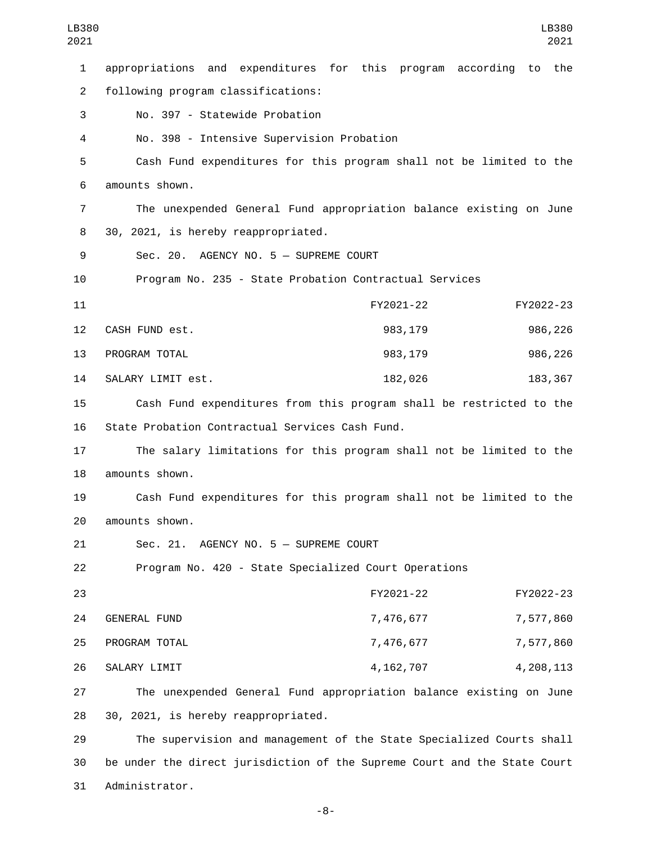| LB380<br>2021  |                                                                           |             |           |           | LB380<br>2021 |
|----------------|---------------------------------------------------------------------------|-------------|-----------|-----------|---------------|
| $\mathbf{1}$   | appropriations and expenditures for this program                          |             | according | to        | the           |
| $\overline{2}$ | following program classifications:                                        |             |           |           |               |
| 3              | No. 397 - Statewide Probation                                             |             |           |           |               |
| 4              | No. 398 - Intensive Supervision Probation                                 |             |           |           |               |
| 5              | Cash Fund expenditures for this program shall not be limited to the       |             |           |           |               |
| 6              | amounts shown.                                                            |             |           |           |               |
| 7              | The unexpended General Fund appropriation balance existing on June        |             |           |           |               |
| 8              | 30, 2021, is hereby reappropriated.                                       |             |           |           |               |
| 9              | Sec. 20. AGENCY NO. 5 - SUPREME COURT                                     |             |           |           |               |
| 10             | Program No. 235 - State Probation Contractual Services                    |             |           |           |               |
| 11             |                                                                           | FY2021-22   |           | FY2022-23 |               |
| 12             | CASH FUND est.                                                            | 983, 179    |           | 986,226   |               |
| 13             | PROGRAM TOTAL                                                             | 983,179     |           | 986,226   |               |
| 14             | SALARY LIMIT est.                                                         | 182,026     |           | 183, 367  |               |
| 15             | Cash Fund expenditures from this program shall be restricted to the       |             |           |           |               |
| 16             | State Probation Contractual Services Cash Fund.                           |             |           |           |               |
| 17             | The salary limitations for this program shall not be limited to the       |             |           |           |               |
| 18             | amounts shown.                                                            |             |           |           |               |
| 19             | Cash Fund expenditures for this program shall not be limited to the       |             |           |           |               |
| 20             | amounts shown.                                                            |             |           |           |               |
| 21             | Sec. 21. AGENCY NO. 5 - SUPREME COURT                                     |             |           |           |               |
| 22             | Program No. 420 - State Specialized Court Operations                      |             |           |           |               |
| 23             |                                                                           | FY2021-22   |           | FY2022-23 |               |
| 24             | GENERAL FUND                                                              | 7,476,677   |           | 7,577,860 |               |
| 25             | PROGRAM TOTAL                                                             | 7,476,677   |           | 7,577,860 |               |
| 26             | SALARY LIMIT                                                              | 4, 162, 707 |           | 4,208,113 |               |
| 27             | The unexpended General Fund appropriation balance existing on June        |             |           |           |               |
| 28             | 30, 2021, is hereby reappropriated.                                       |             |           |           |               |
| 29             | The supervision and management of the State Specialized Courts shall      |             |           |           |               |
| 30             | be under the direct jurisdiction of the Supreme Court and the State Court |             |           |           |               |

31 Administrator.

-8-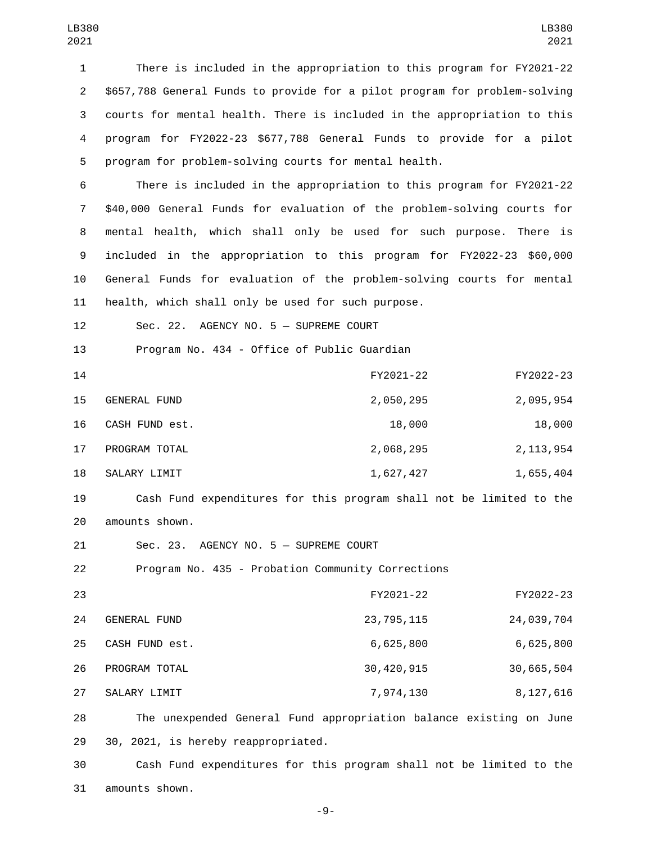There is included in the appropriation to this program for FY2021-22 \$657,788 General Funds to provide for a pilot program for problem-solving courts for mental health. There is included in the appropriation to this program for FY2022-23 \$677,788 General Funds to provide for a pilot program for problem-solving courts for mental health.

 There is included in the appropriation to this program for FY2021-22 \$40,000 General Funds for evaluation of the problem-solving courts for mental health, which shall only be used for such purpose. There is included in the appropriation to this program for FY2022-23 \$60,000 General Funds for evaluation of the problem-solving courts for mental health, which shall only be used for such purpose.

12 Sec. 22. AGENCY NO. 5 - SUPREME COURT

13 Program No. 434 - Office of Public Guardian

| 14 |                | FY2021-22 | FY2022-23   |
|----|----------------|-----------|-------------|
| 15 | GENERAL FUND   | 2,050,295 | 2,095,954   |
| 16 | CASH FUND est. | 18,000    | 18,000      |
| 17 | PROGRAM TOTAL  | 2,068,295 | 2, 113, 954 |
| 18 | SALARY LIMIT   | 1,627,427 | 1,655,404   |

19 Cash Fund expenditures for this program shall not be limited to the 20 amounts shown.

21 Sec. 23. AGENCY NO. 5 - SUPREME COURT

22 Program No. 435 - Probation Community Corrections

| 23 |                | FY2021-22    | FY2022-23   |
|----|----------------|--------------|-------------|
| 24 | GENERAL FUND   | 23, 795, 115 | 24,039,704  |
| 25 | CASH FUND est. | 6,625,800    | 6,625,800   |
| 26 | PROGRAM TOTAL  | 30, 420, 915 | 30,665,504  |
| 27 | SALARY LIMIT   | 7,974,130    | 8, 127, 616 |

28 The unexpended General Fund appropriation balance existing on June 29 30, 2021, is hereby reappropriated.

30 Cash Fund expenditures for this program shall not be limited to the 31 amounts shown.

-9-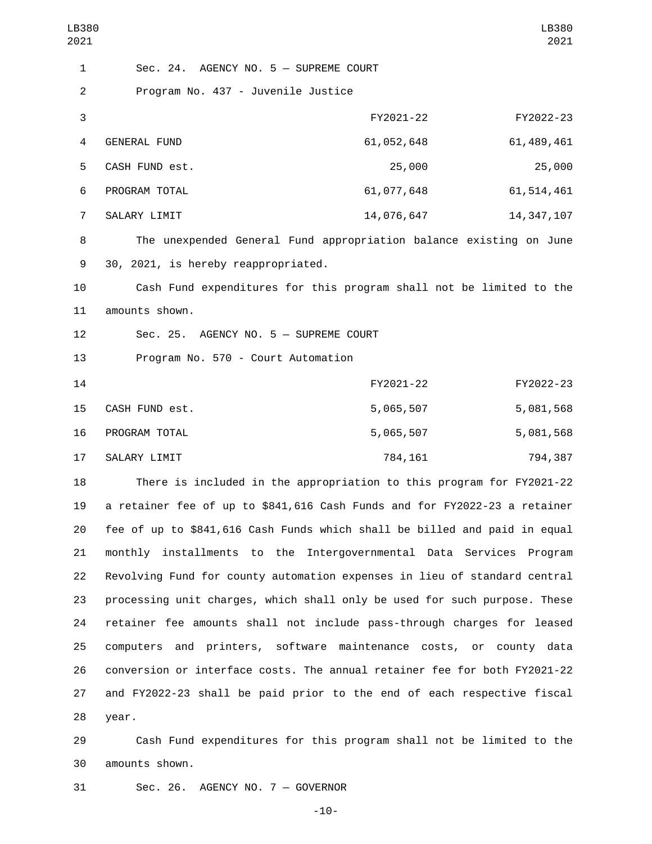| LB380<br>2021             |                                                                           | LB380<br>2021  |
|---------------------------|---------------------------------------------------------------------------|----------------|
| $\mathbf{1}$              | Sec. 24. AGENCY NO. 5 - SUPREME COURT                                     |                |
| $\overline{c}$            | Program No. 437 - Juvenile Justice                                        |                |
| $\ensuremath{\mathsf{3}}$ | FY2021-22                                                                 | FY2022-23      |
| 4                         | 61,052,648<br><b>GENERAL FUND</b>                                         | 61, 489, 461   |
| 5                         | CASH FUND est.<br>25,000                                                  | 25,000         |
| 6                         | PROGRAM TOTAL<br>61,077,648                                               | 61, 514, 461   |
| $\overline{7}$            | 14,076,647<br>SALARY LIMIT                                                | 14, 347, 107   |
| 8                         | The unexpended General Fund appropriation balance existing on June        |                |
| 9                         | 30, 2021, is hereby reappropriated.                                       |                |
| 10                        | Cash Fund expenditures for this program shall not be limited to the       |                |
| 11                        | amounts shown.                                                            |                |
| 12                        | Sec. 25. AGENCY NO. 5 - SUPREME COURT                                     |                |
| 13                        | Program No. 570 - Court Automation                                        |                |
| 14                        | FY2021-22                                                                 | FY2022-23      |
| 15                        | 5,065,507<br>CASH FUND est.                                               | 5,081,568      |
| 16                        | 5,065,507<br>PROGRAM TOTAL                                                | 5,081,568      |
| 17                        | SALARY LIMIT<br>784,161                                                   | 794,387        |
| 18                        | There is included in the appropriation to this program for FY2021-22      |                |
| 19                        | a retainer fee of up to \$841,616 Cash Funds and for FY2022-23 a retainer |                |
| 20                        | fee of up to \$841,616 Cash Funds which shall be billed and paid in equal |                |
| 21                        | monthly installments to the Intergovernmental Data Services Program       |                |
| 22                        | Revolving Fund for county automation expenses in lieu of standard central |                |
| 23                        | processing unit charges, which shall only be used for such purpose. These |                |
| 24                        | retainer fee amounts shall not include pass-through charges for leased    |                |
| 25                        | and printers, software maintenance costs, or<br>computers                 | county<br>data |

26 conversion or interface costs. The annual retainer fee for both FY2021-22 27 and FY2022-23 shall be paid prior to the end of each respective fiscal 28 year.

29 Cash Fund expenditures for this program shall not be limited to the 30 amounts shown.

31 Sec. 26. AGENCY NO. 7 - GOVERNOR

-10-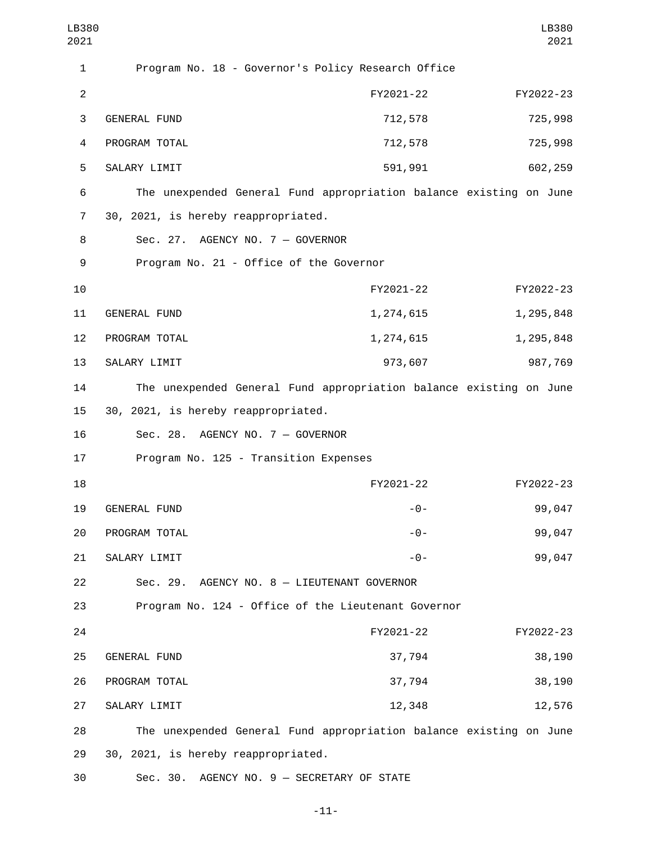| LB380<br>2021  |                                                                    |           | LB380<br>2021 |
|----------------|--------------------------------------------------------------------|-----------|---------------|
| 1              | Program No. 18 - Governor's Policy Research Office                 |           |               |
| $\overline{c}$ |                                                                    | FY2021-22 | FY2022-23     |
| 3              | <b>GENERAL FUND</b>                                                | 712,578   | 725,998       |
| 4              | PROGRAM TOTAL                                                      | 712,578   | 725,998       |
| 5              | SALARY LIMIT                                                       | 591,991   | 602,259       |
| 6              | The unexpended General Fund appropriation balance existing on June |           |               |
| $\overline{7}$ | 30, 2021, is hereby reappropriated.                                |           |               |
| 8              | Sec. 27. AGENCY NO. 7 - GOVERNOR                                   |           |               |
| 9              | Program No. 21 - Office of the Governor                            |           |               |
| 10             |                                                                    | FY2021-22 | FY2022-23     |
| 11             | <b>GENERAL FUND</b>                                                | 1,274,615 | 1,295,848     |
| 12             | PROGRAM TOTAL                                                      | 1,274,615 | 1,295,848     |
| 13             | SALARY LIMIT                                                       | 973,607   | 987,769       |
| 14             | The unexpended General Fund appropriation balance existing on June |           |               |
| 15             | 30, 2021, is hereby reappropriated.                                |           |               |
| 16             | Sec. 28. AGENCY NO. 7 - GOVERNOR                                   |           |               |
| 17             | Program No. 125 - Transition Expenses                              |           |               |
| 18             |                                                                    | FY2021-22 | FY2022-23     |
| 19             | <b>GENERAL FUND</b>                                                | $-0-$     | 99,047        |
| 20             | PROGRAM TOTAL                                                      | $-0-$     | 99,047        |
| 21             | SALARY LIMIT                                                       | $-0-$     | 99,047        |
| 22             | Sec. 29. AGENCY NO. 8 - LIEUTENANT GOVERNOR                        |           |               |
| 23             | Program No. 124 - Office of the Lieutenant Governor                |           |               |
| 24             |                                                                    | FY2021-22 | FY2022-23     |
| 25             | GENERAL FUND                                                       | 37,794    | 38,190        |
| 26             | PROGRAM TOTAL                                                      | 37,794    | 38,190        |
| 27             | SALARY LIMIT                                                       | 12,348    | 12,576        |
| 28             | The unexpended General Fund appropriation balance existing on June |           |               |
| 29             | 30, 2021, is hereby reappropriated.                                |           |               |
|                |                                                                    |           |               |

30 Sec. 30. AGENCY NO. 9 - SECRETARY OF STATE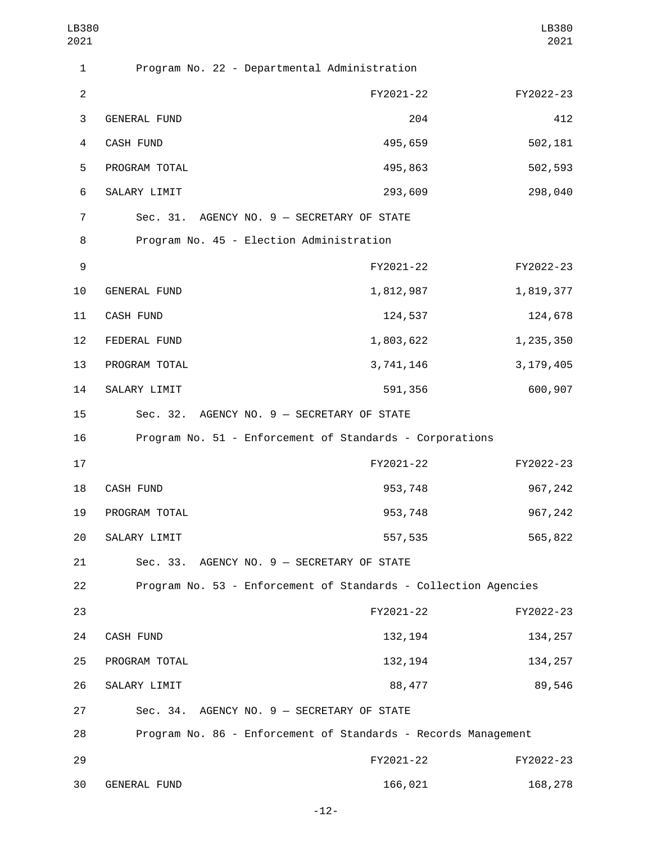| LB380<br>2021  |                     |                                                                 | LB380<br>2021 |
|----------------|---------------------|-----------------------------------------------------------------|---------------|
| $\mathbf{1}$   |                     | Program No. 22 - Departmental Administration                    |               |
| $\overline{2}$ |                     | FY2021-22                                                       | FY2022-23     |
| 3              | GENERAL FUND        | 204                                                             | 412           |
| 4              | CASH FUND           | 495,659                                                         | 502,181       |
| 5              | PROGRAM TOTAL       | 495,863                                                         | 502,593       |
| 6              | SALARY LIMIT        | 293,609                                                         | 298,040       |
| $\overline{7}$ |                     | Sec. 31. AGENCY NO. 9 - SECRETARY OF STATE                      |               |
| 8              |                     | Program No. 45 - Election Administration                        |               |
| 9              |                     | FY2021-22                                                       | FY2022-23     |
| 10             | <b>GENERAL FUND</b> | 1,812,987                                                       | 1,819,377     |
| 11             | CASH FUND           | 124,537                                                         | 124,678       |
| 12             | FEDERAL FUND        | 1,803,622                                                       | 1,235,350     |
| 13             | PROGRAM TOTAL       | 3,741,146                                                       | 3, 179, 405   |
| 14             | SALARY LIMIT        | 591,356                                                         | 600,907       |
| 15             |                     | Sec. 32. AGENCY NO. 9 - SECRETARY OF STATE                      |               |
| 16             |                     | Program No. 51 - Enforcement of Standards - Corporations        |               |
| 17             |                     | FY2021-22                                                       | FY2022-23     |
| 18             | CASH FUND           | 953,748                                                         | 967,242       |
| 19             | PROGRAM TOTAL       | 953,748                                                         | 967,242       |
| 20             | SALARY LIMIT        | 557,535                                                         | 565,822       |
| 21             |                     | Sec. 33. AGENCY NO. 9 - SECRETARY OF STATE                      |               |
| 22             |                     | Program No. 53 - Enforcement of Standards - Collection Agencies |               |
| 23             |                     | FY2021-22                                                       | FY2022-23     |
| 24             | <b>CASH FUND</b>    | 132, 194                                                        | 134, 257      |
| 25             | PROGRAM TOTAL       | 132, 194                                                        | 134, 257      |
| 26             | SALARY LIMIT        | 88,477                                                          | 89,546        |
| 27             |                     | Sec. 34. AGENCY NO. 9 - SECRETARY OF STATE                      |               |
| 28             |                     | Program No. 86 - Enforcement of Standards - Records Management  |               |
| 29             |                     | FY2021-22                                                       | FY2022-23     |
| 30             | GENERAL FUND        | 166,021                                                         | 168,278       |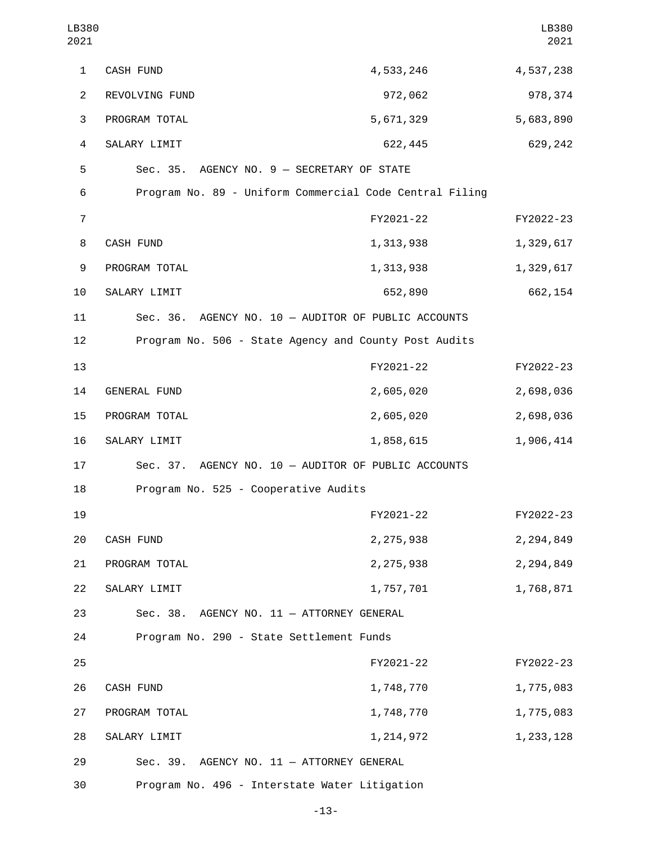| LB380<br>2021  |                                                         |             | LB380<br>2021 |
|----------------|---------------------------------------------------------|-------------|---------------|
| 1              | CASH FUND                                               | 4,533,246   | 4,537,238     |
| $\overline{2}$ | REVOLVING FUND                                          | 972,062     | 978,374       |
| 3              | PROGRAM TOTAL                                           | 5,671,329   | 5,683,890     |
| $\overline{a}$ | SALARY LIMIT                                            | 622,445     | 629,242       |
| 5              | Sec. 35. AGENCY NO. 9 - SECRETARY OF STATE              |             |               |
| 6              | Program No. 89 - Uniform Commercial Code Central Filing |             |               |
| $\overline{7}$ |                                                         | FY2021-22   | FY2022-23     |
| 8              | CASH FUND                                               | 1,313,938   | 1,329,617     |
| 9              | PROGRAM TOTAL                                           | 1,313,938   | 1,329,617     |
| 10             | SALARY LIMIT                                            | 652,890     | 662,154       |
| 11             | Sec. 36. AGENCY NO. 10 - AUDITOR OF PUBLIC ACCOUNTS     |             |               |
| 12             | Program No. 506 - State Agency and County Post Audits   |             |               |
| 13             |                                                         | FY2021-22   | FY2022-23     |
| 14             | <b>GENERAL FUND</b>                                     | 2,605,020   | 2,698,036     |
| 15             | PROGRAM TOTAL                                           | 2,605,020   | 2,698,036     |
| 16             | SALARY LIMIT                                            | 1,858,615   | 1,906,414     |
| 17             | Sec. 37. AGENCY NO. 10 - AUDITOR OF PUBLIC ACCOUNTS     |             |               |
| 18             | Program No. 525 - Cooperative Audits                    |             |               |
| 19             |                                                         | FY2021-22   | FY2022-23     |
| 20             | CASH FUND                                               | 2,275,938   | 2,294,849     |
| 21             | PROGRAM TOTAL                                           | 2,275,938   | 2,294,849     |
| 22             | SALARY LIMIT                                            | 1,757,701   | 1,768,871     |
| 23             | Sec. 38. AGENCY NO. 11 - ATTORNEY GENERAL               |             |               |
| 24             | Program No. 290 - State Settlement Funds                |             |               |
| 25             |                                                         | FY2021-22   | FY2022-23     |
| 26             | CASH FUND                                               | 1,748,770   | 1,775,083     |
| 27             | PROGRAM TOTAL                                           | 1,748,770   | 1,775,083     |
| 28             | SALARY LIMIT                                            | 1, 214, 972 | 1, 233, 128   |
| 29             | Sec. 39. AGENCY NO. 11 - ATTORNEY GENERAL               |             |               |
| 30             | Program No. 496 - Interstate Water Litigation           |             |               |

-13-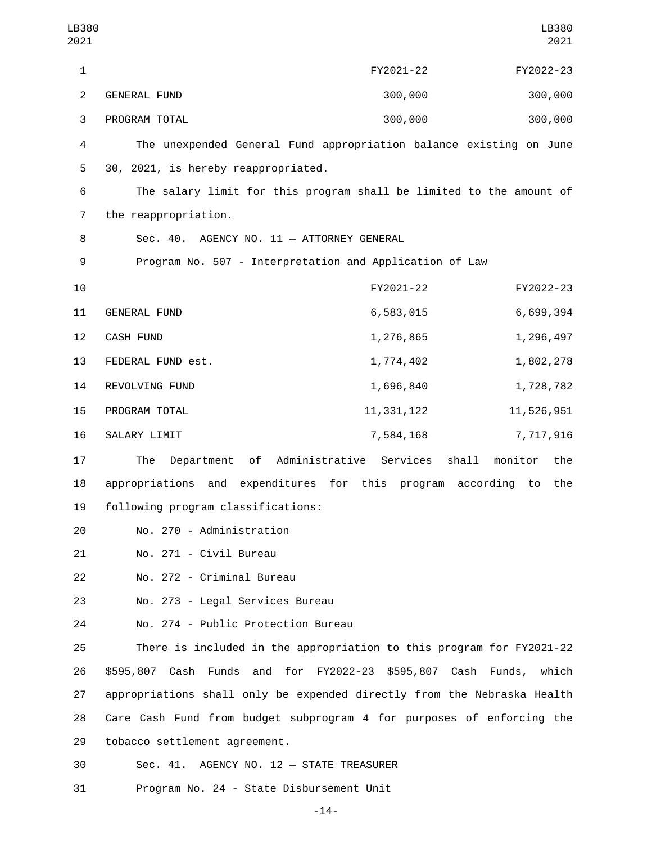| LB380<br>2021  |                                                                         |                                     | LB380<br>2021          |
|----------------|-------------------------------------------------------------------------|-------------------------------------|------------------------|
| 1              |                                                                         | FY2021-22                           | FY2022-23              |
| $\overline{c}$ | <b>GENERAL FUND</b>                                                     | 300,000                             | 300,000                |
| 3              | PROGRAM TOTAL                                                           | 300,000                             | 300,000                |
| 4              | The unexpended General Fund appropriation balance existing on June      |                                     |                        |
| 5              | 30, 2021, is hereby reappropriated.                                     |                                     |                        |
| 6              | The salary limit for this program shall be limited to the amount of     |                                     |                        |
| 7              | the reappropriation.                                                    |                                     |                        |
| 8              | Sec. 40. AGENCY NO. 11 - ATTORNEY GENERAL                               |                                     |                        |
| 9              | Program No. 507 - Interpretation and Application of Law                 |                                     |                        |
| 10             |                                                                         | FY2021-22                           | FY2022-23              |
| 11             | <b>GENERAL FUND</b>                                                     | 6,583,015                           | 6,699,394              |
| 12             | CASH FUND                                                               | 1,276,865                           | 1,296,497              |
| 13             | FEDERAL FUND est.                                                       | 1,774,402                           | 1,802,278              |
| 14             | REVOLVING FUND                                                          | 1,696,840                           | 1,728,782              |
| 15             | PROGRAM TOTAL                                                           | 11, 331, 122                        | 11,526,951             |
| 16             | SALARY LIMIT                                                            | 7,584,168                           | 7,717,916              |
| 17             | The<br>Department                                                       | shall<br>of Administrative Services | monitor<br>the         |
| 18             | appropriations<br>and                                                   | expenditures for this<br>program    | according<br>to<br>the |
| 19             | following program classifications:                                      |                                     |                        |
| 20             | No. 270 - Administration                                                |                                     |                        |
| 21             | No. 271 - Civil Bureau                                                  |                                     |                        |
| 22             | No. 272 - Criminal Bureau                                               |                                     |                        |
| 23             | No. 273 - Legal Services Bureau                                         |                                     |                        |
| 24             | No. 274 - Public Protection Bureau                                      |                                     |                        |
| 25             | There is included in the appropriation to this program for FY2021-22    |                                     |                        |
| 26             | \$595,807 Cash Funds and for FY2022-23 \$595,807 Cash Funds, which      |                                     |                        |
| 27             | appropriations shall only be expended directly from the Nebraska Health |                                     |                        |
| 28             | Care Cash Fund from budget subprogram 4 for purposes of enforcing the   |                                     |                        |
| 29             | tobacco settlement agreement.                                           |                                     |                        |
| 30             | Sec. 41. AGENCY NO. 12 - STATE TREASURER                                |                                     |                        |
| 31             | Program No. 24 - State Disbursement Unit                                |                                     |                        |

-14-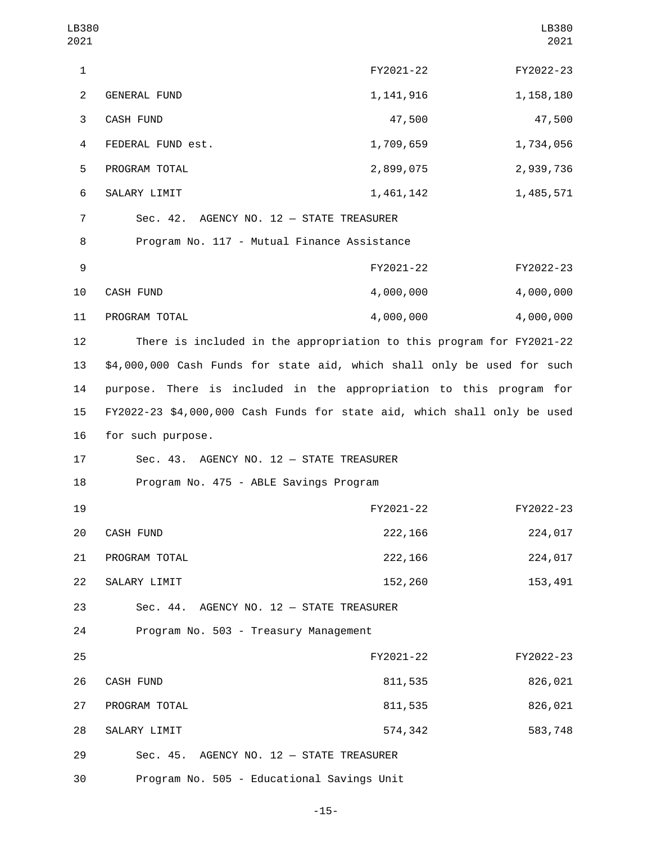| LB380<br>2021  |                                                                          |             | LB380<br>2021 |
|----------------|--------------------------------------------------------------------------|-------------|---------------|
| $\mathbf{1}$   |                                                                          | FY2021-22   | FY2022-23     |
| $\overline{2}$ | GENERAL FUND                                                             | 1, 141, 916 | 1, 158, 180   |
| 3              | CASH FUND                                                                | 47,500      | 47,500        |
| $\overline{a}$ | FEDERAL FUND est.                                                        | 1,709,659   | 1,734,056     |
| 5              | PROGRAM TOTAL                                                            | 2,899,075   | 2,939,736     |
| 6              | SALARY LIMIT                                                             | 1,461,142   | 1,485,571     |
| 7              | Sec. 42. AGENCY NO. 12 - STATE TREASURER                                 |             |               |
| 8              | Program No. 117 - Mutual Finance Assistance                              |             |               |
| 9              |                                                                          | FY2021-22   | FY2022-23     |
| 10             | CASH FUND                                                                | 4,000,000   | 4,000,000     |
| 11             | PROGRAM TOTAL                                                            | 4,000,000   | 4,000,000     |
| 12             | There is included in the appropriation to this program for FY2021-22     |             |               |
| 13             | \$4,000,000 Cash Funds for state aid, which shall only be used for such  |             |               |
| 14             | purpose. There is included in the appropriation to this program for      |             |               |
| 15             | FY2022-23 \$4,000,000 Cash Funds for state aid, which shall only be used |             |               |
| 16             | for such purpose.                                                        |             |               |
| 17             | Sec. 43. AGENCY NO. 12 - STATE TREASURER                                 |             |               |
| 18             | Program No. 475 - ABLE Savings Program                                   |             |               |
| 19             |                                                                          | FY2021-22   | FY2022-23     |
| 20             | CASH FUND                                                                | 222,166     | 224,017       |
| 21             | PROGRAM TOTAL                                                            | 222, 166    | 224,017       |
| 22             | SALARY LIMIT                                                             | 152,260     | 153,491       |
| 23             | Sec. 44. AGENCY NO. 12 - STATE TREASURER                                 |             |               |
| 24             | Program No. 503 - Treasury Management                                    |             |               |
| 25             |                                                                          | FY2021-22   | FY2022-23     |
| 26             | CASH FUND                                                                | 811,535     | 826,021       |
| 27             | PROGRAM TOTAL                                                            | 811,535     | 826,021       |
| 28             | SALARY LIMIT                                                             | 574,342     | 583,748       |
| 29             | Sec. 45. AGENCY NO. 12 - STATE TREASURER                                 |             |               |
| 30             | Program No. 505 - Educational Savings Unit                               |             |               |

-15-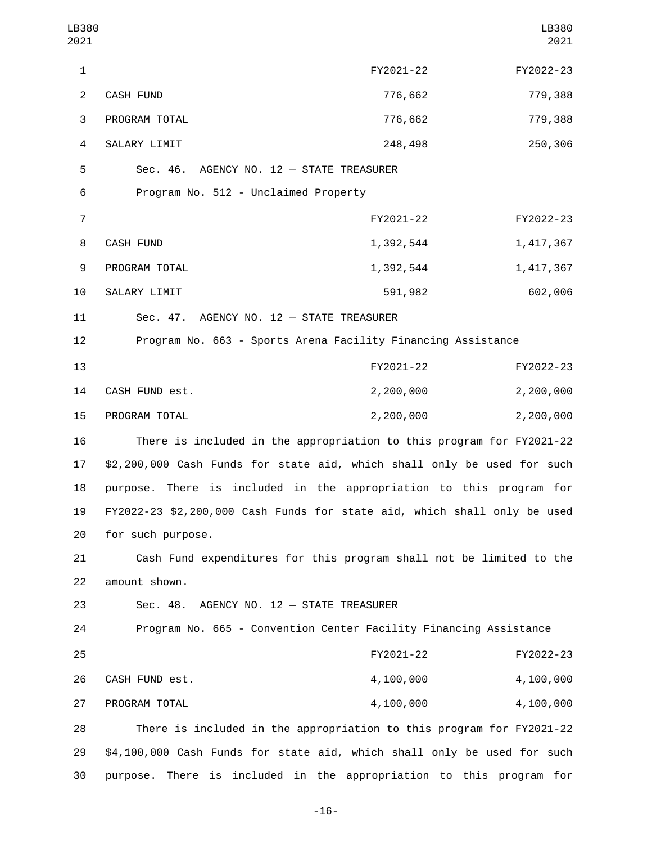| LB380<br>2021           |                                                                          |           | LB380<br>2021 |
|-------------------------|--------------------------------------------------------------------------|-----------|---------------|
| $\mathbf{1}$            |                                                                          | FY2021-22 | FY2022-23     |
| $\overline{2}$          | <b>CASH FUND</b>                                                         | 776,662   | 779,388       |
| 3                       | PROGRAM TOTAL                                                            | 776,662   | 779,388       |
| $\overline{\mathbf{4}}$ | SALARY LIMIT                                                             | 248,498   | 250,306       |
| 5                       | Sec. 46. AGENCY NO. 12 - STATE TREASURER                                 |           |               |
| 6                       | Program No. 512 - Unclaimed Property                                     |           |               |
| $\overline{7}$          |                                                                          | FY2021-22 | FY2022-23     |
| 8                       | CASH FUND                                                                | 1,392,544 | 1,417,367     |
| 9                       | PROGRAM TOTAL                                                            | 1,392,544 | 1,417,367     |
| 10                      | SALARY LIMIT                                                             | 591,982   | 602,006       |
| 11                      | Sec. 47. AGENCY NO. 12 - STATE TREASURER                                 |           |               |
| 12                      | Program No. 663 - Sports Arena Facility Financing Assistance             |           |               |
| 13                      |                                                                          | FY2021-22 | FY2022-23     |
| 14                      | CASH FUND est.                                                           | 2,200,000 | 2,200,000     |
| 15                      | PROGRAM TOTAL                                                            | 2,200,000 | 2,200,000     |
| 16                      | There is included in the appropriation to this program for FY2021-22     |           |               |
| 17                      | \$2,200,000 Cash Funds for state aid, which shall only be used for such  |           |               |
| 18                      | purpose. There is included in the appropriation to this program for      |           |               |
| 19                      | FY2022-23 \$2,200,000 Cash Funds for state aid, which shall only be used |           |               |
| 20                      | for such purpose.                                                        |           |               |
| 21                      | Cash Fund expenditures for this program shall not be limited to the      |           |               |
| 22                      | amount shown.                                                            |           |               |
| 23                      | Sec. 48. AGENCY NO. 12 - STATE TREASURER                                 |           |               |
| 24                      | Program No. 665 - Convention Center Facility Financing Assistance        |           |               |
| 25                      |                                                                          | FY2021-22 | FY2022-23     |
| 26                      | CASH FUND est.                                                           | 4,100,000 | 4,100,000     |
| 27                      | PROGRAM TOTAL                                                            | 4,100,000 | 4,100,000     |
| 28                      | There is included in the appropriation to this program for FY2021-22     |           |               |
| 29                      | \$4,100,000 Cash Funds for state aid, which shall only be used for such  |           |               |
| 30                      | purpose. There is included in the appropriation to this program for      |           |               |

-16-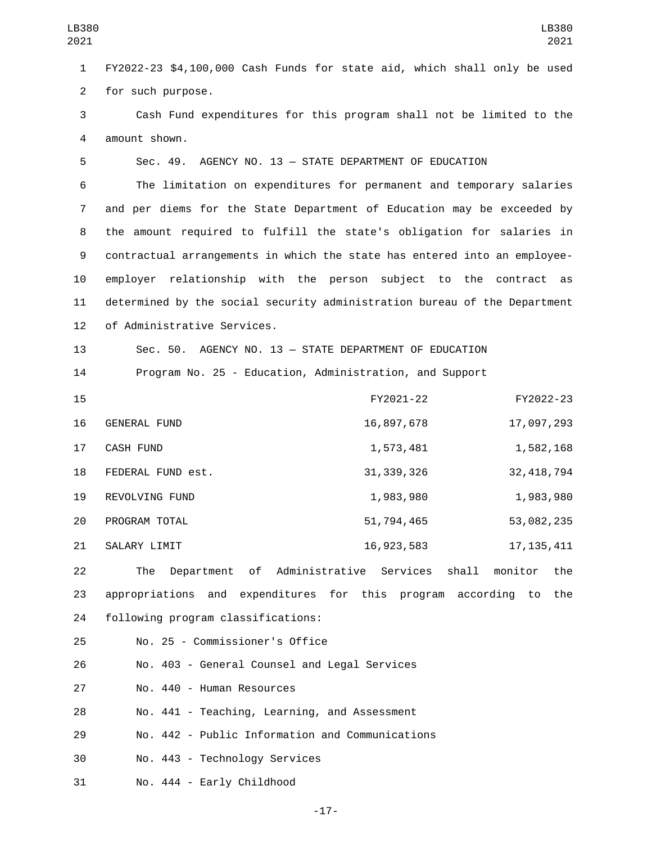1 FY2022-23 \$4,100,000 Cash Funds for state aid, which shall only be used 2 for such purpose.

3 Cash Fund expenditures for this program shall not be limited to the 4 amount shown.

5 Sec. 49. AGENCY NO. 13 — STATE DEPARTMENT OF EDUCATION

 The limitation on expenditures for permanent and temporary salaries and per diems for the State Department of Education may be exceeded by the amount required to fulfill the state's obligation for salaries in contractual arrangements in which the state has entered into an employee- employer relationship with the person subject to the contract as determined by the social security administration bureau of the Department 12 of Administrative Services.

13 Sec. 50. AGENCY NO. 13 — STATE DEPARTMENT OF EDUCATION 14 Program No. 25 - Education, Administration, and Support

| 15 |                   | FY2021-22    | FY2022-23    |
|----|-------------------|--------------|--------------|
| 16 | GENERAL FUND      | 16,897,678   | 17,097,293   |
| 17 | <b>CASH FUND</b>  | 1,573,481    | 1,582,168    |
| 18 | FEDERAL FUND est. | 31, 339, 326 | 32, 418, 794 |
| 19 | REVOLVING FUND    | 1,983,980    | 1,983,980    |
| 20 | PROGRAM TOTAL     | 51,794,465   | 53,082,235   |
| 21 | SALARY LIMIT      | 16, 923, 583 | 17, 135, 411 |

22 The Department of Administrative Services shall monitor the 23 appropriations and expenditures for this program according to the 24 following program classifications:

25 No. 25 - Commissioner's Office

26 No. 403 - General Counsel and Legal Services

27 No. 440 - Human Resources

28 No. 441 - Teaching, Learning, and Assessment

29 No. 442 - Public Information and Communications

30 No. 443 - Technology Services

31 No. 444 - Early Childhood

-17-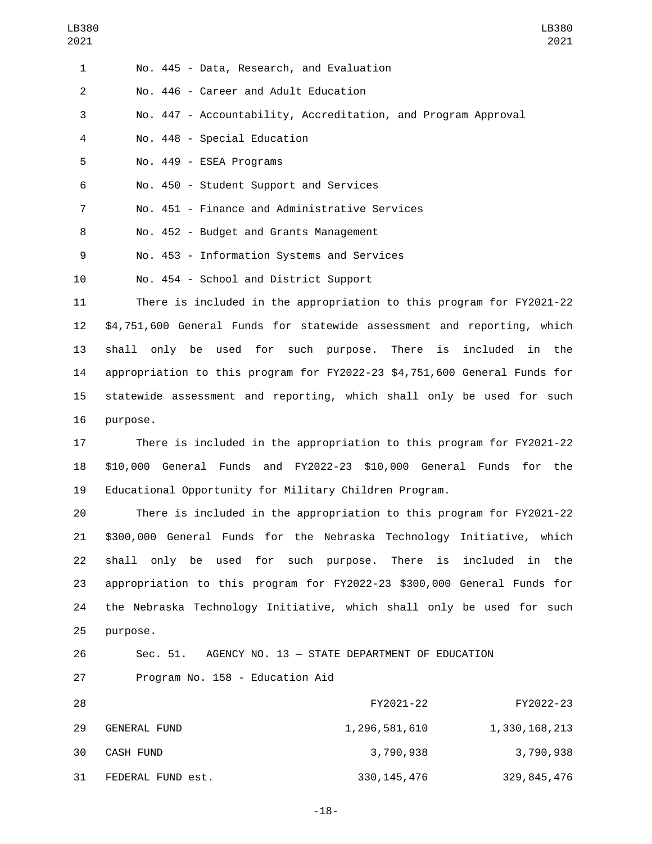| 1              | No. 445 - Data, Research, and Evaluation                      |
|----------------|---------------------------------------------------------------|
| $\mathcal{P}$  | No. 446 - Career and Adult Education                          |
| 3              | No. 447 - Accountability, Accreditation, and Program Approval |
| 4              | No. 448 - Special Education                                   |
| 5              | No. 449 - ESEA Programs                                       |
| 6              | No. 450 - Student Support and Services                        |
| $\overline{7}$ | No. 451 - Finance and Administrative Services                 |
| 8              | No. 452 - Budget and Grants Management                        |
| 9              | No. 453 - Information Systems and Services                    |
| 10             | No. 454 - School and District Support                         |

 There is included in the appropriation to this program for FY2021-22 \$4,751,600 General Funds for statewide assessment and reporting, which shall only be used for such purpose. There is included in the appropriation to this program for FY2022-23 \$4,751,600 General Funds for statewide assessment and reporting, which shall only be used for such 16 purpose.

17 There is included in the appropriation to this program for FY2021-22 18 \$10,000 General Funds and FY2022-23 \$10,000 General Funds for the 19 Educational Opportunity for Military Children Program.

 There is included in the appropriation to this program for FY2021-22 \$300,000 General Funds for the Nebraska Technology Initiative, which shall only be used for such purpose. There is included in the appropriation to this program for FY2022-23 \$300,000 General Funds for the Nebraska Technology Initiative, which shall only be used for such 25 purpose.

## 26 Sec. 51. AGENCY NO. 13 — STATE DEPARTMENT OF EDUCATION 27 Program No. 158 - Education Aid

| 28 |                   | FY2021-22     | FY2022-23     |
|----|-------------------|---------------|---------------|
| 29 | GENERAL FUND      | 1,296,581,610 | 1,330,168,213 |
| 30 | CASH FUND         | 3,790,938     | 3,790,938     |
| 31 | FEDERAL FUND est. | 330, 145, 476 | 329, 845, 476 |

-18-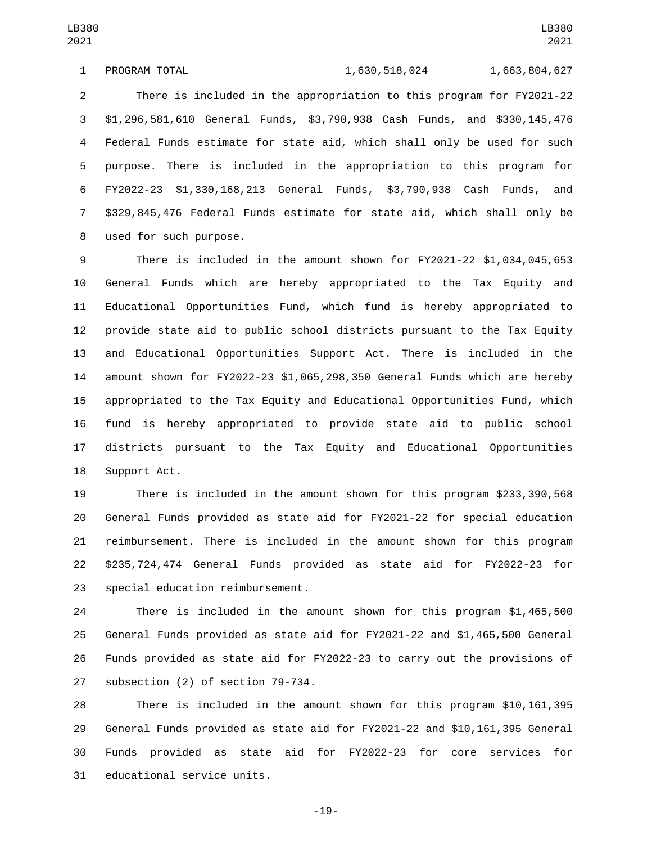1 PROGRAM TOTAL 1,630,518,024 1,663,804,627

 There is included in the appropriation to this program for FY2021-22 \$1,296,581,610 General Funds, \$3,790,938 Cash Funds, and \$330,145,476 Federal Funds estimate for state aid, which shall only be used for such purpose. There is included in the appropriation to this program for FY2022-23 \$1,330,168,213 General Funds, \$3,790,938 Cash Funds, and \$329,845,476 Federal Funds estimate for state aid, which shall only be 8 used for such purpose.

 There is included in the amount shown for FY2021-22 \$1,034,045,653 General Funds which are hereby appropriated to the Tax Equity and Educational Opportunities Fund, which fund is hereby appropriated to provide state aid to public school districts pursuant to the Tax Equity and Educational Opportunities Support Act. There is included in the amount shown for FY2022-23 \$1,065,298,350 General Funds which are hereby appropriated to the Tax Equity and Educational Opportunities Fund, which fund is hereby appropriated to provide state aid to public school districts pursuant to the Tax Equity and Educational Opportunities 18 Support Act.

 There is included in the amount shown for this program \$233,390,568 General Funds provided as state aid for FY2021-22 for special education reimbursement. There is included in the amount shown for this program \$235,724,474 General Funds provided as state aid for FY2022-23 for 23 special education reimbursement.

 There is included in the amount shown for this program \$1,465,500 General Funds provided as state aid for FY2021-22 and \$1,465,500 General Funds provided as state aid for FY2022-23 to carry out the provisions of 27 subsection (2) of section 79-734.

 There is included in the amount shown for this program \$10,161,395 General Funds provided as state aid for FY2021-22 and \$10,161,395 General Funds provided as state aid for FY2022-23 for core services for 31 educational service units.

-19-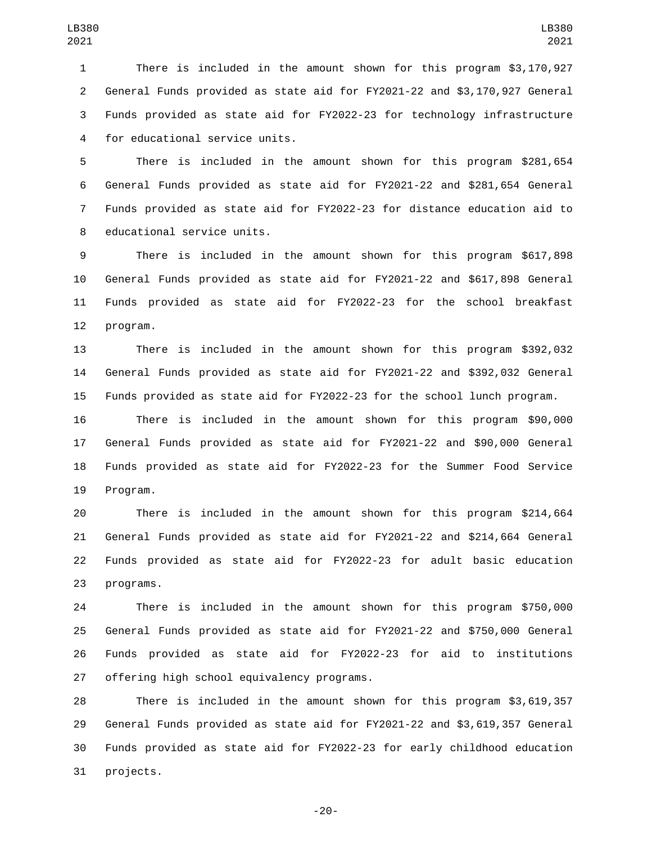There is included in the amount shown for this program \$3,170,927 General Funds provided as state aid for FY2021-22 and \$3,170,927 General Funds provided as state aid for FY2022-23 for technology infrastructure 4 for educational service units.

 There is included in the amount shown for this program \$281,654 General Funds provided as state aid for FY2021-22 and \$281,654 General Funds provided as state aid for FY2022-23 for distance education aid to 8 educational service units.

 There is included in the amount shown for this program \$617,898 General Funds provided as state aid for FY2021-22 and \$617,898 General Funds provided as state aid for FY2022-23 for the school breakfast 12 program.

 There is included in the amount shown for this program \$392,032 General Funds provided as state aid for FY2021-22 and \$392,032 General Funds provided as state aid for FY2022-23 for the school lunch program.

 There is included in the amount shown for this program \$90,000 General Funds provided as state aid for FY2021-22 and \$90,000 General Funds provided as state aid for FY2022-23 for the Summer Food Service 19 Program.

 There is included in the amount shown for this program \$214,664 General Funds provided as state aid for FY2021-22 and \$214,664 General Funds provided as state aid for FY2022-23 for adult basic education 23 programs.

 There is included in the amount shown for this program \$750,000 General Funds provided as state aid for FY2021-22 and \$750,000 General Funds provided as state aid for FY2022-23 for aid to institutions 27 offering high school equivalency programs.

 There is included in the amount shown for this program \$3,619,357 General Funds provided as state aid for FY2021-22 and \$3,619,357 General Funds provided as state aid for FY2022-23 for early childhood education 31 projects.

-20-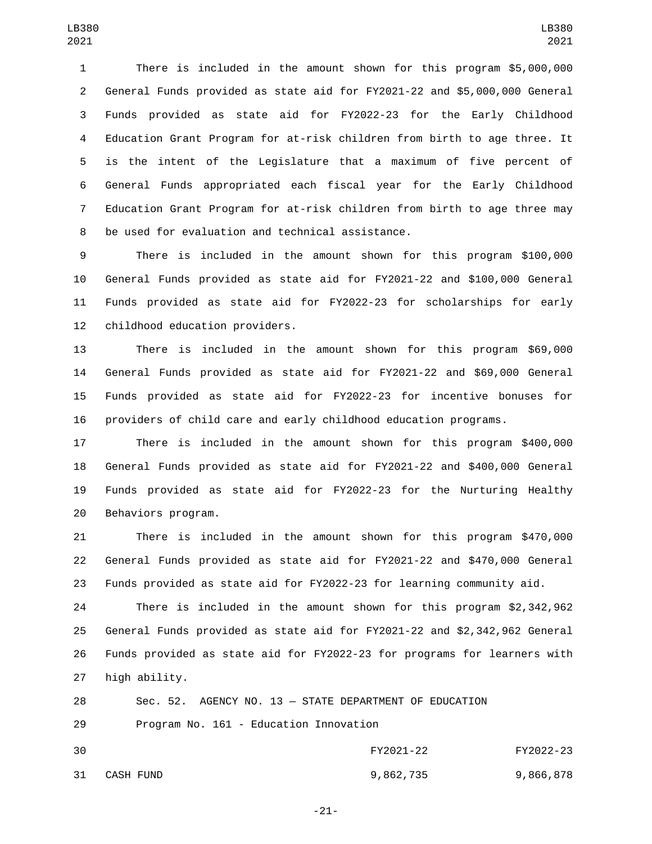There is included in the amount shown for this program \$5,000,000 General Funds provided as state aid for FY2021-22 and \$5,000,000 General Funds provided as state aid for FY2022-23 for the Early Childhood Education Grant Program for at-risk children from birth to age three. It is the intent of the Legislature that a maximum of five percent of General Funds appropriated each fiscal year for the Early Childhood Education Grant Program for at-risk children from birth to age three may 8 be used for evaluation and technical assistance.

 There is included in the amount shown for this program \$100,000 General Funds provided as state aid for FY2021-22 and \$100,000 General Funds provided as state aid for FY2022-23 for scholarships for early 12 childhood education providers.

 There is included in the amount shown for this program \$69,000 General Funds provided as state aid for FY2021-22 and \$69,000 General Funds provided as state aid for FY2022-23 for incentive bonuses for providers of child care and early childhood education programs.

 There is included in the amount shown for this program \$400,000 General Funds provided as state aid for FY2021-22 and \$400,000 General Funds provided as state aid for FY2022-23 for the Nurturing Healthy 20 Behaviors program.

 There is included in the amount shown for this program \$470,000 General Funds provided as state aid for FY2021-22 and \$470,000 General Funds provided as state aid for FY2022-23 for learning community aid.

 There is included in the amount shown for this program \$2,342,962 General Funds provided as state aid for FY2021-22 and \$2,342,962 General Funds provided as state aid for FY2022-23 for programs for learners with 27 high ability.

 Sec. 52. AGENCY NO. 13 — STATE DEPARTMENT OF EDUCATION 29 Program No. 161 - Education Innovation FY2021-22 FY2022-23 CASH FUND31 9,862,735 9,866,878

-21-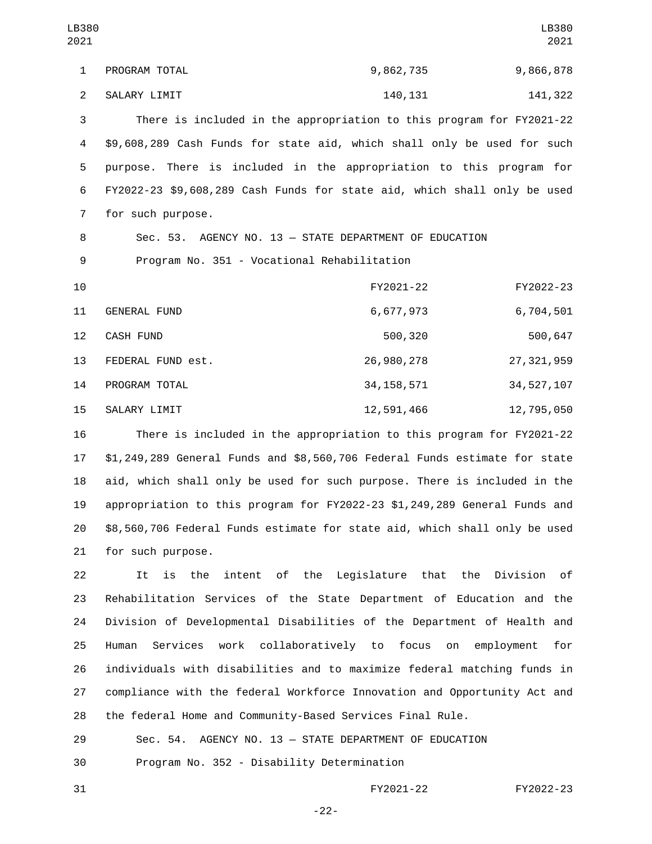PROGRAM TOTAL1 9,862,735 9,866,878 2 SALARY LIMIT 2 140,131 140,131 There is included in the appropriation to this program for FY2021-22 \$9,608,289 Cash Funds for state aid, which shall only be used for such purpose. There is included in the appropriation to this program for FY2022-23 \$9,608,289 Cash Funds for state aid, which shall only be used 7 for such purpose. Sec. 53. AGENCY NO. 13 — STATE DEPARTMENT OF EDUCATION 9 Program No. 351 - Vocational Rehabilitation FY2021-22 FY2022-23 11 GENERAL FUND 6,677,973 6,704,501 12 CASH FUND 12 S00,320 500,647 FEDERAL FUND est.13 26,980,278 27,321,959 14 PROGRAM TOTAL 2012 12:34,158,571 34,527,107 15 SALARY LIMIT 12,591,466 12,795,050 LB380 LB380 

 There is included in the appropriation to this program for FY2021-22 \$1,249,289 General Funds and \$8,560,706 Federal Funds estimate for state aid, which shall only be used for such purpose. There is included in the appropriation to this program for FY2022-23 \$1,249,289 General Funds and \$8,560,706 Federal Funds estimate for state aid, which shall only be used 21 for such purpose.

 It is the intent of the Legislature that the Division of Rehabilitation Services of the State Department of Education and the Division of Developmental Disabilities of the Department of Health and Human Services work collaboratively to focus on employment for individuals with disabilities and to maximize federal matching funds in compliance with the federal Workforce Innovation and Opportunity Act and the federal Home and Community-Based Services Final Rule.

 Sec. 54. AGENCY NO. 13 — STATE DEPARTMENT OF EDUCATION 30 Program No. 352 - Disability Determination

FY2021-22 FY2022-23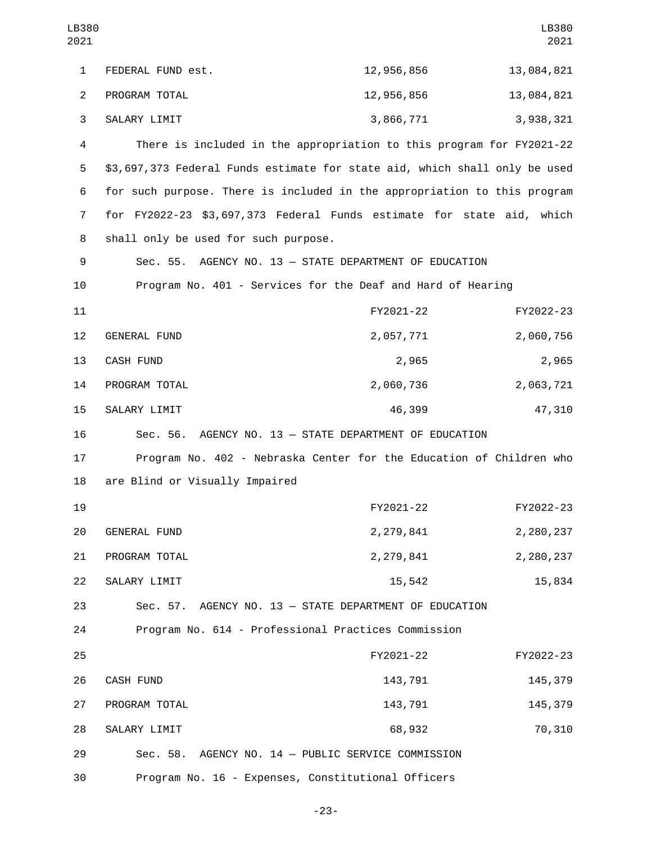| LB380<br>2021  |                                                                            |                                           | LB380<br>2021 |
|----------------|----------------------------------------------------------------------------|-------------------------------------------|---------------|
| $\mathbf{1}$   | FEDERAL FUND est.                                                          | 12,956,856                                | 13,084,821    |
| $\overline{2}$ | PROGRAM TOTAL                                                              | 12,956,856                                | 13,084,821    |
| 3              | SALARY LIMIT                                                               | 3,866,771                                 | 3,938,321     |
| 4              | There is included in the appropriation to this program for FY2021-22       |                                           |               |
| 5              | \$3,697,373 Federal Funds estimate for state aid, which shall only be used |                                           |               |
| 6              | for such purpose. There is included in the appropriation to this program   |                                           |               |
| $\overline{7}$ | for FY2022-23 \$3,697,373 Federal Funds estimate for state aid, which      |                                           |               |
| 8              | shall only be used for such purpose.                                       |                                           |               |
| 9              | Sec. 55. AGENCY NO. 13 - STATE DEPARTMENT OF EDUCATION                     |                                           |               |
| 10             | Program No. 401 - Services for the Deaf and Hard of Hearing                |                                           |               |
| 11             |                                                                            | FY2021-22                                 | FY2022-23     |
| 12             | <b>GENERAL FUND</b>                                                        | 2,057,771                                 | 2,060,756     |
| 13             | CASH FUND                                                                  | 2,965                                     | 2,965         |
| 14             | PROGRAM TOTAL                                                              | 2,060,736                                 | 2,063,721     |
| 15             | SALARY LIMIT                                                               | 46,399                                    | 47,310        |
| 16             | Sec. 56. AGENCY NO. 13 - STATE DEPARTMENT OF EDUCATION                     |                                           |               |
| 17             | Program No. 402 - Nebraska Center for the Education of Children who        |                                           |               |
| 18             | are Blind or Visually Impaired                                             |                                           |               |
| 19             |                                                                            | FY2021-22                                 | FY2022-23     |
| 20             | GENERAL FUND                                                               | 2,279,841                                 | 2,280,237     |
| 21             | PROGRAM TOTAL                                                              | 2, 279, 841                               | 2,280,237     |
| 22             | SALARY LIMIT                                                               | 15,542                                    | 15,834        |
| 23             | Sec. 57. AGENCY NO. 13 - STATE DEPARTMENT OF EDUCATION                     |                                           |               |
| 24             | Program No. 614 - Professional Practices Commission                        |                                           |               |
| 25             |                                                                            | FY2021-22                                 | FY2022-23     |
| 26             | CASH FUND                                                                  | 143,791                                   | 145,379       |
| 27             | PROGRAM TOTAL                                                              | 143,791                                   | 145,379       |
| 28             | SALARY LIMIT                                                               | 68,932                                    | 70,310        |
| 29             | Sec. 58.                                                                   | AGENCY NO. 14 - PUBLIC SERVICE COMMISSION |               |
| 30             | Program No. 16 - Expenses, Constitutional Officers                         |                                           |               |

-23-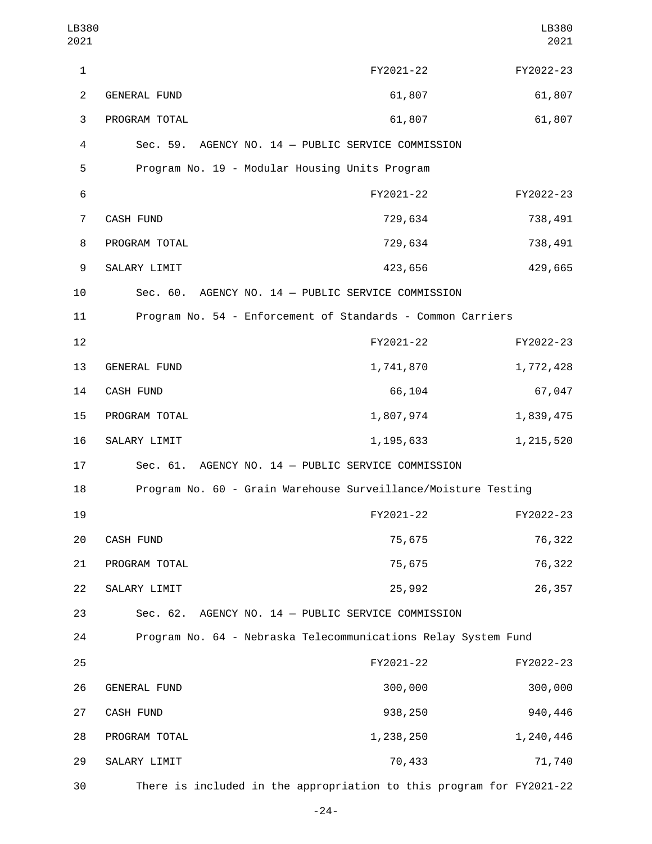| LB380<br>2021  |                     |                                                                      | LB380<br>2021 |
|----------------|---------------------|----------------------------------------------------------------------|---------------|
| 1              |                     | FY2021-22                                                            | FY2022-23     |
| $\overline{2}$ | <b>GENERAL FUND</b> | 61,807                                                               | 61,807        |
| 3              | PROGRAM TOTAL       | 61,807                                                               | 61,807        |
| 4              |                     | Sec. 59. AGENCY NO. 14 - PUBLIC SERVICE COMMISSION                   |               |
| 5              |                     | Program No. 19 - Modular Housing Units Program                       |               |
| 6              |                     | FY2021-22                                                            | FY2022-23     |
| 7              | CASH FUND           | 729,634                                                              | 738,491       |
| 8              | PROGRAM TOTAL       | 729,634                                                              | 738,491       |
| 9              | SALARY LIMIT        | 423,656                                                              | 429,665       |
| 10             |                     | Sec. 60. AGENCY NO. 14 - PUBLIC SERVICE COMMISSION                   |               |
| 11             |                     | Program No. 54 - Enforcement of Standards - Common Carriers          |               |
| 12             |                     | FY2021-22                                                            | FY2022-23     |
| 13             | GENERAL FUND        | 1,741,870                                                            | 1,772,428     |
| 14             | <b>CASH FUND</b>    | 66,104                                                               | 67,047        |
| 15             | PROGRAM TOTAL       | 1,807,974                                                            | 1,839,475     |
| 16             | SALARY LIMIT        | 1, 195, 633                                                          | 1, 215, 520   |
| 17             | Sec. 61.            | AGENCY NO. 14 - PUBLIC SERVICE COMMISSION                            |               |
| 18             |                     | Program No. 60 - Grain Warehouse Surveillance/Moisture Testing       |               |
| 19             |                     | FY2021-22                                                            | FY2022-23     |
| 20             | CASH FUND           | 75,675                                                               | 76,322        |
| 21             | PROGRAM TOTAL       | 75,675                                                               | 76,322        |
| 22             | SALARY LIMIT        | 25,992                                                               | 26,357        |
| 23             |                     | Sec. 62. AGENCY NO. 14 - PUBLIC SERVICE COMMISSION                   |               |
| 24             |                     | Program No. 64 - Nebraska Telecommunications Relay System Fund       |               |
| 25             |                     | FY2021-22                                                            | FY2022-23     |
| 26             | <b>GENERAL FUND</b> | 300,000                                                              | 300,000       |
| 27             | CASH FUND           | 938,250                                                              | 940,446       |
| 28             | PROGRAM TOTAL       | 1,238,250                                                            | 1,240,446     |
| 29             | SALARY LIMIT        | 70,433                                                               | 71,740        |
| 30             |                     | There is included in the appropriation to this program for FY2021-22 |               |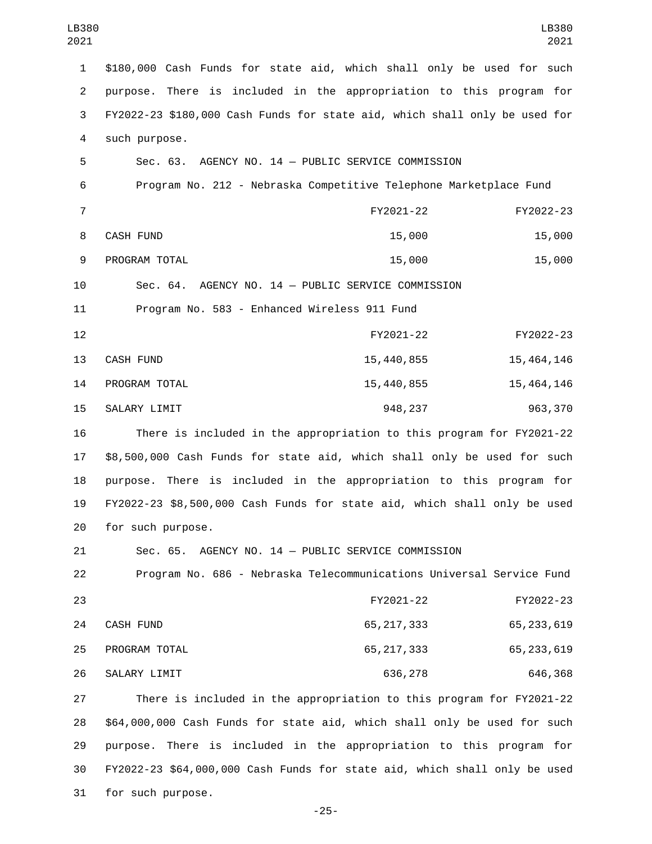| LB380<br>2021  | LB380<br>2021                                                              |
|----------------|----------------------------------------------------------------------------|
| $\mathbf{1}$   | \$180,000 Cash Funds for state aid, which shall only be used for such      |
| $\overline{2}$ | purpose. There is included in the appropriation to this program for        |
| 3              | FY2022-23 \$180,000 Cash Funds for state aid, which shall only be used for |
| 4              | such purpose.                                                              |
| 5              | Sec. 63.<br>AGENCY NO. 14 - PUBLIC SERVICE COMMISSION                      |
| 6              | Program No. 212 - Nebraska Competitive Telephone Marketplace Fund          |
| $\overline{7}$ | FY2021-22<br>FY2022-23                                                     |
| 8              | 15,000<br>15,000<br>CASH FUND                                              |
| 9              | PROGRAM TOTAL<br>15,000<br>15,000                                          |
| 10             | Sec. 64. AGENCY NO. 14 - PUBLIC SERVICE COMMISSION                         |
| 11             | Program No. 583 - Enhanced Wireless 911 Fund                               |
| 12             | FY2021-22<br>FY2022-23                                                     |
| 13             | CASH FUND<br>15,440,855<br>15, 464, 146                                    |
| 14             | 15, 464, 146<br>PROGRAM TOTAL<br>15,440,855                                |
| 15             | SALARY LIMIT<br>948,237<br>963,370                                         |
| 16             | There is included in the appropriation to this program for FY2021-22       |
| 17             | \$8,500,000 Cash Funds for state aid, which shall only be used for such    |
| 18             | purpose. There is included in the appropriation to this program for        |
| 19             | FY2022-23 \$8,500,000 Cash Funds for state aid, which shall only be used   |
| 20             | for such purpose.                                                          |
| 21             | Sec. 65. AGENCY NO. 14 - PUBLIC SERVICE COMMISSION                         |
| 22             | Program No. 686 - Nebraska Telecommunications Universal Service Fund       |
| 23             | FY2021-22<br>FY2022-23                                                     |
| 24             | CASH FUND<br>65, 233, 619<br>65, 217, 333                                  |
| 25             | PROGRAM TOTAL<br>65, 217, 333<br>65, 233, 619                              |
| 26             | SALARY LIMIT<br>636,278<br>646,368                                         |
| 27             | There is included in the appropriation to this program for FY2021-22       |
| 28             | \$64,000,000 Cash Funds for state aid, which shall only be used for such   |
| 29             | purpose. There is included in the appropriation to this program for        |
| 30             | FY2022-23 \$64,000,000 Cash Funds for state aid, which shall only be used  |
| 31             | for such purpose.                                                          |

-25-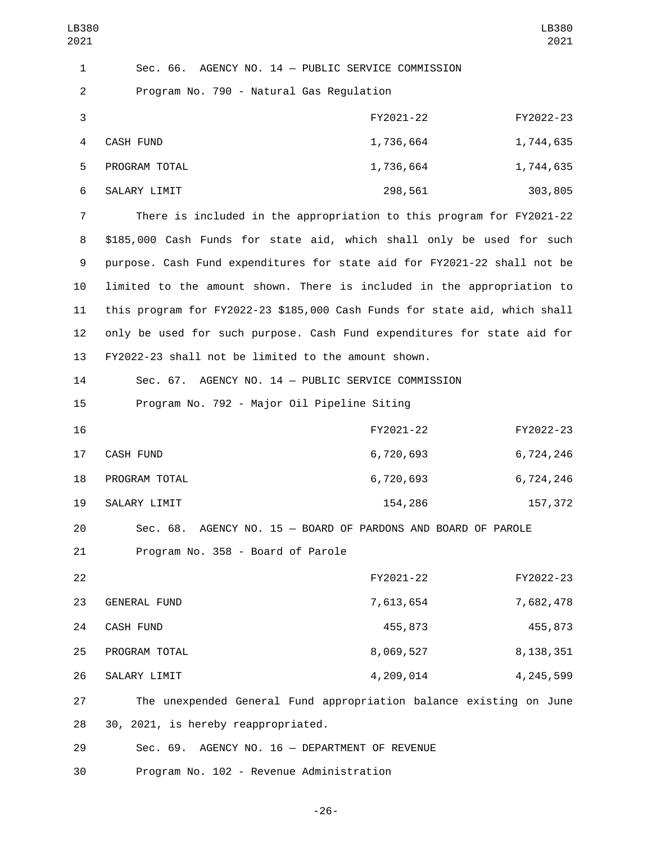| LB380<br>2021             |                                                                            |           | LB380<br>2021 |
|---------------------------|----------------------------------------------------------------------------|-----------|---------------|
| 1                         | AGENCY NO. 14 - PUBLIC SERVICE COMMISSION<br>Sec. 66.                      |           |               |
| 2                         | Program No. 790 - Natural Gas Regulation                                   |           |               |
| $\ensuremath{\mathsf{3}}$ |                                                                            | FY2021-22 | FY2022-23     |
| 4                         | <b>CASH FUND</b>                                                           | 1,736,664 | 1,744,635     |
| 5                         | PROGRAM TOTAL                                                              | 1,736,664 | 1,744,635     |
| 6                         | SALARY LIMIT                                                               | 298,561   | 303,805       |
| 7                         | There is included in the appropriation to this program for FY2021-22       |           |               |
| 8                         | \$185,000 Cash Funds for state aid, which shall only be used for such      |           |               |
| 9                         | purpose. Cash Fund expenditures for state aid for FY2021-22 shall not be   |           |               |
| 10                        | limited to the amount shown. There is included in the appropriation to     |           |               |
| 11                        | this program for FY2022-23 \$185,000 Cash Funds for state aid, which shall |           |               |
| 12                        | only be used for such purpose. Cash Fund expenditures for state aid for    |           |               |
| 13                        | FY2022-23 shall not be limited to the amount shown.                        |           |               |
| 14                        | Sec. 67. AGENCY NO. 14 - PUBLIC SERVICE COMMISSION                         |           |               |
| 15                        | Program No. 792 - Major Oil Pipeline Siting                                |           |               |
| 16                        |                                                                            | FY2021-22 | FY2022-23     |
| 17                        | CASH FUND                                                                  | 6,720,693 | 6,724,246     |
| 18                        | PROGRAM TOTAL                                                              | 6,720,693 | 6,724,246     |
| 19                        | SALARY LIMIT                                                               | 154,286   | 157,372       |
| 20                        | Sec. 68. AGENCY NO. 15 - BOARD OF PARDONS AND BOARD OF PAROLE              |           |               |
| 21                        | Program No. 358 - Board of Parole                                          |           |               |
| 22                        |                                                                            | FY2021-22 | FY2022-23     |
| 23                        | <b>GENERAL FUND</b>                                                        | 7,613,654 | 7,682,478     |
| 24                        | CASH FUND                                                                  | 455,873   | 455,873       |
| 25                        | PROGRAM TOTAL                                                              | 8,069,527 | 8, 138, 351   |
| 26                        | SALARY LIMIT                                                               | 4,209,014 | 4, 245, 599   |
| 27                        | The unexpended General Fund appropriation balance existing on June         |           |               |
| 28                        | 30, 2021, is hereby reappropriated.                                        |           |               |
| 29                        | Sec. 69. AGENCY NO. 16 - DEPARTMENT OF REVENUE                             |           |               |
| 30                        | Program No. 102 - Revenue Administration                                   |           |               |

-26-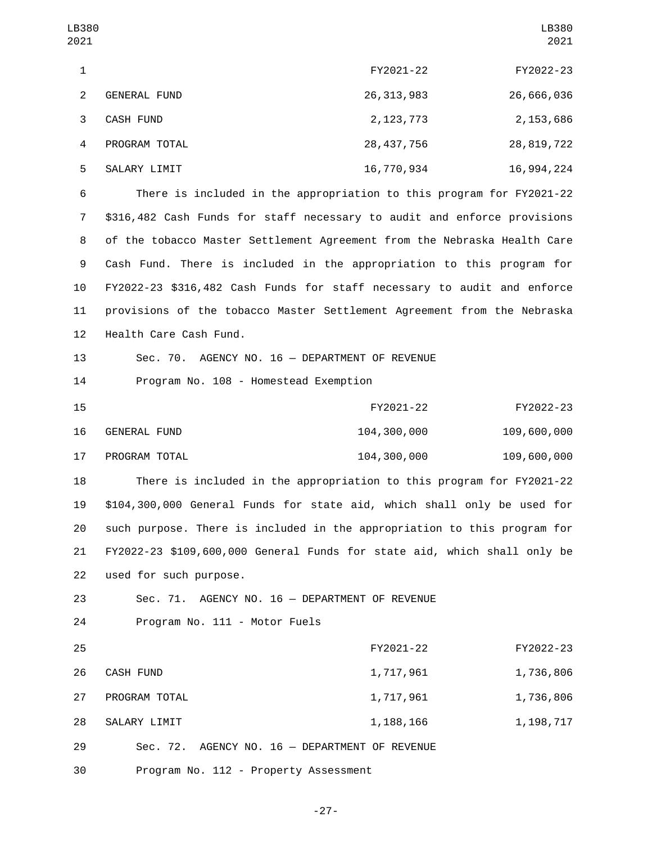| LB380<br>2021  |                                                                          |              | LB380<br>2021 |
|----------------|--------------------------------------------------------------------------|--------------|---------------|
| $\mathbf{1}$   |                                                                          | FY2021-22    | FY2022-23     |
| $\overline{2}$ | <b>GENERAL FUND</b>                                                      | 26, 313, 983 | 26,666,036    |
| 3              | CASH FUND                                                                | 2, 123, 773  | 2, 153, 686   |
| 4              | PROGRAM TOTAL                                                            | 28, 437, 756 | 28, 819, 722  |
| 5              | SALARY LIMIT                                                             | 16,770,934   | 16,994,224    |
| 6              | There is included in the appropriation to this program for FY2021-22     |              |               |
| $\overline{7}$ | \$316,482 Cash Funds for staff necessary to audit and enforce provisions |              |               |
| 8              | of the tobacco Master Settlement Agreement from the Nebraska Health Care |              |               |
| 9              | Cash Fund. There is included in the appropriation to this program for    |              |               |
| 10             | FY2022-23 \$316,482 Cash Funds for staff necessary to audit and enforce  |              |               |
| 11             | provisions of the tobacco Master Settlement Agreement from the Nebraska  |              |               |
| 12             | Health Care Cash Fund.                                                   |              |               |
| 13             | Sec. 70. AGENCY NO. 16 - DEPARTMENT OF REVENUE                           |              |               |
| 14             | Program No. 108 - Homestead Exemption                                    |              |               |
| 15             |                                                                          | FY2021-22    | FY2022-23     |
| 16             | GENERAL FUND                                                             | 104,300,000  | 109,600,000   |
| 17             | PROGRAM TOTAL                                                            | 104,300,000  | 109,600,000   |
| 18             | There is included in the appropriation to this program for FY2021-22     |              |               |
| 19             | \$104,300,000 General Funds for state aid, which shall only be used for  |              |               |
| 20             | such purpose. There is included in the appropriation to this program for |              |               |
| 21             | FY2022-23 \$109,600,000 General Funds for state aid, which shall only be |              |               |
| 22             | used for such purpose.                                                   |              |               |
| 23             | Sec. 71. AGENCY NO. 16 - DEPARTMENT OF REVENUE                           |              |               |
| 24             | Program No. 111 - Motor Fuels                                            |              |               |
| 25             |                                                                          | FY2021-22    | FY2022-23     |
| 26             | CASH FUND                                                                | 1,717,961    | 1,736,806     |
| 27             | PROGRAM TOTAL                                                            | 1,717,961    | 1,736,806     |
| 28             | SALARY LIMIT                                                             | 1, 188, 166  | 1, 198, 717   |

29 Sec. 72. AGENCY NO. 16 — DEPARTMENT OF REVENUE

30 Program No. 112 - Property Assessment

-27-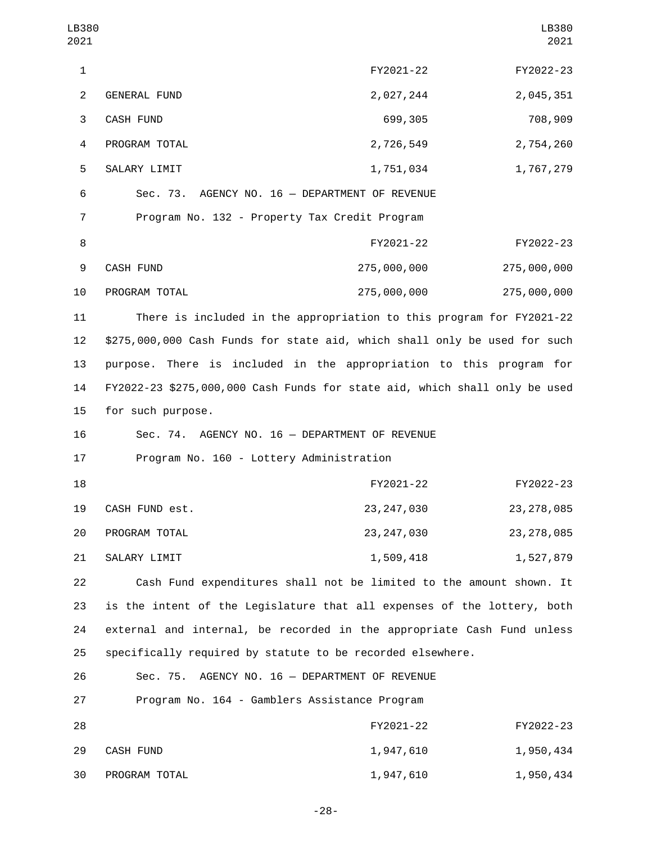| LB380<br>2021  |                                                                            |                                       | LB380<br>2021 |
|----------------|----------------------------------------------------------------------------|---------------------------------------|---------------|
| $\mathbf 1$    |                                                                            | FY2021-22                             | FY2022-23     |
| $\overline{2}$ | <b>GENERAL FUND</b>                                                        | 2,027,244                             | 2,045,351     |
| 3              | <b>CASH FUND</b>                                                           | 699,305                               | 708,909       |
| 4              | PROGRAM TOTAL                                                              | 2,726,549                             | 2,754,260     |
| 5              | SALARY LIMIT                                                               | 1,751,034                             | 1,767,279     |
| 6              | Sec. 73.                                                                   | AGENCY NO. 16 - DEPARTMENT OF REVENUE |               |
| $\overline{7}$ | Program No. 132 - Property Tax Credit Program                              |                                       |               |
| 8              |                                                                            | FY2021-22                             | FY2022-23     |
| 9              | CASH FUND                                                                  | 275,000,000                           | 275,000,000   |
| 10             | PROGRAM TOTAL                                                              | 275,000,000                           | 275,000,000   |
| 11             | There is included in the appropriation to this program for FY2021-22       |                                       |               |
| 12             | \$275,000,000 Cash Funds for state aid, which shall only be used for such  |                                       |               |
| 13             | purpose. There is included in the appropriation to this program for        |                                       |               |
| 14             | FY2022-23 \$275,000,000 Cash Funds for state aid, which shall only be used |                                       |               |
| 15             | for such purpose.                                                          |                                       |               |
| 16             | Sec. 74. AGENCY NO. 16 - DEPARTMENT OF REVENUE                             |                                       |               |
| 17             | Program No. 160 - Lottery Administration                                   |                                       |               |
| 18             |                                                                            | FY2021-22                             | FY2022-23     |
| 19             | CASH FUND est.                                                             | 23, 247, 030                          | 23, 278, 085  |
| 20             | PROGRAM TOTAL                                                              | 23, 247, 030                          | 23, 278, 085  |
| 21             | SALARY LIMIT                                                               | 1,509,418                             | 1,527,879     |
| 22             | Cash Fund expenditures shall not be limited to the amount shown. It        |                                       |               |
| 23             | is the intent of the Legislature that all expenses of the lottery, both    |                                       |               |
| 24             | external and internal, be recorded in the appropriate Cash Fund unless     |                                       |               |
| 25             | specifically required by statute to be recorded elsewhere.                 |                                       |               |
| 26             | Sec. 75. AGENCY NO. 16 - DEPARTMENT OF REVENUE                             |                                       |               |
| 27             | Program No. 164 - Gamblers Assistance Program                              |                                       |               |
| 28             |                                                                            | FY2021-22                             | FY2022-23     |
| 29             | CASH FUND                                                                  | 1,947,610                             | 1,950,434     |
| 30             | PROGRAM TOTAL                                                              | 1,947,610                             | 1,950,434     |

-28-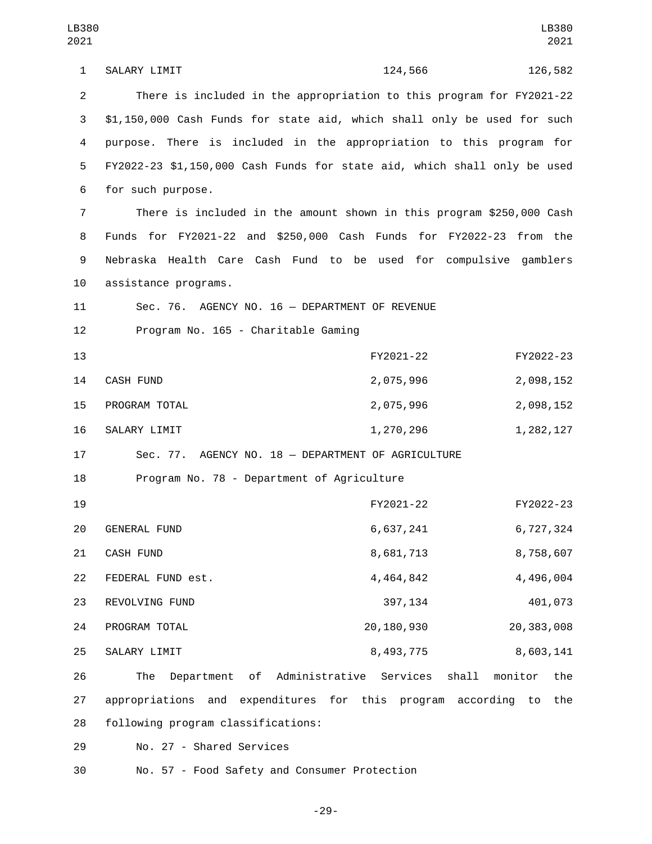1 SALARY LIMIT 224,566 126,582 2 There is included in the appropriation to this program for FY2021-22 3 \$1,150,000 Cash Funds for state aid, which shall only be used for such 4 purpose. There is included in the appropriation to this program for 5 FY2022-23 \$1,150,000 Cash Funds for state aid, which shall only be used 6 for such purpose. 7 There is included in the amount shown in this program \$250,000 Cash 8 Funds for FY2021-22 and \$250,000 Cash Funds for FY2022-23 from the 9 Nebraska Health Care Cash Fund to be used for compulsive gamblers 10 assistance programs. 11 Sec. 76. AGENCY NO. 16 — DEPARTMENT OF REVENUE 12 Program No. 165 - Charitable Gaming 13 FY2021-22 FY2022-23 14 CASH FUND 2,075,996 2,098,152 15 PROGRAM TOTAL 2,075,996 2,075,996 16 SALARY LIMIT 1,270,296 1,282,127 17 Sec. 77. AGENCY NO. 18 — DEPARTMENT OF AGRICULTURE 18 Program No. 78 - Department of Agriculture 19 FY2021-22 FY2022-23 GENERAL FUND20 6,637,241 6,727,324 21 CASH FUND 21 CASH FUND 21 CASH FUND 22 FEDERAL FUND est. 22 4,464,842 4,496,004 23 REVOLVING FUND 23 237,134 401,073 PROGRAM TOTAL24 20,180,930 20,383,008 25 SALARY LIMIT 25 SALARY LIMIT 26 The Department of Administrative Services shall monitor the 27 appropriations and expenditures for this program according to the 28 following program classifications: 29 No. 27 - Shared Services

30 No. 57 - Food Safety and Consumer Protection

-29-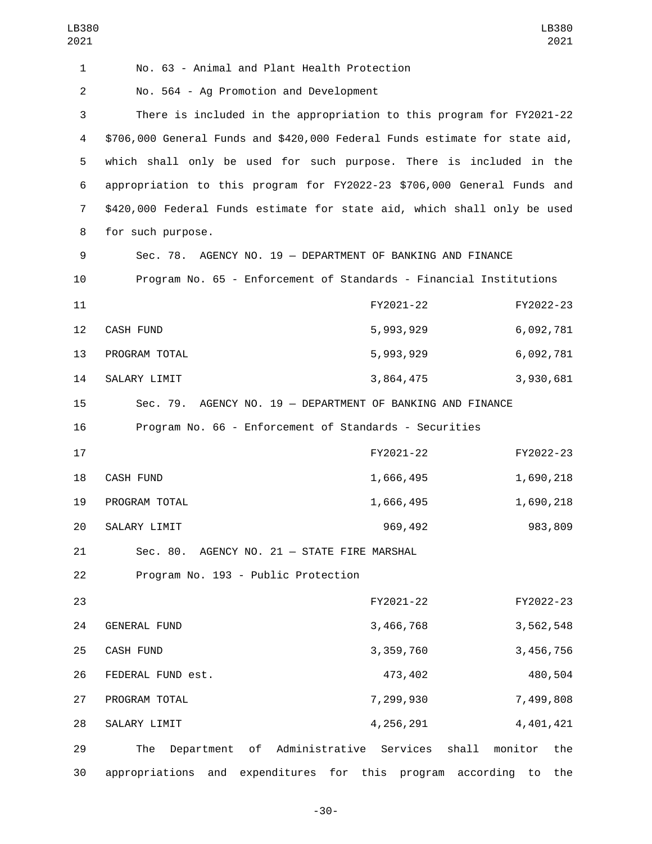| LB380<br>2021  |                                                                             |                                         | LB380<br>2021  |
|----------------|-----------------------------------------------------------------------------|-----------------------------------------|----------------|
| $\mathbf{1}$   | No. 63 - Animal and Plant Health Protection                                 |                                         |                |
| $\overline{c}$ | No. 564 - Ag Promotion and Development                                      |                                         |                |
| 3              | There is included in the appropriation to this program for FY2021-22        |                                         |                |
| 4              | \$706,000 General Funds and \$420,000 Federal Funds estimate for state aid, |                                         |                |
| 5              | which shall only be used for such purpose. There is included in the         |                                         |                |
| 6              | appropriation to this program for FY2022-23 \$706,000 General Funds and     |                                         |                |
| 7              | \$420,000 Federal Funds estimate for state aid, which shall only be used    |                                         |                |
| 8              | for such purpose.                                                           |                                         |                |
| 9              | Sec. 78. AGENCY NO. 19 - DEPARTMENT OF BANKING AND FINANCE                  |                                         |                |
| 10             | Program No. 65 - Enforcement of Standards - Financial Institutions          |                                         |                |
| 11             |                                                                             | FY2021-22                               | FY2022-23      |
| 12             | CASH FUND                                                                   | 5,993,929                               | 6,092,781      |
| 13             | PROGRAM TOTAL                                                               | 5,993,929                               | 6,092,781      |
| 14             | SALARY LIMIT                                                                | 3,864,475                               | 3,930,681      |
| 15             | Sec. 79. AGENCY NO. 19 - DEPARTMENT OF BANKING AND FINANCE                  |                                         |                |
| 16             | Program No. 66 - Enforcement of Standards - Securities                      |                                         |                |
| 17             |                                                                             | FY2021-22                               | FY2022-23      |
| 18             | CASH FUND                                                                   | 1,666,495                               | 1,690,218      |
| 19             | PROGRAM TOTAL                                                               | 1,666,495                               | 1,690,218      |
| 20             | SALARY LIMIT                                                                | 969,492                                 | 983,809        |
| 21             | Sec. 80. AGENCY NO. 21 - STATE FIRE MARSHAL                                 |                                         |                |
| 22             | Program No. 193 - Public Protection                                         |                                         |                |
| 23             |                                                                             | FY2021-22                               | FY2022-23      |
| 24             | GENERAL FUND                                                                | 3,466,768                               | 3,562,548      |
| 25             | CASH FUND                                                                   | 3,359,760                               | 3,456,756      |
| 26             | FEDERAL FUND est.                                                           | 473,402                                 | 480,504        |
| 27             | PROGRAM TOTAL                                                               | 7,299,930                               | 7,499,808      |
| 28             | SALARY LIMIT                                                                | 4,256,291                               | 4,401,421      |
| 29             | Administrative Services<br>The<br>Department<br>of                          | shall                                   | monitor<br>the |
| 30             | appropriations<br>and                                                       | expenditures for this program according | the<br>to      |

-30-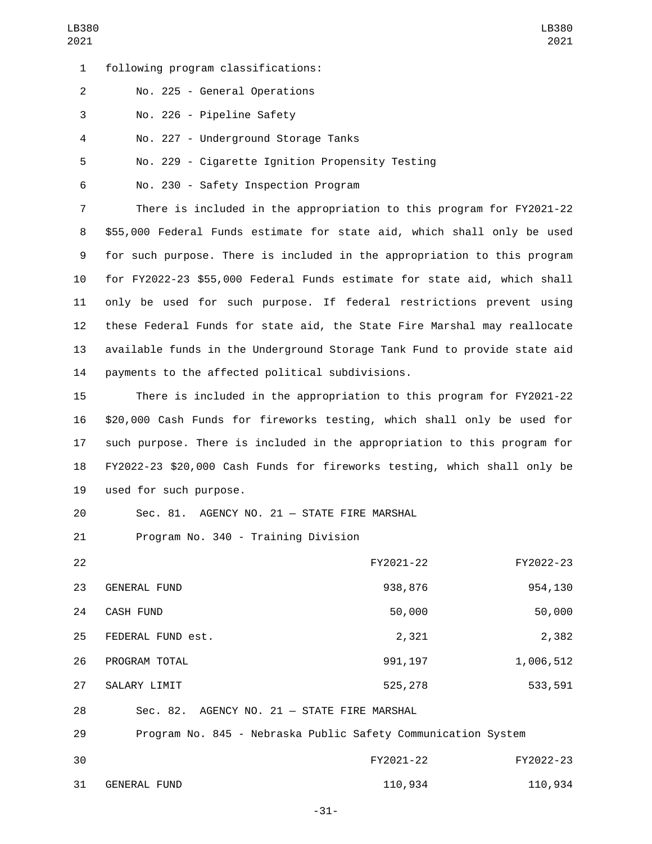following program classifications:1

No. 225 - General Operations2

3 No. 226 - Pipeline Safety

No. 227 - Underground Storage Tanks4

5 No. 229 - Cigarette Ignition Propensity Testing

6 No. 230 - Safety Inspection Program

 There is included in the appropriation to this program for FY2021-22 \$55,000 Federal Funds estimate for state aid, which shall only be used for such purpose. There is included in the appropriation to this program for FY2022-23 \$55,000 Federal Funds estimate for state aid, which shall only be used for such purpose. If federal restrictions prevent using these Federal Funds for state aid, the State Fire Marshal may reallocate available funds in the Underground Storage Tank Fund to provide state aid 14 payments to the affected political subdivisions.

 There is included in the appropriation to this program for FY2021-22 \$20,000 Cash Funds for fireworks testing, which shall only be used for such purpose. There is included in the appropriation to this program for FY2022-23 \$20,000 Cash Funds for fireworks testing, which shall only be 19 used for such purpose.

20 Sec. 81. AGENCY NO. 21 - STATE FIRE MARSHAL

21 Program No. 340 - Training Division

| 22 |                     | FY2021-22                                   | FY2022-23 |
|----|---------------------|---------------------------------------------|-----------|
| 23 | <b>GENERAL FUND</b> | 938,876                                     | 954,130   |
| 24 | CASH FUND           | 50,000                                      | 50,000    |
| 25 | FEDERAL FUND est.   | 2,321                                       | 2,382     |
| 26 | PROGRAM TOTAL       | 991, 197                                    | 1,006,512 |
| 27 | SALARY LIMIT        | 525,278                                     | 533,591   |
| 28 |                     | Sec. 82. AGENCY NO. 21 - STATE FIRE MARSHAL |           |

29 Program No. 845 - Nebraska Public Safety Communication System 30 FY2021-22 FY2022-23

31 GENERAL FUND 2001 2002 2004 110,934 2009 110,934 110,934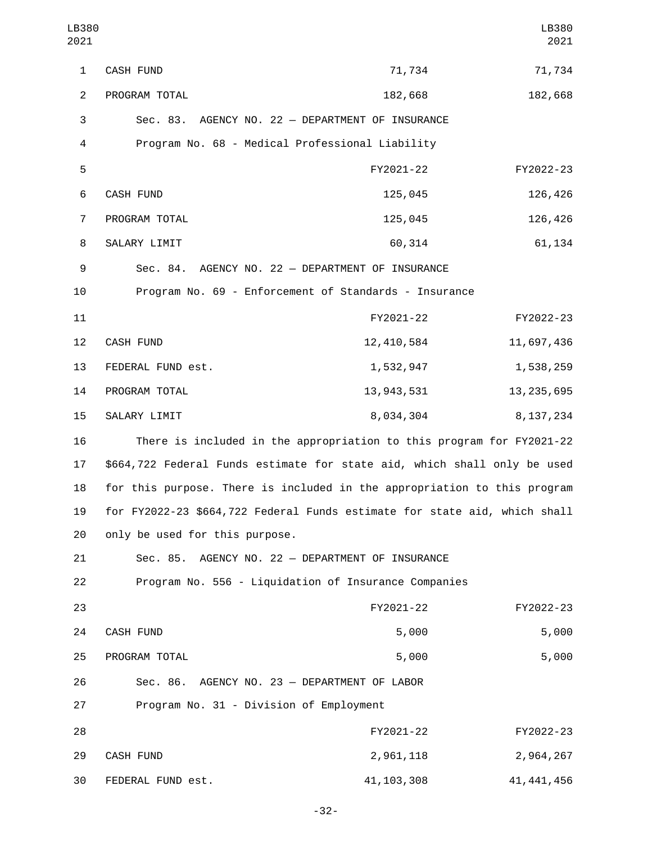| LB380<br>2021  |                                                                           |              | LB380<br>2021 |  |
|----------------|---------------------------------------------------------------------------|--------------|---------------|--|
| $\mathbf{1}$   | <b>CASH FUND</b>                                                          | 71,734       | 71,734        |  |
| $\overline{2}$ | PROGRAM TOTAL                                                             | 182,668      | 182,668       |  |
| 3              | Sec. 83. AGENCY NO. 22 - DEPARTMENT OF INSURANCE                          |              |               |  |
| 4              | Program No. 68 - Medical Professional Liability                           |              |               |  |
| 5              |                                                                           | FY2021-22    | FY2022-23     |  |
| 6              | CASH FUND                                                                 | 125,045      | 126,426       |  |
| $\overline{7}$ | PROGRAM TOTAL                                                             | 125,045      | 126,426       |  |
| 8              | SALARY LIMIT                                                              | 60,314       | 61,134        |  |
| 9              | Sec. 84. AGENCY NO. 22 - DEPARTMENT OF INSURANCE                          |              |               |  |
| 10             | Program No. 69 - Enforcement of Standards - Insurance                     |              |               |  |
| 11             |                                                                           | FY2021-22    | FY2022-23     |  |
| 12             | CASH FUND                                                                 | 12,410,584   | 11,697,436    |  |
| 13             | FEDERAL FUND est.                                                         | 1,532,947    | 1,538,259     |  |
| 14             | PROGRAM TOTAL                                                             | 13, 943, 531 | 13, 235, 695  |  |
| 15             | SALARY LIMIT                                                              | 8,034,304    | 8, 137, 234   |  |
| 16             | There is included in the appropriation to this program for FY2021-22      |              |               |  |
| 17             | \$664,722 Federal Funds estimate for state aid, which shall only be used  |              |               |  |
| 18             | for this purpose. There is included in the appropriation to this program  |              |               |  |
| 19             | for FY2022-23 \$664,722 Federal Funds estimate for state aid, which shall |              |               |  |
| 20             | only be used for this purpose.                                            |              |               |  |
| 21             | AGENCY NO. 22 - DEPARTMENT OF INSURANCE<br>Sec. 85.                       |              |               |  |
| 22             | Program No. 556 - Liquidation of Insurance Companies                      |              |               |  |
| 23             |                                                                           | FY2021-22    | FY2022-23     |  |
| 24             | CASH FUND                                                                 | 5,000        | 5,000         |  |
| 25             | PROGRAM TOTAL                                                             | 5,000        | 5,000         |  |
| 26             | Sec. 86. AGENCY NO. 23 - DEPARTMENT OF LABOR                              |              |               |  |
| 27             | Program No. 31 - Division of Employment                                   |              |               |  |
| 28             |                                                                           | FY2021-22    | FY2022-23     |  |
| 29             | CASH FUND                                                                 | 2,961,118    | 2,964,267     |  |
| 30             | FEDERAL FUND est.                                                         | 41, 103, 308 | 41, 441, 456  |  |

-32-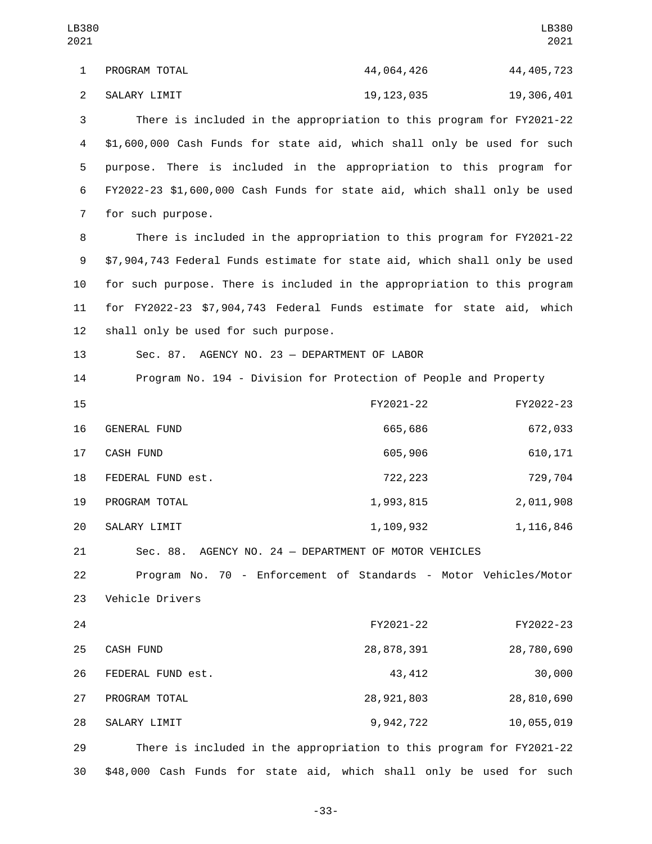1 PROGRAM TOTAL 23 226 44,064,426 44,405,723 2 SALARY LIMIT 2 19,123,035 19,306,401 3 There is included in the appropriation to this program for FY2021-22 4 \$1,600,000 Cash Funds for state aid, which shall only be used for such 5 purpose. There is included in the appropriation to this program for 6 FY2022-23 \$1,600,000 Cash Funds for state aid, which shall only be used 7 for such purpose. 8 There is included in the appropriation to this program for FY2021-22 9 \$7,904,743 Federal Funds estimate for state aid, which shall only be used 10 for such purpose. There is included in the appropriation to this program 11 for FY2022-23 \$7,904,743 Federal Funds estimate for state aid, which 12 shall only be used for such purpose. 13 Sec. 87. AGENCY NO. 23 — DEPARTMENT OF LABOR 14 Program No. 194 - Division for Protection of People and Property 15 FY2021-22 FY2022-23 16 GENERAL FUND 16 665,686 672,033 CASH FUND17 605,906 610,171 18 FEDERAL FUND est. 18 722,223 729,704 19 PROGRAM TOTAL 2, 2011, 2021 1,993,815 20 SALARY LIMIT 20 1,109,932 1,116,846 21 Sec. 88. AGENCY NO. 24 — DEPARTMENT OF MOTOR VEHICLES 22 Program No. 70 - Enforcement of Standards - Motor Vehicles/Motor 23 Vehicle Drivers 24 FY2021-22 FY2022-23 CASH FUND25 28,878,391 28,780,690 FEDERAL FUND est.26 43,412 30,000 PROGRAM TOTAL27 28,921,803 28,810,690 SALARY LIMIT28 9,942,722 10,055,019 29 There is included in the appropriation to this program for FY2021-22 30 \$48,000 Cash Funds for state aid, which shall only be used for such LB380 2021 LB380 2021

-33-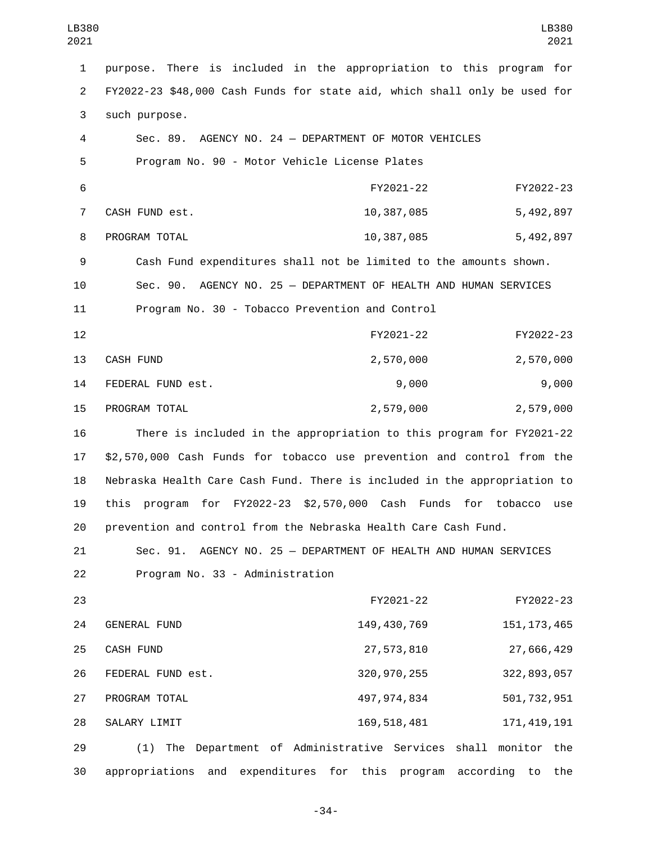| LB380<br>2021  |                                                                           |                 | LB380<br>2021          |
|----------------|---------------------------------------------------------------------------|-----------------|------------------------|
| 1              | purpose. There is included in the appropriation to this program for       |                 |                        |
| $\overline{2}$ | FY2022-23 \$48,000 Cash Funds for state aid, which shall only be used for |                 |                        |
| 3              | such purpose.                                                             |                 |                        |
| 4              | Sec. 89. AGENCY NO. 24 - DEPARTMENT OF MOTOR VEHICLES                     |                 |                        |
| 5              | Program No. 90 - Motor Vehicle License Plates                             |                 |                        |
| 6              |                                                                           | FY2021-22       | FY2022-23              |
| 7              | CASH FUND est.                                                            | 10,387,085      | 5,492,897              |
| 8              | PROGRAM TOTAL                                                             | 10,387,085      | 5,492,897              |
| 9              | Cash Fund expenditures shall not be limited to the amounts shown.         |                 |                        |
| 10             | Sec. 90. AGENCY NO. 25 - DEPARTMENT OF HEALTH AND HUMAN SERVICES          |                 |                        |
| 11             | Program No. 30 - Tobacco Prevention and Control                           |                 |                        |
| 12             |                                                                           | FY2021-22       | FY2022-23              |
| 13             | CASH FUND                                                                 | 2,570,000       | 2,570,000              |
| 14             | FEDERAL FUND est.                                                         | 9,000           | 9,000                  |
| 15             | PROGRAM TOTAL                                                             | 2,579,000       | 2,579,000              |
| 16             | There is included in the appropriation to this program for FY2021-22      |                 |                        |
| 17             | \$2,570,000 Cash Funds for tobacco use prevention and control from the    |                 |                        |
| 18             | Nebraska Health Care Cash Fund. There is included in the appropriation to |                 |                        |
| 19             | program for FY2022-23 \$2,570,000 Cash Funds for tobacco<br>this          |                 | use                    |
| 20             | prevention and control from the Nebraska Health Care Cash Fund.           |                 |                        |
| 21             | AGENCY NO. 25 - DEPARTMENT OF HEALTH AND HUMAN SERVICES<br>Sec. 91.       |                 |                        |
| 22             | Program No. 33 - Administration                                           |                 |                        |
| 23             |                                                                           | FY2021-22       | FY2022-23              |
| 24             | <b>GENERAL FUND</b>                                                       | 149, 430, 769   | 151, 173, 465          |
| 25             | <b>CASH FUND</b>                                                          | 27,573,810      | 27,666,429             |
| 26             | FEDERAL FUND est.                                                         | 320, 970, 255   | 322, 893, 057          |
| 27             | PROGRAM TOTAL                                                             | 497, 974, 834   | 501, 732, 951          |
| 28             | SALARY LIMIT                                                              | 169, 518, 481   | 171, 419, 191          |
| 29             | (1) The Department of Administrative Services                             |                 | shall<br>monitor the   |
| 30             | expenditures<br>appropriations<br>and<br>for                              | this<br>program | according<br>to<br>the |

-34-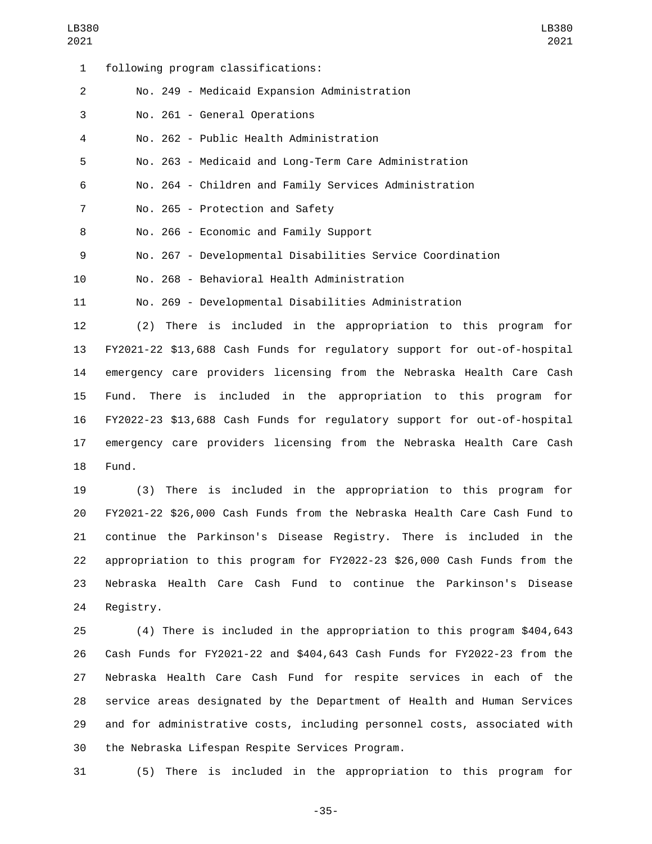following program classifications:1 No. 249 - Medicaid Expansion Administration2 3 No. 261 - General Operations No. 262 - Public Health Administration4 No. 263 - Medicaid and Long-Term Care Administration No. 264 - Children and Family Services Administration 7 No. 265 - Protection and Safety 8 No. 266 - Economic and Family Support No. 267 - Developmental Disabilities Service Coordination No. 268 - Behavioral Health Administration10 No. 269 - Developmental Disabilities Administration (2) There is included in the appropriation to this program for

 FY2021-22 \$13,688 Cash Funds for regulatory support for out-of-hospital emergency care providers licensing from the Nebraska Health Care Cash Fund. There is included in the appropriation to this program for FY2022-23 \$13,688 Cash Funds for regulatory support for out-of-hospital emergency care providers licensing from the Nebraska Health Care Cash 18 Fund.

 (3) There is included in the appropriation to this program for FY2021-22 \$26,000 Cash Funds from the Nebraska Health Care Cash Fund to continue the Parkinson's Disease Registry. There is included in the appropriation to this program for FY2022-23 \$26,000 Cash Funds from the Nebraska Health Care Cash Fund to continue the Parkinson's Disease 24 Registry.

 (4) There is included in the appropriation to this program \$404,643 Cash Funds for FY2021-22 and \$404,643 Cash Funds for FY2022-23 from the Nebraska Health Care Cash Fund for respite services in each of the service areas designated by the Department of Health and Human Services and for administrative costs, including personnel costs, associated with 30 the Nebraska Lifespan Respite Services Program.

(5) There is included in the appropriation to this program for

-35-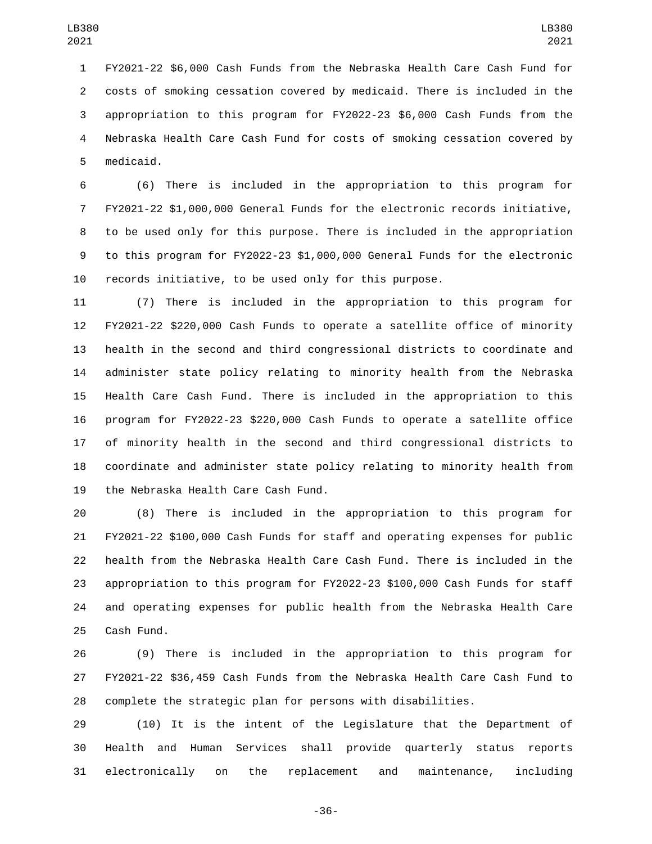FY2021-22 \$6,000 Cash Funds from the Nebraska Health Care Cash Fund for costs of smoking cessation covered by medicaid. There is included in the appropriation to this program for FY2022-23 \$6,000 Cash Funds from the Nebraska Health Care Cash Fund for costs of smoking cessation covered by 5 medicaid.

 (6) There is included in the appropriation to this program for FY2021-22 \$1,000,000 General Funds for the electronic records initiative, to be used only for this purpose. There is included in the appropriation to this program for FY2022-23 \$1,000,000 General Funds for the electronic records initiative, to be used only for this purpose.

 (7) There is included in the appropriation to this program for FY2021-22 \$220,000 Cash Funds to operate a satellite office of minority health in the second and third congressional districts to coordinate and administer state policy relating to minority health from the Nebraska Health Care Cash Fund. There is included in the appropriation to this program for FY2022-23 \$220,000 Cash Funds to operate a satellite office of minority health in the second and third congressional districts to coordinate and administer state policy relating to minority health from 19 the Nebraska Health Care Cash Fund.

 (8) There is included in the appropriation to this program for FY2021-22 \$100,000 Cash Funds for staff and operating expenses for public health from the Nebraska Health Care Cash Fund. There is included in the appropriation to this program for FY2022-23 \$100,000 Cash Funds for staff and operating expenses for public health from the Nebraska Health Care 25 Cash Fund.

 (9) There is included in the appropriation to this program for FY2021-22 \$36,459 Cash Funds from the Nebraska Health Care Cash Fund to complete the strategic plan for persons with disabilities.

 (10) It is the intent of the Legislature that the Department of Health and Human Services shall provide quarterly status reports electronically on the replacement and maintenance, including

-36-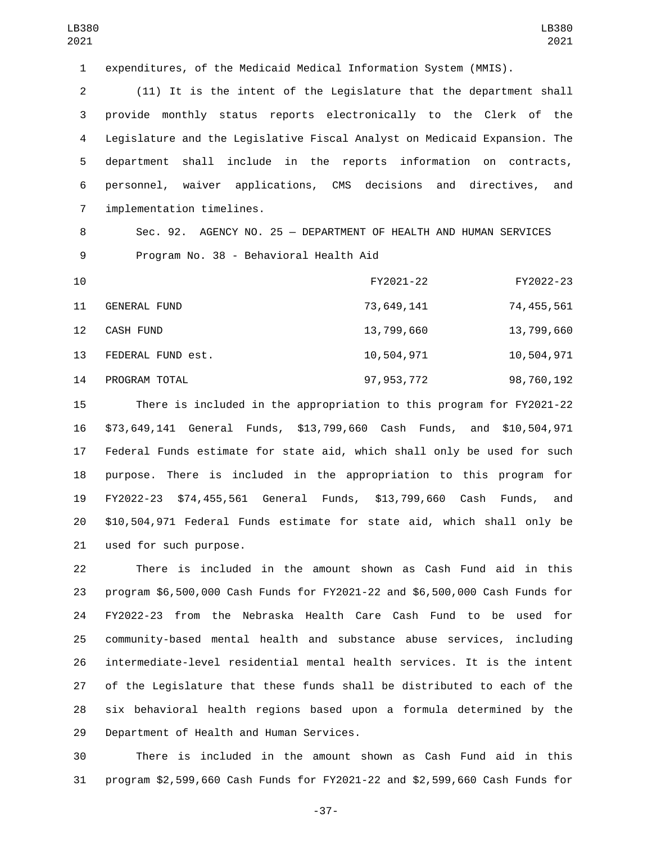expenditures, of the Medicaid Medical Information System (MMIS).

 (11) It is the intent of the Legislature that the department shall provide monthly status reports electronically to the Clerk of the Legislature and the Legislative Fiscal Analyst on Medicaid Expansion. The department shall include in the reports information on contracts, personnel, waiver applications, CMS decisions and directives, and 7 implementation timelines.

 Sec. 92. AGENCY NO. 25 — DEPARTMENT OF HEALTH AND HUMAN SERVICES 9 Program No. 38 - Behavioral Health Aid

| 10                |                     | FY2021-22    | FY2022-23    |
|-------------------|---------------------|--------------|--------------|
| 11                | <b>GENERAL FUND</b> | 73,649,141   | 74, 455, 561 |
| $12 \overline{ }$ | CASH FUND           | 13,799,660   | 13,799,660   |
| 13                | FEDERAL FUND est.   | 10,504,971   | 10,504,971   |
| 14                | PROGRAM TOTAL       | 97, 953, 772 | 98,760,192   |

 There is included in the appropriation to this program for FY2021-22 \$73,649,141 General Funds, \$13,799,660 Cash Funds, and \$10,504,971 Federal Funds estimate for state aid, which shall only be used for such purpose. There is included in the appropriation to this program for FY2022-23 \$74,455,561 General Funds, \$13,799,660 Cash Funds, and \$10,504,971 Federal Funds estimate for state aid, which shall only be 21 used for such purpose.

 There is included in the amount shown as Cash Fund aid in this program \$6,500,000 Cash Funds for FY2021-22 and \$6,500,000 Cash Funds for FY2022-23 from the Nebraska Health Care Cash Fund to be used for community-based mental health and substance abuse services, including intermediate-level residential mental health services. It is the intent of the Legislature that these funds shall be distributed to each of the six behavioral health regions based upon a formula determined by the 29 Department of Health and Human Services.

 There is included in the amount shown as Cash Fund aid in this program \$2,599,660 Cash Funds for FY2021-22 and \$2,599,660 Cash Funds for

-37-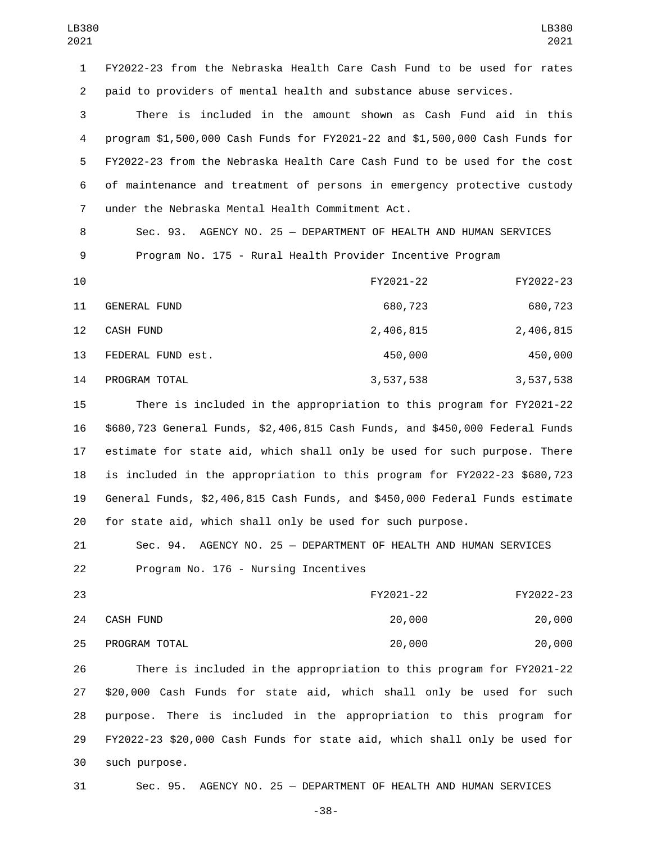FY2022-23 from the Nebraska Health Care Cash Fund to be used for rates paid to providers of mental health and substance abuse services.

 There is included in the amount shown as Cash Fund aid in this program \$1,500,000 Cash Funds for FY2021-22 and \$1,500,000 Cash Funds for FY2022-23 from the Nebraska Health Care Cash Fund to be used for the cost of maintenance and treatment of persons in emergency protective custody under the Nebraska Mental Health Commitment Act.7

 Sec. 93. AGENCY NO. 25 — DEPARTMENT OF HEALTH AND HUMAN SERVICES Program No. 175 - Rural Health Provider Incentive Program

| 10                |                     | FY2021-22 | FY2022-23 |
|-------------------|---------------------|-----------|-----------|
| 11                | <b>GENERAL FUND</b> | 680,723   | 680,723   |
| $12 \overline{ }$ | <b>CASH FUND</b>    | 2,406,815 | 2,406,815 |
| 13                | FEDERAL FUND est.   | 450,000   | 450,000   |
| 14                | PROGRAM TOTAL       | 3,537,538 | 3,537,538 |

 There is included in the appropriation to this program for FY2021-22 \$680,723 General Funds, \$2,406,815 Cash Funds, and \$450,000 Federal Funds estimate for state aid, which shall only be used for such purpose. There is included in the appropriation to this program for FY2022-23 \$680,723 General Funds, \$2,406,815 Cash Funds, and \$450,000 Federal Funds estimate for state aid, which shall only be used for such purpose.

 Sec. 94. AGENCY NO. 25 — DEPARTMENT OF HEALTH AND HUMAN SERVICES 22 Program No. 176 - Nursing Incentives

| 23 |               | FY2021-22 | FY2022-23 |
|----|---------------|-----------|-----------|
| 24 | CASH FUND     | 20,000    | 20,000    |
| 25 | PROGRAM TOTAL | 20,000    | 20,000    |

 There is included in the appropriation to this program for FY2021-22 \$20,000 Cash Funds for state aid, which shall only be used for such purpose. There is included in the appropriation to this program for FY2022-23 \$20,000 Cash Funds for state aid, which shall only be used for such purpose.30

Sec. 95. AGENCY NO. 25 — DEPARTMENT OF HEALTH AND HUMAN SERVICES

-38-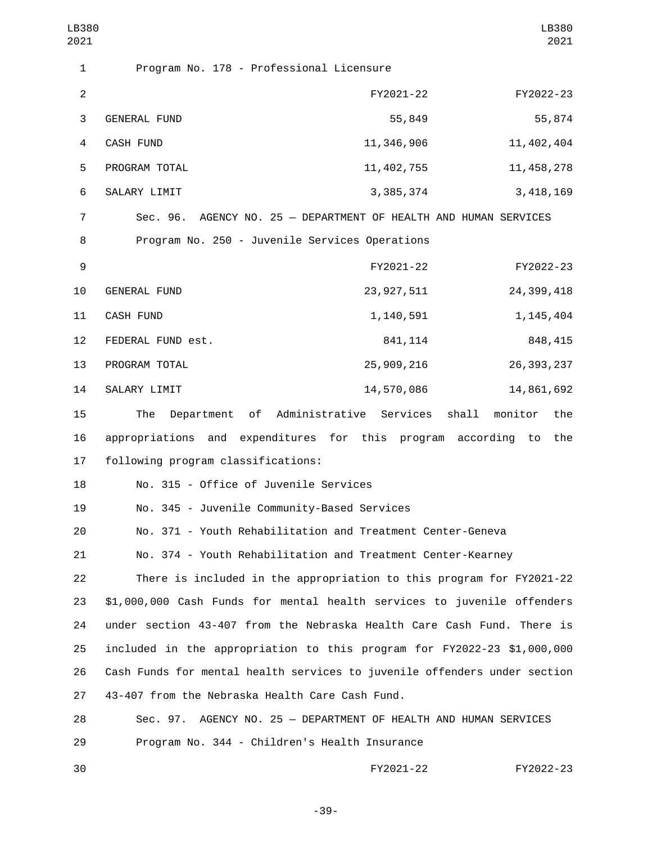| LB380<br>2021           |                                                                           |              |                  |              | LB380<br>2021 |
|-------------------------|---------------------------------------------------------------------------|--------------|------------------|--------------|---------------|
| 1                       | Program No. 178 - Professional Licensure                                  |              |                  |              |               |
| $\overline{2}$          |                                                                           | FY2021-22    |                  | FY2022-23    |               |
| 3                       | <b>GENERAL FUND</b>                                                       | 55,849       |                  |              | 55,874        |
| $\overline{\mathbf{4}}$ | CASH FUND                                                                 | 11,346,906   |                  | 11, 402, 404 |               |
| 5                       | PROGRAM TOTAL                                                             | 11, 402, 755 |                  | 11, 458, 278 |               |
| 6                       | SALARY LIMIT                                                              | 3, 385, 374  |                  | 3, 418, 169  |               |
| $\overline{7}$          | Sec. 96. AGENCY NO. 25 - DEPARTMENT OF HEALTH AND HUMAN SERVICES          |              |                  |              |               |
| 8                       | Program No. 250 - Juvenile Services Operations                            |              |                  |              |               |
| 9                       |                                                                           | FY2021-22    |                  | FY2022-23    |               |
| 10                      | GENERAL FUND                                                              | 23, 927, 511 |                  | 24, 399, 418 |               |
| 11                      | <b>CASH FUND</b>                                                          | 1,140,591    |                  | 1, 145, 404  |               |
| 12                      | FEDERAL FUND est.                                                         | 841, 114     |                  | 848, 415     |               |
| 13                      | PROGRAM TOTAL                                                             | 25,909,216   |                  | 26, 393, 237 |               |
| 14                      | SALARY LIMIT                                                              | 14,570,086   |                  | 14,861,692   |               |
| 15                      | of Administrative Services<br>The<br>Department                           |              | shall<br>monitor |              | the           |
| 16                      | appropriations and expenditures for this program according to             |              |                  |              | the           |
| 17                      | following program classifications:                                        |              |                  |              |               |
| 18                      | No. 315 - Office of Juvenile Services                                     |              |                  |              |               |
| 19                      | No. 345 - Juvenile Community-Based Services                               |              |                  |              |               |
| 20                      | No. 371 - Youth Rehabilitation and Treatment Center-Geneva                |              |                  |              |               |
| 21                      | No. 374 - Youth Rehabilitation and Treatment Center-Kearney               |              |                  |              |               |
| 22                      | There is included in the appropriation to this program for FY2021-22      |              |                  |              |               |
| 23                      | \$1,000,000 Cash Funds for mental health services to juvenile offenders   |              |                  |              |               |
| 24                      | under section 43-407 from the Nebraska Health Care Cash Fund. There is    |              |                  |              |               |
| 25                      | included in the appropriation to this program for FY2022-23 \$1,000,000   |              |                  |              |               |
| 26                      | Cash Funds for mental health services to juvenile offenders under section |              |                  |              |               |
| 27                      | 43-407 from the Nebraska Health Care Cash Fund.                           |              |                  |              |               |
| 28                      | AGENCY NO. 25 - DEPARTMENT OF HEALTH AND HUMAN SERVICES<br>Sec. 97.       |              |                  |              |               |
| 29                      | Program No. 344 - Children's Health Insurance                             |              |                  |              |               |
| 30                      |                                                                           | FY2021-22    |                  | FY2022-23    |               |

-39-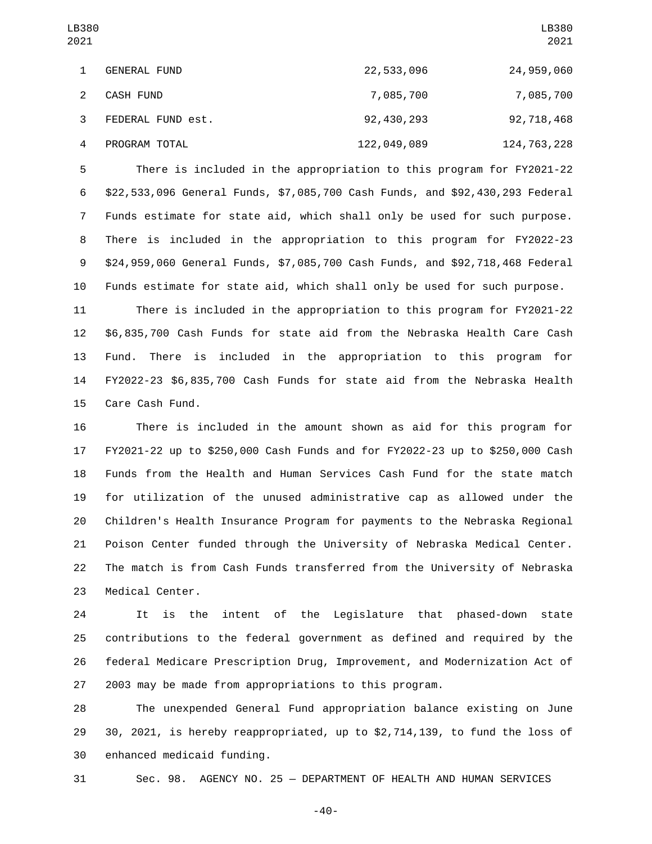| LB380<br>2021 |                     |              | LB380<br>2021 |
|---------------|---------------------|--------------|---------------|
| 1             | <b>GENERAL FUND</b> | 22,533,096   | 24,959,060    |
| 2             | <b>CASH FUND</b>    | 7,085,700    | 7,085,700     |
| 3             | FEDERAL FUND est.   | 92, 430, 293 | 92,718,468    |
| 4             | PROGRAM TOTAL       | 122,049,089  | 124, 763, 228 |

 There is included in the appropriation to this program for FY2021-22 \$22,533,096 General Funds, \$7,085,700 Cash Funds, and \$92,430,293 Federal Funds estimate for state aid, which shall only be used for such purpose. There is included in the appropriation to this program for FY2022-23 \$24,959,060 General Funds, \$7,085,700 Cash Funds, and \$92,718,468 Federal Funds estimate for state aid, which shall only be used for such purpose.

 There is included in the appropriation to this program for FY2021-22 \$6,835,700 Cash Funds for state aid from the Nebraska Health Care Cash Fund. There is included in the appropriation to this program for FY2022-23 \$6,835,700 Cash Funds for state aid from the Nebraska Health 15 Care Cash Fund.

 There is included in the amount shown as aid for this program for FY2021-22 up to \$250,000 Cash Funds and for FY2022-23 up to \$250,000 Cash Funds from the Health and Human Services Cash Fund for the state match for utilization of the unused administrative cap as allowed under the Children's Health Insurance Program for payments to the Nebraska Regional Poison Center funded through the University of Nebraska Medical Center. The match is from Cash Funds transferred from the University of Nebraska 23 Medical Center.

 It is the intent of the Legislature that phased-down state contributions to the federal government as defined and required by the federal Medicare Prescription Drug, Improvement, and Modernization Act of 2003 may be made from appropriations to this program.

 The unexpended General Fund appropriation balance existing on June 30, 2021, is hereby reappropriated, up to \$2,714,139, to fund the loss of 30 enhanced medicaid funding.

Sec. 98. AGENCY NO. 25 — DEPARTMENT OF HEALTH AND HUMAN SERVICES

-40-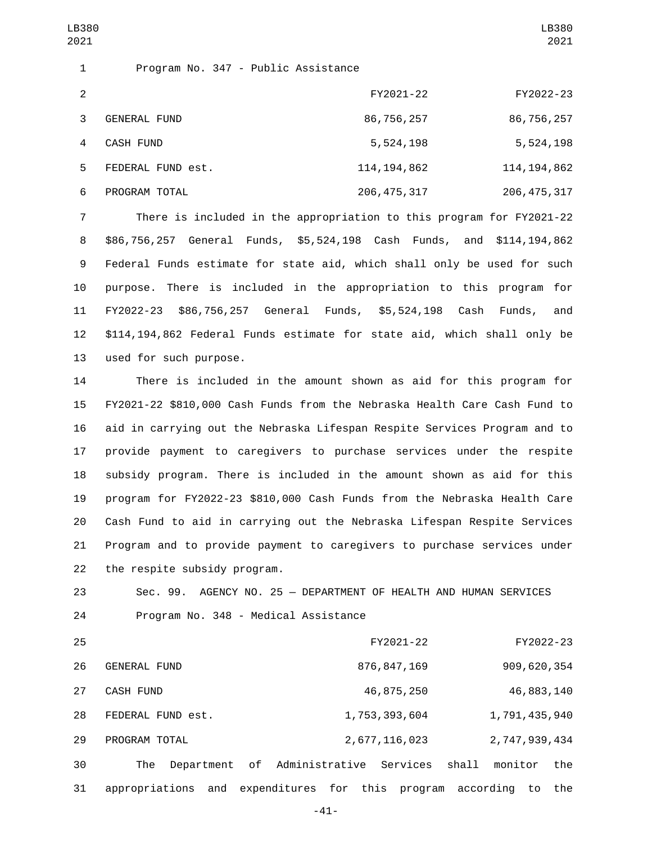| 1              |                     | Program No. 347 - Public Assistance |               |
|----------------|---------------------|-------------------------------------|---------------|
| 2              |                     | FY2021-22                           | FY2022-23     |
| 3              | <b>GENERAL FUND</b> | 86,756,257                          | 86,756,257    |
| $\overline{a}$ | CASH FUND           | 5,524,198                           | 5,524,198     |
| 5.             | FEDERAL FUND est.   | 114, 194, 862                       | 114, 194, 862 |
| 6              | PROGRAM TOTAL       | 206, 475, 317                       | 206, 475, 317 |

 There is included in the appropriation to this program for FY2021-22 \$86,756,257 General Funds, \$5,524,198 Cash Funds, and \$114,194,862 Federal Funds estimate for state aid, which shall only be used for such purpose. There is included in the appropriation to this program for FY2022-23 \$86,756,257 General Funds, \$5,524,198 Cash Funds, and \$114,194,862 Federal Funds estimate for state aid, which shall only be 13 used for such purpose.

 There is included in the amount shown as aid for this program for FY2021-22 \$810,000 Cash Funds from the Nebraska Health Care Cash Fund to aid in carrying out the Nebraska Lifespan Respite Services Program and to provide payment to caregivers to purchase services under the respite subsidy program. There is included in the amount shown as aid for this program for FY2022-23 \$810,000 Cash Funds from the Nebraska Health Care Cash Fund to aid in carrying out the Nebraska Lifespan Respite Services Program and to provide payment to caregivers to purchase services under 22 the respite subsidy program.

23 Sec. 99. AGENCY NO. 25 — DEPARTMENT OF HEALTH AND HUMAN SERVICES 24 Program No. 348 - Medical Assistance

| 25 |                   | FY2021-22                                                  | FY2022-23               |
|----|-------------------|------------------------------------------------------------|-------------------------|
| 26 | GENERAL FUND      | 876, 847, 169                                              | 909,620,354             |
| 27 | <b>CASH FUND</b>  | 46,875,250                                                 | 46,883,140              |
| 28 | FEDERAL FUND est. | 1,753,393,604                                              | 1,791,435,940           |
| 29 | PROGRAM TOTAL     | 2,677,116,023                                              | 2,747,939,434           |
| 30 | The               | Department of Administrative Services                      | shall<br>monitor<br>the |
| 31 |                   | appropriations and expenditures for this program according | to<br>the               |

-41-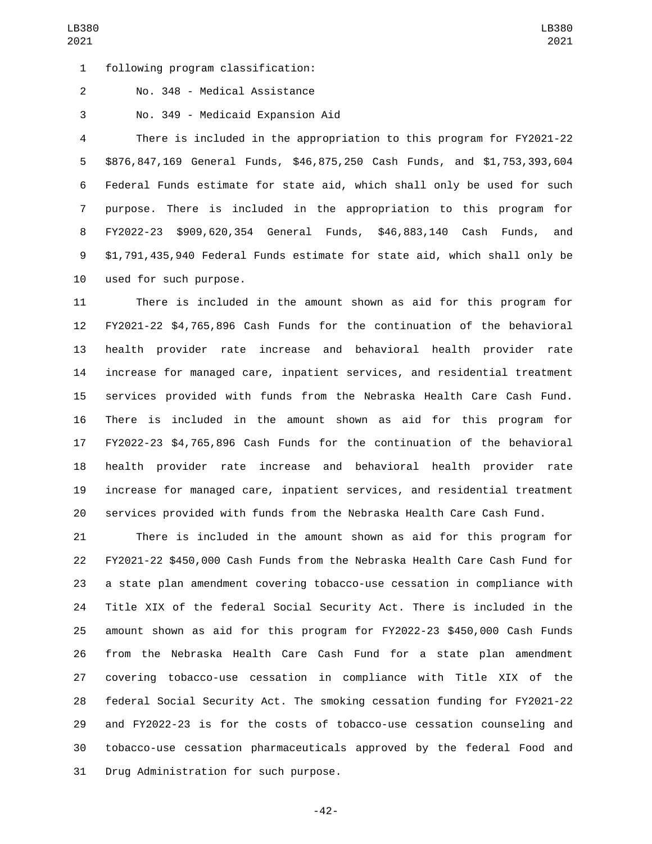following program classification:1

2 No. 348 - Medical Assistance

No. 349 - Medicaid Expansion Aid3

 There is included in the appropriation to this program for FY2021-22 \$876,847,169 General Funds, \$46,875,250 Cash Funds, and \$1,753,393,604 Federal Funds estimate for state aid, which shall only be used for such purpose. There is included in the appropriation to this program for FY2022-23 \$909,620,354 General Funds, \$46,883,140 Cash Funds, and \$1,791,435,940 Federal Funds estimate for state aid, which shall only be 10 used for such purpose.

 There is included in the amount shown as aid for this program for FY2021-22 \$4,765,896 Cash Funds for the continuation of the behavioral health provider rate increase and behavioral health provider rate increase for managed care, inpatient services, and residential treatment services provided with funds from the Nebraska Health Care Cash Fund. There is included in the amount shown as aid for this program for FY2022-23 \$4,765,896 Cash Funds for the continuation of the behavioral health provider rate increase and behavioral health provider rate increase for managed care, inpatient services, and residential treatment services provided with funds from the Nebraska Health Care Cash Fund.

 There is included in the amount shown as aid for this program for FY2021-22 \$450,000 Cash Funds from the Nebraska Health Care Cash Fund for a state plan amendment covering tobacco-use cessation in compliance with Title XIX of the federal Social Security Act. There is included in the amount shown as aid for this program for FY2022-23 \$450,000 Cash Funds from the Nebraska Health Care Cash Fund for a state plan amendment covering tobacco-use cessation in compliance with Title XIX of the federal Social Security Act. The smoking cessation funding for FY2021-22 and FY2022-23 is for the costs of tobacco-use cessation counseling and tobacco-use cessation pharmaceuticals approved by the federal Food and 31 Drug Administration for such purpose.

-42-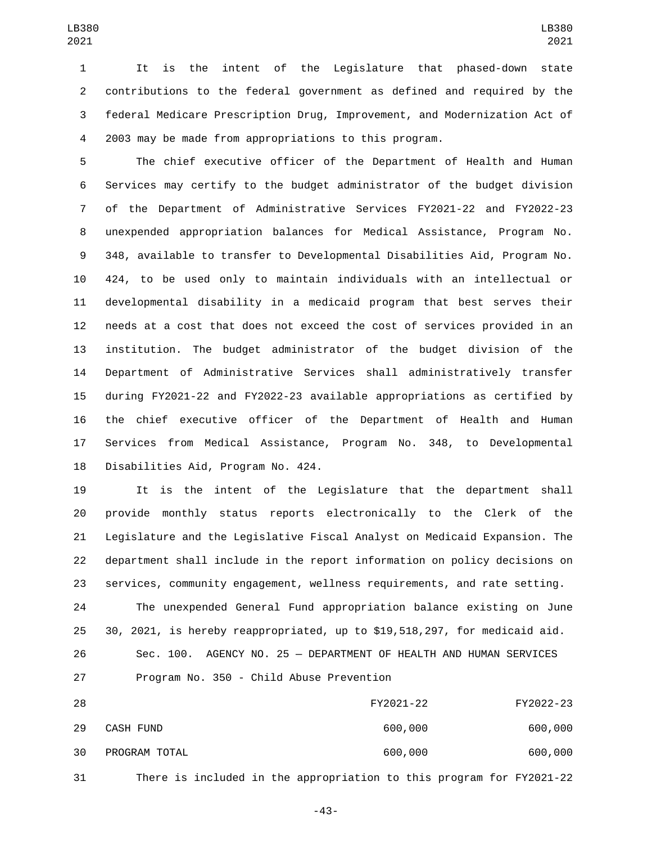It is the intent of the Legislature that phased-down state contributions to the federal government as defined and required by the federal Medicare Prescription Drug, Improvement, and Modernization Act of 2003 may be made from appropriations to this program.

 The chief executive officer of the Department of Health and Human Services may certify to the budget administrator of the budget division of the Department of Administrative Services FY2021-22 and FY2022-23 unexpended appropriation balances for Medical Assistance, Program No. 348, available to transfer to Developmental Disabilities Aid, Program No. 424, to be used only to maintain individuals with an intellectual or developmental disability in a medicaid program that best serves their needs at a cost that does not exceed the cost of services provided in an institution. The budget administrator of the budget division of the Department of Administrative Services shall administratively transfer during FY2021-22 and FY2022-23 available appropriations as certified by the chief executive officer of the Department of Health and Human Services from Medical Assistance, Program No. 348, to Developmental 18 Disabilities Aid, Program No. 424.

 It is the intent of the Legislature that the department shall provide monthly status reports electronically to the Clerk of the Legislature and the Legislative Fiscal Analyst on Medicaid Expansion. The department shall include in the report information on policy decisions on services, community engagement, wellness requirements, and rate setting. The unexpended General Fund appropriation balance existing on June 30, 2021, is hereby reappropriated, up to \$19,518,297, for medicaid aid.

 Sec. 100. AGENCY NO. 25 — DEPARTMENT OF HEALTH AND HUMAN SERVICES 27 Program No. 350 - Child Abuse Prevention

| 28 |               | FY2021-22                                                            | FY2022-23 |
|----|---------------|----------------------------------------------------------------------|-----------|
| 29 | CASH FUND     | 600,000                                                              | 600,000   |
| 30 | PROGRAM TOTAL | 600,000                                                              | 600,000   |
| 31 |               | There is included in the appropriation to this program for FY2021-22 |           |

-43-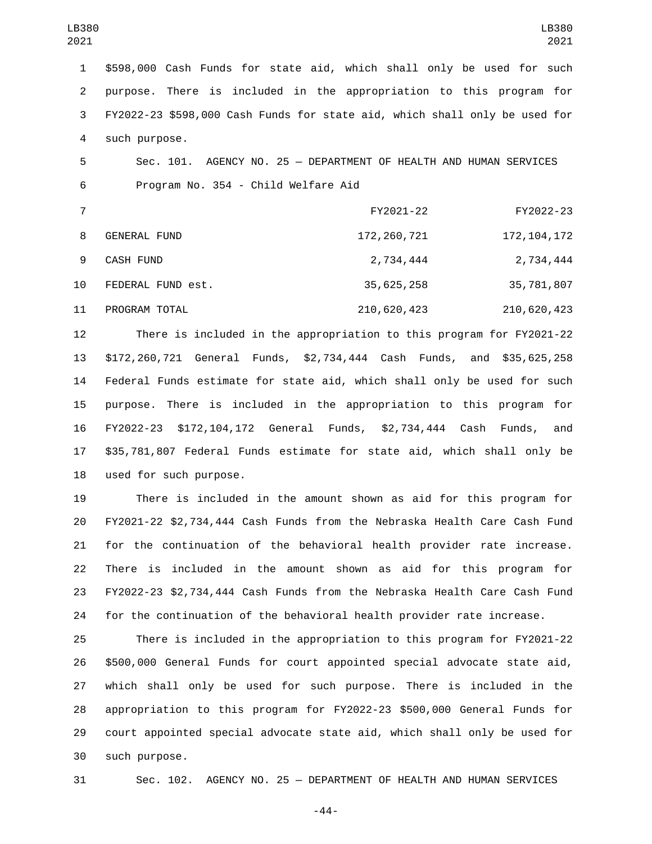\$598,000 Cash Funds for state aid, which shall only be used for such purpose. There is included in the appropriation to this program for FY2022-23 \$598,000 Cash Funds for state aid, which shall only be used for 4 such purpose.

 Sec. 101. AGENCY NO. 25 — DEPARTMENT OF HEALTH AND HUMAN SERVICES 6 Program No. 354 - Child Welfare Aid

|    |                     | FY2021-22     | FY2022-23     |
|----|---------------------|---------------|---------------|
| 8  | <b>GENERAL FUND</b> | 172, 260, 721 | 172, 104, 172 |
| -9 | CASH FUND           | 2,734,444     | 2,734,444     |
| 10 | FEDERAL FUND est.   | 35,625,258    | 35,781,807    |
| 11 | PROGRAM TOTAL       | 210,620,423   | 210,620,423   |

 There is included in the appropriation to this program for FY2021-22 \$172,260,721 General Funds, \$2,734,444 Cash Funds, and \$35,625,258 Federal Funds estimate for state aid, which shall only be used for such purpose. There is included in the appropriation to this program for FY2022-23 \$172,104,172 General Funds, \$2,734,444 Cash Funds, and \$35,781,807 Federal Funds estimate for state aid, which shall only be 18 used for such purpose.

 There is included in the amount shown as aid for this program for FY2021-22 \$2,734,444 Cash Funds from the Nebraska Health Care Cash Fund for the continuation of the behavioral health provider rate increase. There is included in the amount shown as aid for this program for FY2022-23 \$2,734,444 Cash Funds from the Nebraska Health Care Cash Fund for the continuation of the behavioral health provider rate increase.

 There is included in the appropriation to this program for FY2021-22 \$500,000 General Funds for court appointed special advocate state aid, which shall only be used for such purpose. There is included in the appropriation to this program for FY2022-23 \$500,000 General Funds for court appointed special advocate state aid, which shall only be used for such purpose.30

Sec. 102. AGENCY NO. 25 — DEPARTMENT OF HEALTH AND HUMAN SERVICES

-44-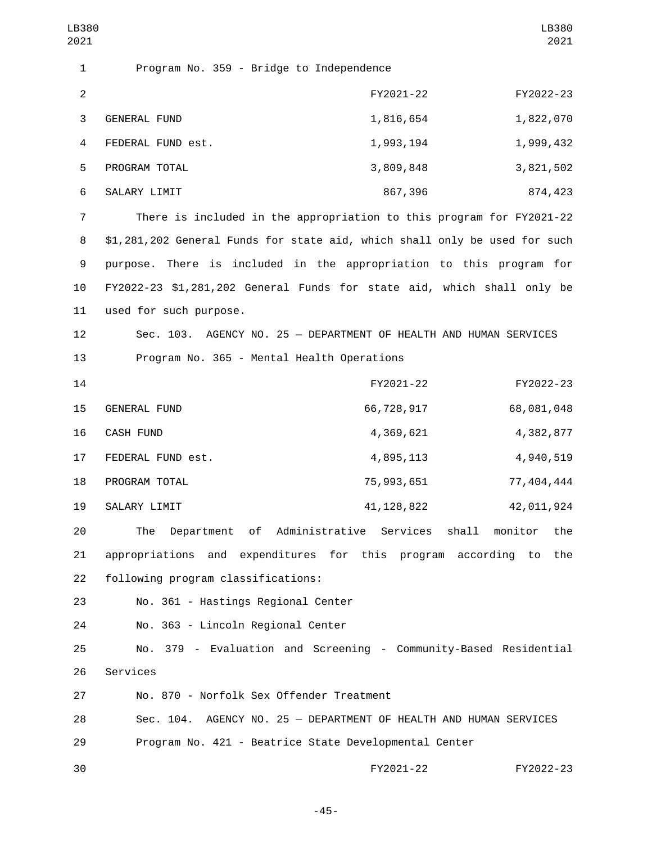| LB380<br>2021  |                                                                            |              | LB380<br>2021          |
|----------------|----------------------------------------------------------------------------|--------------|------------------------|
| 1              | Program No. 359 - Bridge to Independence                                   |              |                        |
| $\overline{2}$ |                                                                            | FY2021-22    | FY2022-23              |
| $\sqrt{3}$     | <b>GENERAL FUND</b>                                                        | 1,816,654    | 1,822,070              |
| 4              | FEDERAL FUND est.                                                          | 1,993,194    | 1,999,432              |
| 5              | PROGRAM TOTAL                                                              | 3,809,848    | 3,821,502              |
| 6              | SALARY LIMIT                                                               | 867,396      | 874,423                |
| 7              | There is included in the appropriation to this program for FY2021-22       |              |                        |
| 8              | \$1,281,202 General Funds for state aid, which shall only be used for such |              |                        |
| 9              | purpose. There is included in the appropriation to this program for        |              |                        |
| 10             | FY2022-23 \$1,281,202 General Funds for state aid, which shall only be     |              |                        |
| 11             | used for such purpose.                                                     |              |                        |
| 12             | Sec. 103. AGENCY NO. 25 - DEPARTMENT OF HEALTH AND HUMAN SERVICES          |              |                        |
| 13             | Program No. 365 - Mental Health Operations                                 |              |                        |
| 14             |                                                                            | FY2021-22    | FY2022-23              |
| 15             | GENERAL FUND                                                               | 66,728,917   | 68,081,048             |
| 16             | CASH FUND                                                                  | 4,369,621    | 4,382,877              |
| 17             | FEDERAL FUND est.                                                          | 4,895,113    | 4,940,519              |
| 18             | PROGRAM TOTAL                                                              | 75, 993, 651 | 77,404,444             |
| 19             | SALARY LIMIT                                                               | 41, 128, 822 | 42,011,924             |
| 20             | Department of Administrative Services shall<br>The                         |              | monitor<br>the         |
| 21             | appropriations and expenditures for this program                           |              | according<br>to<br>the |
| 22             | following program classifications:                                         |              |                        |
| 23             | No. 361 - Hastings Regional Center                                         |              |                        |
| 24             | No. 363 - Lincoln Regional Center                                          |              |                        |
| 25             | No. 379 - Evaluation and Screening - Community-Based Residential           |              |                        |
| 26             | Services                                                                   |              |                        |
| 27             | No. 870 - Norfolk Sex Offender Treatment                                   |              |                        |
| 28             | Sec. 104. AGENCY NO. 25 - DEPARTMENT OF HEALTH AND HUMAN SERVICES          |              |                        |
| 29             | Program No. 421 - Beatrice State Developmental Center                      |              |                        |
| 30             |                                                                            | FY2021-22    | FY2022-23              |

-45-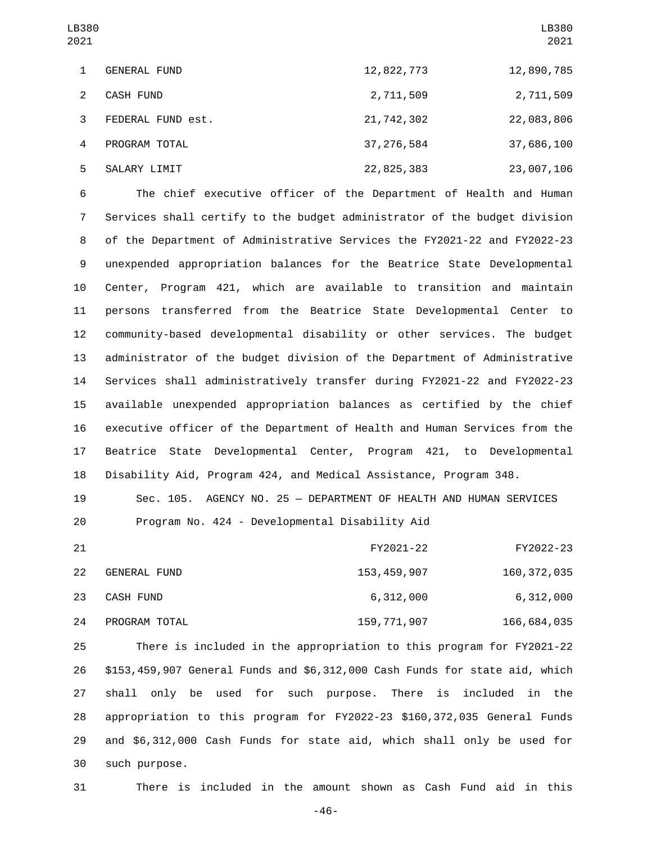| LB380<br>2021 |                     |              | LB380<br>2021 |
|---------------|---------------------|--------------|---------------|
| 1             | <b>GENERAL FUND</b> | 12,822,773   | 12,890,785    |
| 2             | <b>CASH FUND</b>    | 2,711,509    | 2,711,509     |
| 3             | FEDERAL FUND est.   | 21, 742, 302 | 22,083,806    |
| 4             | PROGRAM TOTAL       | 37, 276, 584 | 37,686,100    |
| 5             | SALARY LIMIT        | 22,825,383   | 23,007,106    |

 The chief executive officer of the Department of Health and Human Services shall certify to the budget administrator of the budget division of the Department of Administrative Services the FY2021-22 and FY2022-23 unexpended appropriation balances for the Beatrice State Developmental Center, Program 421, which are available to transition and maintain persons transferred from the Beatrice State Developmental Center to community-based developmental disability or other services. The budget administrator of the budget division of the Department of Administrative Services shall administratively transfer during FY2021-22 and FY2022-23 available unexpended appropriation balances as certified by the chief executive officer of the Department of Health and Human Services from the Beatrice State Developmental Center, Program 421, to Developmental Disability Aid, Program 424, and Medical Assistance, Program 348.

 Sec. 105. AGENCY NO. 25 — DEPARTMENT OF HEALTH AND HUMAN SERVICES Program No. 424 - Developmental Disability Aid

| 21 |               | FY2021-22     | FY2022-23   |
|----|---------------|---------------|-------------|
| 22 | GENERAL FUND  | 153,459,907   | 160,372,035 |
| 23 | CASH FUND     | 6,312,000     | 6,312,000   |
| 24 | PROGRAM TOTAL | 159, 771, 907 | 166,684,035 |

 There is included in the appropriation to this program for FY2021-22 \$153,459,907 General Funds and \$6,312,000 Cash Funds for state aid, which shall only be used for such purpose. There is included in the appropriation to this program for FY2022-23 \$160,372,035 General Funds and \$6,312,000 Cash Funds for state aid, which shall only be used for such purpose.30

There is included in the amount shown as Cash Fund aid in this

-46-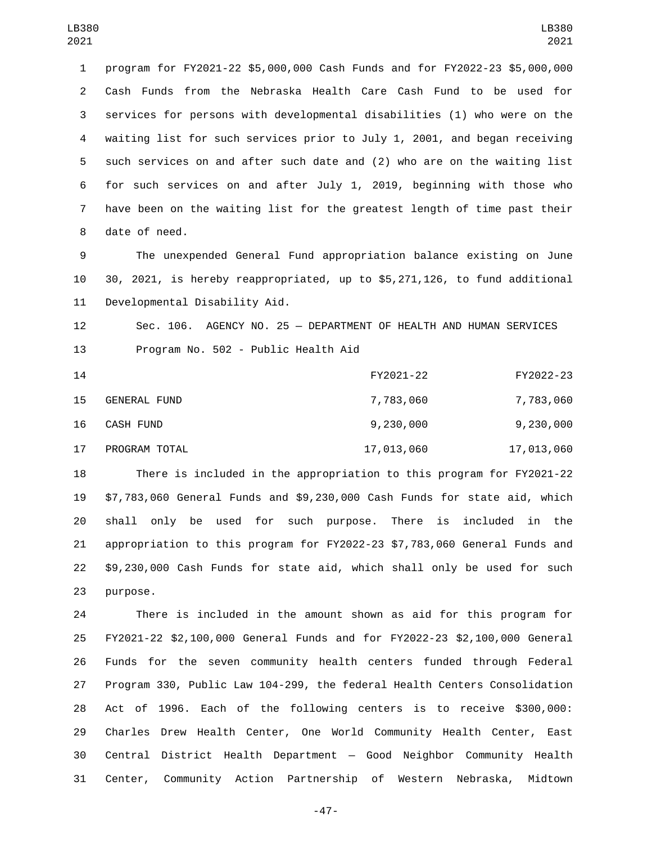program for FY2021-22 \$5,000,000 Cash Funds and for FY2022-23 \$5,000,000 Cash Funds from the Nebraska Health Care Cash Fund to be used for services for persons with developmental disabilities (1) who were on the waiting list for such services prior to July 1, 2001, and began receiving such services on and after such date and (2) who are on the waiting list for such services on and after July 1, 2019, beginning with those who have been on the waiting list for the greatest length of time past their 8 date of need.

 The unexpended General Fund appropriation balance existing on June 30, 2021, is hereby reappropriated, up to \$5,271,126, to fund additional 11 Developmental Disability Aid.

 Sec. 106. AGENCY NO. 25 — DEPARTMENT OF HEALTH AND HUMAN SERVICES 13 Program No. 502 - Public Health Aid

| 14 |               | FY2021-22  | FY2022-23  |
|----|---------------|------------|------------|
| 15 | GENERAL FUND  | 7,783,060  | 7,783,060  |
| 16 | CASH FUND     | 9,230,000  | 9,230,000  |
| 17 | PROGRAM TOTAL | 17,013,060 | 17,013,060 |

 There is included in the appropriation to this program for FY2021-22 \$7,783,060 General Funds and \$9,230,000 Cash Funds for state aid, which shall only be used for such purpose. There is included in the appropriation to this program for FY2022-23 \$7,783,060 General Funds and \$9,230,000 Cash Funds for state aid, which shall only be used for such 23 purpose.

 There is included in the amount shown as aid for this program for FY2021-22 \$2,100,000 General Funds and for FY2022-23 \$2,100,000 General Funds for the seven community health centers funded through Federal Program 330, Public Law 104-299, the federal Health Centers Consolidation Act of 1996. Each of the following centers is to receive \$300,000: Charles Drew Health Center, One World Community Health Center, East Central District Health Department — Good Neighbor Community Health Center, Community Action Partnership of Western Nebraska, Midtown

-47-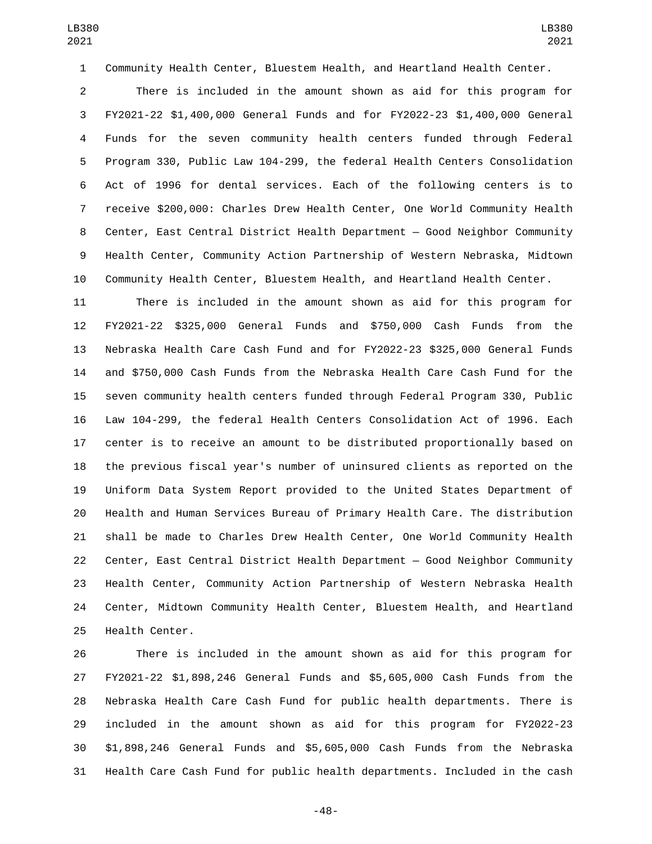Community Health Center, Bluestem Health, and Heartland Health Center.

 There is included in the amount shown as aid for this program for FY2021-22 \$1,400,000 General Funds and for FY2022-23 \$1,400,000 General Funds for the seven community health centers funded through Federal Program 330, Public Law 104-299, the federal Health Centers Consolidation Act of 1996 for dental services. Each of the following centers is to receive \$200,000: Charles Drew Health Center, One World Community Health Center, East Central District Health Department — Good Neighbor Community Health Center, Community Action Partnership of Western Nebraska, Midtown Community Health Center, Bluestem Health, and Heartland Health Center.

 There is included in the amount shown as aid for this program for FY2021-22 \$325,000 General Funds and \$750,000 Cash Funds from the Nebraska Health Care Cash Fund and for FY2022-23 \$325,000 General Funds and \$750,000 Cash Funds from the Nebraska Health Care Cash Fund for the seven community health centers funded through Federal Program 330, Public Law 104-299, the federal Health Centers Consolidation Act of 1996. Each center is to receive an amount to be distributed proportionally based on the previous fiscal year's number of uninsured clients as reported on the Uniform Data System Report provided to the United States Department of Health and Human Services Bureau of Primary Health Care. The distribution shall be made to Charles Drew Health Center, One World Community Health Center, East Central District Health Department — Good Neighbor Community Health Center, Community Action Partnership of Western Nebraska Health Center, Midtown Community Health Center, Bluestem Health, and Heartland 25 Health Center.

 There is included in the amount shown as aid for this program for FY2021-22 \$1,898,246 General Funds and \$5,605,000 Cash Funds from the Nebraska Health Care Cash Fund for public health departments. There is included in the amount shown as aid for this program for FY2022-23 \$1,898,246 General Funds and \$5,605,000 Cash Funds from the Nebraska Health Care Cash Fund for public health departments. Included in the cash

-48-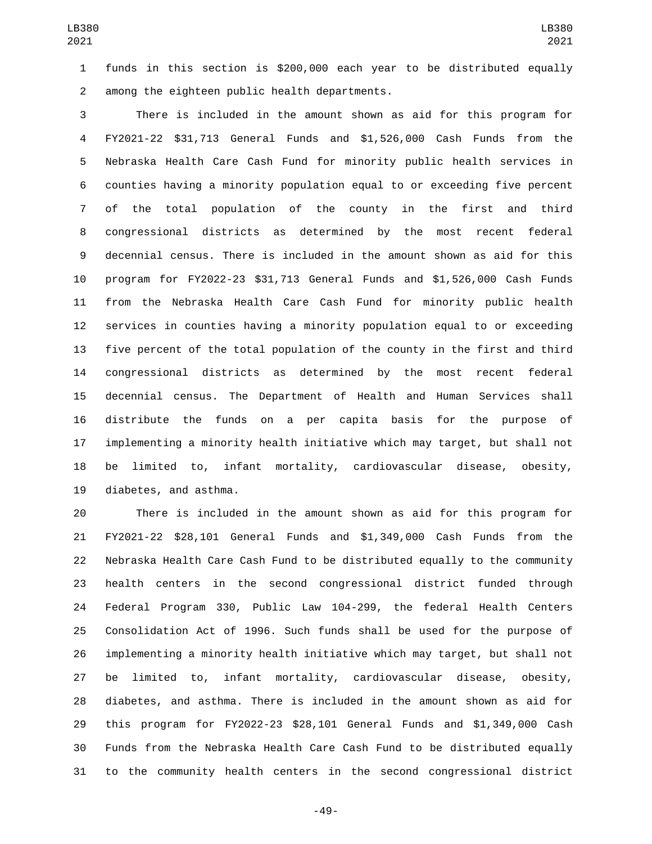funds in this section is \$200,000 each year to be distributed equally among the eighteen public health departments.2

 There is included in the amount shown as aid for this program for FY2021-22 \$31,713 General Funds and \$1,526,000 Cash Funds from the Nebraska Health Care Cash Fund for minority public health services in counties having a minority population equal to or exceeding five percent of the total population of the county in the first and third congressional districts as determined by the most recent federal decennial census. There is included in the amount shown as aid for this program for FY2022-23 \$31,713 General Funds and \$1,526,000 Cash Funds from the Nebraska Health Care Cash Fund for minority public health services in counties having a minority population equal to or exceeding five percent of the total population of the county in the first and third congressional districts as determined by the most recent federal decennial census. The Department of Health and Human Services shall distribute the funds on a per capita basis for the purpose of implementing a minority health initiative which may target, but shall not be limited to, infant mortality, cardiovascular disease, obesity, 19 diabetes, and asthma.

 There is included in the amount shown as aid for this program for FY2021-22 \$28,101 General Funds and \$1,349,000 Cash Funds from the Nebraska Health Care Cash Fund to be distributed equally to the community health centers in the second congressional district funded through Federal Program 330, Public Law 104-299, the federal Health Centers Consolidation Act of 1996. Such funds shall be used for the purpose of implementing a minority health initiative which may target, but shall not be limited to, infant mortality, cardiovascular disease, obesity, diabetes, and asthma. There is included in the amount shown as aid for this program for FY2022-23 \$28,101 General Funds and \$1,349,000 Cash Funds from the Nebraska Health Care Cash Fund to be distributed equally to the community health centers in the second congressional district

-49-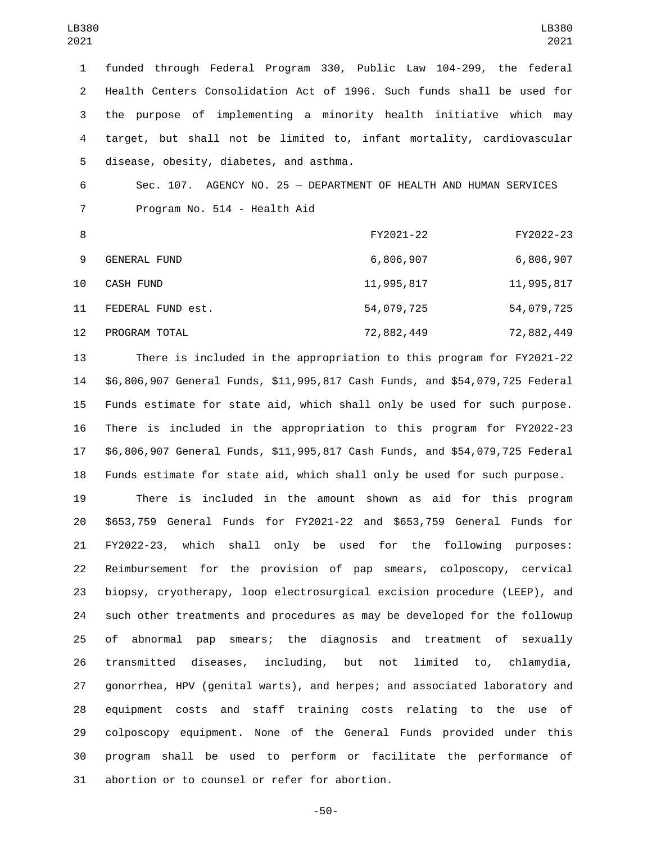funded through Federal Program 330, Public Law 104-299, the federal Health Centers Consolidation Act of 1996. Such funds shall be used for the purpose of implementing a minority health initiative which may target, but shall not be limited to, infant mortality, cardiovascular disease, obesity, diabetes, and asthma.5

 Sec. 107. AGENCY NO. 25 — DEPARTMENT OF HEALTH AND HUMAN SERVICES 7 Program No. 514 - Health Aid

| -8 |                     | FY2021-22  | FY2022-23  |
|----|---------------------|------------|------------|
| 9  | <b>GENERAL FUND</b> | 6,806,907  | 6,806,907  |
| 10 | CASH FUND           | 11,995,817 | 11,995,817 |
| 11 | FEDERAL FUND est.   | 54,079,725 | 54,079,725 |
| 12 | PROGRAM TOTAL       | 72,882,449 | 72,882,449 |

 There is included in the appropriation to this program for FY2021-22 \$6,806,907 General Funds, \$11,995,817 Cash Funds, and \$54,079,725 Federal Funds estimate for state aid, which shall only be used for such purpose. There is included in the appropriation to this program for FY2022-23 \$6,806,907 General Funds, \$11,995,817 Cash Funds, and \$54,079,725 Federal Funds estimate for state aid, which shall only be used for such purpose.

 There is included in the amount shown as aid for this program \$653,759 General Funds for FY2021-22 and \$653,759 General Funds for FY2022-23, which shall only be used for the following purposes: Reimbursement for the provision of pap smears, colposcopy, cervical biopsy, cryotherapy, loop electrosurgical excision procedure (LEEP), and such other treatments and procedures as may be developed for the followup of abnormal pap smears; the diagnosis and treatment of sexually transmitted diseases, including, but not limited to, chlamydia, gonorrhea, HPV (genital warts), and herpes; and associated laboratory and equipment costs and staff training costs relating to the use of colposcopy equipment. None of the General Funds provided under this program shall be used to perform or facilitate the performance of 31 abortion or to counsel or refer for abortion.

-50-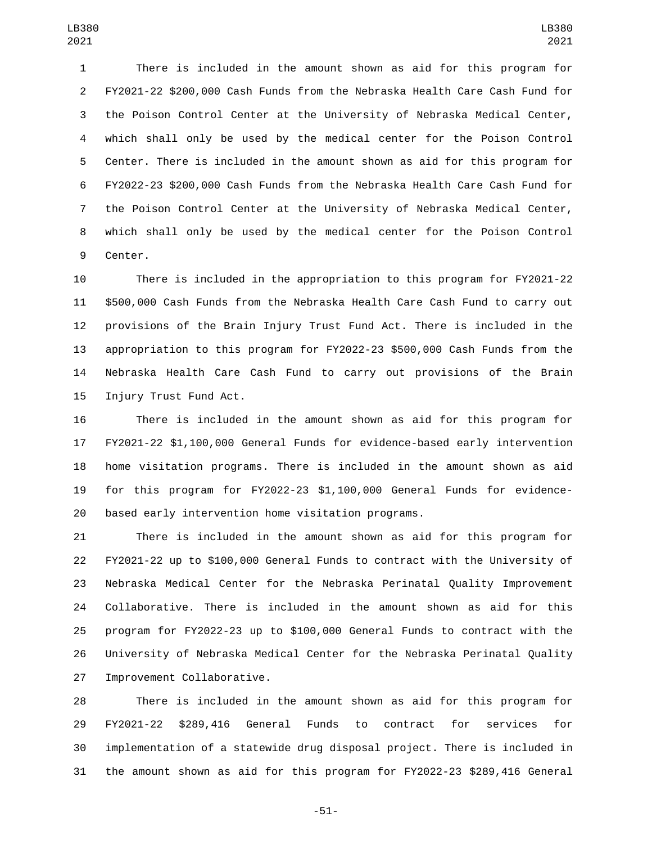There is included in the amount shown as aid for this program for FY2021-22 \$200,000 Cash Funds from the Nebraska Health Care Cash Fund for the Poison Control Center at the University of Nebraska Medical Center, which shall only be used by the medical center for the Poison Control Center. There is included in the amount shown as aid for this program for FY2022-23 \$200,000 Cash Funds from the Nebraska Health Care Cash Fund for the Poison Control Center at the University of Nebraska Medical Center, which shall only be used by the medical center for the Poison Control 9 Center.

 There is included in the appropriation to this program for FY2021-22 \$500,000 Cash Funds from the Nebraska Health Care Cash Fund to carry out provisions of the Brain Injury Trust Fund Act. There is included in the appropriation to this program for FY2022-23 \$500,000 Cash Funds from the Nebraska Health Care Cash Fund to carry out provisions of the Brain 15 Injury Trust Fund Act.

 There is included in the amount shown as aid for this program for FY2021-22 \$1,100,000 General Funds for evidence-based early intervention home visitation programs. There is included in the amount shown as aid for this program for FY2022-23 \$1,100,000 General Funds for evidence-based early intervention home visitation programs.

 There is included in the amount shown as aid for this program for FY2021-22 up to \$100,000 General Funds to contract with the University of Nebraska Medical Center for the Nebraska Perinatal Quality Improvement Collaborative. There is included in the amount shown as aid for this program for FY2022-23 up to \$100,000 General Funds to contract with the University of Nebraska Medical Center for the Nebraska Perinatal Quality 27 Improvement Collaborative.

 There is included in the amount shown as aid for this program for FY2021-22 \$289,416 General Funds to contract for services for implementation of a statewide drug disposal project. There is included in the amount shown as aid for this program for FY2022-23 \$289,416 General

-51-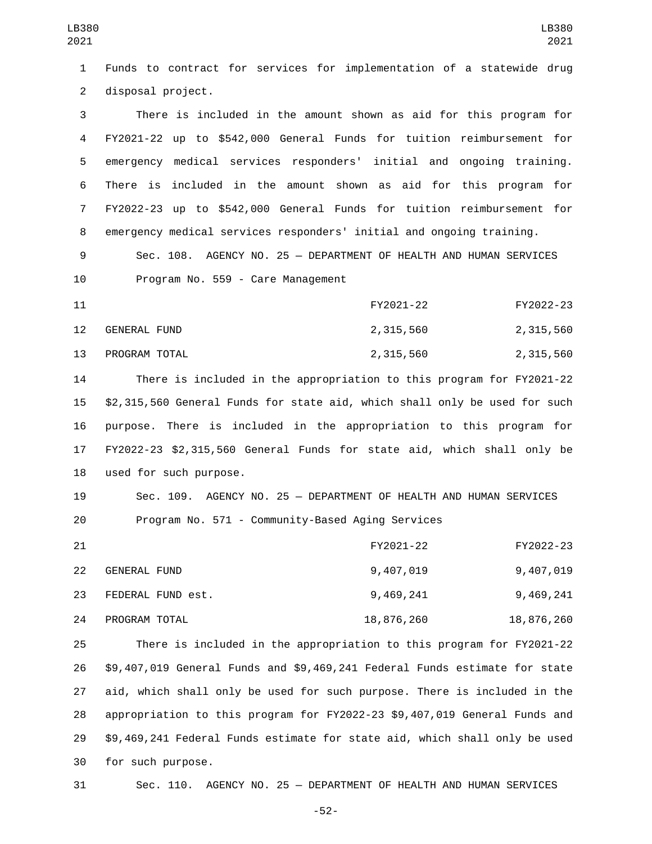Funds to contract for services for implementation of a statewide drug 2 disposal project. There is included in the amount shown as aid for this program for FY2021-22 up to \$542,000 General Funds for tuition reimbursement for emergency medical services responders' initial and ongoing training. There is included in the amount shown as aid for this program for FY2022-23 up to \$542,000 General Funds for tuition reimbursement for emergency medical services responders' initial and ongoing training. Sec. 108. AGENCY NO. 25 — DEPARTMENT OF HEALTH AND HUMAN SERVICES 10 Program No. 559 - Care Management FY2021-22 FY2022-23 12 GENERAL FUND 2,315,560 2,315,560 13 PROGRAM TOTAL 2,315,560 2,315,560 2,315,560 There is included in the appropriation to this program for FY2021-22 \$2,315,560 General Funds for state aid, which shall only be used for such purpose. There is included in the appropriation to this program for FY2022-23 \$2,315,560 General Funds for state aid, which shall only be 18 used for such purpose. Sec. 109. AGENCY NO. 25 — DEPARTMENT OF HEALTH AND HUMAN SERVICES Program No. 571 - Community-Based Aging Services FY2021-22 FY2022-23 GENERAL FUND22 9,407,019 9,407,019 FEDERAL FUND est.23 9,469,241 9,469,241 PROGRAM TOTAL24 18,876,260 18,876,260 There is included in the appropriation to this program for FY2021-22 \$9,407,019 General Funds and \$9,469,241 Federal Funds estimate for state aid, which shall only be used for such purpose. There is included in the appropriation to this program for FY2022-23 \$9,407,019 General Funds and

 \$9,469,241 Federal Funds estimate for state aid, which shall only be used 30 for such purpose.

Sec. 110. AGENCY NO. 25 — DEPARTMENT OF HEALTH AND HUMAN SERVICES

-52-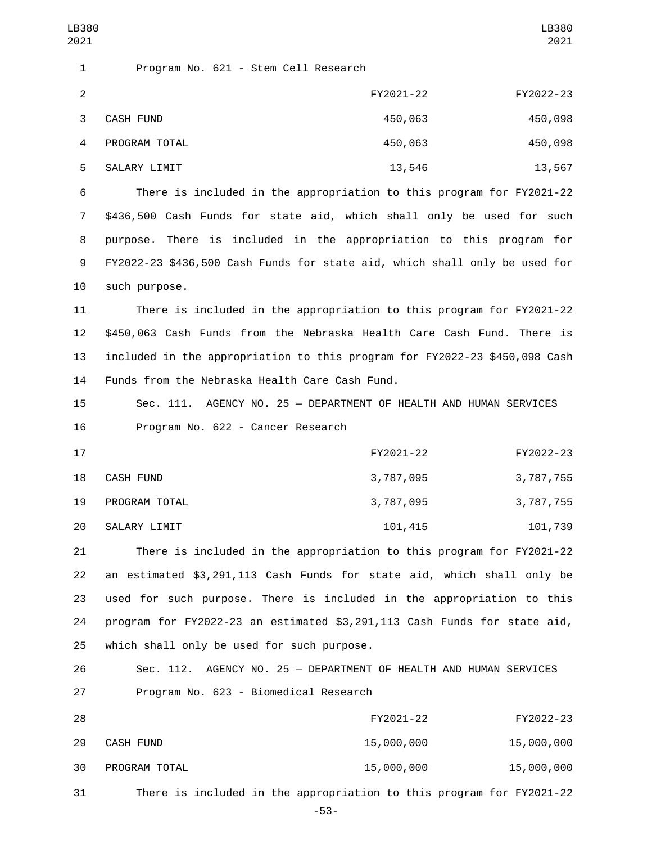1 Program No. 621 - Stem Cell Research 2 FY2021-22 FY2022-23 CASH FUND3 450,063 450,098 PROGRAM TOTAL4 450,063 450,098 SALARY LIMIT 13,546 13,567 6 There is included in the appropriation to this program for FY2021-22 7 \$436,500 Cash Funds for state aid, which shall only be used for such 8 purpose. There is included in the appropriation to this program for 9 FY2022-23 \$436,500 Cash Funds for state aid, which shall only be used for 10 such purpose. 11 There is included in the appropriation to this program for FY2021-22 12 \$450,063 Cash Funds from the Nebraska Health Care Cash Fund. There is 13 included in the appropriation to this program for FY2022-23 \$450,098 Cash 14 Funds from the Nebraska Health Care Cash Fund. 15 Sec. 111. AGENCY NO. 25 — DEPARTMENT OF HEALTH AND HUMAN SERVICES 16 Program No. 622 - Cancer Research 17 FY2021-22 FY2022-23 18 CASH FUND 18 2,787,095 3,787,095 3,787,755 19 PROGRAM TOTAL 2001 19 2,787,095 3,787,755 20 SALARY LIMIT 20 101,415 101,739 21 There is included in the appropriation to this program for FY2021-22 22 an estimated \$3,291,113 Cash Funds for state aid, which shall only be 23 used for such purpose. There is included in the appropriation to this 24 program for FY2022-23 an estimated \$3,291,113 Cash Funds for state aid, 25 which shall only be used for such purpose. 26 Sec. 112. AGENCY NO. 25 — DEPARTMENT OF HEALTH AND HUMAN SERVICES 27 Program No. 623 - Biomedical Research 28 FY2021-22 FY2022-23 CASH FUND29 15,000,000 15,000,000 PROGRAM TOTAL30 15,000,000 15,000,000 31 There is included in the appropriation to this program for FY2021-22 LB380 2021 LB380 2021 -53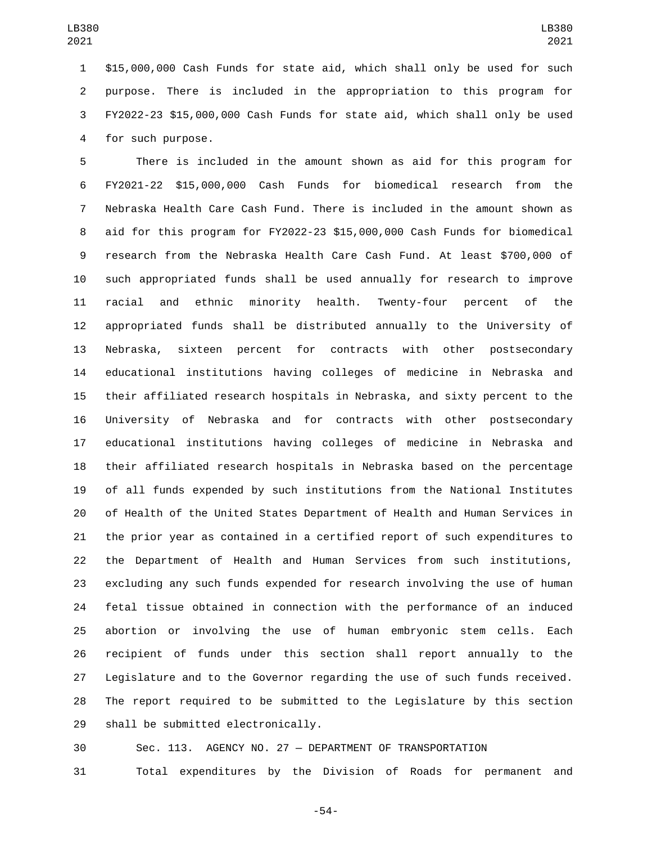\$15,000,000 Cash Funds for state aid, which shall only be used for such purpose. There is included in the appropriation to this program for FY2022-23 \$15,000,000 Cash Funds for state aid, which shall only be used 4 for such purpose.

 There is included in the amount shown as aid for this program for FY2021-22 \$15,000,000 Cash Funds for biomedical research from the Nebraska Health Care Cash Fund. There is included in the amount shown as aid for this program for FY2022-23 \$15,000,000 Cash Funds for biomedical research from the Nebraska Health Care Cash Fund. At least \$700,000 of such appropriated funds shall be used annually for research to improve racial and ethnic minority health. Twenty-four percent of the appropriated funds shall be distributed annually to the University of Nebraska, sixteen percent for contracts with other postsecondary educational institutions having colleges of medicine in Nebraska and their affiliated research hospitals in Nebraska, and sixty percent to the University of Nebraska and for contracts with other postsecondary educational institutions having colleges of medicine in Nebraska and their affiliated research hospitals in Nebraska based on the percentage of all funds expended by such institutions from the National Institutes of Health of the United States Department of Health and Human Services in the prior year as contained in a certified report of such expenditures to the Department of Health and Human Services from such institutions, excluding any such funds expended for research involving the use of human fetal tissue obtained in connection with the performance of an induced abortion or involving the use of human embryonic stem cells. Each recipient of funds under this section shall report annually to the Legislature and to the Governor regarding the use of such funds received. The report required to be submitted to the Legislature by this section 29 shall be submitted electronically.

Sec. 113. AGENCY NO. 27 — DEPARTMENT OF TRANSPORTATION

Total expenditures by the Division of Roads for permanent and

-54-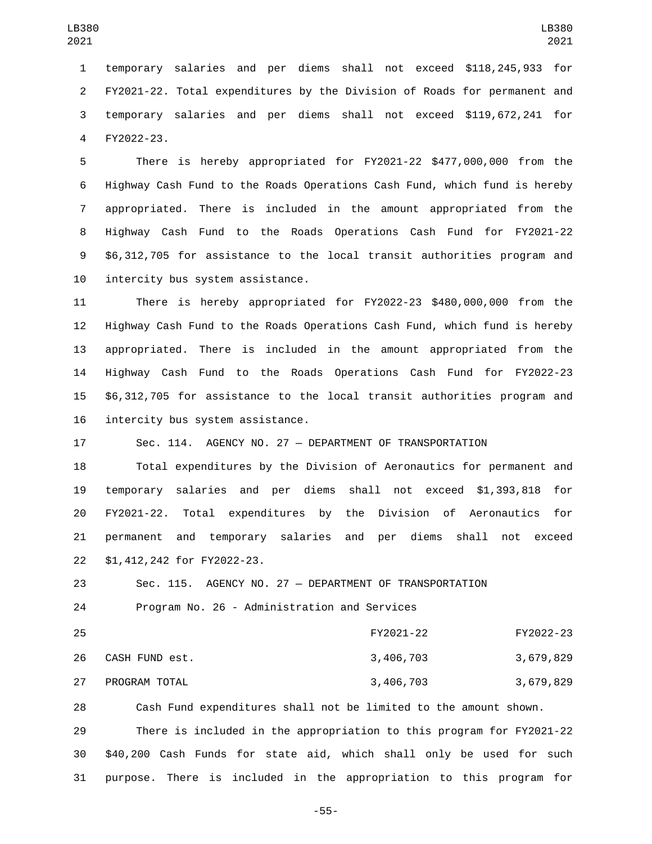temporary salaries and per diems shall not exceed \$118,245,933 for FY2021-22. Total expenditures by the Division of Roads for permanent and temporary salaries and per diems shall not exceed \$119,672,241 for 4 FY2022-23.

 There is hereby appropriated for FY2021-22 \$477,000,000 from the Highway Cash Fund to the Roads Operations Cash Fund, which fund is hereby appropriated. There is included in the amount appropriated from the Highway Cash Fund to the Roads Operations Cash Fund for FY2021-22 \$6,312,705 for assistance to the local transit authorities program and 10 intercity bus system assistance.

 There is hereby appropriated for FY2022-23 \$480,000,000 from the Highway Cash Fund to the Roads Operations Cash Fund, which fund is hereby appropriated. There is included in the amount appropriated from the Highway Cash Fund to the Roads Operations Cash Fund for FY2022-23 \$6,312,705 for assistance to the local transit authorities program and 16 intercity bus system assistance.

Sec. 114. AGENCY NO. 27 — DEPARTMENT OF TRANSPORTATION

 Total expenditures by the Division of Aeronautics for permanent and temporary salaries and per diems shall not exceed \$1,393,818 for FY2021-22. Total expenditures by the Division of Aeronautics for permanent and temporary salaries and per diems shall not exceed \$1,412,242 for FY2022-23.22

 Sec. 115. AGENCY NO. 27 — DEPARTMENT OF TRANSPORTATION 24 Program No. 26 - Administration and Services

 FY2021-22 FY2022-23 CASH FUND est.26 3,406,703 3,679,829 27 PROGRAM TOTAL 27 28 29 20 20 20 3,406,703 3,679,829

 Cash Fund expenditures shall not be limited to the amount shown. There is included in the appropriation to this program for FY2021-22 \$40,200 Cash Funds for state aid, which shall only be used for such purpose. There is included in the appropriation to this program for

-55-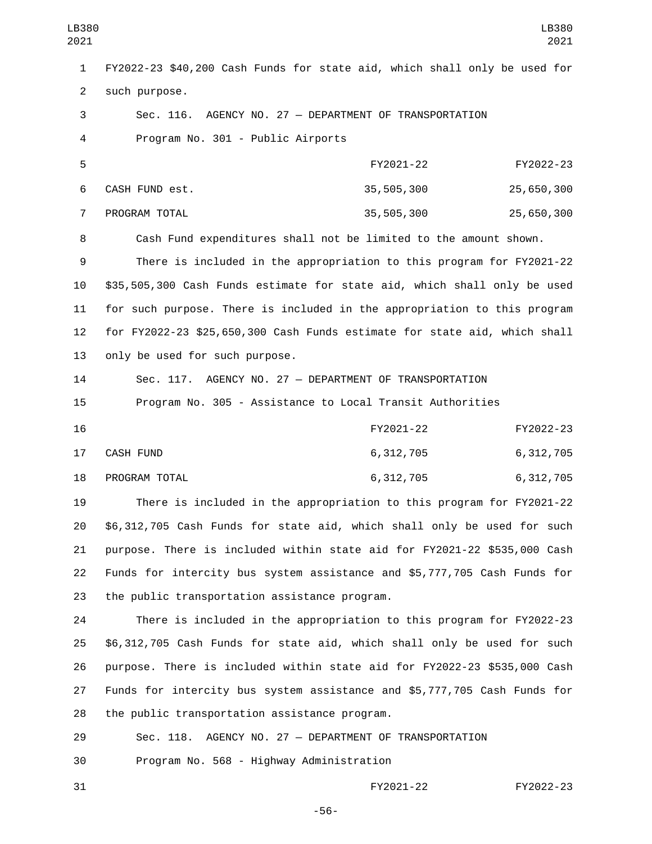FY2022-23 \$40,200 Cash Funds for state aid, which shall only be used for 2 such purpose. Sec. 116. AGENCY NO. 27 — DEPARTMENT OF TRANSPORTATION Program No. 301 - Public Airports4 FY2021-22 FY2022-23 6 CASH FUND est. 25,505,300 25,505,300 PROGRAM TOTAL7 35,505,300 25,650,300 Cash Fund expenditures shall not be limited to the amount shown. There is included in the appropriation to this program for FY2021-22 \$35,505,300 Cash Funds estimate for state aid, which shall only be used for such purpose. There is included in the appropriation to this program for FY2022-23 \$25,650,300 Cash Funds estimate for state aid, which shall 13 only be used for such purpose. Sec. 117. AGENCY NO. 27 — DEPARTMENT OF TRANSPORTATION Program No. 305 - Assistance to Local Transit Authorities FY2021-22 FY2022-23 CASH FUND17 6,312,705 6,312,705 18 PROGRAM TOTAL **18 CONTRACT 18 CONTRACT 18 CONTRACT 18 CONTRACT 18 CONTRACT 0.312,705**  There is included in the appropriation to this program for FY2021-22 \$6,312,705 Cash Funds for state aid, which shall only be used for such purpose. There is included within state aid for FY2021-22 \$535,000 Cash Funds for intercity bus system assistance and \$5,777,705 Cash Funds for 23 the public transportation assistance program. There is included in the appropriation to this program for FY2022-23 \$6,312,705 Cash Funds for state aid, which shall only be used for such purpose. There is included within state aid for FY2022-23 \$535,000 Cash Funds for intercity bus system assistance and \$5,777,705 Cash Funds for 28 the public transportation assistance program. Sec. 118. AGENCY NO. 27 — DEPARTMENT OF TRANSPORTATION 30 Program No. 568 - Highway Administration LB380 LB380 

FY2021-22 FY2022-23

-56-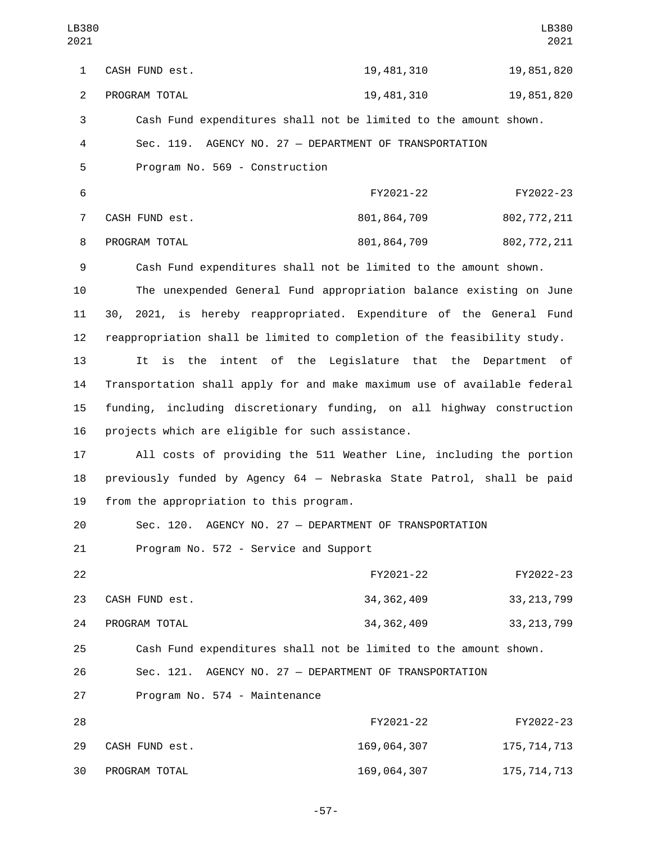| LB380<br>2021  |                                                                          |                                                         | LB380<br>2021 |
|----------------|--------------------------------------------------------------------------|---------------------------------------------------------|---------------|
| $\mathbf{1}$   | CASH FUND est.                                                           | 19, 481, 310                                            | 19,851,820    |
| $\overline{2}$ | PROGRAM TOTAL                                                            | 19, 481, 310                                            | 19,851,820    |
| $\sqrt{3}$     | Cash Fund expenditures shall not be limited to the amount shown.         |                                                         |               |
| 4              | Sec. 119. AGENCY NO. 27 - DEPARTMENT OF TRANSPORTATION                   |                                                         |               |
| 5              | Program No. 569 - Construction                                           |                                                         |               |
| 6              |                                                                          | FY2021-22                                               | FY2022-23     |
| $\overline{7}$ | CASH FUND est.                                                           | 801, 864, 709                                           | 802, 772, 211 |
| 8              | PROGRAM TOTAL                                                            | 801, 864, 709                                           | 802, 772, 211 |
| 9              | Cash Fund expenditures shall not be limited to the amount shown.         |                                                         |               |
| 10             | The unexpended General Fund appropriation balance existing on June       |                                                         |               |
| 11             | 30, 2021, is hereby reappropriated. Expenditure of the General Fund      |                                                         |               |
| 12             | reappropriation shall be limited to completion of the feasibility study. |                                                         |               |
| 13             | It                                                                       | is the intent of the Legislature that the Department of |               |
| 14             | Transportation shall apply for and make maximum use of available federal |                                                         |               |
| 15             | funding, including discretionary funding, on all highway construction    |                                                         |               |
| 16             | projects which are eligible for such assistance.                         |                                                         |               |
| 17             | All costs of providing the 511 Weather Line, including the portion       |                                                         |               |
| 18             | previously funded by Agency 64 - Nebraska State Patrol, shall be paid    |                                                         |               |
| 19             | from the appropriation to this program.                                  |                                                         |               |
| 20             | Sec. 120. AGENCY NO. 27 - DEPARTMENT OF TRANSPORTATION                   |                                                         |               |
| 21             | Program No. 572 - Service and Support                                    |                                                         |               |
| 22             |                                                                          | FY2021-22                                               | FY2022-23     |
| 23             | CASH FUND est.                                                           | 34, 362, 409                                            | 33, 213, 799  |
| 24             | PROGRAM TOTAL                                                            | 34, 362, 409                                            | 33, 213, 799  |
| 25             | Cash Fund expenditures shall not be limited to the amount shown.         |                                                         |               |
| 26             | Sec. 121. AGENCY NO. 27 - DEPARTMENT OF TRANSPORTATION                   |                                                         |               |
| 27             | Program No. 574 - Maintenance                                            |                                                         |               |
| 28             |                                                                          | FY2021-22                                               | FY2022-23     |
| 29             | CASH FUND est.                                                           | 169,064,307                                             | 175, 714, 713 |
| 30             | PROGRAM TOTAL                                                            | 169,064,307                                             | 175, 714, 713 |

-57-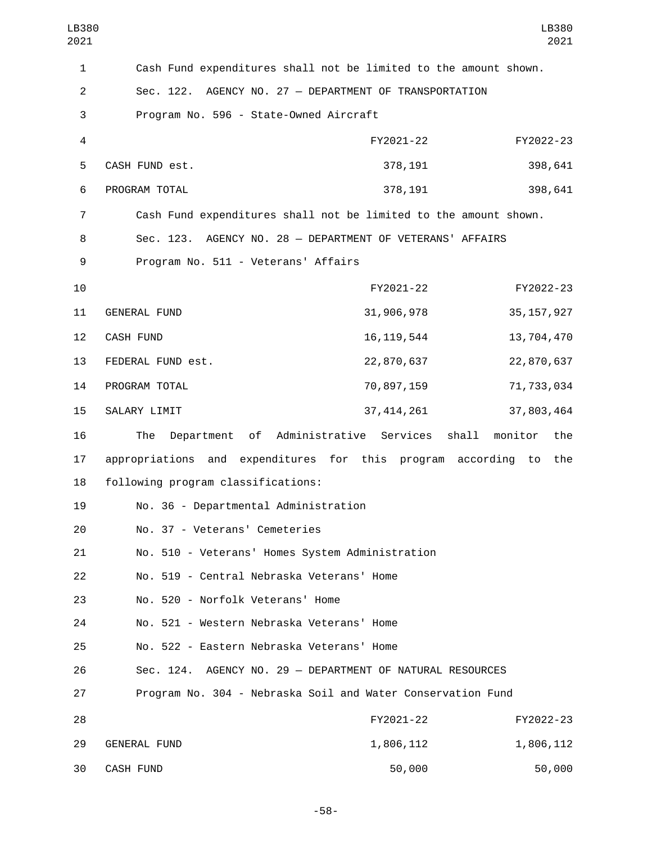| LB380<br>2021  |                                                                  |                                  | LB380<br>2021  |
|----------------|------------------------------------------------------------------|----------------------------------|----------------|
| $\mathbf{1}$   | Cash Fund expenditures shall not be limited to the amount shown. |                                  |                |
| $\overline{c}$ | Sec. 122. AGENCY NO. 27 - DEPARTMENT OF TRANSPORTATION           |                                  |                |
| 3              | Program No. 596 - State-Owned Aircraft                           |                                  |                |
| 4              |                                                                  | FY2021-22                        | FY2022-23      |
| 5              | CASH FUND est.                                                   | 378,191                          | 398,641        |
| 6              | PROGRAM TOTAL                                                    | 378,191                          | 398,641        |
| 7              | Cash Fund expenditures shall not be limited to the amount shown. |                                  |                |
| 8              | Sec. 123. AGENCY NO. 28 - DEPARTMENT OF VETERANS' AFFAIRS        |                                  |                |
| 9              | Program No. 511 - Veterans' Affairs                              |                                  |                |
| 10             |                                                                  | FY2021-22                        | FY2022-23      |
| 11             | <b>GENERAL FUND</b>                                              | 31,906,978                       | 35, 157, 927   |
| 12             | <b>CASH FUND</b>                                                 | 16, 119, 544                     | 13,704,470     |
| 13             | FEDERAL FUND est.                                                | 22,870,637                       | 22,870,637     |
| 14             | PROGRAM TOTAL                                                    | 70,897,159                       | 71,733,034     |
| 15             | SALARY LIMIT                                                     | 37, 414, 261                     | 37,803,464     |
| 16             | of<br>The<br>Department                                          | shall<br>Administrative Services | monitor<br>the |
| 17             | appropriations and expenditures for this program according       |                                  | the<br>to      |
| 18             | following program classifications:                               |                                  |                |
| 19             | No. 36 - Departmental Administration                             |                                  |                |
| 20             | No. 37 - Veterans' Cemeteries                                    |                                  |                |
| 21             | No. 510 - Veterans' Homes System Administration                  |                                  |                |
| 22             | No. 519 - Central Nebraska Veterans' Home                        |                                  |                |
| 23             | No. 520 - Norfolk Veterans' Home                                 |                                  |                |
| 24             | No. 521 - Western Nebraska Veterans' Home                        |                                  |                |
| 25             | No. 522 - Eastern Nebraska Veterans' Home                        |                                  |                |
| 26             | Sec. 124. AGENCY NO. 29 - DEPARTMENT OF NATURAL RESOURCES        |                                  |                |
| 27             | Program No. 304 - Nebraska Soil and Water Conservation Fund      |                                  |                |
| 28             |                                                                  | FY2021-22                        | FY2022-23      |
| 29             | <b>GENERAL FUND</b>                                              | 1,806,112                        | 1,806,112      |
| 30             | CASH FUND                                                        | 50,000                           | 50,000         |

-58-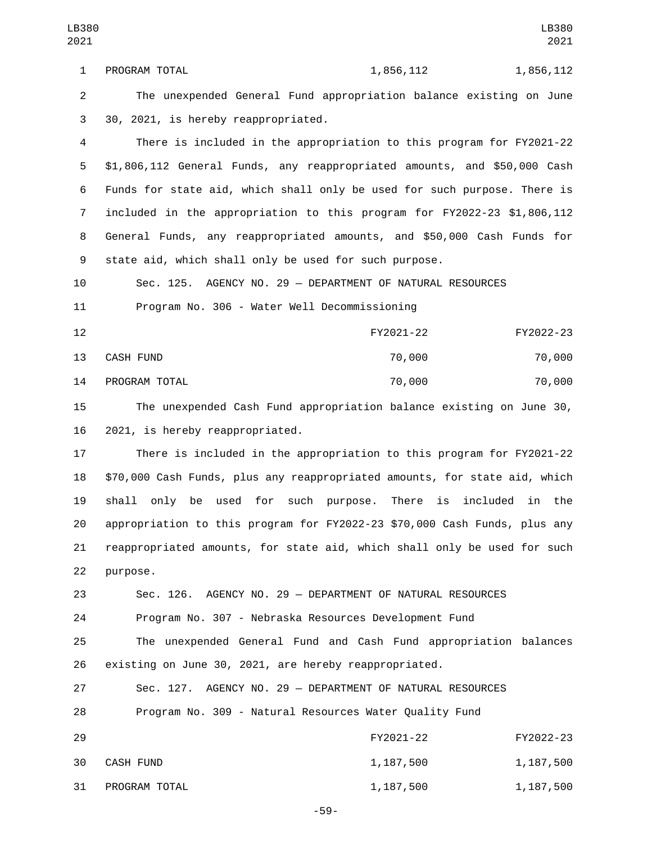1 PROGRAM TOTAL 1,856,112 1,856,112 The unexpended General Fund appropriation balance existing on June 3 30, 2021, is hereby reappropriated.

 There is included in the appropriation to this program for FY2021-22 \$1,806,112 General Funds, any reappropriated amounts, and \$50,000 Cash Funds for state aid, which shall only be used for such purpose. There is included in the appropriation to this program for FY2022-23 \$1,806,112 General Funds, any reappropriated amounts, and \$50,000 Cash Funds for state aid, which shall only be used for such purpose.

 Sec. 125. AGENCY NO. 29 — DEPARTMENT OF NATURAL RESOURCES 11 Program No. 306 - Water Well Decommissioning

 FY2021-22 FY2022-23 CASH FUND13 70,000 70,000 PROGRAM TOTAL14 70,000 70,000

 The unexpended Cash Fund appropriation balance existing on June 30, 16 2021, is hereby reappropriated.

 There is included in the appropriation to this program for FY2021-22 \$70,000 Cash Funds, plus any reappropriated amounts, for state aid, which shall only be used for such purpose. There is included in the appropriation to this program for FY2022-23 \$70,000 Cash Funds, plus any reappropriated amounts, for state aid, which shall only be used for such 22 purpose.

Sec. 126. AGENCY NO. 29 — DEPARTMENT OF NATURAL RESOURCES

Program No. 307 - Nebraska Resources Development Fund

 The unexpended General Fund and Cash Fund appropriation balances existing on June 30, 2021, are hereby reappropriated.

 Sec. 127. AGENCY NO. 29 — DEPARTMENT OF NATURAL RESOURCES Program No. 309 - Natural Resources Water Quality Fund FY2021-22 FY2022-23 30 CASH FUND 30 2, 187,500 2, 1,187,500 31 PROGRAM TOTAL 200 200 1,187,500 1,187,500

-59-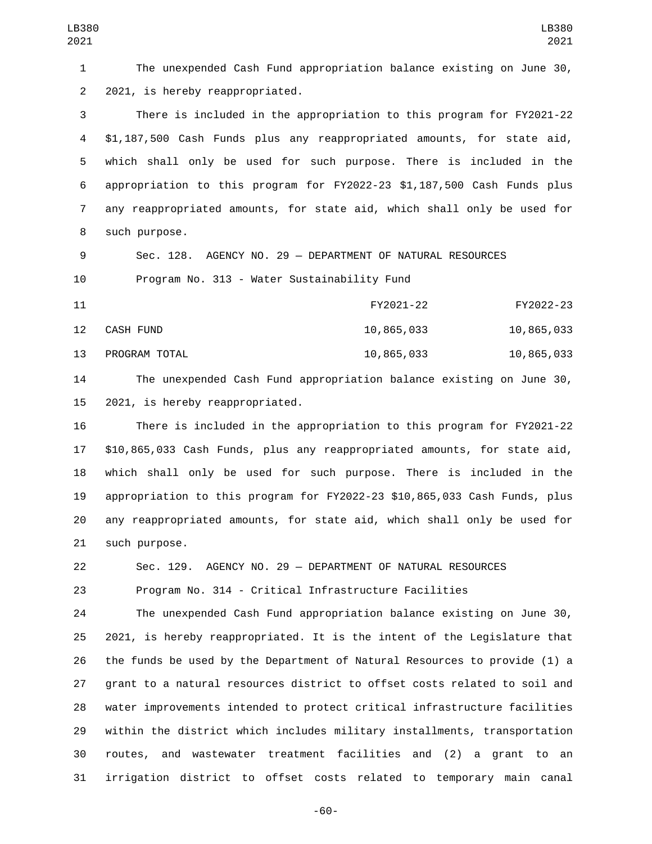The unexpended Cash Fund appropriation balance existing on June 30, 2 2021, is hereby reappropriated.

 There is included in the appropriation to this program for FY2021-22 \$1,187,500 Cash Funds plus any reappropriated amounts, for state aid, which shall only be used for such purpose. There is included in the appropriation to this program for FY2022-23 \$1,187,500 Cash Funds plus any reappropriated amounts, for state aid, which shall only be used for 8 such purpose.

 Sec. 128. AGENCY NO. 29 — DEPARTMENT OF NATURAL RESOURCES 10 Program No. 313 - Water Sustainability Fund

 FY2021-22 FY2022-23 12 CASH FUND 10,865,033 10,865,033 13 PROGRAM TOTAL 10,865,033 10,865,033 10,865,033

 The unexpended Cash Fund appropriation balance existing on June 30, 15 2021, is hereby reappropriated.

 There is included in the appropriation to this program for FY2021-22 \$10,865,033 Cash Funds, plus any reappropriated amounts, for state aid, which shall only be used for such purpose. There is included in the appropriation to this program for FY2022-23 \$10,865,033 Cash Funds, plus any reappropriated amounts, for state aid, which shall only be used for 21 such purpose.

Sec. 129. AGENCY NO. 29 — DEPARTMENT OF NATURAL RESOURCES

Program No. 314 - Critical Infrastructure Facilities

 The unexpended Cash Fund appropriation balance existing on June 30, 2021, is hereby reappropriated. It is the intent of the Legislature that the funds be used by the Department of Natural Resources to provide (1) a grant to a natural resources district to offset costs related to soil and water improvements intended to protect critical infrastructure facilities within the district which includes military installments, transportation routes, and wastewater treatment facilities and (2) a grant to an irrigation district to offset costs related to temporary main canal

-60-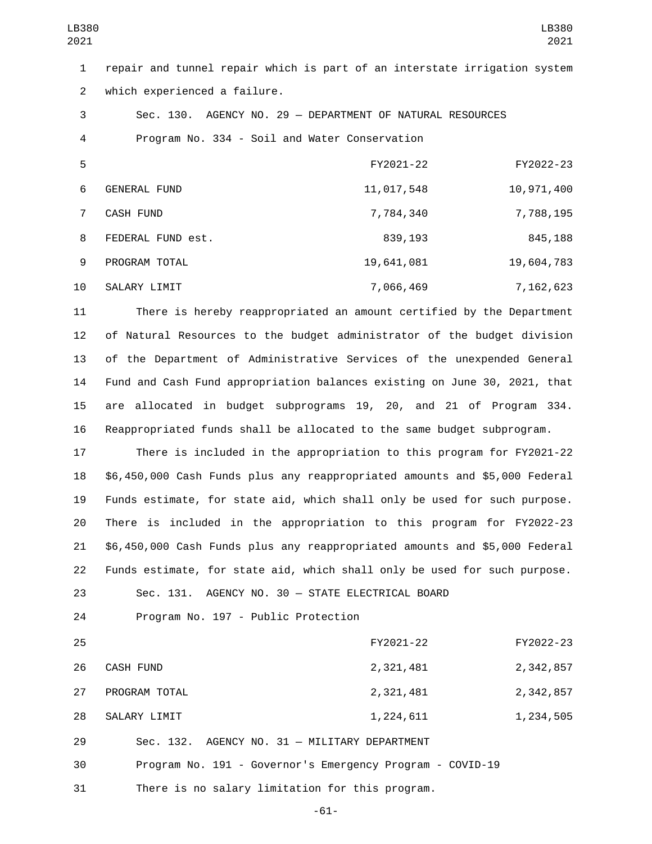| LB380<br>2021  |                              |                                                                           | LB380<br>2021 |
|----------------|------------------------------|---------------------------------------------------------------------------|---------------|
| $\mathbf{1}$   |                              | repair and tunnel repair which is part of an interstate irrigation system |               |
| $\overline{2}$ | which experienced a failure. |                                                                           |               |
| 3              |                              | Sec. 130. AGENCY NO. 29 - DEPARTMENT OF NATURAL RESOURCES                 |               |
| 4              |                              | Program No. 334 - Soil and Water Conservation                             |               |
| 5              |                              | FY2021-22                                                                 | FY2022-23     |
| 6              | <b>GENERAL FUND</b>          | 11,017,548                                                                | 10,971,400    |
| $\overline{7}$ | <b>CASH FUND</b>             | 7,784,340                                                                 | 7,788,195     |
| 8              | FEDERAL FUND est.            | 839,193                                                                   | 845,188       |
| 9              | PROGRAM TOTAL                | 19,641,081                                                                | 19,604,783    |
| 10             | SALARY LIMIT                 | 7,066,469                                                                 | 7,162,623     |

 There is hereby reappropriated an amount certified by the Department of Natural Resources to the budget administrator of the budget division of the Department of Administrative Services of the unexpended General Fund and Cash Fund appropriation balances existing on June 30, 2021, that are allocated in budget subprograms 19, 20, and 21 of Program 334. Reappropriated funds shall be allocated to the same budget subprogram.

 There is included in the appropriation to this program for FY2021-22 \$6,450,000 Cash Funds plus any reappropriated amounts and \$5,000 Federal Funds estimate, for state aid, which shall only be used for such purpose. There is included in the appropriation to this program for FY2022-23 \$6,450,000 Cash Funds plus any reappropriated amounts and \$5,000 Federal Funds estimate, for state aid, which shall only be used for such purpose.

Sec. 131. AGENCY NO. 30 — STATE ELECTRICAL BOARD

24 Program No. 197 - Public Protection

 FY2021-22 FY2022-23 26 CASH FUND 2,321,481 2,324,857 27 PROGRAM TOTAL 2,321,481 2,342,857 28 SALARY LIMIT 28 1,224,611 1,234,505 Sec. 132. AGENCY NO. 31 — MILITARY DEPARTMENT Program No. 191 - Governor's Emergency Program - COVID-19 There is no salary limitation for this program.

-61-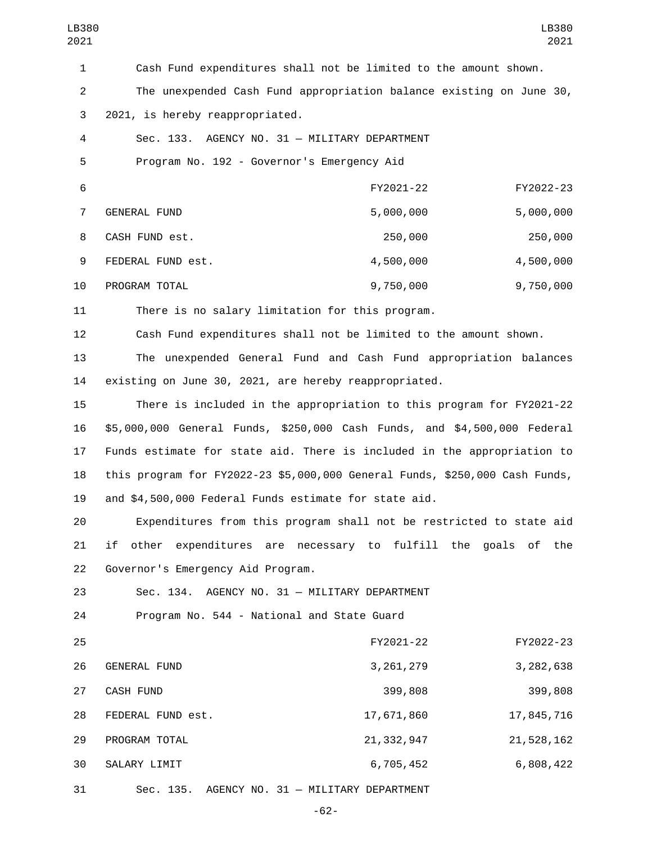| LB380<br>2021  |                                                                             |              | LB380<br>2021 |
|----------------|-----------------------------------------------------------------------------|--------------|---------------|
| $\mathbf{1}$   | Cash Fund expenditures shall not be limited to the amount shown.            |              |               |
| $\overline{c}$ | The unexpended Cash Fund appropriation balance existing on June 30,         |              |               |
| 3              | 2021, is hereby reappropriated.                                             |              |               |
| 4              | Sec. 133. AGENCY NO. 31 - MILITARY DEPARTMENT                               |              |               |
| 5              | Program No. 192 - Governor's Emergency Aid                                  |              |               |
| 6              |                                                                             | FY2021-22    | FY2022-23     |
| $\overline{7}$ | <b>GENERAL FUND</b>                                                         | 5,000,000    | 5,000,000     |
| 8              | CASH FUND est.                                                              | 250,000      | 250,000       |
| 9              | FEDERAL FUND est.                                                           | 4,500,000    | 4,500,000     |
| 10             | PROGRAM TOTAL                                                               | 9,750,000    | 9,750,000     |
| 11             | There is no salary limitation for this program.                             |              |               |
| 12             | Cash Fund expenditures shall not be limited to the amount shown.            |              |               |
| 13             | The unexpended General Fund and Cash Fund appropriation balances            |              |               |
| 14             | existing on June 30, 2021, are hereby reappropriated.                       |              |               |
| 15             | There is included in the appropriation to this program for FY2021-22        |              |               |
| 16             | \$5,000,000 General Funds, \$250,000 Cash Funds, and \$4,500,000 Federal    |              |               |
| 17             | Funds estimate for state aid. There is included in the appropriation to     |              |               |
| 18             | this program for FY2022-23 \$5,000,000 General Funds, \$250,000 Cash Funds, |              |               |
| 19             | and \$4,500,000 Federal Funds estimate for state aid.                       |              |               |
| 20             | Expenditures from this program shall not be restricted to state aid         |              |               |
| 21             | expenditures are necessary to fulfill the goals of the<br>if<br>other       |              |               |
| 22             | Governor's Emergency Aid Program.                                           |              |               |
| 23             | Sec. 134. AGENCY NO. 31 - MILITARY DEPARTMENT                               |              |               |
| 24             | Program No. 544 - National and State Guard                                  |              |               |
| 25             |                                                                             | FY2021-22    | FY2022-23     |
| 26             | <b>GENERAL FUND</b>                                                         | 3, 261, 279  | 3, 282, 638   |
| 27             | CASH FUND                                                                   | 399,808      | 399,808       |
| 28             | FEDERAL FUND est.                                                           | 17,671,860   | 17,845,716    |
| 29             | PROGRAM TOTAL                                                               | 21, 332, 947 | 21,528,162    |
| 30             | SALARY LIMIT                                                                | 6,705,452    | 6,808,422     |
| 31             | Sec. 135. AGENCY NO. 31 - MILITARY DEPARTMENT                               |              |               |

-62-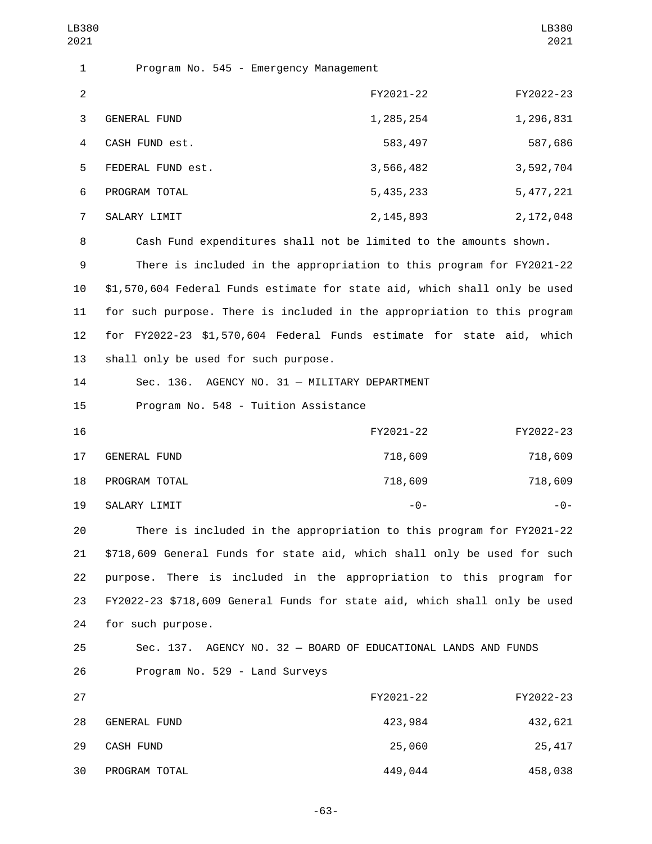| LB380<br>2021  |                                                                            |             | LB380<br>2021 |
|----------------|----------------------------------------------------------------------------|-------------|---------------|
| 1              | Program No. 545 - Emergency Management                                     |             |               |
| $\overline{2}$ |                                                                            | FY2021-22   | FY2022-23     |
| 3              | <b>GENERAL FUND</b>                                                        | 1,285,254   | 1,296,831     |
| 4              | CASH FUND est.                                                             | 583,497     | 587,686       |
| 5              | FEDERAL FUND est.                                                          | 3,566,482   | 3,592,704     |
| 6              | PROGRAM TOTAL                                                              | 5, 435, 233 | 5, 477, 221   |
| $\overline{7}$ | SALARY LIMIT                                                               | 2, 145, 893 | 2, 172, 048   |
| 8              | Cash Fund expenditures shall not be limited to the amounts shown.          |             |               |
| 9              | There is included in the appropriation to this program for FY2021-22       |             |               |
| 10             | \$1,570,604 Federal Funds estimate for state aid, which shall only be used |             |               |
| 11             | for such purpose. There is included in the appropriation to this program   |             |               |
| 12             | for FY2022-23 \$1,570,604 Federal Funds estimate for state aid, which      |             |               |
| 13             | shall only be used for such purpose.                                       |             |               |
| 14             | Sec. 136. AGENCY NO. 31 - MILITARY DEPARTMENT                              |             |               |
| 15             | Program No. 548 - Tuition Assistance                                       |             |               |
| 16             |                                                                            | FY2021-22   | FY2022-23     |
| 17             | <b>GENERAL FUND</b>                                                        | 718,609     | 718,609       |
| 18             | PROGRAM TOTAL                                                              | 718,609     | 718,609       |
| 19             | SALARY LIMIT                                                               | $ \Theta$ – | - 0 -         |
| 20             | There is included in the appropriation to this program for FY2021-22       |             |               |
| 21             | \$718,609 General Funds for state aid, which shall only be used for such   |             |               |
| 22             | There is included in the appropriation to this program for<br>purpose.     |             |               |
| 23             | FY2022-23 \$718,609 General Funds for state aid, which shall only be used  |             |               |
| 24             | for such purpose.                                                          |             |               |
| 25             | Sec. 137. AGENCY NO. 32 - BOARD OF EDUCATIONAL LANDS AND FUNDS             |             |               |
| 26             | Program No. 529 - Land Surveys                                             |             |               |
| 27             |                                                                            | FY2021-22   | FY2022-23     |
| 28             | GENERAL FUND                                                               | 423,984     | 432,621       |
| 29             | CASH FUND                                                                  | 25,060      | 25,417        |
| 30             | PROGRAM TOTAL                                                              | 449,044     | 458,038       |

-63-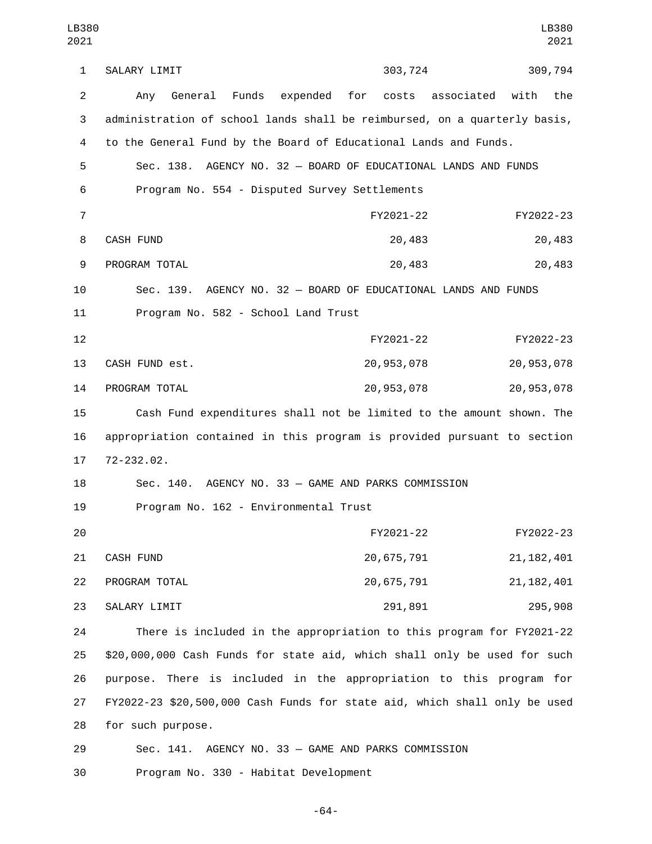1 SALARY LIMIT 203,724 309,794 2 Any General Funds expended for costs associated with the 3 administration of school lands shall be reimbursed, on a quarterly basis, 4 to the General Fund by the Board of Educational Lands and Funds. 5 Sec. 138. AGENCY NO. 32 — BOARD OF EDUCATIONAL LANDS AND FUNDS 6 Program No. 554 - Disputed Survey Settlements 7 FY2021-22 FY2022-23 8 CASH FUND 20,483 20,483 9 PROGRAM TOTAL 20,483 20,483 20,483 10 Sec. 139. AGENCY NO. 32 — BOARD OF EDUCATIONAL LANDS AND FUNDS 11 Program No. 582 - School Land Trust 12 FY2021-22 FY2022-23 13 CASH FUND est. 20,953,078 20,953,078 PROGRAM TOTAL14 20,953,078 20,953,078 15 Cash Fund expenditures shall not be limited to the amount shown. The 16 appropriation contained in this program is provided pursuant to section 17 72-232.02. 18 Sec. 140. AGENCY NO. 33 — GAME AND PARKS COMMISSION 19 Program No. 162 - Environmental Trust 20 FY2021-22 FY2022-23 21 CASH FUND 20,675,791 21,182,401 22 PROGRAM TOTAL 20,675,791 21,182,401 SALARY LIMIT23 291,891 295,908 24 There is included in the appropriation to this program for FY2021-22 25 \$20,000,000 Cash Funds for state aid, which shall only be used for such 26 purpose. There is included in the appropriation to this program for 27 FY2022-23 \$20,500,000 Cash Funds for state aid, which shall only be used 28 for such purpose. LB380 2021 LB380 2021

29 Sec. 141. AGENCY NO. 33 — GAME AND PARKS COMMISSION 30 Program No. 330 - Habitat Development

-64-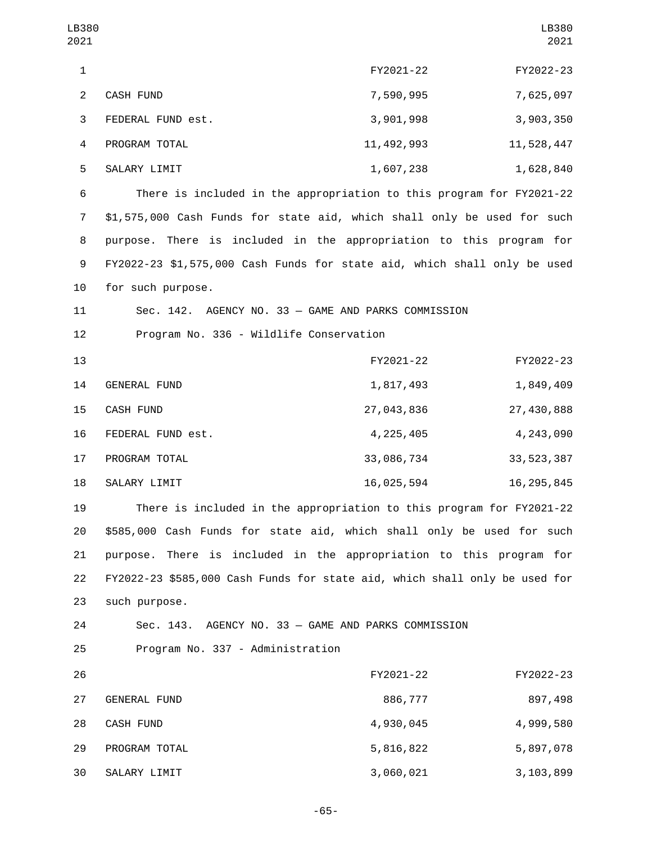| LB380<br>2021  |                                                                            |              | LB380<br>2021 |
|----------------|----------------------------------------------------------------------------|--------------|---------------|
| $\mathbf{1}$   |                                                                            | FY2021-22    | FY2022-23     |
| $\overline{2}$ | <b>CASH FUND</b>                                                           | 7,590,995    | 7,625,097     |
| 3              | FEDERAL FUND est.                                                          | 3,901,998    | 3,903,350     |
| 4              | PROGRAM TOTAL                                                              | 11, 492, 993 | 11,528,447    |
| 5              | SALARY LIMIT                                                               | 1,607,238    | 1,628,840     |
| 6              | There is included in the appropriation to this program for FY2021-22       |              |               |
| $\overline{7}$ | \$1,575,000 Cash Funds for state aid, which shall only be used for such    |              |               |
| 8              | purpose. There is included in the appropriation to this program for        |              |               |
| 9              | FY2022-23 \$1,575,000 Cash Funds for state aid, which shall only be used   |              |               |
| 10             | for such purpose.                                                          |              |               |
| 11             | Sec. 142. AGENCY NO. 33 - GAME AND PARKS COMMISSION                        |              |               |
| 12             | Program No. 336 - Wildlife Conservation                                    |              |               |
| 13             |                                                                            | FY2021-22    | FY2022-23     |
| 14             | GENERAL FUND                                                               | 1,817,493    | 1,849,409     |
| 15             | CASH FUND                                                                  | 27,043,836   | 27,430,888    |
| 16             | FEDERAL FUND est.                                                          | 4, 225, 405  | 4,243,090     |
| 17             | PROGRAM TOTAL                                                              | 33,086,734   | 33, 523, 387  |
| 18             | SALARY LIMIT                                                               | 16,025,594   | 16, 295, 845  |
| 19             | There is included in the appropriation to this program for FY2021-22       |              |               |
| 20             | \$585,000 Cash Funds for state aid, which shall only be used for such      |              |               |
| 21             | purpose. There is included in the appropriation to this program for        |              |               |
| 22             | FY2022-23 \$585,000 Cash Funds for state aid, which shall only be used for |              |               |
| 23             | such purpose.                                                              |              |               |
| 24             | Sec. 143. AGENCY NO. 33 - GAME AND PARKS COMMISSION                        |              |               |
| 25             | Program No. 337 - Administration                                           |              |               |
| 26             |                                                                            | FY2021-22    | FY2022-23     |
| 27             | GENERAL FUND                                                               | 886,777      | 897,498       |
| 28             | CASH FUND                                                                  | 4,930,045    | 4,999,580     |
| 29             | PROGRAM TOTAL                                                              | 5,816,822    | 5,897,078     |
| 30             | SALARY LIMIT                                                               | 3,060,021    | 3, 103, 899   |

-65-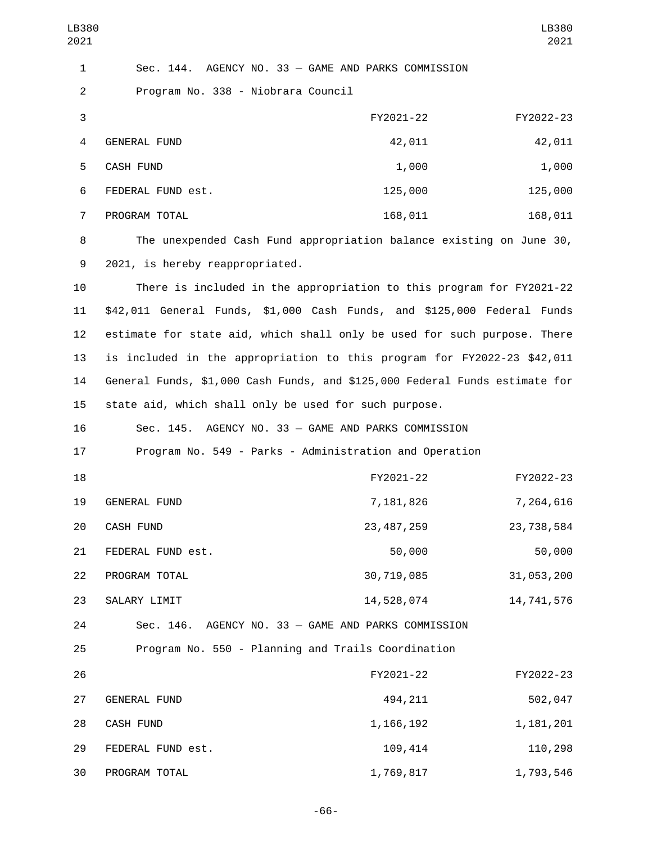| LB380<br>2021  |                                                                             |              | LB380<br>2021 |
|----------------|-----------------------------------------------------------------------------|--------------|---------------|
| $\mathbf{1}$   | Sec. 144. AGENCY NO. 33 - GAME AND PARKS COMMISSION                         |              |               |
| $\overline{2}$ | Program No. 338 - Niobrara Council                                          |              |               |
| 3              |                                                                             | FY2021-22    | FY2022-23     |
| 4              | <b>GENERAL FUND</b>                                                         | 42,011       | 42,011        |
| 5              | <b>CASH FUND</b>                                                            | 1,000        | 1,000         |
| 6              | FEDERAL FUND est.                                                           | 125,000      | 125,000       |
| $\overline{7}$ | PROGRAM TOTAL                                                               | 168,011      | 168,011       |
| 8              | The unexpended Cash Fund appropriation balance existing on June 30,         |              |               |
| 9              | 2021, is hereby reappropriated.                                             |              |               |
| 10             | There is included in the appropriation to this program for FY2021-22        |              |               |
| 11             | \$42,011 General Funds, \$1,000 Cash Funds, and \$125,000 Federal Funds     |              |               |
| 12             | estimate for state aid, which shall only be used for such purpose. There    |              |               |
| 13             | is included in the appropriation to this program for FY2022-23 \$42,011     |              |               |
| 14             | General Funds, \$1,000 Cash Funds, and \$125,000 Federal Funds estimate for |              |               |
| 15             | state aid, which shall only be used for such purpose.                       |              |               |
| 16             | Sec. 145. AGENCY NO. 33 - GAME AND PARKS COMMISSION                         |              |               |
| 17             | Program No. 549 - Parks - Administration and Operation                      |              |               |
| 18             |                                                                             | FY2021-22    | FY2022-23     |
| 19             | <b>GENERAL FUND</b>                                                         | 7,181,826    | 7,264,616     |
| 20             | CASH FUND                                                                   | 23, 487, 259 | 23,738,584    |
| 21             | FEDERAL FUND est.                                                           | 50,000       | 50,000        |
| 22             | PROGRAM TOTAL                                                               | 30,719,085   | 31,053,200    |
| 23             | SALARY LIMIT                                                                | 14,528,074   | 14,741,576    |
| 24             | Sec. 146. AGENCY NO. 33 - GAME AND PARKS COMMISSION                         |              |               |
| 25             | Program No. 550 - Planning and Trails Coordination                          |              |               |
| 26             |                                                                             | FY2021-22    | FY2022-23     |
| 27             | GENERAL FUND                                                                | 494,211      | 502,047       |
| 28             | CASH FUND                                                                   | 1, 166, 192  | 1, 181, 201   |
| 29             | FEDERAL FUND est.                                                           | 109,414      | 110,298       |

-66-

30 PROGRAM TOTAL 1,769,817 1,793,546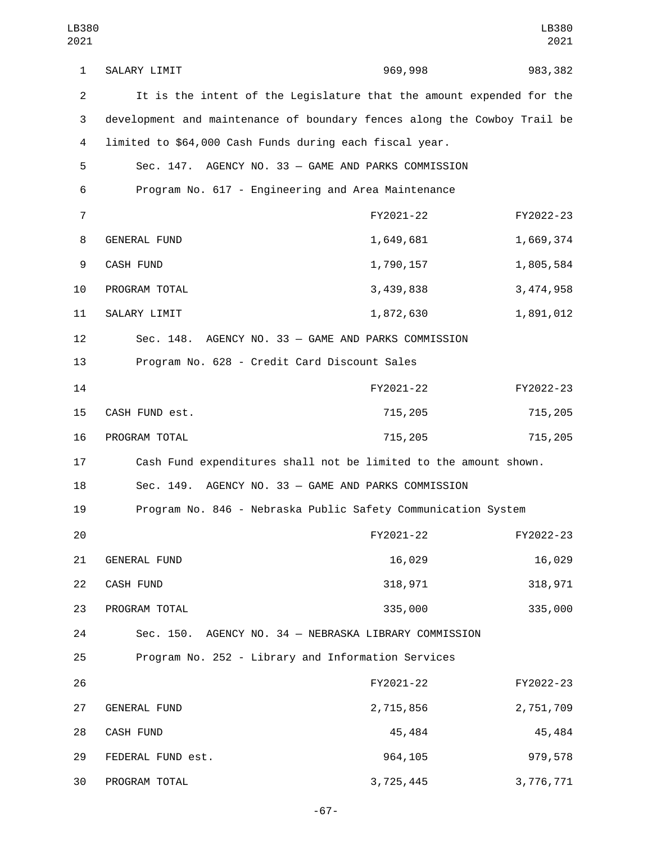| LB380<br>2021  |                                                                          |                                           | LB380<br>2021 |  |
|----------------|--------------------------------------------------------------------------|-------------------------------------------|---------------|--|
| 1              | SALARY LIMIT                                                             | 969,998                                   | 983, 382      |  |
| $\overline{2}$ | It is the intent of the Legislature that the amount expended for the     |                                           |               |  |
| 3              | development and maintenance of boundary fences along the Cowboy Trail be |                                           |               |  |
| 4              | limited to \$64,000 Cash Funds during each fiscal year.                  |                                           |               |  |
| 5              | Sec. 147. AGENCY NO. 33 - GAME AND PARKS COMMISSION                      |                                           |               |  |
| 6              | Program No. 617 - Engineering and Area Maintenance                       |                                           |               |  |
| $\overline{7}$ |                                                                          | FY2021-22                                 | FY2022-23     |  |
| 8              | <b>GENERAL FUND</b>                                                      | 1,649,681                                 | 1,669,374     |  |
| 9              | CASH FUND                                                                | 1,790,157                                 | 1,805,584     |  |
| 10             | PROGRAM TOTAL                                                            | 3,439,838                                 | 3,474,958     |  |
| 11             | SALARY LIMIT                                                             | 1,872,630                                 | 1,891,012     |  |
| 12             | Sec. 148. AGENCY NO. 33 - GAME AND PARKS COMMISSION                      |                                           |               |  |
| 13             | Program No. 628 - Credit Card Discount Sales                             |                                           |               |  |
| 14             |                                                                          | FY2021-22                                 | FY2022-23     |  |
| 15             | CASH FUND est.                                                           | 715,205                                   | 715,205       |  |
| 16             | PROGRAM TOTAL                                                            | 715,205                                   | 715,205       |  |
| 17             | Cash Fund expenditures shall not be limited to the amount shown.         |                                           |               |  |
| 18             | Sec. 149.                                                                | AGENCY NO. 33 - GAME AND PARKS COMMISSION |               |  |
| 19             | Program No. 846 - Nebraska Public Safety Communication System            |                                           |               |  |
| 20             |                                                                          | FY2021-22                                 | FY2022-23     |  |
| 21             | GENERAL FUND                                                             | 16,029                                    | 16,029        |  |
| 22             | CASH FUND                                                                | 318,971                                   | 318,971       |  |
| 23             | PROGRAM TOTAL                                                            | 335,000                                   | 335,000       |  |
| 24             | Sec. 150. AGENCY NO. 34 - NEBRASKA LIBRARY COMMISSION                    |                                           |               |  |
| 25             | Program No. 252 - Library and Information Services                       |                                           |               |  |
| 26             |                                                                          | FY2021-22                                 | FY2022-23     |  |
| 27             | GENERAL FUND                                                             | 2,715,856                                 | 2,751,709     |  |
| 28             | CASH FUND                                                                | 45,484                                    | 45,484        |  |
| 29             | FEDERAL FUND est.                                                        | 964,105                                   | 979,578       |  |
| 30             | PROGRAM TOTAL                                                            | 3,725,445                                 | 3,776,771     |  |

-67-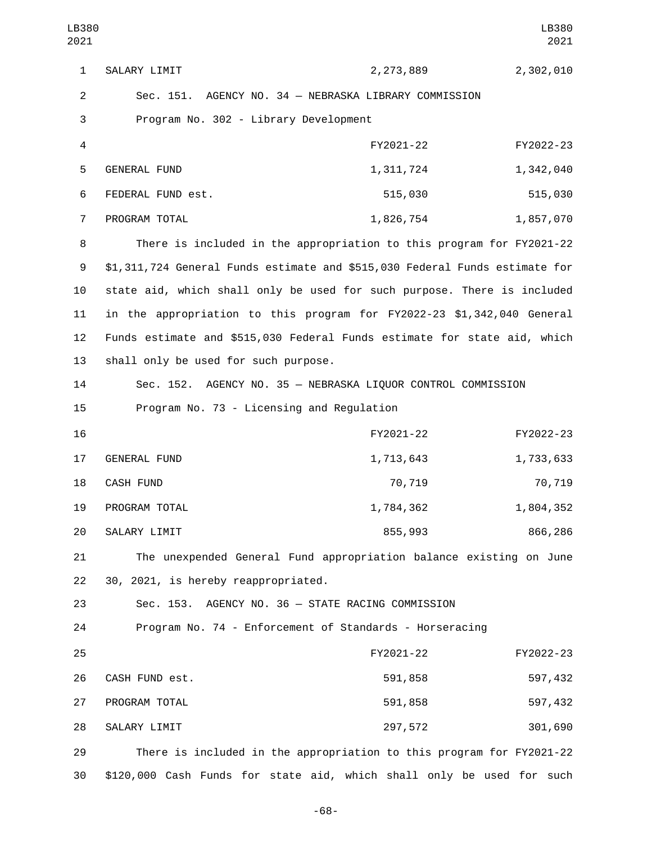1 SALARY LIMIT 2,273,889 2,302,010 2 Sec. 151. AGENCY NO. 34 — NEBRASKA LIBRARY COMMISSION 3 Program No. 302 - Library Development 4 FY2021-22 FY2022-23 5 GENERAL FUND 1,311,724 1,342,040 FEDERAL FUND est.6 515,030 515,030 7 PROGRAM TOTAL 2001 1,826,754 1,857,070 8 There is included in the appropriation to this program for FY2021-22 9 \$1,311,724 General Funds estimate and \$515,030 Federal Funds estimate for 10 state aid, which shall only be used for such purpose. There is included 11 in the appropriation to this program for FY2022-23 \$1,342,040 General 12 Funds estimate and \$515,030 Federal Funds estimate for state aid, which 13 shall only be used for such purpose. 14 Sec. 152. AGENCY NO. 35 — NEBRASKA LIQUOR CONTROL COMMISSION 15 Program No. 73 - Licensing and Regulation 16 FY2021-22 FY2022-23 17 GENERAL FUND 1,713,643 1,733,633 18 CASH FUND 18 20,719 70,719 70,719 19 PROGRAM TOTAL 1,784,362 1,804,352 SALARY LIMIT20 855,993 866,286 21 The unexpended General Fund appropriation balance existing on June 22 30, 2021, is hereby reappropriated. 23 Sec. 153. AGENCY NO. 36 — STATE RACING COMMISSION 24 Program No. 74 - Enforcement of Standards - Horseracing 25 FY2021-22 FY2022-23 CASH FUND est.26 591,858 597,432 PROGRAM TOTAL27 591,858 597,432 28 SALARY LIMIT 297,572 301,690 29 There is included in the appropriation to this program for FY2021-22 30 \$120,000 Cash Funds for state aid, which shall only be used for such LB380 2021 LB380 2021

-68-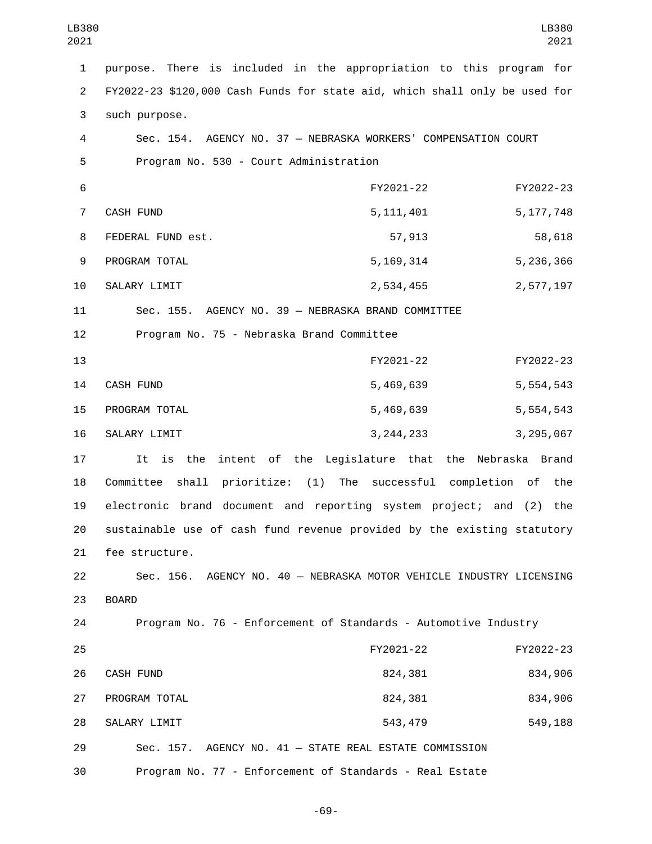| LB380<br>2021             |                                                                            |                                                   | LB380<br>2021 |
|---------------------------|----------------------------------------------------------------------------|---------------------------------------------------|---------------|
| $\mathbf{1}$              | purpose. There is included in the appropriation to this program for        |                                                   |               |
| $\overline{2}$            | FY2022-23 \$120,000 Cash Funds for state aid, which shall only be used for |                                                   |               |
| $\ensuremath{\mathsf{3}}$ | such purpose.                                                              |                                                   |               |
| $\overline{4}$            | Sec. 154. AGENCY NO. 37 - NEBRASKA WORKERS' COMPENSATION COURT             |                                                   |               |
| 5                         | Program No. 530 - Court Administration                                     |                                                   |               |
| 6                         |                                                                            | FY2021-22                                         | FY2022-23     |
| $\overline{7}$            | CASH FUND                                                                  | 5, 111, 401                                       | 5, 177, 748   |
| 8                         | FEDERAL FUND est.                                                          | 57,913                                            | 58,618        |
| 9                         | PROGRAM TOTAL                                                              | 5, 169, 314                                       | 5,236,366     |
| 10                        | SALARY LIMIT                                                               | 2,534,455                                         | 2,577,197     |
| 11                        | Sec. 155. AGENCY NO. 39 - NEBRASKA BRAND COMMITTEE                         |                                                   |               |
| 12                        | Program No. 75 - Nebraska Brand Committee                                  |                                                   |               |
| 13                        |                                                                            | FY2021-22                                         | FY2022-23     |
| 14                        | CASH FUND                                                                  | 5,469,639                                         | 5,554,543     |
| 15                        | PROGRAM TOTAL                                                              | 5,469,639                                         | 5,554,543     |
| 16                        | SALARY LIMIT                                                               | 3, 244, 233                                       | 3,295,067     |
| 17                        | It is the                                                                  | intent of the Legislature that the Nebraska Brand |               |
| 18                        | Committee shall prioritize: (1)                                            | The successful completion of                      | the           |
| 19                        | electronic brand document and reporting system project; and (2) the        |                                                   |               |
| 20                        | sustainable use of cash fund revenue provided by the existing statutory    |                                                   |               |
| 21                        | fee structure.                                                             |                                                   |               |
| 22                        | Sec. 156. AGENCY NO. 40 - NEBRASKA MOTOR VEHICLE INDUSTRY LICENSING        |                                                   |               |
| 23                        | <b>BOARD</b>                                                               |                                                   |               |
| 24                        | Program No. 76 - Enforcement of Standards - Automotive Industry            |                                                   |               |
| 25                        |                                                                            | FY2021-22                                         | FY2022-23     |
| 26                        | <b>CASH FUND</b>                                                           | 824,381                                           | 834,906       |
| 27                        | PROGRAM TOTAL                                                              | 824,381                                           | 834,906       |
| 28                        | SALARY LIMIT                                                               | 543,479                                           | 549,188       |
| 29                        | Sec. 157. AGENCY NO. 41 - STATE REAL ESTATE COMMISSION                     |                                                   |               |
| 30                        | Program No. 77 - Enforcement of Standards - Real Estate                    |                                                   |               |

-69-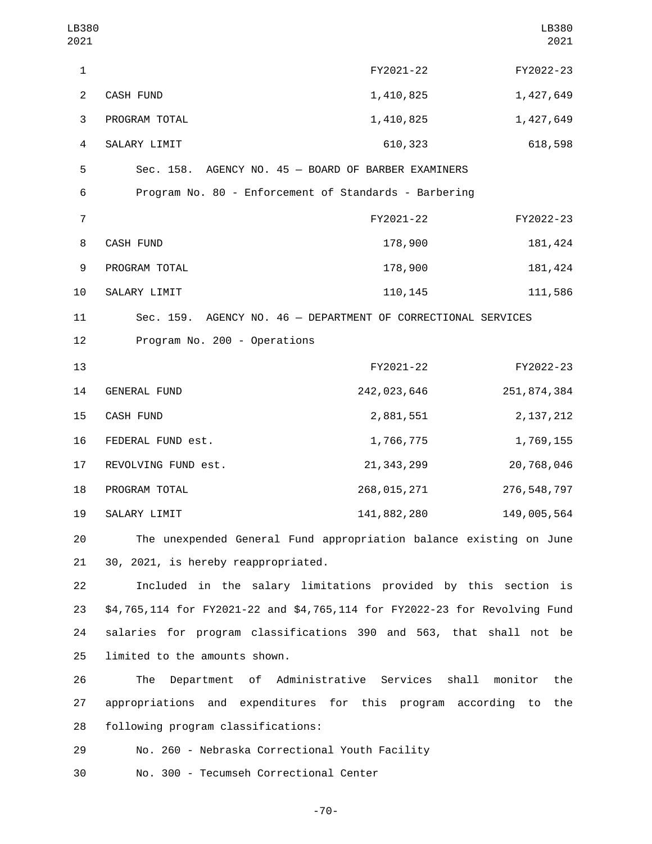| LB380<br>2021  |                                                                            |                                             | LB380<br>2021  |
|----------------|----------------------------------------------------------------------------|---------------------------------------------|----------------|
| 1              |                                                                            | FY2021-22                                   | FY2022-23      |
| $\overline{2}$ | CASH FUND                                                                  | 1,410,825                                   | 1,427,649      |
| 3              | PROGRAM TOTAL                                                              | 1,410,825                                   | 1,427,649      |
| 4              | SALARY LIMIT                                                               | 610,323                                     | 618,598        |
| 5              | Sec. 158. AGENCY NO. 45 - BOARD OF BARBER EXAMINERS                        |                                             |                |
| 6              | Program No. 80 - Enforcement of Standards - Barbering                      |                                             |                |
| $\overline{7}$ |                                                                            | FY2021-22                                   | FY2022-23      |
| 8              | CASH FUND                                                                  | 178,900                                     | 181,424        |
| 9              | PROGRAM TOTAL                                                              | 178,900                                     | 181,424        |
| 10             | SALARY LIMIT                                                               | 110, 145                                    | 111,586        |
| 11             | Sec. 159. AGENCY NO. 46 - DEPARTMENT OF CORRECTIONAL SERVICES              |                                             |                |
| 12             | Program No. 200 - Operations                                               |                                             |                |
| 13             |                                                                            | FY2021-22                                   | FY2022-23      |
| 14             | <b>GENERAL FUND</b>                                                        | 242,023,646                                 | 251, 874, 384  |
| 15             | CASH FUND                                                                  | 2,881,551                                   | 2, 137, 212    |
| 16             | FEDERAL FUND est.                                                          | 1,766,775                                   | 1,769,155      |
| 17             | REVOLVING FUND est.                                                        | 21, 343, 299                                | 20,768,046     |
| 18             | PROGRAM TOTAL                                                              | 268,015,271                                 | 276, 548, 797  |
| 19             | SALARY LIMIT                                                               | 141,882,280                                 | 149,005,564    |
| 20             | The unexpended General Fund appropriation balance existing on June         |                                             |                |
| 21             | 30, 2021, is hereby reappropriated.                                        |                                             |                |
| 22             | Included in the salary limitations provided by this section is             |                                             |                |
| 23             | \$4,765,114 for FY2021-22 and \$4,765,114 for FY2022-23 for Revolving Fund |                                             |                |
| 24             | salaries for program classifications 390 and 563, that shall not be        |                                             |                |
| 25             | limited to the amounts shown.                                              |                                             |                |
| 26             | The                                                                        | Department of Administrative Services shall | the<br>monitor |
| 27             | appropriations and expenditures for this program according to              |                                             | the            |
| 28             | following program classifications:                                         |                                             |                |

29 No. 260 - Nebraska Correctional Youth Facility

No. 300 - Tecumseh Correctional Center30

-70-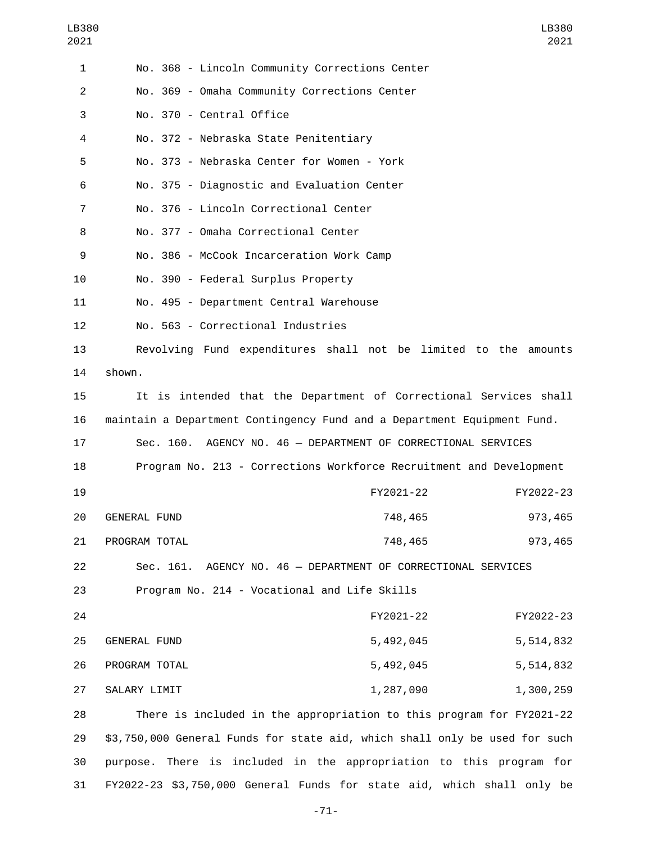| 1              | No. 368 - Lincoln Community Corrections Center                             |
|----------------|----------------------------------------------------------------------------|
| $\overline{2}$ | No. 369 - Omaha Community Corrections Center                               |
| 3              | No. 370 - Central Office                                                   |
| 4              | No. 372 - Nebraska State Penitentiary                                      |
| 5              | No. 373 - Nebraska Center for Women - York                                 |
| 6              | No. 375 - Diagnostic and Evaluation Center                                 |
| $\overline{7}$ | No. 376 - Lincoln Correctional Center                                      |
| 8              | No. 377 - Omaha Correctional Center                                        |
| 9              | No. 386 - McCook Incarceration Work Camp                                   |
| 10             | No. 390 - Federal Surplus Property                                         |
| 11             | No. 495 - Department Central Warehouse                                     |
| 12             | No. 563 - Correctional Industries                                          |
| 13             | Revolving Fund expenditures shall not be limited to the amounts            |
| 14             | shown.                                                                     |
| 15             | It is intended that the Department of Correctional Services shall          |
| 16             | maintain a Department Contingency Fund and a Department Equipment Fund.    |
| 17             | Sec. 160. AGENCY NO. 46 - DEPARTMENT OF CORRECTIONAL SERVICES              |
| 18             | Program No. 213 - Corrections Workforce Recruitment and Development        |
| 19             | FY2021-22<br>FY2022-23                                                     |
| 20             | 748,465<br>973,465<br><b>GENERAL FUND</b>                                  |
| 21             | 748,465<br>973,465<br>PROGRAM TOTAL                                        |
| 22             | AGENCY NO. 46 - DEPARTMENT OF CORRECTIONAL SERVICES<br>Sec. 161.           |
| 23             | Program No. 214 - Vocational and Life Skills                               |
| 24             | FY2021-22<br>FY2022-23                                                     |
| 25             | 5,492,045<br>GENERAL FUND<br>5,514,832                                     |
| 26             | 5,492,045<br>PROGRAM TOTAL<br>5,514,832                                    |
| 27             | 1,287,090<br>SALARY LIMIT<br>1,300,259                                     |
| 28             | There is included in the appropriation to this program for FY2021-22       |
| 29             | \$3,750,000 General Funds for state aid, which shall only be used for such |
| 30             | There is included in the appropriation to this program for<br>purpose.     |

-71-

31 FY2022-23 \$3,750,000 General Funds for state aid, which shall only be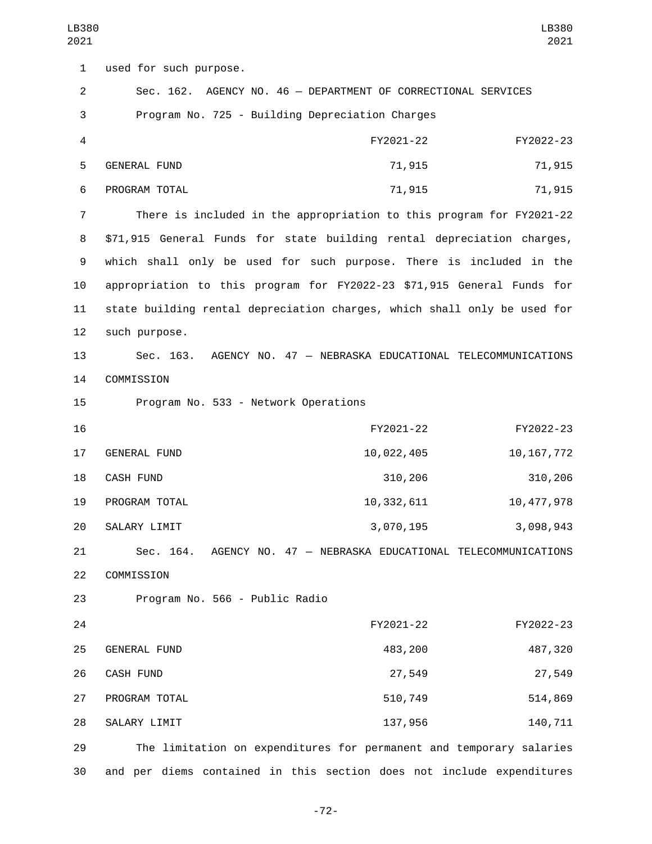1 used for such purpose. 2 Sec. 162. AGENCY NO. 46 — DEPARTMENT OF CORRECTIONAL SERVICES 3 Program No. 725 - Building Depreciation Charges 4 FY2021-22 FY2022-23 5 GENERAL FUND 10 20 21,915 71,915 71,915 6 PROGRAM TOTAL **6 PROGRAM TOTAL** 7 There is included in the appropriation to this program for FY2021-22 8 \$71,915 General Funds for state building rental depreciation charges, 9 which shall only be used for such purpose. There is included in the 10 appropriation to this program for FY2022-23 \$71,915 General Funds for 11 state building rental depreciation charges, which shall only be used for 12 such purpose. 13 Sec. 163. AGENCY NO. 47 — NEBRASKA EDUCATIONAL TELECOMMUNICATIONS 14 COMMISSION 15 Program No. 533 - Network Operations 16 FY2021-22 FY2022-23 17 GENERAL FUND 10,022,405 10,167,772 CASH FUND18 310,206 310,206 19 PROGRAM TOTAL 10,332,611 10,332,611 20 SALARY LIMIT 20 3,070,195 3,098,943 21 Sec. 164. AGENCY NO. 47 — NEBRASKA EDUCATIONAL TELECOMMUNICATIONS 22 COMMISSION 23 Program No. 566 - Public Radio 24 FY2021-22 FY2022-23 GENERAL FUND25 483,200 487,320 26 CASH FUND 27,549 27,549 27,549 27 PROGRAM TOTAL 27 PROGRAM TOTAL 28 SALARY LIMIT 28 137,956 140,711 29 The limitation on expenditures for permanent and temporary salaries 30 and per diems contained in this section does not include expenditures LB380 2021 LB380 2021

-72-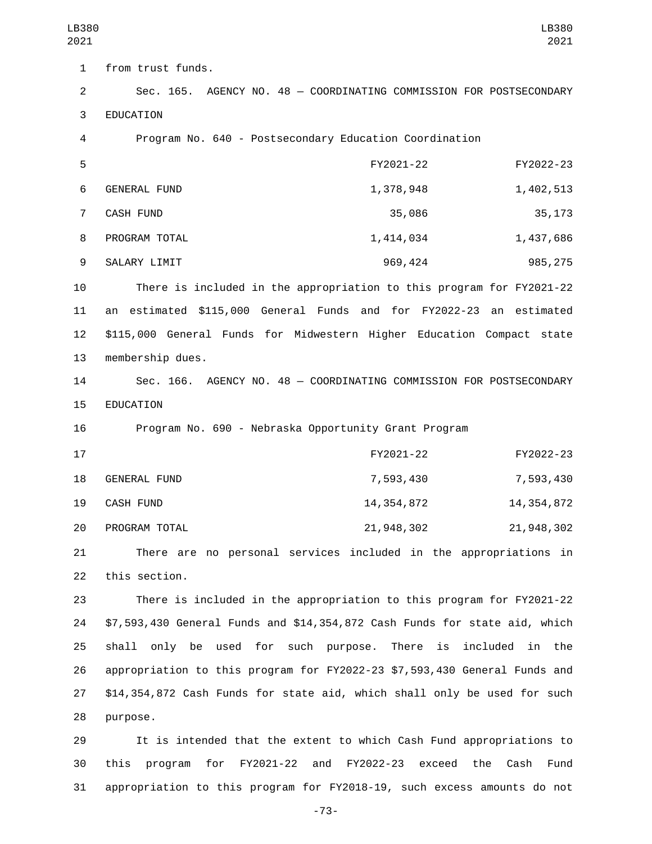1 from trust funds. 2 Sec. 165. AGENCY NO. 48 — COORDINATING COMMISSION FOR POSTSECONDARY 3 EDUCATION 4 Program No. 640 - Postsecondary Education Coordination 5 FY2021-22 FY2022-23 6 GENERAL FUND 1,378,948 1,402,513 7 CASH FUND 35,086 35,173 8 PROGRAM TOTAL 2007 1,414,034 1,437,686 9 SALARY LIMIT 2009 120 2009,424 2009,424 985,275 10 There is included in the appropriation to this program for FY2021-22 11 an estimated \$115,000 General Funds and for FY2022-23 an estimated 12 \$115,000 General Funds for Midwestern Higher Education Compact state 13 membership dues. 14 Sec. 166. AGENCY NO. 48 — COORDINATING COMMISSION FOR POSTSECONDARY 15 EDUCATION 16 Program No. 690 - Nebraska Opportunity Grant Program 17 FY2021-22 FY2022-23 GENERAL FUND18 7,593,430 7,593,430 19 CASH FUND 14, 354, 872 14, 354, 872 20 PROGRAM TOTAL 21,948,302 21,948,302 21 There are no personal services included in the appropriations in 22 this section. 23 There is included in the appropriation to this program for FY2021-22 24 \$7,593,430 General Funds and \$14,354,872 Cash Funds for state aid, which 25 shall only be used for such purpose. There is included in the 26 appropriation to this program for FY2022-23 \$7,593,430 General Funds and

27 \$14,354,872 Cash Funds for state aid, which shall only be used for such 28 purpose.

29 It is intended that the extent to which Cash Fund appropriations to 30 this program for FY2021-22 and FY2022-23 exceed the Cash Fund 31 appropriation to this program for FY2018-19, such excess amounts do not

-73-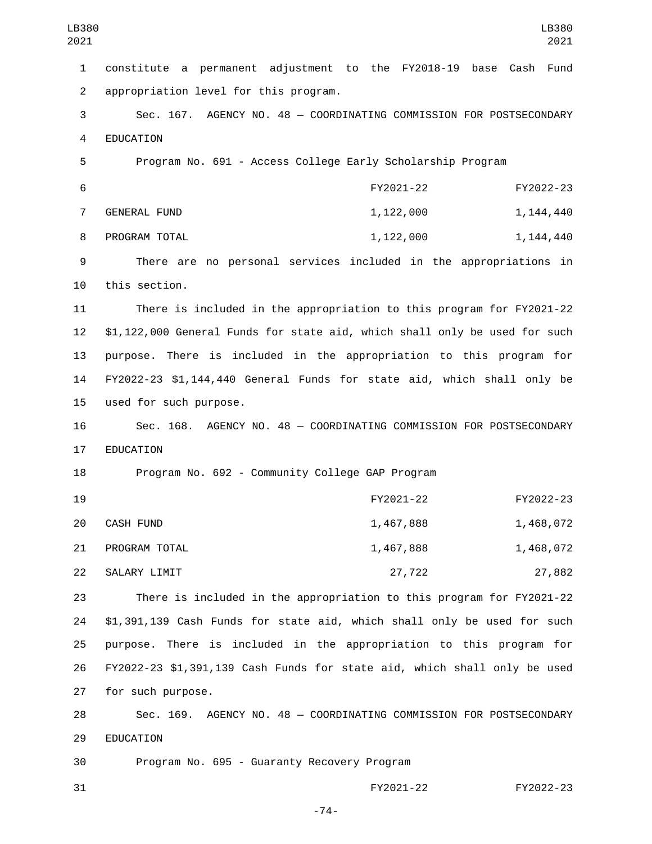| LB380<br>2021  | LB380<br>2021                                                              |
|----------------|----------------------------------------------------------------------------|
| $\mathbf{1}$   | constitute a permanent adjustment to the FY2018-19<br>base<br>Cash<br>Fund |
| $\overline{2}$ | appropriation level for this program.                                      |
| 3              | Sec. 167. AGENCY NO. 48 - COORDINATING COMMISSION FOR POSTSECONDARY        |
| 4              | <b>EDUCATION</b>                                                           |
| 5              | Program No. 691 - Access College Early Scholarship Program                 |
| 6              | FY2021-22<br>FY2022-23                                                     |
| $\overline{7}$ | <b>GENERAL FUND</b><br>1,122,000<br>1, 144, 440                            |
| 8              | PROGRAM TOTAL<br>1,122,000<br>1, 144, 440                                  |
| 9              | There are no personal services included in the appropriations in           |
| 10             | this section.                                                              |
| 11             | There is included in the appropriation to this program for FY2021-22       |
| 12             | \$1,122,000 General Funds for state aid, which shall only be used for such |
| 13             | purpose. There is included in the appropriation to this program for        |
| 14             | FY2022-23 \$1,144,440 General Funds for state aid, which shall only be     |
| 15             | used for such purpose.                                                     |
| 16             | Sec. 168. AGENCY NO. 48 - COORDINATING COMMISSION FOR POSTSECONDARY        |
| 17             | EDUCATION                                                                  |
| 18             | Program No. 692 - Community College GAP Program                            |
| 19             | FY2021-22<br>FY2022-23                                                     |
| 20             | CASH FUND<br>1,467,888<br>1,468,072                                        |
| 21             | PROGRAM TOTAL<br>1,467,888<br>1,468,072                                    |
| 22             | 27,882<br>SALARY LIMIT<br>27,722                                           |
| 23             | There is included in the appropriation to this program for FY2021-22       |
| 24             | \$1,391,139 Cash Funds for state aid, which shall only be used for such    |
| 25             | purpose. There is included in the appropriation to this program for        |
| 26             | FY2022-23 \$1,391,139 Cash Funds for state aid, which shall only be used   |
| 27             | for such purpose.                                                          |
| 28             | Sec. 169. AGENCY NO. 48 - COORDINATING COMMISSION FOR POSTSECONDARY        |
| 29             | EDUCATION                                                                  |
| 30             | Program No. 695 - Guaranty Recovery Program                                |

31 FY2021-22 FY2022-23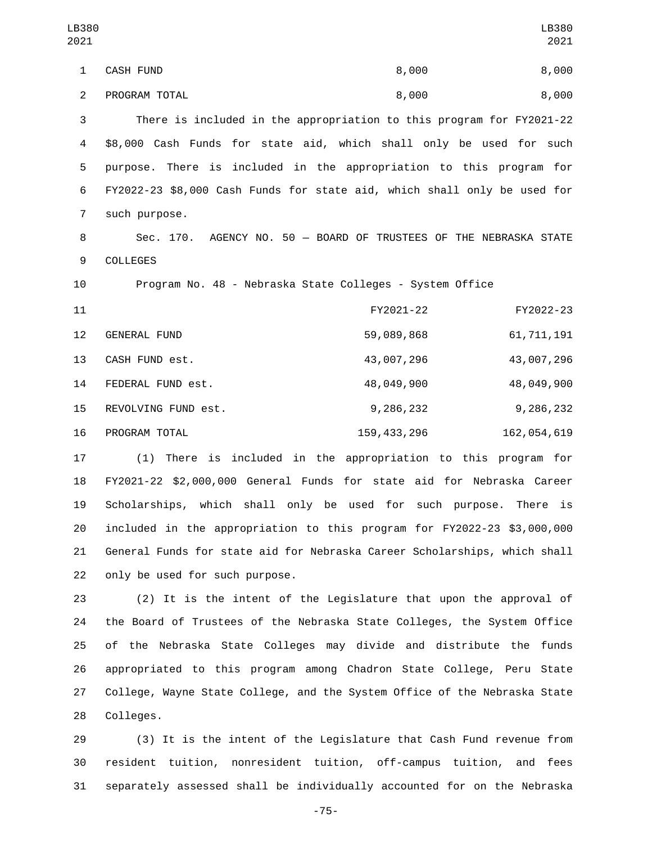1 CASH FUND 8,000 8,000 2 PROGRAM TOTAL 8,000 8,000 There is included in the appropriation to this program for FY2021-22 \$8,000 Cash Funds for state aid, which shall only be used for such purpose. There is included in the appropriation to this program for FY2022-23 \$8,000 Cash Funds for state aid, which shall only be used for 7 such purpose. Sec. 170. AGENCY NO. 50 — BOARD OF TRUSTEES OF THE NEBRASKA STATE 9 COLLEGES Program No. 48 - Nebraska State Colleges - System Office FY2021-22 FY2022-23 12 GENERAL FUND 12 59,089,868 61,711,191 13 CASH FUND est. 13 43,007,296 43,007,296 FEDERAL FUND est.14 48,049,900 48,049,900 15 REVOLVING FUND est. 15 9,286,232 9,286,232 16 PROGRAM TOTAL 159,433,296 162,054,619 (1) There is included in the appropriation to this program for LB380 LB380 

 FY2021-22 \$2,000,000 General Funds for state aid for Nebraska Career Scholarships, which shall only be used for such purpose. There is included in the appropriation to this program for FY2022-23 \$3,000,000 General Funds for state aid for Nebraska Career Scholarships, which shall 22 only be used for such purpose.

 (2) It is the intent of the Legislature that upon the approval of the Board of Trustees of the Nebraska State Colleges, the System Office of the Nebraska State Colleges may divide and distribute the funds appropriated to this program among Chadron State College, Peru State College, Wayne State College, and the System Office of the Nebraska State 28 Colleges.

 (3) It is the intent of the Legislature that Cash Fund revenue from resident tuition, nonresident tuition, off-campus tuition, and fees separately assessed shall be individually accounted for on the Nebraska

-75-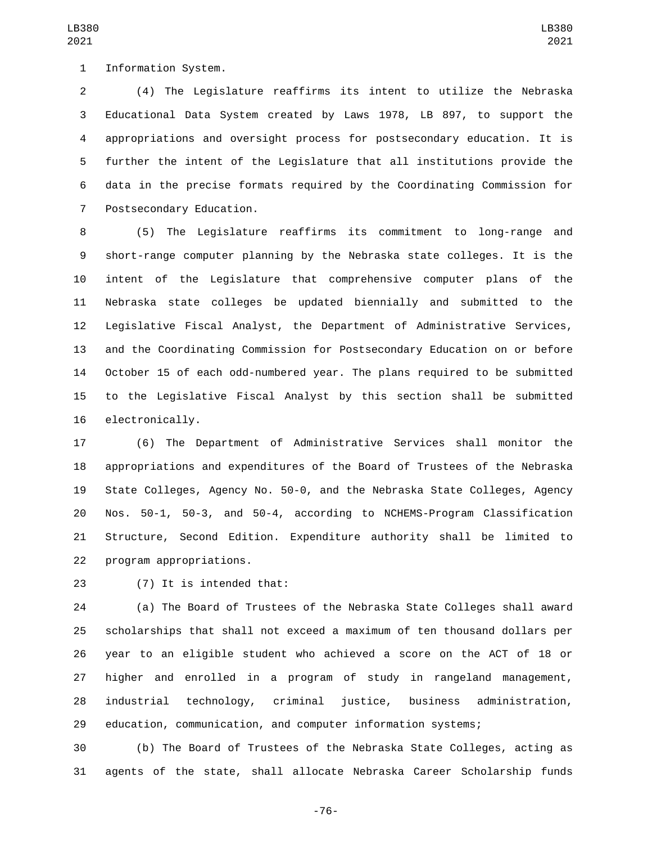1 Information System.

 (4) The Legislature reaffirms its intent to utilize the Nebraska Educational Data System created by Laws 1978, LB 897, to support the appropriations and oversight process for postsecondary education. It is further the intent of the Legislature that all institutions provide the data in the precise formats required by the Coordinating Commission for 7 Postsecondary Education.

 (5) The Legislature reaffirms its commitment to long-range and short-range computer planning by the Nebraska state colleges. It is the intent of the Legislature that comprehensive computer plans of the Nebraska state colleges be updated biennially and submitted to the Legislative Fiscal Analyst, the Department of Administrative Services, and the Coordinating Commission for Postsecondary Education on or before October 15 of each odd-numbered year. The plans required to be submitted to the Legislative Fiscal Analyst by this section shall be submitted 16 electronically.

 (6) The Department of Administrative Services shall monitor the appropriations and expenditures of the Board of Trustees of the Nebraska State Colleges, Agency No. 50-0, and the Nebraska State Colleges, Agency Nos. 50-1, 50-3, and 50-4, according to NCHEMS-Program Classification Structure, Second Edition. Expenditure authority shall be limited to 22 program appropriations.

23 (7) It is intended that:

 (a) The Board of Trustees of the Nebraska State Colleges shall award scholarships that shall not exceed a maximum of ten thousand dollars per year to an eligible student who achieved a score on the ACT of 18 or higher and enrolled in a program of study in rangeland management, industrial technology, criminal justice, business administration, education, communication, and computer information systems;

 (b) The Board of Trustees of the Nebraska State Colleges, acting as agents of the state, shall allocate Nebraska Career Scholarship funds

-76-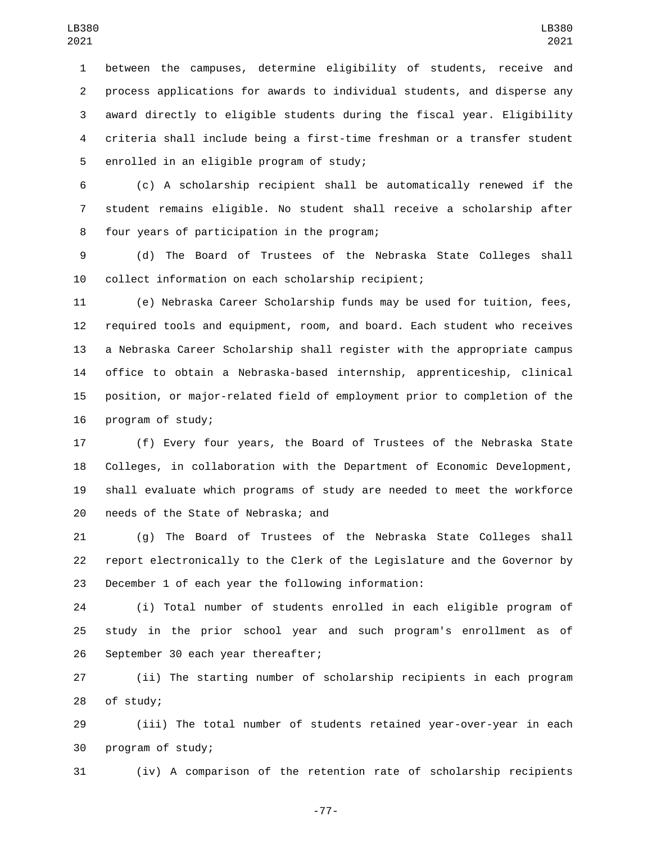between the campuses, determine eligibility of students, receive and process applications for awards to individual students, and disperse any award directly to eligible students during the fiscal year. Eligibility criteria shall include being a first-time freshman or a transfer student 5 enrolled in an eligible program of study;

 (c) A scholarship recipient shall be automatically renewed if the student remains eligible. No student shall receive a scholarship after 8 four years of participation in the program;

 (d) The Board of Trustees of the Nebraska State Colleges shall collect information on each scholarship recipient;

 (e) Nebraska Career Scholarship funds may be used for tuition, fees, required tools and equipment, room, and board. Each student who receives a Nebraska Career Scholarship shall register with the appropriate campus office to obtain a Nebraska-based internship, apprenticeship, clinical position, or major-related field of employment prior to completion of the 16 program of study;

 (f) Every four years, the Board of Trustees of the Nebraska State Colleges, in collaboration with the Department of Economic Development, shall evaluate which programs of study are needed to meet the workforce 20 needs of the State of Nebraska; and

 (g) The Board of Trustees of the Nebraska State Colleges shall report electronically to the Clerk of the Legislature and the Governor by December 1 of each year the following information:

 (i) Total number of students enrolled in each eligible program of study in the prior school year and such program's enrollment as of 26 September 30 each year thereafter;

 (ii) The starting number of scholarship recipients in each program 28 of study;

 (iii) The total number of students retained year-over-year in each 30 program of study;

(iv) A comparison of the retention rate of scholarship recipients

-77-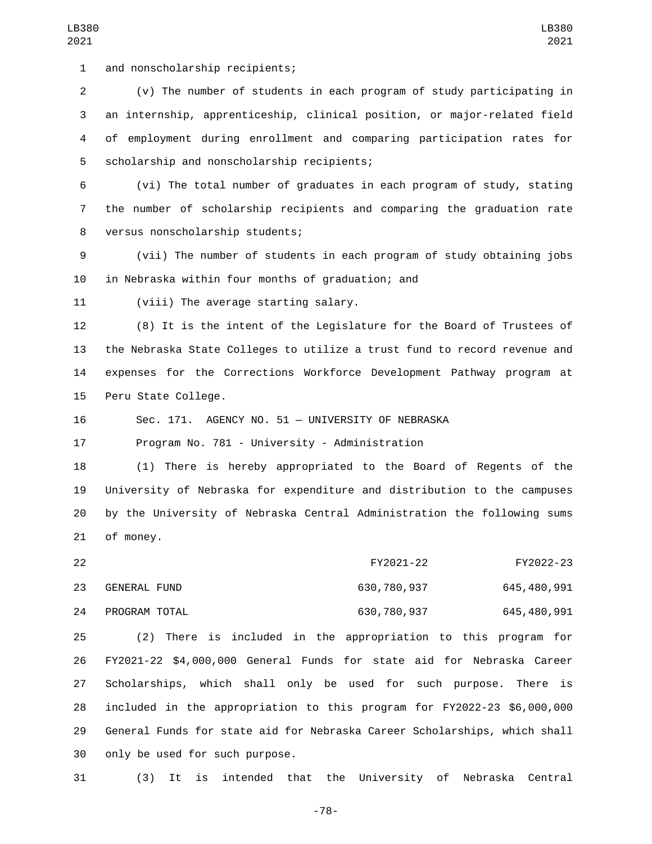1 and nonscholarship recipients;

 (v) The number of students in each program of study participating in an internship, apprenticeship, clinical position, or major-related field of employment during enrollment and comparing participation rates for 5 scholarship and nonscholarship recipients;

 (vi) The total number of graduates in each program of study, stating the number of scholarship recipients and comparing the graduation rate 8 versus nonscholarship students;

 (vii) The number of students in each program of study obtaining jobs 10 in Nebraska within four months of graduation; and

11 (viii) The average starting salary.

 (8) It is the intent of the Legislature for the Board of Trustees of the Nebraska State Colleges to utilize a trust fund to record revenue and expenses for the Corrections Workforce Development Pathway program at 15 Peru State College.

Sec. 171. AGENCY NO. 51 — UNIVERSITY OF NEBRASKA

Program No. 781 - University - Administration

 (1) There is hereby appropriated to the Board of Regents of the University of Nebraska for expenditure and distribution to the campuses by the University of Nebraska Central Administration the following sums 21 of money.

| 22  |               | FY2021-22   | FY2022-23   |
|-----|---------------|-------------|-------------|
| 23. | GENERAL FUND  | 630,780,937 | 645,480,991 |
| 24  | PROGRAM TOTAL | 630,780,937 | 645,480,991 |

 (2) There is included in the appropriation to this program for FY2021-22 \$4,000,000 General Funds for state aid for Nebraska Career Scholarships, which shall only be used for such purpose. There is included in the appropriation to this program for FY2022-23 \$6,000,000 General Funds for state aid for Nebraska Career Scholarships, which shall 30 only be used for such purpose.

(3) It is intended that the University of Nebraska Central

-78-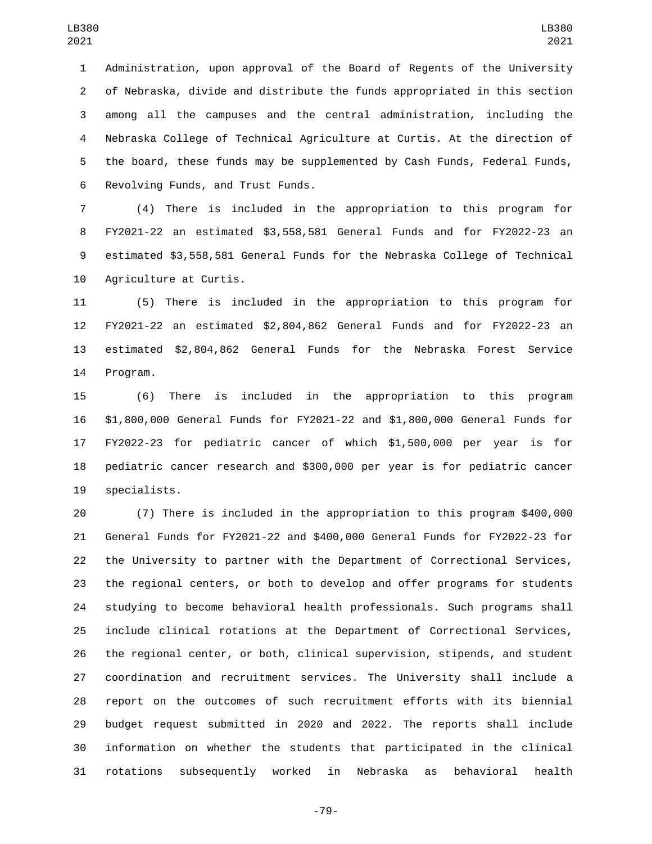Administration, upon approval of the Board of Regents of the University of Nebraska, divide and distribute the funds appropriated in this section among all the campuses and the central administration, including the Nebraska College of Technical Agriculture at Curtis. At the direction of the board, these funds may be supplemented by Cash Funds, Federal Funds, 6 Revolving Funds, and Trust Funds.

 (4) There is included in the appropriation to this program for FY2021-22 an estimated \$3,558,581 General Funds and for FY2022-23 an estimated \$3,558,581 General Funds for the Nebraska College of Technical 10 Agriculture at Curtis.

 (5) There is included in the appropriation to this program for FY2021-22 an estimated \$2,804,862 General Funds and for FY2022-23 an estimated \$2,804,862 General Funds for the Nebraska Forest Service 14 Program.

 (6) There is included in the appropriation to this program \$1,800,000 General Funds for FY2021-22 and \$1,800,000 General Funds for FY2022-23 for pediatric cancer of which \$1,500,000 per year is for pediatric cancer research and \$300,000 per year is for pediatric cancer 19 specialists.

 (7) There is included in the appropriation to this program \$400,000 General Funds for FY2021-22 and \$400,000 General Funds for FY2022-23 for the University to partner with the Department of Correctional Services, the regional centers, or both to develop and offer programs for students studying to become behavioral health professionals. Such programs shall include clinical rotations at the Department of Correctional Services, the regional center, or both, clinical supervision, stipends, and student coordination and recruitment services. The University shall include a report on the outcomes of such recruitment efforts with its biennial budget request submitted in 2020 and 2022. The reports shall include information on whether the students that participated in the clinical rotations subsequently worked in Nebraska as behavioral health

-79-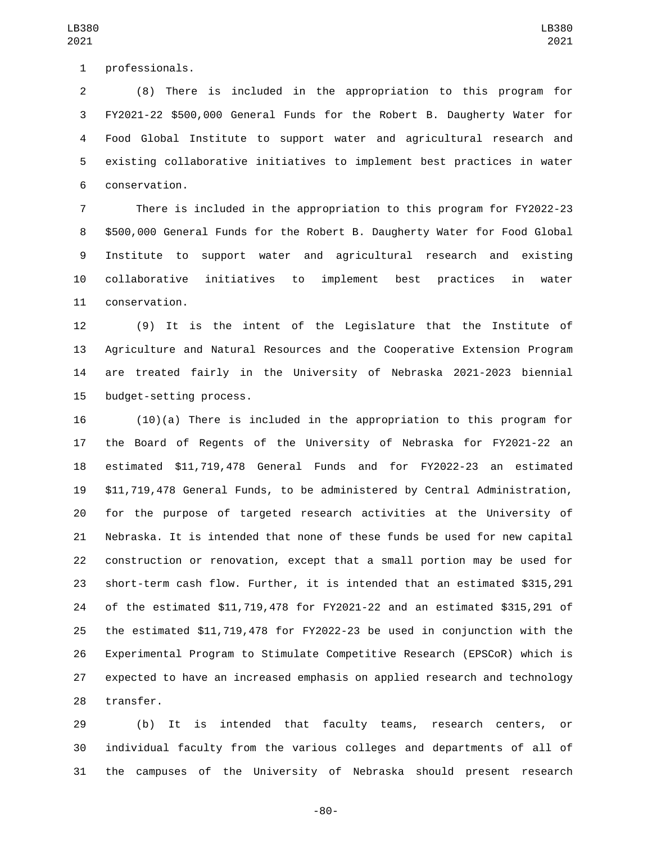1 professionals.

 (8) There is included in the appropriation to this program for FY2021-22 \$500,000 General Funds for the Robert B. Daugherty Water for Food Global Institute to support water and agricultural research and existing collaborative initiatives to implement best practices in water conservation.6

 There is included in the appropriation to this program for FY2022-23 \$500,000 General Funds for the Robert B. Daugherty Water for Food Global Institute to support water and agricultural research and existing collaborative initiatives to implement best practices in water 11 conservation.

 (9) It is the intent of the Legislature that the Institute of Agriculture and Natural Resources and the Cooperative Extension Program are treated fairly in the University of Nebraska 2021-2023 biennial 15 budget-setting process.

 (10)(a) There is included in the appropriation to this program for the Board of Regents of the University of Nebraska for FY2021-22 an estimated \$11,719,478 General Funds and for FY2022-23 an estimated \$11,719,478 General Funds, to be administered by Central Administration, for the purpose of targeted research activities at the University of Nebraska. It is intended that none of these funds be used for new capital construction or renovation, except that a small portion may be used for short-term cash flow. Further, it is intended that an estimated \$315,291 of the estimated \$11,719,478 for FY2021-22 and an estimated \$315,291 of the estimated \$11,719,478 for FY2022-23 be used in conjunction with the Experimental Program to Stimulate Competitive Research (EPSCoR) which is expected to have an increased emphasis on applied research and technology 28 transfer.

 (b) It is intended that faculty teams, research centers, or individual faculty from the various colleges and departments of all of the campuses of the University of Nebraska should present research

-80-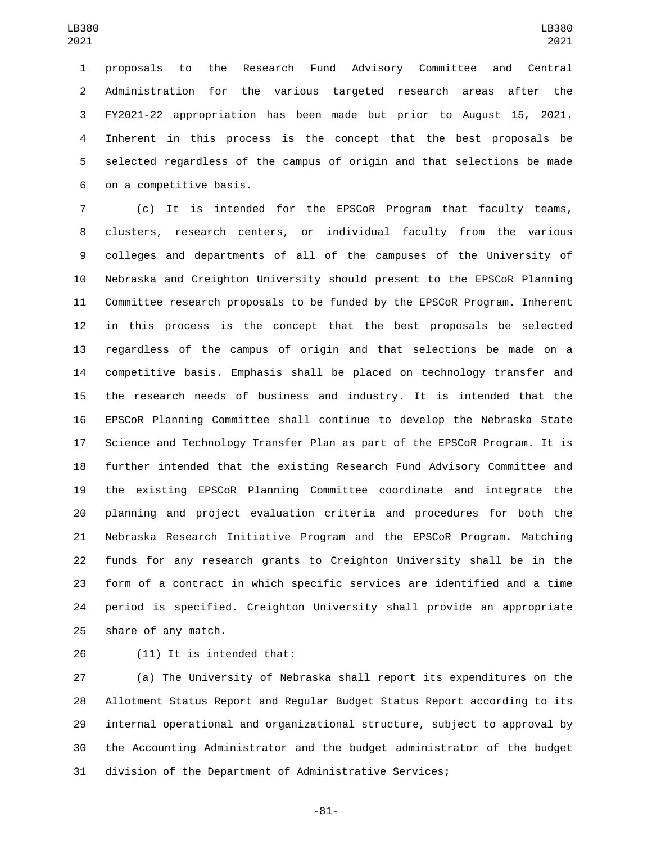proposals to the Research Fund Advisory Committee and Central Administration for the various targeted research areas after the FY2021-22 appropriation has been made but prior to August 15, 2021. Inherent in this process is the concept that the best proposals be selected regardless of the campus of origin and that selections be made 6 on a competitive basis.

 (c) It is intended for the EPSCoR Program that faculty teams, clusters, research centers, or individual faculty from the various colleges and departments of all of the campuses of the University of Nebraska and Creighton University should present to the EPSCoR Planning Committee research proposals to be funded by the EPSCoR Program. Inherent in this process is the concept that the best proposals be selected regardless of the campus of origin and that selections be made on a competitive basis. Emphasis shall be placed on technology transfer and the research needs of business and industry. It is intended that the EPSCoR Planning Committee shall continue to develop the Nebraska State Science and Technology Transfer Plan as part of the EPSCoR Program. It is further intended that the existing Research Fund Advisory Committee and the existing EPSCoR Planning Committee coordinate and integrate the planning and project evaluation criteria and procedures for both the Nebraska Research Initiative Program and the EPSCoR Program. Matching funds for any research grants to Creighton University shall be in the form of a contract in which specific services are identified and a time period is specified. Creighton University shall provide an appropriate 25 share of any match.

26 (11) It is intended that:

 (a) The University of Nebraska shall report its expenditures on the Allotment Status Report and Regular Budget Status Report according to its internal operational and organizational structure, subject to approval by the Accounting Administrator and the budget administrator of the budget division of the Department of Administrative Services;

-81-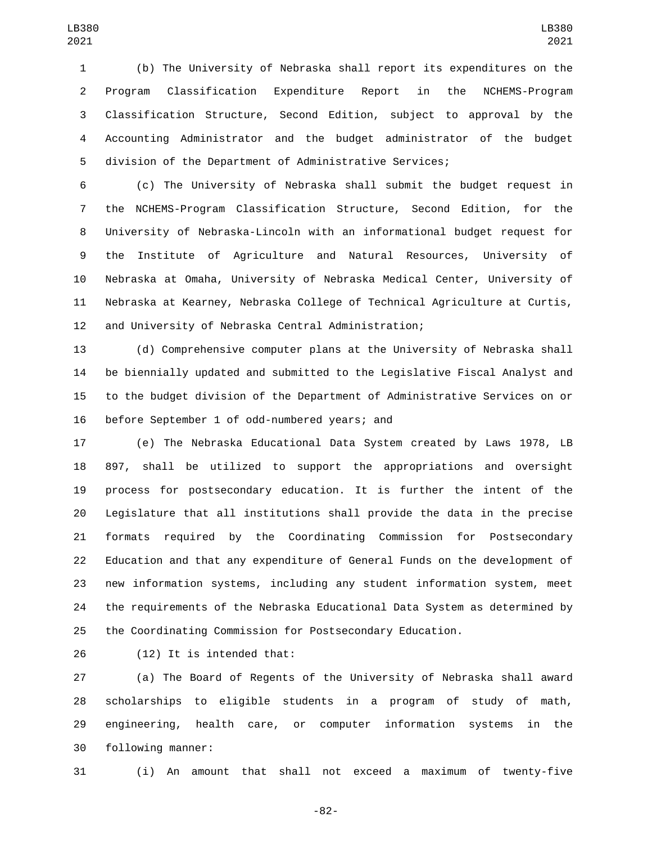(b) The University of Nebraska shall report its expenditures on the Program Classification Expenditure Report in the NCHEMS-Program Classification Structure, Second Edition, subject to approval by the Accounting Administrator and the budget administrator of the budget division of the Department of Administrative Services;

 (c) The University of Nebraska shall submit the budget request in the NCHEMS-Program Classification Structure, Second Edition, for the University of Nebraska-Lincoln with an informational budget request for the Institute of Agriculture and Natural Resources, University of Nebraska at Omaha, University of Nebraska Medical Center, University of Nebraska at Kearney, Nebraska College of Technical Agriculture at Curtis, and University of Nebraska Central Administration;

 (d) Comprehensive computer plans at the University of Nebraska shall be biennially updated and submitted to the Legislative Fiscal Analyst and to the budget division of the Department of Administrative Services on or 16 before September 1 of odd-numbered years; and

 (e) The Nebraska Educational Data System created by Laws 1978, LB 897, shall be utilized to support the appropriations and oversight process for postsecondary education. It is further the intent of the Legislature that all institutions shall provide the data in the precise formats required by the Coordinating Commission for Postsecondary Education and that any expenditure of General Funds on the development of new information systems, including any student information system, meet the requirements of the Nebraska Educational Data System as determined by the Coordinating Commission for Postsecondary Education.

26 (12) It is intended that:

 (a) The Board of Regents of the University of Nebraska shall award scholarships to eligible students in a program of study of math, engineering, health care, or computer information systems in the 30 following manner:

(i) An amount that shall not exceed a maximum of twenty-five

-82-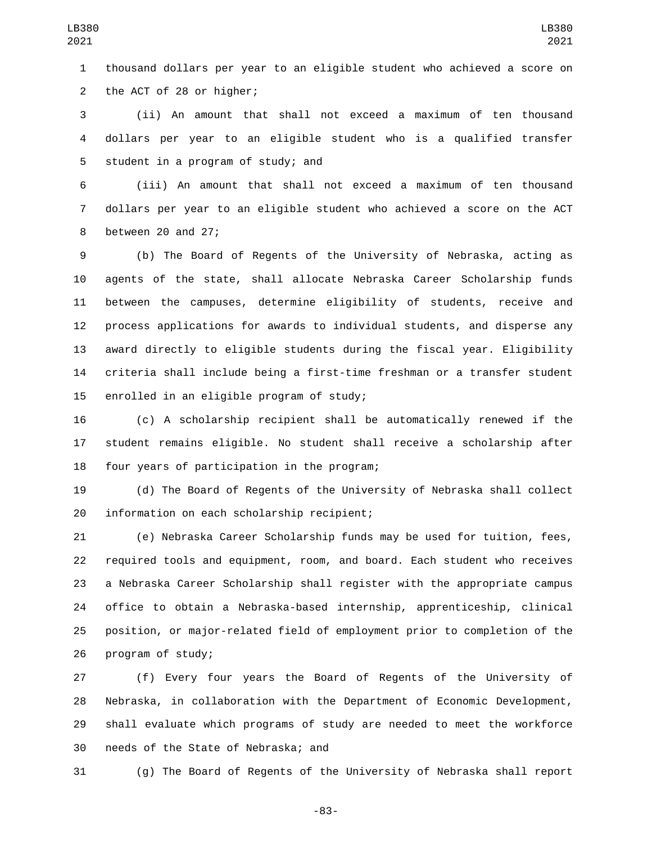thousand dollars per year to an eligible student who achieved a score on 2 the ACT of 28 or higher;

 (ii) An amount that shall not exceed a maximum of ten thousand dollars per year to an eligible student who is a qualified transfer 5 student in a program of study; and

 (iii) An amount that shall not exceed a maximum of ten thousand dollars per year to an eligible student who achieved a score on the ACT 8 between 20 and 27;

 (b) The Board of Regents of the University of Nebraska, acting as agents of the state, shall allocate Nebraska Career Scholarship funds between the campuses, determine eligibility of students, receive and process applications for awards to individual students, and disperse any award directly to eligible students during the fiscal year. Eligibility criteria shall include being a first-time freshman or a transfer student 15 enrolled in an eligible program of study;

 (c) A scholarship recipient shall be automatically renewed if the student remains eligible. No student shall receive a scholarship after 18 four years of participation in the program;

 (d) The Board of Regents of the University of Nebraska shall collect 20 information on each scholarship recipient;

 (e) Nebraska Career Scholarship funds may be used for tuition, fees, required tools and equipment, room, and board. Each student who receives a Nebraska Career Scholarship shall register with the appropriate campus office to obtain a Nebraska-based internship, apprenticeship, clinical position, or major-related field of employment prior to completion of the 26 program of study;

 (f) Every four years the Board of Regents of the University of Nebraska, in collaboration with the Department of Economic Development, shall evaluate which programs of study are needed to meet the workforce 30 needs of the State of Nebraska; and

(g) The Board of Regents of the University of Nebraska shall report

-83-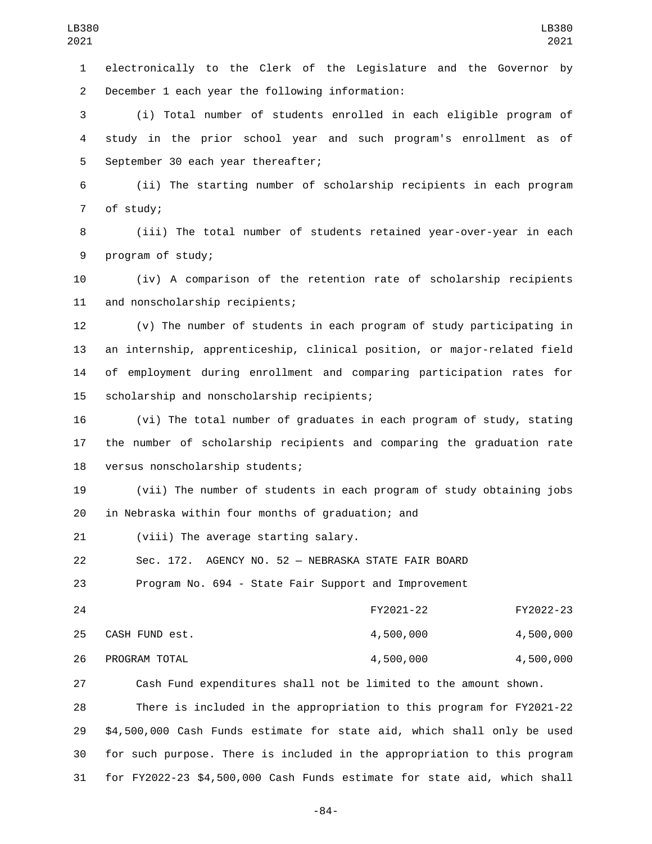electronically to the Clerk of the Legislature and the Governor by December 1 each year the following information:2

 (i) Total number of students enrolled in each eligible program of study in the prior school year and such program's enrollment as of 5 September 30 each year thereafter;

 (ii) The starting number of scholarship recipients in each program 7 of study;

 (iii) The total number of students retained year-over-year in each 9 program of study;

 (iv) A comparison of the retention rate of scholarship recipients 11 and nonscholarship recipients;

 (v) The number of students in each program of study participating in an internship, apprenticeship, clinical position, or major-related field of employment during enrollment and comparing participation rates for 15 scholarship and nonscholarship recipients;

 (vi) The total number of graduates in each program of study, stating the number of scholarship recipients and comparing the graduation rate 18 versus nonscholarship students;

 (vii) The number of students in each program of study obtaining jobs 20 in Nebraska within four months of graduation; and

21 (viii) The average starting salary.

Sec. 172. AGENCY NO. 52 — NEBRASKA STATE FAIR BOARD

Program No. 694 - State Fair Support and Improvement

| 24 |                | FY2021-22 | FY2022-23 |
|----|----------------|-----------|-----------|
| 25 | CASH FUND est. | 4,500,000 | 4,500,000 |
| 26 | PROGRAM TOTAL  | 4,500,000 | 4,500,000 |

Cash Fund expenditures shall not be limited to the amount shown.

 There is included in the appropriation to this program for FY2021-22 \$4,500,000 Cash Funds estimate for state aid, which shall only be used for such purpose. There is included in the appropriation to this program for FY2022-23 \$4,500,000 Cash Funds estimate for state aid, which shall

-84-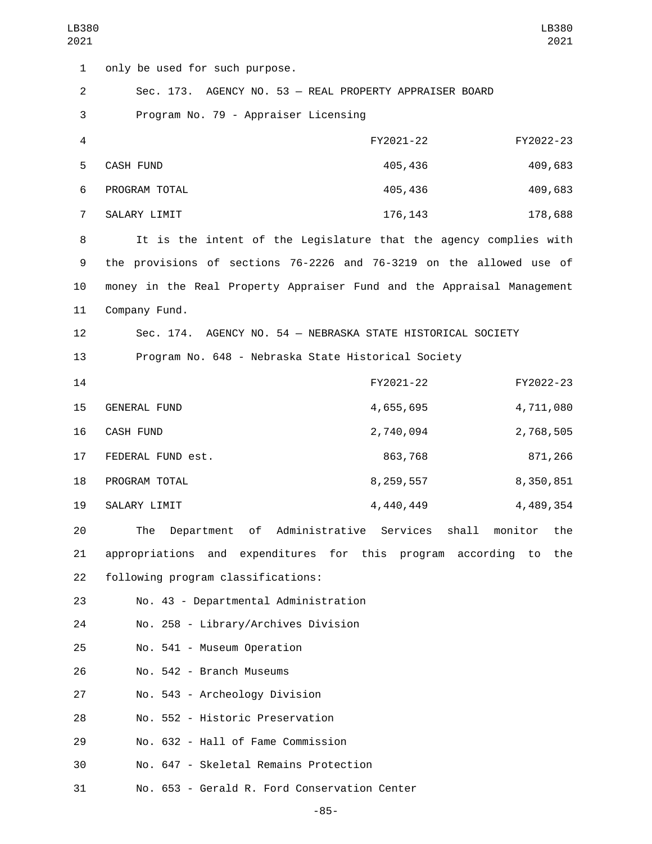| LB380<br>2021  | LB380<br>2021                                                                 |
|----------------|-------------------------------------------------------------------------------|
| $\mathbf{1}$   | only be used for such purpose.                                                |
| $\overline{2}$ | Sec. 173. AGENCY NO. 53 - REAL PROPERTY APPRAISER BOARD                       |
| 3              | Program No. 79 - Appraiser Licensing                                          |
| 4              | FY2021-22<br>FY2022-23                                                        |
| 5              | CASH FUND<br>405,436<br>409,683                                               |
| 6              | PROGRAM TOTAL<br>405,436<br>409,683                                           |
| $\overline{7}$ | SALARY LIMIT<br>176, 143<br>178,688                                           |
| 8              | It is the intent of the Legislature that the agency complies with             |
| 9              | the provisions of sections 76-2226 and 76-3219 on the allowed use of          |
| 10             | money in the Real Property Appraiser Fund and the Appraisal Management        |
| 11             | Company Fund.                                                                 |
| 12             | Sec. 174. AGENCY NO. 54 - NEBRASKA STATE HISTORICAL SOCIETY                   |
| 13             | Program No. 648 - Nebraska State Historical Society                           |
| 14             | FY2021-22<br>FY2022-23                                                        |
| 15             | 4,711,080<br><b>GENERAL FUND</b><br>4,655,695                                 |
| 16             | <b>CASH FUND</b><br>2,740,094<br>2,768,505                                    |
| 17             | FEDERAL FUND est.<br>863,768<br>871,266                                       |
| 18             | PROGRAM TOTAL<br>8,350,851<br>8, 259, 557                                     |
| 19             | SALARY LIMIT<br>4,440,449<br>4,489,354                                        |
| 20             | The<br>of Administrative Services<br>shall<br>monitor<br>the<br>Department    |
| 21             | and expenditures for this program<br>appropriations<br>according<br>the<br>to |

22 following program classifications:

23 No. 43 - Departmental Administration

24 No. 258 - Library/Archives Division

25 No. 541 - Museum Operation

26 No. 542 - Branch Museums

27 No. 543 - Archeology Division

28 No. 552 - Historic Preservation

29 No. 632 - Hall of Fame Commission

30 No. 647 - Skeletal Remains Protection

31 No. 653 - Gerald R. Ford Conservation Center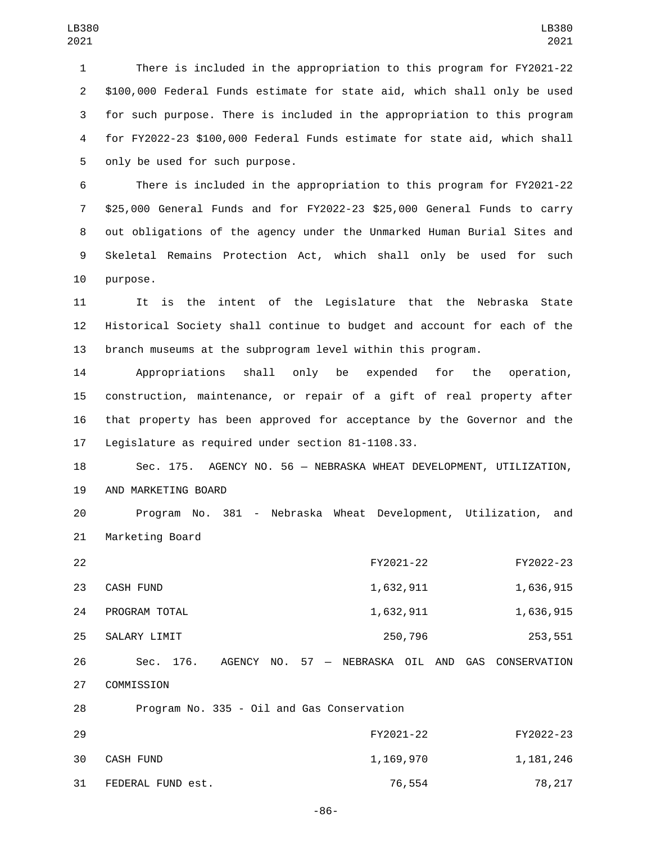There is included in the appropriation to this program for FY2021-22 \$100,000 Federal Funds estimate for state aid, which shall only be used for such purpose. There is included in the appropriation to this program for FY2022-23 \$100,000 Federal Funds estimate for state aid, which shall 5 only be used for such purpose.

 There is included in the appropriation to this program for FY2021-22 \$25,000 General Funds and for FY2022-23 \$25,000 General Funds to carry out obligations of the agency under the Unmarked Human Burial Sites and Skeletal Remains Protection Act, which shall only be used for such 10 purpose.

11 It is the intent of the Legislature that the Nebraska State 12 Historical Society shall continue to budget and account for each of the 13 branch museums at the subprogram level within this program.

 Appropriations shall only be expended for the operation, construction, maintenance, or repair of a gift of real property after that property has been approved for acceptance by the Governor and the 17 Legislature as required under section 81-1108.33.

18 Sec. 175. AGENCY NO. 56 — NEBRASKA WHEAT DEVELOPMENT, UTILIZATION, 19 AND MARKETING BOARD

20 Program No. 381 - Nebraska Wheat Development, Utilization, and 21 Marketing Board

| 22 |               |        |  |                       | FY2021-22 |     |     | FY2022-23    |
|----|---------------|--------|--|-----------------------|-----------|-----|-----|--------------|
| 23 | CASH FUND     |        |  | 1,632,911             |           |     |     | 1,636,915    |
| 24 | PROGRAM TOTAL |        |  | 1,632,911             |           |     |     | 1,636,915    |
| 25 | SALARY LIMIT  |        |  |                       | 250,796   |     |     | 253,551      |
| 26 | 176.<br>Sec.  | AGENCY |  | NO. 57 - NEBRASKA OIL |           | AND | GAS | CONSERVATION |
| 27 | COMMISSION    |        |  |                       |           |     |     |              |

28 Program No. 335 - Oil and Gas Conservation 29 FY2021-22 FY2022-23 30 CASH FUND 30 246 31 FEDERAL FUND est. 2007 2007 2008 2009 2012 2020 2031 28,217

-86-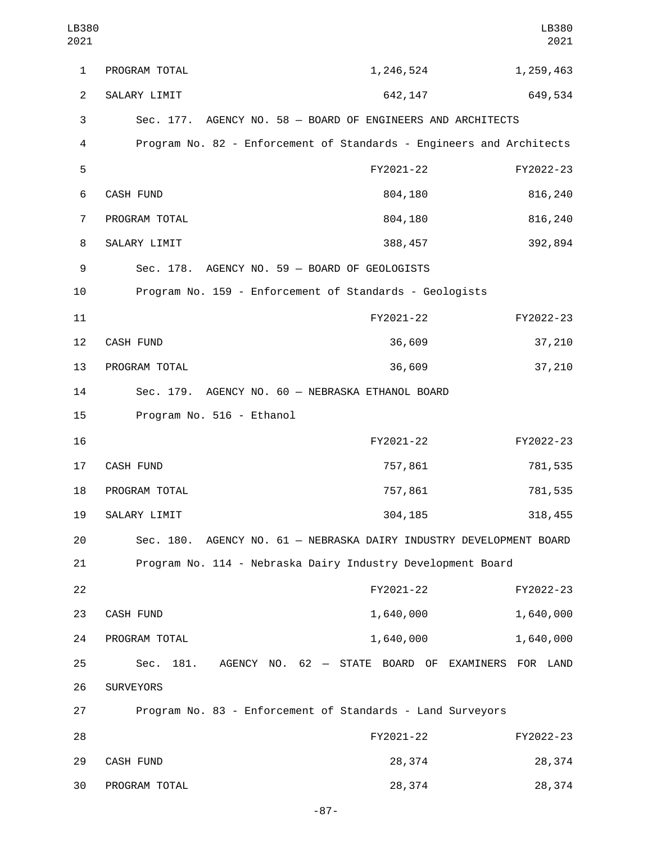| LB380<br>2021  |                                                                      |                                                   | LB380<br>2021 |
|----------------|----------------------------------------------------------------------|---------------------------------------------------|---------------|
| 1              | PROGRAM TOTAL                                                        | 1,246,524                                         | 1,259,463     |
| $\overline{2}$ | SALARY LIMIT                                                         | 642, 147                                          | 649,534       |
| 3              | Sec. 177. AGENCY NO. 58 - BOARD OF ENGINEERS AND ARCHITECTS          |                                                   |               |
| 4              | Program No. 82 - Enforcement of Standards - Engineers and Architects |                                                   |               |
| 5              |                                                                      | FY2021-22                                         | FY2022-23     |
| 6              | CASH FUND                                                            | 804,180                                           | 816,240       |
| $\overline{7}$ | PROGRAM TOTAL                                                        | 804,180                                           | 816,240       |
| 8              | SALARY LIMIT                                                         | 388,457                                           | 392,894       |
| 9              | Sec. 178. AGENCY NO. 59 - BOARD OF GEOLOGISTS                        |                                                   |               |
| 10             | Program No. 159 - Enforcement of Standards - Geologists              |                                                   |               |
| 11             |                                                                      | FY2021-22                                         | FY2022-23     |
| 12             | CASH FUND                                                            | 36,609                                            | 37,210        |
| 13             | PROGRAM TOTAL                                                        | 36,609                                            | 37,210        |
| 14             | Sec. 179. AGENCY NO. 60 - NEBRASKA ETHANOL BOARD                     |                                                   |               |
| 15             | Program No. 516 - Ethanol                                            |                                                   |               |
| 16             |                                                                      | FY2021-22                                         | FY2022-23     |
| 17             | <b>CASH FUND</b>                                                     | 757,861                                           | 781,535       |
| 18             | PROGRAM TOTAL                                                        | 757,861                                           | 781,535       |
| 19             | SALARY LIMIT                                                         | 304,185                                           | 318,455       |
| 20             | Sec. 180. AGENCY NO. 61 - NEBRASKA DAIRY INDUSTRY DEVELOPMENT BOARD  |                                                   |               |
| 21             | Program No. 114 - Nebraska Dairy Industry Development Board          |                                                   |               |
| 22             |                                                                      | FY2021-22                                         | FY2022-23     |
| 23             | <b>CASH FUND</b>                                                     | 1,640,000                                         | 1,640,000     |
| 24             | PROGRAM TOTAL                                                        | 1,640,000                                         | 1,640,000     |
| 25             | 181.<br>Sec.                                                         | AGENCY NO. 62 - STATE BOARD OF EXAMINERS FOR LAND |               |
| 26             | <b>SURVEYORS</b>                                                     |                                                   |               |
| 27             | Program No. 83 - Enforcement of Standards - Land Surveyors           |                                                   |               |
| 28             |                                                                      | FY2021-22                                         | FY2022-23     |
| 29             | CASH FUND                                                            | 28,374                                            | 28,374        |
| 30             | PROGRAM TOTAL                                                        | 28,374                                            | 28,374        |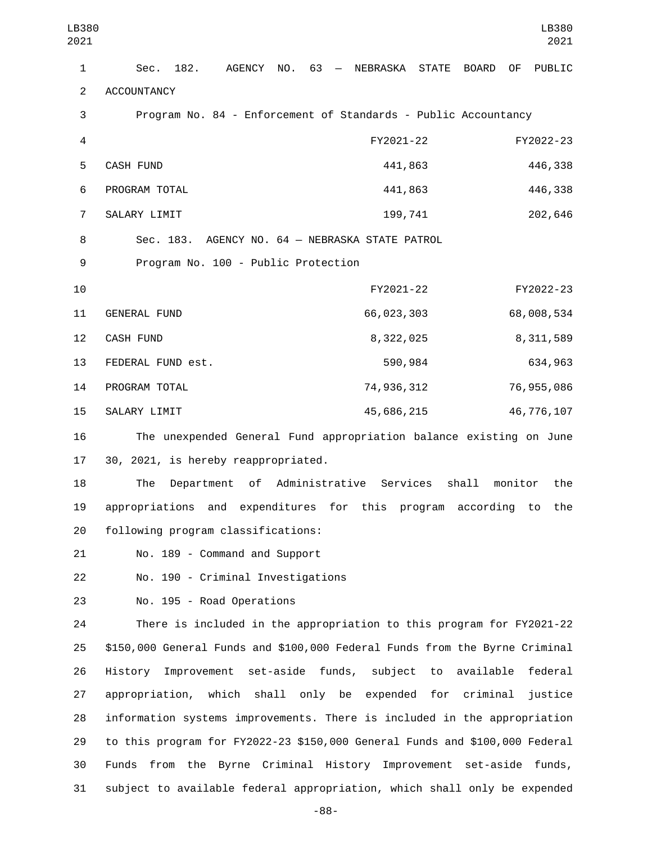LB380 2021

| 1                        | 182.<br>AGENCY<br>NO.<br>63<br>NEBRASKA STATE<br><b>BOARD</b><br>PUBLIC<br>Sec.<br>0F<br>$-$ |
|--------------------------|----------------------------------------------------------------------------------------------|
| $\overline{c}$           | <b>ACCOUNTANCY</b>                                                                           |
| 3                        | Program No. 84 - Enforcement of Standards - Public Accountancy                               |
| $\overline{\mathcal{L}}$ | FY2021-22<br>FY2022-23                                                                       |
| 5                        | <b>CASH FUND</b><br>441,863<br>446,338                                                       |
| 6                        | 441,863<br>446,338<br>PROGRAM TOTAL                                                          |
| 7                        | SALARY LIMIT<br>199,741<br>202,646                                                           |
| 8                        | AGENCY NO. 64 - NEBRASKA STATE PATROL<br>Sec. 183.                                           |
| 9                        | Program No. 100 - Public Protection                                                          |
| 10                       | FY2021-22<br>FY2022-23                                                                       |
| 11                       | 66,023,303<br>68,008,534<br>GENERAL FUND                                                     |
| 12                       | CASH FUND<br>8,322,025<br>8, 311, 589                                                        |
| 13                       | 590,984<br>634,963<br>FEDERAL FUND est.                                                      |
| 14                       | 74,936,312<br>76,955,086<br>PROGRAM TOTAL                                                    |
| 15                       | SALARY LIMIT<br>45,686,215<br>46,776,107                                                     |
| 16                       | The unexpended General Fund appropriation balance existing on June                           |
| 17                       | 30, 2021, is hereby reappropriated.                                                          |
| 18                       | Department of Administrative Services<br>shall<br>monitor<br>The<br>the                      |
| 19                       | appropriations and expenditures for this<br>program according<br>the<br>to                   |
| 20                       | following program classifications:                                                           |
| 21                       | No. 189 - Command and Support                                                                |
| 22                       | No. 190 - Criminal Investigations                                                            |
| 23                       | No. 195 - Road Operations                                                                    |
| 24                       | There is included in the appropriation to this program for FY2021-22                         |
| 25                       | \$150,000 General Funds and \$100,000 Federal Funds from the Byrne Criminal                  |
| 26                       | Improvement set-aside funds, subject to<br>available<br>federal<br>History                   |
| 27                       | appropriation, which shall only be expended for criminal<br>justice                          |
| 28                       | information systems improvements. There is included in the appropriation                     |
| 29                       | to this program for FY2022-23 \$150,000 General Funds and \$100,000 Federal                  |
| 30                       | Funds from the Byrne Criminal History Improvement set-aside funds,                           |
| 31                       | subject to available federal appropriation, which shall only be expended                     |

-88-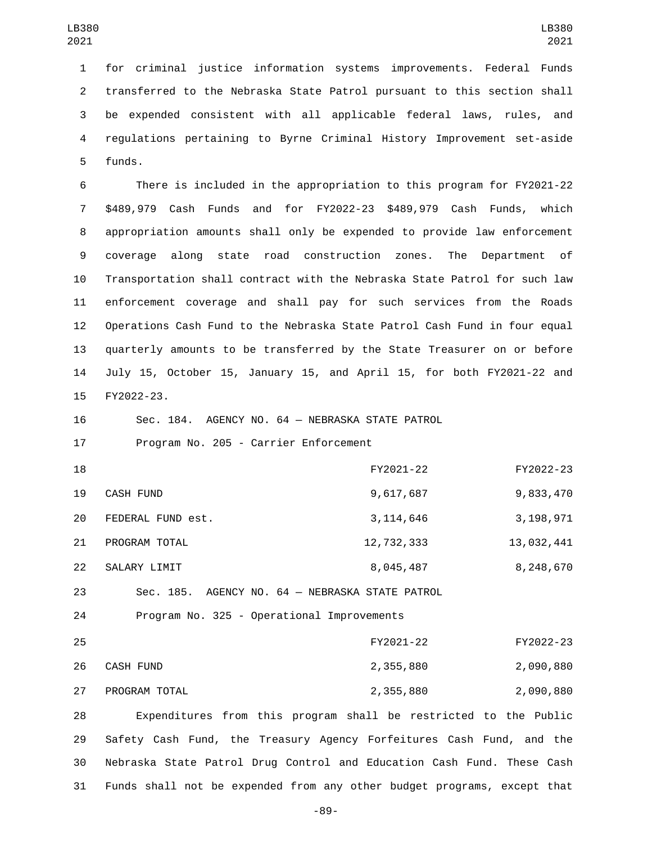for criminal justice information systems improvements. Federal Funds transferred to the Nebraska State Patrol pursuant to this section shall be expended consistent with all applicable federal laws, rules, and regulations pertaining to Byrne Criminal History Improvement set-aside 5 funds.

 There is included in the appropriation to this program for FY2021-22 \$489,979 Cash Funds and for FY2022-23 \$489,979 Cash Funds, which appropriation amounts shall only be expended to provide law enforcement coverage along state road construction zones. The Department of Transportation shall contract with the Nebraska State Patrol for such law enforcement coverage and shall pay for such services from the Roads Operations Cash Fund to the Nebraska State Patrol Cash Fund in four equal quarterly amounts to be transferred by the State Treasurer on or before July 15, October 15, January 15, and April 15, for both FY2021-22 and 15 FY2022-23.

 Sec. 184. AGENCY NO. 64 — NEBRASKA STATE PATROL 17 Program No. 205 - Carrier Enforcement

| 18 |                   | FY2021-22                             | FY2022-23  |
|----|-------------------|---------------------------------------|------------|
| 19 | CASH FUND         | 9,617,687                             | 9,833,470  |
| 20 | FEDERAL FUND est. | 3, 114, 646                           | 3,198,971  |
| 21 | PROGRAM TOTAL     | 12,732,333                            | 13,032,441 |
| 22 | SALARY LIMIT      | 8,045,487                             | 8,248,670  |
| 23 | Sec. 185.         | AGENCY NO. 64 - NEBRASKA STATE PATROL |            |

24 Program No. 325 - Operational Improvements

| 25 |               | FY2021-22 | FY2022-23 |
|----|---------------|-----------|-----------|
| 26 | CASH FUND     | 2,355,880 | 2,090,880 |
| 27 | PROGRAM TOTAL | 2,355,880 | 2,090,880 |

 Expenditures from this program shall be restricted to the Public Safety Cash Fund, the Treasury Agency Forfeitures Cash Fund, and the Nebraska State Patrol Drug Control and Education Cash Fund. These Cash Funds shall not be expended from any other budget programs, except that

-89-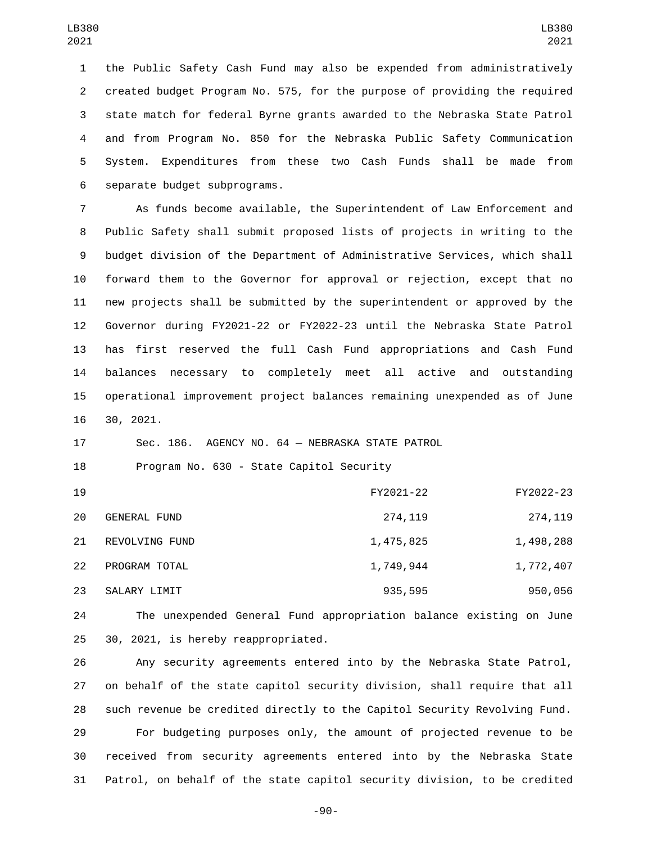the Public Safety Cash Fund may also be expended from administratively created budget Program No. 575, for the purpose of providing the required state match for federal Byrne grants awarded to the Nebraska State Patrol and from Program No. 850 for the Nebraska Public Safety Communication System. Expenditures from these two Cash Funds shall be made from 6 separate budget subprograms.

 As funds become available, the Superintendent of Law Enforcement and Public Safety shall submit proposed lists of projects in writing to the budget division of the Department of Administrative Services, which shall forward them to the Governor for approval or rejection, except that no new projects shall be submitted by the superintendent or approved by the Governor during FY2021-22 or FY2022-23 until the Nebraska State Patrol has first reserved the full Cash Fund appropriations and Cash Fund balances necessary to completely meet all active and outstanding operational improvement project balances remaining unexpended as of June 16 30, 2021.

Sec. 186. AGENCY NO. 64 — NEBRASKA STATE PATROL

18 Program No. 630 - State Capitol Security

| 19 |                     | FY2021-22 | FY2022-23 |
|----|---------------------|-----------|-----------|
| 20 | <b>GENERAL FUND</b> | 274,119   | 274, 119  |
| 21 | REVOLVING FUND      | 1,475,825 | 1,498,288 |
| 22 | PROGRAM TOTAL       | 1,749,944 | 1,772,407 |
| 23 | SALARY LIMIT        | 935,595   | 950,056   |

 The unexpended General Fund appropriation balance existing on June 25 30, 2021, is hereby reappropriated.

 Any security agreements entered into by the Nebraska State Patrol, on behalf of the state capitol security division, shall require that all such revenue be credited directly to the Capitol Security Revolving Fund. For budgeting purposes only, the amount of projected revenue to be received from security agreements entered into by the Nebraska State Patrol, on behalf of the state capitol security division, to be credited

-90-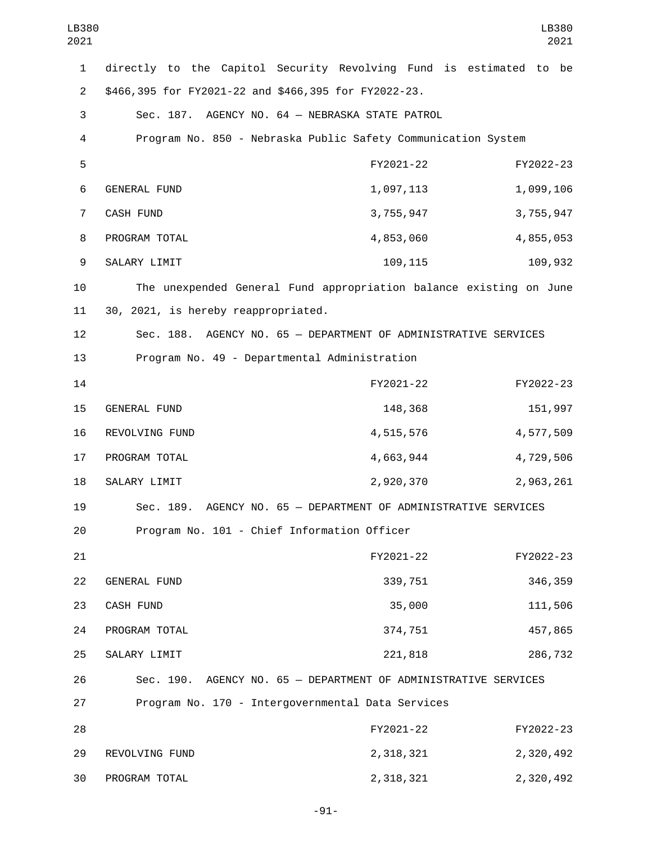| LB380<br>2021  |                                                                    |           | LB380<br>2021 |
|----------------|--------------------------------------------------------------------|-----------|---------------|
| $\mathbf{1}$   | directly to the Capitol Security Revolving Fund is estimated to    |           | be            |
| $\overline{2}$ | \$466,395 for FY2021-22 and \$466,395 for FY2022-23.               |           |               |
| 3              | Sec. 187. AGENCY NO. 64 - NEBRASKA STATE PATROL                    |           |               |
| 4              | Program No. 850 - Nebraska Public Safety Communication System      |           |               |
| 5              |                                                                    | FY2021-22 | FY2022-23     |
| 6              | <b>GENERAL FUND</b>                                                | 1,097,113 | 1,099,106     |
| 7              | CASH FUND                                                          | 3,755,947 | 3,755,947     |
| 8              | PROGRAM TOTAL                                                      | 4,853,060 | 4,855,053     |
| 9              | SALARY LIMIT                                                       | 109,115   | 109,932       |
| 10             | The unexpended General Fund appropriation balance existing on June |           |               |
| 11             | 30, 2021, is hereby reappropriated.                                |           |               |
| 12             | Sec. 188. AGENCY NO. 65 - DEPARTMENT OF ADMINISTRATIVE SERVICES    |           |               |
| 13             | Program No. 49 - Departmental Administration                       |           |               |
| 14             |                                                                    | FY2021-22 | FY2022-23     |
| 15             | GENERAL FUND                                                       | 148,368   | 151,997       |
| 16             | REVOLVING FUND                                                     | 4,515,576 | 4,577,509     |
| 17             | PROGRAM TOTAL                                                      | 4,663,944 | 4,729,506     |
| 18             | SALARY LIMIT                                                       | 2,920,370 | 2,963,261     |
| 19             | Sec. 189. AGENCY NO. 65 - DEPARTMENT OF ADMINISTRATIVE SERVICES    |           |               |
| 20             | Program No. 101 - Chief Information Officer                        |           |               |
| 21             |                                                                    | FY2021-22 | FY2022-23     |
| 22             | GENERAL FUND                                                       | 339,751   | 346,359       |
| 23             | CASH FUND                                                          | 35,000    | 111,506       |
| 24             | PROGRAM TOTAL                                                      | 374,751   | 457,865       |
| 25             | SALARY LIMIT                                                       | 221,818   | 286,732       |
| 26             | Sec. 190. AGENCY NO. 65 - DEPARTMENT OF ADMINISTRATIVE SERVICES    |           |               |
| 27             | Program No. 170 - Intergovernmental Data Services                  |           |               |
| 28             |                                                                    | FY2021-22 | FY2022-23     |
| 29             | REVOLVING FUND                                                     | 2,318,321 | 2,320,492     |
| 30             | PROGRAM TOTAL                                                      | 2,318,321 | 2,320,492     |

-91-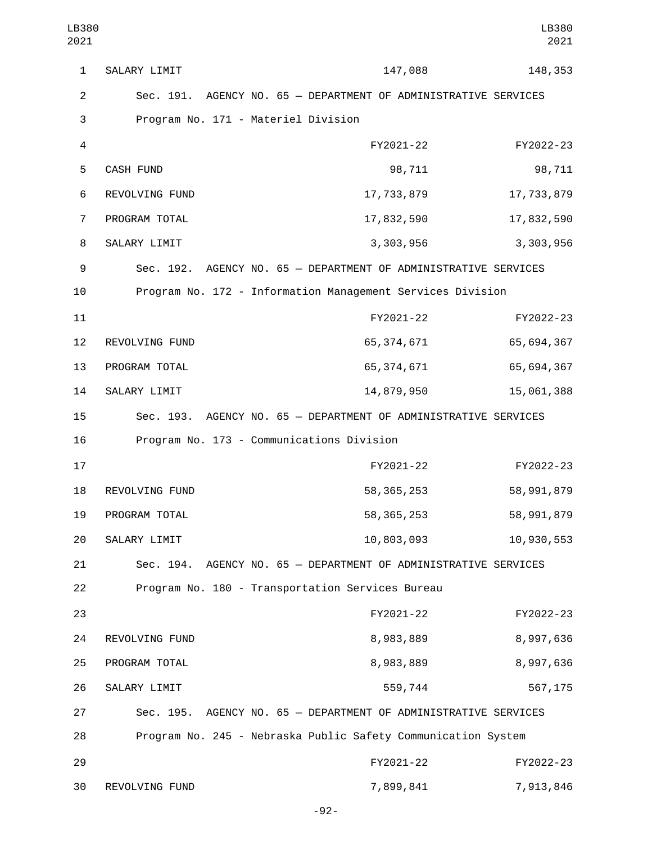1 SALARY LIMIT 2001 147,088 148,353 2 Sec. 191. AGENCY NO. 65 — DEPARTMENT OF ADMINISTRATIVE SERVICES 3 Program No. 171 - Materiel Division 4 FY2021-22 FY2022-23 5 CASH FUND 98,711 98,711 6 REVOLVING FUND 17,733,879 17,733,879 PROGRAM TOTAL<sub>2</sub> 17,832,590 17,832,590 8 SALARY LIMIT 3,303,956 3,303,956 3,303,956 9 Sec. 192. AGENCY NO. 65 — DEPARTMENT OF ADMINISTRATIVE SERVICES 10 Program No. 172 - Information Management Services Division 11 FY2021-22 FY2022-23 12 REVOLVING FUND 12 65,374,671 65,694,367 13 PROGRAM TOTAL **13 FORD 12 CONTRACT 13 CONTRACT 13** 65,694,367 14 SALARY LIMIT 14,879,950 15,061,388 15 Sec. 193. AGENCY NO. 65 — DEPARTMENT OF ADMINISTRATIVE SERVICES 16 Program No. 173 - Communications Division 17 FY2021-22 FY2022-23 18 REVOLVING FUND 18 S8,365,253 58,991,879 19 PROGRAM TOTAL 2001 19 S8,365,253 58,991,879 20 SALARY LIMIT 20 10,803,093 10,930,553 21 Sec. 194. AGENCY NO. 65 — DEPARTMENT OF ADMINISTRATIVE SERVICES 22 Program No. 180 - Transportation Services Bureau 23 FY2021-22 FY2022-23 24 REVOLVING FUND 24 8,983,889 8,997,636 25 PROGRAM TOTAL 25 28,983,889 8,997,636 SALARY LIMIT26 559,744 567,175 27 Sec. 195. AGENCY NO. 65 — DEPARTMENT OF ADMINISTRATIVE SERVICES 28 Program No. 245 - Nebraska Public Safety Communication System 29 FY2021-22 FY2022-23 30 REVOLVING FUND 30 REVOLVING FUND LB380 2021 LB380 2021

-92-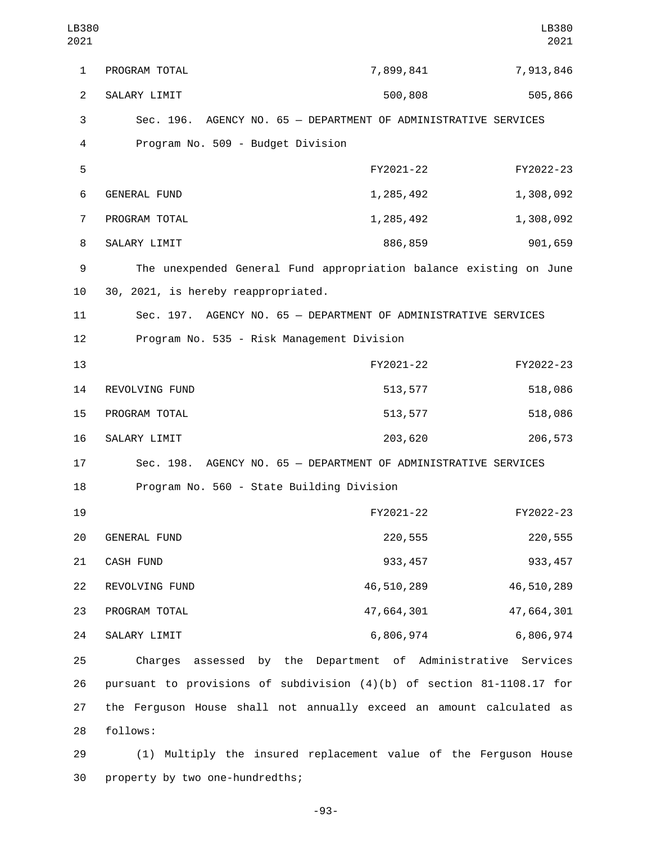| LB380<br>2021  |                                                                          |                                                       | LB380<br>2021 |
|----------------|--------------------------------------------------------------------------|-------------------------------------------------------|---------------|
| 1              | PROGRAM TOTAL                                                            | 7,899,841                                             | 7,913,846     |
| $\overline{2}$ | SALARY LIMIT                                                             | 500,808                                               | 505,866       |
| 3              | Sec. 196. AGENCY NO. 65 - DEPARTMENT OF ADMINISTRATIVE SERVICES          |                                                       |               |
| 4              | Program No. 509 - Budget Division                                        |                                                       |               |
| 5              |                                                                          | FY2021-22                                             | FY2022-23     |
| 6              | <b>GENERAL FUND</b>                                                      | 1,285,492                                             | 1,308,092     |
| $\overline{7}$ | PROGRAM TOTAL                                                            | 1,285,492                                             | 1,308,092     |
| 8              | SALARY LIMIT                                                             | 886,859                                               | 901,659       |
| 9              | The unexpended General Fund appropriation balance existing on June       |                                                       |               |
| 10             | 30, 2021, is hereby reappropriated.                                      |                                                       |               |
| 11             | Sec. 197. AGENCY NO. 65 - DEPARTMENT OF ADMINISTRATIVE SERVICES          |                                                       |               |
| 12             | Program No. 535 - Risk Management Division                               |                                                       |               |
| 13             |                                                                          | FY2021-22                                             | FY2022-23     |
| 14             | REVOLVING FUND                                                           | 513,577                                               | 518,086       |
| 15             | PROGRAM TOTAL                                                            | 513,577                                               | 518,086       |
| 16             | SALARY LIMIT                                                             | 203,620                                               | 206,573       |
| 17             | Sec. 198. AGENCY NO. 65 - DEPARTMENT OF ADMINISTRATIVE SERVICES          |                                                       |               |
| 18             | Program No. 560 - State Building Division                                |                                                       |               |
| 19             |                                                                          | FY2021-22                                             | FY2022-23     |
| 20             | GENERAL FUND                                                             | 220,555                                               | 220,555       |
| 21             | CASH FUND                                                                | 933, 457                                              | 933, 457      |
| 22             | REVOLVING FUND                                                           | 46,510,289                                            | 46,510,289    |
| 23             | PROGRAM TOTAL                                                            | 47,664,301                                            | 47,664,301    |
| 24             | SALARY LIMIT                                                             | 6,806,974                                             | 6,806,974     |
| 25             | Charges                                                                  | assessed by the Department of Administrative Services |               |
| 26             | pursuant to provisions of subdivision $(4)(b)$ of section 81-1108.17 for |                                                       |               |
| 27             | the Ferguson House shall not annually exceed an amount calculated as     |                                                       |               |
| 28             | follows:                                                                 |                                                       |               |
| 29             | (1) Multiply the insured replacement value of the Ferguson House         |                                                       |               |

30 property by two one-hundredths;

-93-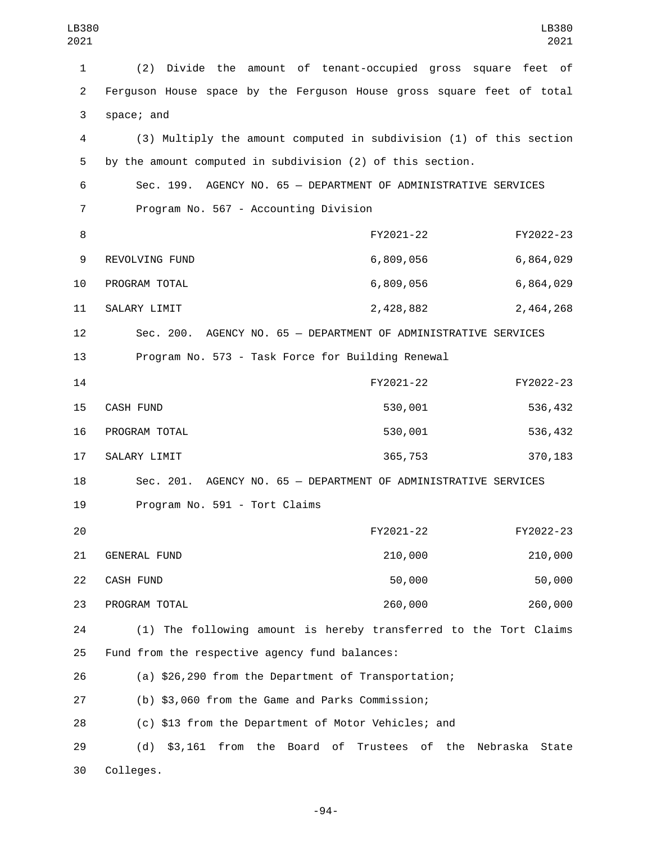| LB380<br>2021  |                                                                       |           | LB380<br>2021 |
|----------------|-----------------------------------------------------------------------|-----------|---------------|
| $\mathbf{1}$   | Divide the amount of tenant-occupied gross square feet of<br>(2)      |           |               |
| $\overline{2}$ | Ferguson House space by the Ferguson House gross square feet of total |           |               |
| 3              | space; and                                                            |           |               |
| 4              | (3) Multiply the amount computed in subdivision (1) of this section   |           |               |
| 5              | by the amount computed in subdivision (2) of this section.            |           |               |
| 6              | Sec. 199. AGENCY NO. 65 - DEPARTMENT OF ADMINISTRATIVE SERVICES       |           |               |
| 7              | Program No. 567 - Accounting Division                                 |           |               |
| 8              |                                                                       | FY2021-22 | FY2022-23     |
| 9              | REVOLVING FUND                                                        | 6,809,056 | 6,864,029     |
| 10             | PROGRAM TOTAL                                                         | 6,809,056 | 6,864,029     |
| 11             | SALARY LIMIT                                                          | 2,428,882 | 2,464,268     |
| 12             | Sec. 200. AGENCY NO. 65 - DEPARTMENT OF ADMINISTRATIVE SERVICES       |           |               |
| 13             | Program No. 573 - Task Force for Building Renewal                     |           |               |
| 14             |                                                                       | FY2021-22 | FY2022-23     |
| 15             | <b>CASH FUND</b>                                                      | 530,001   | 536,432       |
| 16             | PROGRAM TOTAL                                                         | 530,001   | 536,432       |
| 17             | SALARY LIMIT                                                          | 365,753   | 370,183       |
| 18             | Sec. 201. AGENCY NO. 65 - DEPARTMENT OF ADMINISTRATIVE SERVICES       |           |               |
| 19             | Program No. 591 - Tort Claims                                         |           |               |
| 20             |                                                                       | FY2021-22 | FY2022-23     |
| 21             | GENERAL FUND                                                          | 210,000   | 210,000       |
| 22             | CASH FUND                                                             | 50,000    | 50,000        |
| 23             | PROGRAM TOTAL                                                         | 260,000   | 260,000       |
| 24             | (1) The following amount is hereby transferred to the Tort Claims     |           |               |
| 25             | Fund from the respective agency fund balances:                        |           |               |
| 26             | (a) \$26,290 from the Department of Transportation;                   |           |               |
| 27             | (b) \$3,060 from the Game and Parks Commission;                       |           |               |
| 28             | (c) \$13 from the Department of Motor Vehicles; and                   |           |               |
| 29             | \$3,161 from the Board of Trustees of the Nebraska State<br>(d)       |           |               |
| 30             | Colleges.                                                             |           |               |

-94-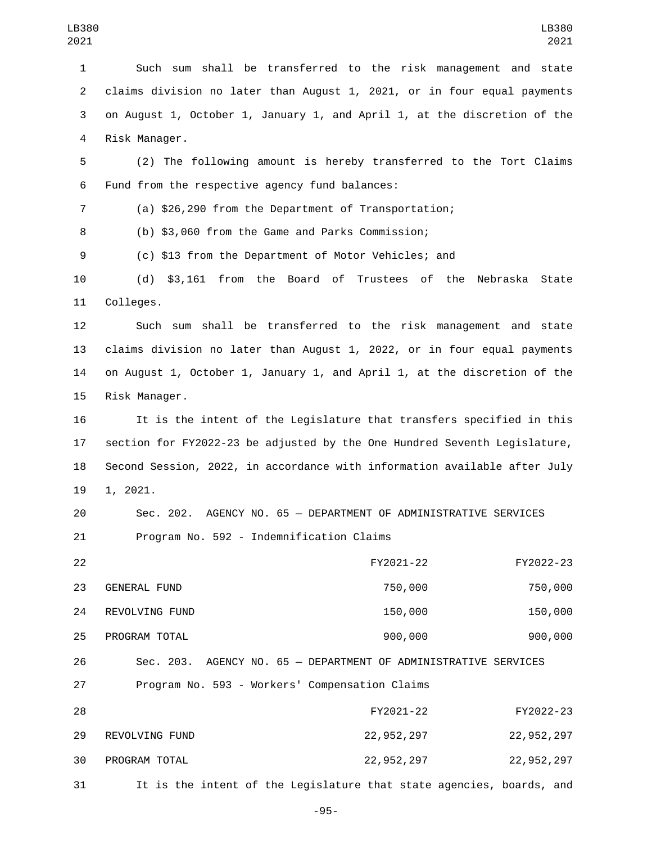Such sum shall be transferred to the risk management and state claims division no later than August 1, 2021, or in four equal payments on August 1, October 1, January 1, and April 1, at the discretion of the 4 Risk Manager.

 (2) The following amount is hereby transferred to the Tort Claims 6 Fund from the respective agency fund balances:

(a) \$26,290 from the Department of Transportation;

(b) \$3,060 from the Game and Parks Commission;

(c) \$13 from the Department of Motor Vehicles; and

 (d) \$3,161 from the Board of Trustees of the Nebraska State 11 Colleges.

 Such sum shall be transferred to the risk management and state claims division no later than August 1, 2022, or in four equal payments on August 1, October 1, January 1, and April 1, at the discretion of the 15 Risk Manager.

 It is the intent of the Legislature that transfers specified in this section for FY2022-23 be adjusted by the One Hundred Seventh Legislature, Second Session, 2022, in accordance with information available after July 1, 2021.

 Sec. 202. AGENCY NO. 65 — DEPARTMENT OF ADMINISTRATIVE SERVICES 21 Program No. 592 - Indemnification Claims

| 22 |                                                | FY2021-22                                                       | FY2022-23    |
|----|------------------------------------------------|-----------------------------------------------------------------|--------------|
| 23 | <b>GENERAL FUND</b>                            | 750,000                                                         | 750,000      |
| 24 | REVOLVING FUND                                 | 150,000                                                         | 150,000      |
| 25 | PROGRAM TOTAL                                  | 900,000                                                         | 900,000      |
| 26 |                                                | Sec. 203. AGENCY NO. 65 - DEPARTMENT OF ADMINISTRATIVE SERVICES |              |
| 27 | Program No. 593 - Workers' Compensation Claims |                                                                 |              |
| 28 |                                                | FY2021-22                                                       | FY2022-23    |
| 29 | REVOLVING FUND                                 | 22, 952, 297                                                    | 22, 952, 297 |
| 30 | PROGRAM TOTAL                                  | 22, 952, 297                                                    | 22, 952, 297 |

It is the intent of the Legislature that state agencies, boards, and

-95-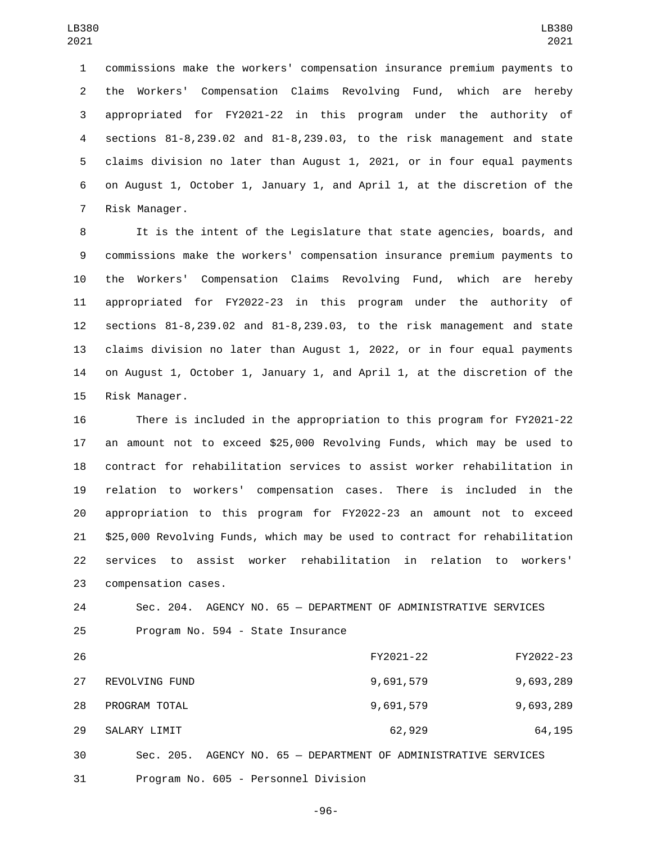commissions make the workers' compensation insurance premium payments to the Workers' Compensation Claims Revolving Fund, which are hereby appropriated for FY2021-22 in this program under the authority of sections 81-8,239.02 and 81-8,239.03, to the risk management and state claims division no later than August 1, 2021, or in four equal payments on August 1, October 1, January 1, and April 1, at the discretion of the 7 Risk Manager.

 It is the intent of the Legislature that state agencies, boards, and commissions make the workers' compensation insurance premium payments to the Workers' Compensation Claims Revolving Fund, which are hereby appropriated for FY2022-23 in this program under the authority of sections 81-8,239.02 and 81-8,239.03, to the risk management and state claims division no later than August 1, 2022, or in four equal payments on August 1, October 1, January 1, and April 1, at the discretion of the 15 Risk Manager.

 There is included in the appropriation to this program for FY2021-22 an amount not to exceed \$25,000 Revolving Funds, which may be used to contract for rehabilitation services to assist worker rehabilitation in relation to workers' compensation cases. There is included in the appropriation to this program for FY2022-23 an amount not to exceed \$25,000 Revolving Funds, which may be used to contract for rehabilitation services to assist worker rehabilitation in relation to workers' 23 compensation cases.

 Sec. 204. AGENCY NO. 65 — DEPARTMENT OF ADMINISTRATIVE SERVICES 25 Program No. 594 - State Insurance

| 26 |                                      | FY2021-22                                                       | FY2022-23 |
|----|--------------------------------------|-----------------------------------------------------------------|-----------|
| 27 | REVOLVING FUND                       | 9,691,579                                                       | 9,693,289 |
| 28 | PROGRAM TOTAL                        | 9,691,579                                                       | 9,693,289 |
| 29 | SALARY LIMIT                         | 62,929                                                          | 64,195    |
| 30 |                                      | Sec. 205. AGENCY NO. 65 - DEPARTMENT OF ADMINISTRATIVE SERVICES |           |
| 31 | Program No. 605 - Personnel Division |                                                                 |           |

-96-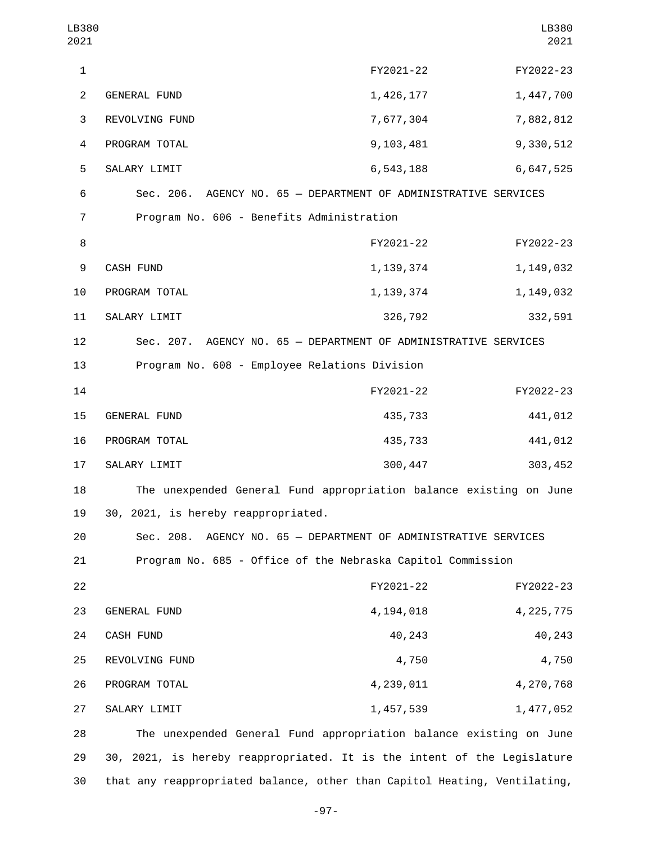| LB380<br>2021  |                                                                         |             | LB380<br>2021 |
|----------------|-------------------------------------------------------------------------|-------------|---------------|
| $\mathbf{1}$   |                                                                         | FY2021-22   | FY2022-23     |
| $\overline{2}$ | GENERAL FUND                                                            | 1,426,177   | 1,447,700     |
| 3              | REVOLVING FUND                                                          | 7,677,304   | 7,882,812     |
| 4              | PROGRAM TOTAL                                                           | 9,103,481   | 9,330,512     |
| 5              | SALARY LIMIT                                                            | 6,543,188   | 6,647,525     |
| 6              | Sec. 206. AGENCY NO. 65 - DEPARTMENT OF ADMINISTRATIVE SERVICES         |             |               |
| 7              | Program No. 606 - Benefits Administration                               |             |               |
| 8              |                                                                         | FY2021-22   | FY2022-23     |
| 9              | CASH FUND                                                               | 1, 139, 374 | 1, 149, 032   |
| 10             | PROGRAM TOTAL                                                           | 1, 139, 374 | 1,149,032     |
| 11             | SALARY LIMIT                                                            | 326,792     | 332,591       |
| 12             | Sec. 207. AGENCY NO. 65 - DEPARTMENT OF ADMINISTRATIVE SERVICES         |             |               |
| 13             | Program No. 608 - Employee Relations Division                           |             |               |
| 14             |                                                                         | FY2021-22   | FY2022-23     |
| 15             | GENERAL FUND                                                            | 435,733     | 441,012       |
| 16             | PROGRAM TOTAL                                                           | 435,733     | 441,012       |
| 17             | SALARY LIMIT                                                            | 300, 447    | 303, 452      |
| 18             | The unexpended General Fund appropriation balance existing on June      |             |               |
| 19             | 30, 2021, is hereby reappropriated.                                     |             |               |
| 20             | Sec. 208. AGENCY NO. 65 - DEPARTMENT OF ADMINISTRATIVE SERVICES         |             |               |
| 21             | Program No. 685 - Office of the Nebraska Capitol Commission             |             |               |
| 22             |                                                                         | FY2021-22   | FY2022-23     |
| 23             | GENERAL FUND                                                            | 4,194,018   | 4, 225, 775   |
| 24             | CASH FUND                                                               | 40,243      | 40,243        |
| 25             | REVOLVING FUND                                                          | 4,750       | 4,750         |
| 26             | PROGRAM TOTAL                                                           | 4,239,011   | 4,270,768     |
| 27             | SALARY LIMIT                                                            | 1,457,539   | 1,477,052     |
| 28             | The unexpended General Fund appropriation balance existing on June      |             |               |
| 29             | 30, 2021, is hereby reappropriated. It is the intent of the Legislature |             |               |

-97-

30 that any reappropriated balance, other than Capitol Heating, Ventilating,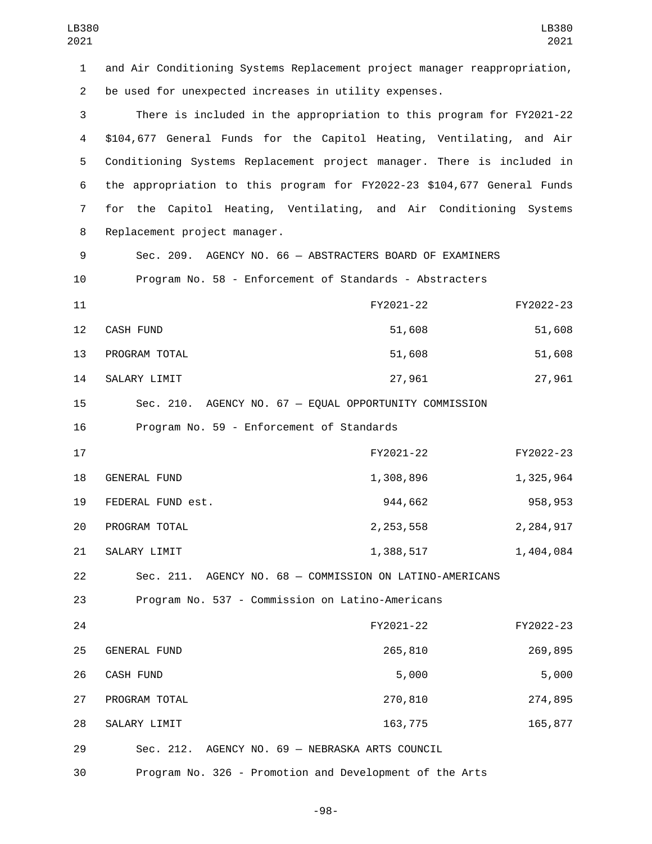| LB380<br>2021  |                                                                           |             | LB380<br>2021 |
|----------------|---------------------------------------------------------------------------|-------------|---------------|
| 1              | and Air Conditioning Systems Replacement project manager reappropriation, |             |               |
| $\overline{2}$ | be used for unexpected increases in utility expenses.                     |             |               |
| 3              | There is included in the appropriation to this program for FY2021-22      |             |               |
| 4              | \$104,677 General Funds for the Capitol Heating, Ventilating, and Air     |             |               |
| 5              | Conditioning Systems Replacement project manager. There is included in    |             |               |
| 6              | the appropriation to this program for FY2022-23 \$104,677 General Funds   |             |               |
| $\overline{7}$ | for the Capitol Heating, Ventilating, and Air Conditioning Systems        |             |               |
| 8              | Replacement project manager.                                              |             |               |
| 9              | Sec. 209. AGENCY NO. 66 - ABSTRACTERS BOARD OF EXAMINERS                  |             |               |
| 10             | Program No. 58 - Enforcement of Standards - Abstracters                   |             |               |
| 11             |                                                                           | FY2021-22   | FY2022-23     |
| 12             | <b>CASH FUND</b>                                                          | 51,608      | 51,608        |
| 13             | PROGRAM TOTAL                                                             | 51,608      | 51,608        |
| 14             | SALARY LIMIT                                                              | 27,961      | 27,961        |
| 15             | Sec. 210. AGENCY NO. 67 - EQUAL OPPORTUNITY COMMISSION                    |             |               |
| 16             | Program No. 59 - Enforcement of Standards                                 |             |               |
| 17             |                                                                           | FY2021-22   | FY2022-23     |
| 18             | <b>GENERAL FUND</b>                                                       | 1,308,896   | 1,325,964     |
| 19             | FEDERAL FUND est.                                                         | 944,662     | 958, 953      |
| 20             | PROGRAM TOTAL                                                             | 2, 253, 558 | 2, 284, 917   |
| 21             | SALARY LIMIT                                                              | 1,388,517   | 1,404,084     |
| 22             | Sec. 211. AGENCY NO. 68 - COMMISSION ON LATINO-AMERICANS                  |             |               |
| 23             | Program No. 537 - Commission on Latino-Americans                          |             |               |
| 24             |                                                                           | FY2021-22   | FY2022-23     |
| 25             | GENERAL FUND                                                              | 265,810     | 269,895       |
| 26             | CASH FUND                                                                 | 5,000       | 5,000         |
| 27             | PROGRAM TOTAL                                                             | 270,810     | 274,895       |
| 28             | SALARY LIMIT                                                              | 163,775     | 165,877       |
| 29             | Sec. 212. AGENCY NO. 69 - NEBRASKA ARTS COUNCIL                           |             |               |
| 30             | Program No. 326 - Promotion and Development of the Arts                   |             |               |

-98-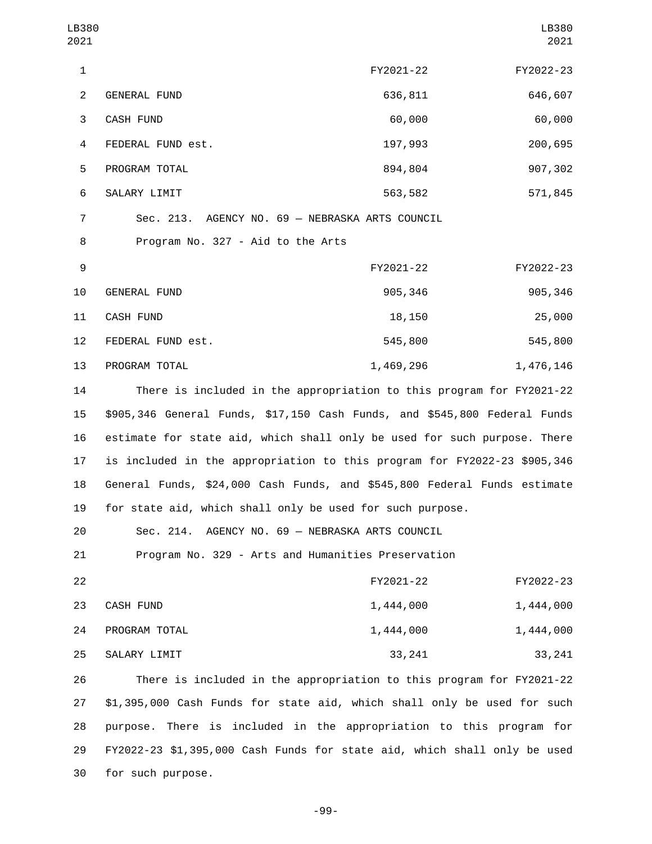| LB380<br>2021  |                                                                           |           | LB380<br>2021 |
|----------------|---------------------------------------------------------------------------|-----------|---------------|
| $\mathbf{1}$   |                                                                           | FY2021-22 | FY2022-23     |
| $\overline{c}$ | GENERAL FUND                                                              | 636,811   | 646,607       |
| 3              | CASH FUND                                                                 | 60,000    | 60,000        |
| $\overline{4}$ | FEDERAL FUND est.                                                         | 197,993   | 200,695       |
| 5              | PROGRAM TOTAL                                                             | 894,804   | 907,302       |
| 6              | SALARY LIMIT                                                              | 563,582   | 571,845       |
| $\overline{7}$ | Sec. 213. AGENCY NO. 69 - NEBRASKA ARTS COUNCIL                           |           |               |
| 8              | Program No. 327 - Aid to the Arts                                         |           |               |
| 9              |                                                                           | FY2021-22 | FY2022-23     |
| 10             | GENERAL FUND                                                              | 905,346   | 905,346       |
| 11             | CASH FUND                                                                 | 18,150    | 25,000        |
| 12             | FEDERAL FUND est.                                                         | 545,800   | 545,800       |
| 13             | PROGRAM TOTAL                                                             | 1,469,296 | 1,476,146     |
| 14             | There is included in the appropriation to this program for FY2021-22      |           |               |
| 15             | \$905,346 General Funds, \$17,150 Cash Funds, and \$545,800 Federal Funds |           |               |
| 16             | estimate for state aid, which shall only be used for such purpose. There  |           |               |
| 17             | is included in the appropriation to this program for FY2022-23 \$905,346  |           |               |
| 18             | General Funds, \$24,000 Cash Funds, and \$545,800 Federal Funds estimate  |           |               |
| 19             | for state aid, which shall only be used for such purpose.                 |           |               |
| 20             | Sec. 214. AGENCY NO. 69 - NEBRASKA ARTS COUNCIL                           |           |               |
| 21             | Program No. 329 - Arts and Humanities Preservation                        |           |               |
| 22             |                                                                           | FY2021-22 | FY2022-23     |
| 23             | CASH FUND                                                                 | 1,444,000 | 1,444,000     |
| 24             | PROGRAM TOTAL                                                             | 1,444,000 | 1,444,000     |
| 25             | SALARY LIMIT                                                              | 33,241    | 33, 241       |
| 26             | There is included in the appropriation to this program for FY2021-22      |           |               |
| 27             | \$1,395,000 Cash Funds for state aid, which shall only be used for such   |           |               |
| 28             | purpose. There is included in the appropriation to this program for       |           |               |
| 29             | FY2022-23 \$1,395,000 Cash Funds for state aid, which shall only be used  |           |               |
| 30             | for such purpose.                                                         |           |               |

-99-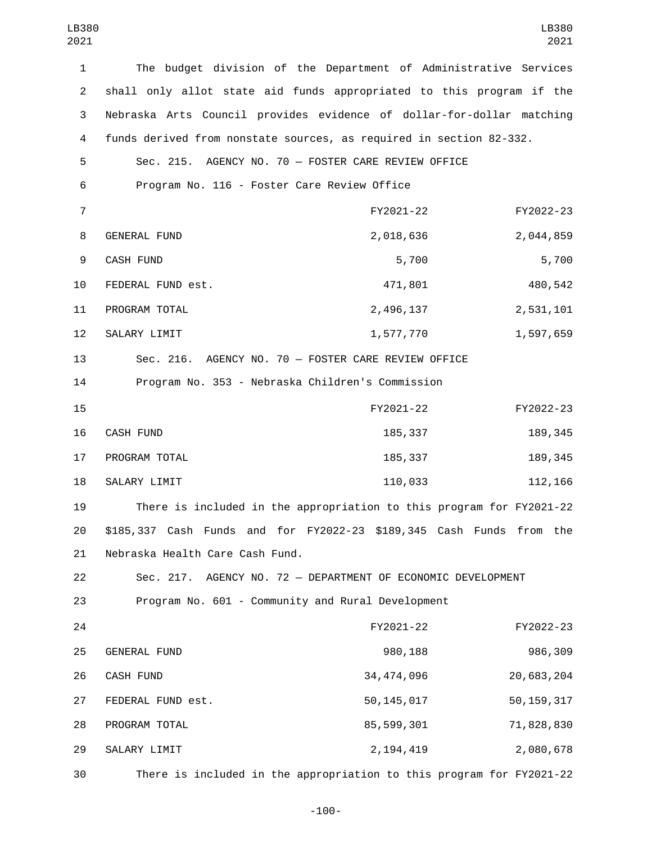| $\mathbf{1}$   | The budget division of the Department of Administrative Services      |              |              |
|----------------|-----------------------------------------------------------------------|--------------|--------------|
| $\overline{2}$ | shall only allot state aid funds appropriated to this program if the  |              |              |
| 3              | Nebraska Arts Council provides evidence of dollar-for-dollar matching |              |              |
| 4              | funds derived from nonstate sources, as required in section 82-332.   |              |              |
| 5              | Sec. 215. AGENCY NO. 70 - FOSTER CARE REVIEW OFFICE                   |              |              |
| 6              | Program No. 116 - Foster Care Review Office                           |              |              |
| $\overline{7}$ |                                                                       | FY2021-22    | FY2022-23    |
| 8              | GENERAL FUND                                                          | 2,018,636    | 2,044,859    |
| 9              | CASH FUND                                                             | 5,700        | 5,700        |
| 10             | FEDERAL FUND est.                                                     | 471,801      | 480,542      |
| 11             | PROGRAM TOTAL                                                         | 2,496,137    | 2,531,101    |
| 12             | SALARY LIMIT                                                          | 1,577,770    | 1,597,659    |
| 13             | Sec. 216. AGENCY NO. 70 - FOSTER CARE REVIEW OFFICE                   |              |              |
| 14             | Program No. 353 - Nebraska Children's Commission                      |              |              |
| 15             |                                                                       | FY2021-22    | FY2022-23    |
| 16             | CASH FUND                                                             | 185,337      | 189, 345     |
| 17             | PROGRAM TOTAL                                                         | 185,337      | 189, 345     |
| 18             | SALARY LIMIT                                                          | 110,033      | 112,166      |
| 19             | There is included in the appropriation to this program for FY2021-22  |              |              |
| 20             | \$185,337 Cash Funds and for FY2022-23 \$189,345 Cash Funds from the  |              |              |
| 21             | Nebraska Health Care Cash Fund.                                       |              |              |
| 22             | AGENCY NO. 72 - DEPARTMENT OF ECONOMIC DEVELOPMENT<br>Sec. 217.       |              |              |
| 23             | Program No. 601 - Community and Rural Development                     |              |              |
| 24             |                                                                       | FY2021-22    | FY2022-23    |
| 25             | GENERAL FUND                                                          | 980,188      | 986,309      |
| 26             | CASH FUND                                                             | 34, 474, 096 | 20,683,204   |
| 27             | FEDERAL FUND est.                                                     | 50, 145, 017 | 50, 159, 317 |
| 28             | PROGRAM TOTAL                                                         | 85,599,301   | 71,828,830   |
| 29             | SALARY LIMIT                                                          | 2, 194, 419  | 2,080,678    |
| 30             | There is included in the appropriation to this program for FY2021-22  |              |              |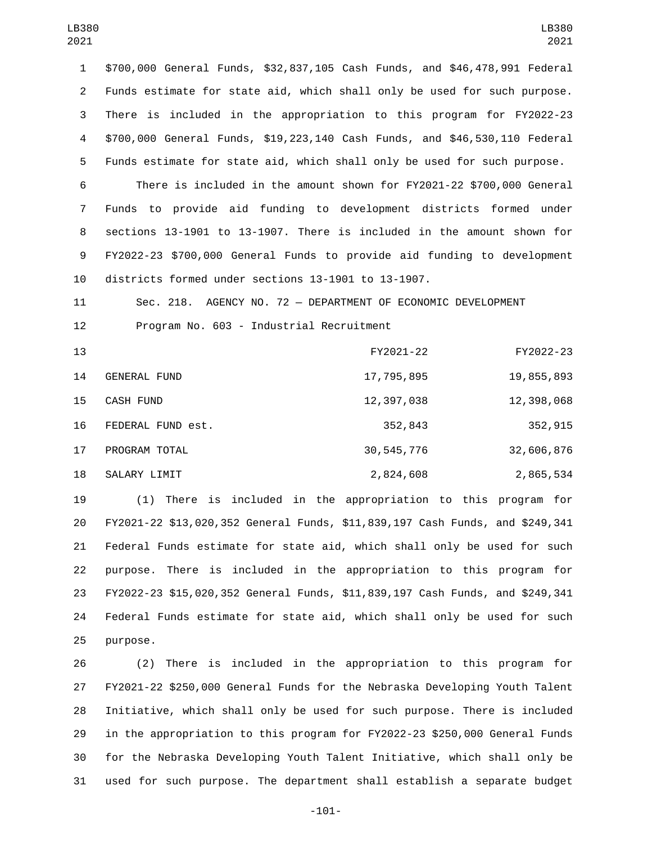\$700,000 General Funds, \$32,837,105 Cash Funds, and \$46,478,991 Federal Funds estimate for state aid, which shall only be used for such purpose. There is included in the appropriation to this program for FY2022-23 \$700,000 General Funds, \$19,223,140 Cash Funds, and \$46,530,110 Federal Funds estimate for state aid, which shall only be used for such purpose.

 There is included in the amount shown for FY2021-22 \$700,000 General Funds to provide aid funding to development districts formed under sections 13-1901 to 13-1907. There is included in the amount shown for FY2022-23 \$700,000 General Funds to provide aid funding to development districts formed under sections 13-1901 to 13-1907.

 Sec. 218. AGENCY NO. 72 — DEPARTMENT OF ECONOMIC DEVELOPMENT 12 Program No. 603 - Industrial Recruitment

| 13 |                     | FY2021-22  | FY2022-23  |
|----|---------------------|------------|------------|
| 14 | <b>GENERAL FUND</b> | 17,795,895 | 19,855,893 |
| 15 | CASH FUND           | 12,397,038 | 12,398,068 |
| 16 | FEDERAL FUND est.   | 352,843    | 352,915    |
| 17 | PROGRAM TOTAL       | 30,545,776 | 32,606,876 |
| 18 | SALARY LIMIT        | 2,824,608  | 2,865,534  |

 (1) There is included in the appropriation to this program for FY2021-22 \$13,020,352 General Funds, \$11,839,197 Cash Funds, and \$249,341 Federal Funds estimate for state aid, which shall only be used for such purpose. There is included in the appropriation to this program for FY2022-23 \$15,020,352 General Funds, \$11,839,197 Cash Funds, and \$249,341 Federal Funds estimate for state aid, which shall only be used for such 25 purpose.

 (2) There is included in the appropriation to this program for FY2021-22 \$250,000 General Funds for the Nebraska Developing Youth Talent Initiative, which shall only be used for such purpose. There is included in the appropriation to this program for FY2022-23 \$250,000 General Funds for the Nebraska Developing Youth Talent Initiative, which shall only be used for such purpose. The department shall establish a separate budget

-101-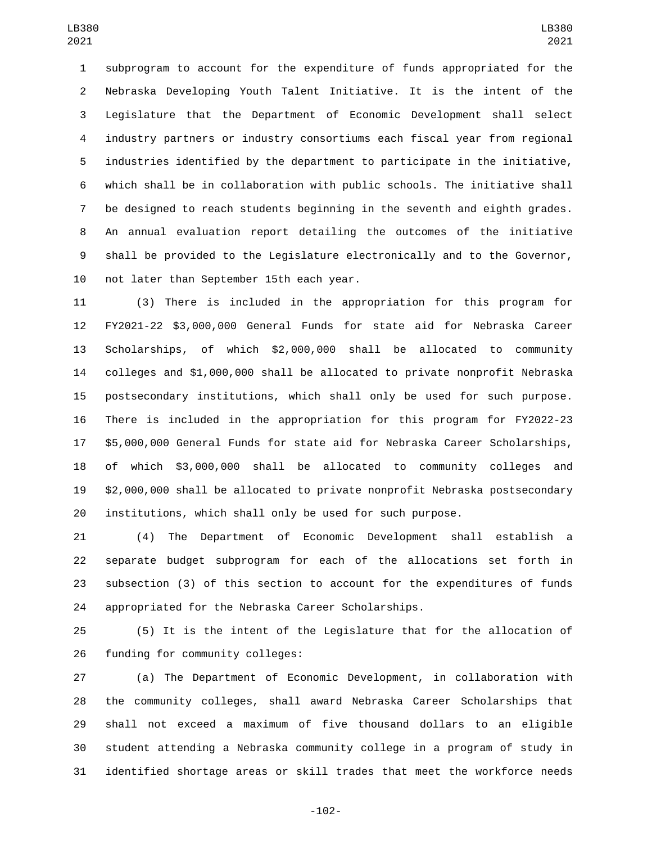subprogram to account for the expenditure of funds appropriated for the Nebraska Developing Youth Talent Initiative. It is the intent of the Legislature that the Department of Economic Development shall select industry partners or industry consortiums each fiscal year from regional industries identified by the department to participate in the initiative, which shall be in collaboration with public schools. The initiative shall be designed to reach students beginning in the seventh and eighth grades. An annual evaluation report detailing the outcomes of the initiative shall be provided to the Legislature electronically and to the Governor, 10 not later than September 15th each year.

 (3) There is included in the appropriation for this program for FY2021-22 \$3,000,000 General Funds for state aid for Nebraska Career Scholarships, of which \$2,000,000 shall be allocated to community colleges and \$1,000,000 shall be allocated to private nonprofit Nebraska postsecondary institutions, which shall only be used for such purpose. There is included in the appropriation for this program for FY2022-23 \$5,000,000 General Funds for state aid for Nebraska Career Scholarships, of which \$3,000,000 shall be allocated to community colleges and \$2,000,000 shall be allocated to private nonprofit Nebraska postsecondary institutions, which shall only be used for such purpose.

 (4) The Department of Economic Development shall establish a separate budget subprogram for each of the allocations set forth in subsection (3) of this section to account for the expenditures of funds appropriated for the Nebraska Career Scholarships.

 (5) It is the intent of the Legislature that for the allocation of 26 funding for community colleges:

 (a) The Department of Economic Development, in collaboration with the community colleges, shall award Nebraska Career Scholarships that shall not exceed a maximum of five thousand dollars to an eligible student attending a Nebraska community college in a program of study in identified shortage areas or skill trades that meet the workforce needs

-102-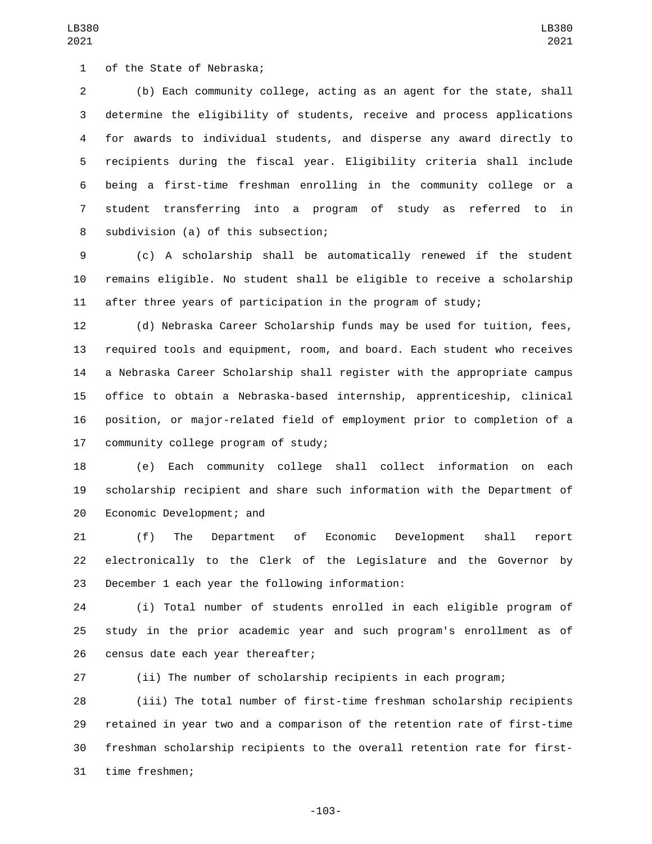(b) Each community college, acting as an agent for the state, shall determine the eligibility of students, receive and process applications for awards to individual students, and disperse any award directly to recipients during the fiscal year. Eligibility criteria shall include being a first-time freshman enrolling in the community college or a student transferring into a program of study as referred to in 8 subdivision (a) of this subsection;

 (c) A scholarship shall be automatically renewed if the student remains eligible. No student shall be eligible to receive a scholarship after three years of participation in the program of study;

 (d) Nebraska Career Scholarship funds may be used for tuition, fees, required tools and equipment, room, and board. Each student who receives a Nebraska Career Scholarship shall register with the appropriate campus office to obtain a Nebraska-based internship, apprenticeship, clinical position, or major-related field of employment prior to completion of a 17 community college program of study;

 (e) Each community college shall collect information on each scholarship recipient and share such information with the Department of 20 Economic Development; and

 (f) The Department of Economic Development shall report electronically to the Clerk of the Legislature and the Governor by 23 December 1 each year the following information:

 (i) Total number of students enrolled in each eligible program of study in the prior academic year and such program's enrollment as of 26 census date each year thereafter;

(ii) The number of scholarship recipients in each program;

 (iii) The total number of first-time freshman scholarship recipients retained in year two and a comparison of the retention rate of first-time freshman scholarship recipients to the overall retention rate for first-31 time freshmen;

-103-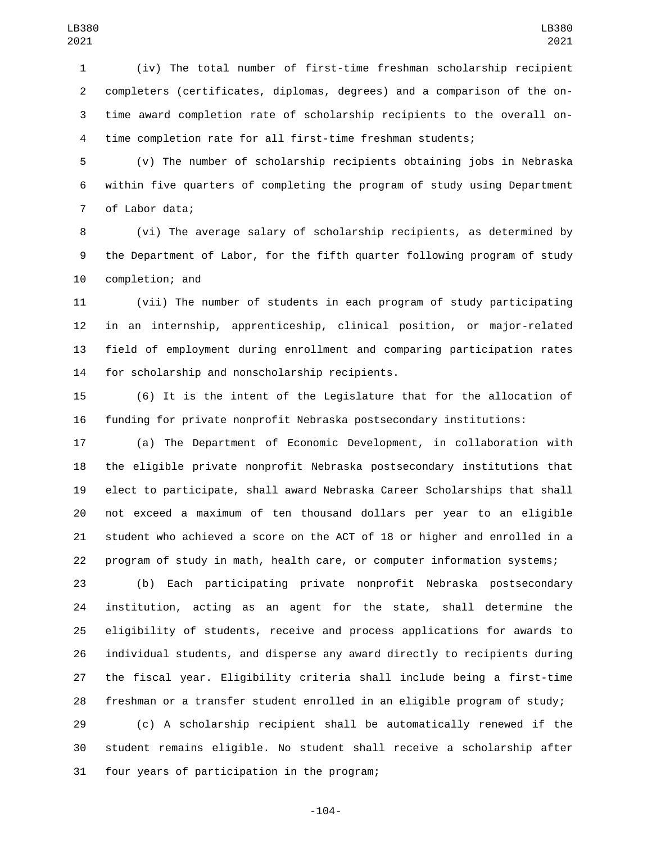(iv) The total number of first-time freshman scholarship recipient completers (certificates, diplomas, degrees) and a comparison of the on- time award completion rate of scholarship recipients to the overall on-time completion rate for all first-time freshman students;

 (v) The number of scholarship recipients obtaining jobs in Nebraska within five quarters of completing the program of study using Department 7 of Labor data;

 (vi) The average salary of scholarship recipients, as determined by the Department of Labor, for the fifth quarter following program of study 10 completion; and

 (vii) The number of students in each program of study participating in an internship, apprenticeship, clinical position, or major-related field of employment during enrollment and comparing participation rates 14 for scholarship and nonscholarship recipients.

 (6) It is the intent of the Legislature that for the allocation of funding for private nonprofit Nebraska postsecondary institutions:

 (a) The Department of Economic Development, in collaboration with the eligible private nonprofit Nebraska postsecondary institutions that elect to participate, shall award Nebraska Career Scholarships that shall not exceed a maximum of ten thousand dollars per year to an eligible student who achieved a score on the ACT of 18 or higher and enrolled in a program of study in math, health care, or computer information systems;

 (b) Each participating private nonprofit Nebraska postsecondary institution, acting as an agent for the state, shall determine the eligibility of students, receive and process applications for awards to individual students, and disperse any award directly to recipients during the fiscal year. Eligibility criteria shall include being a first-time freshman or a transfer student enrolled in an eligible program of study;

 (c) A scholarship recipient shall be automatically renewed if the student remains eligible. No student shall receive a scholarship after 31 four years of participation in the program;

-104-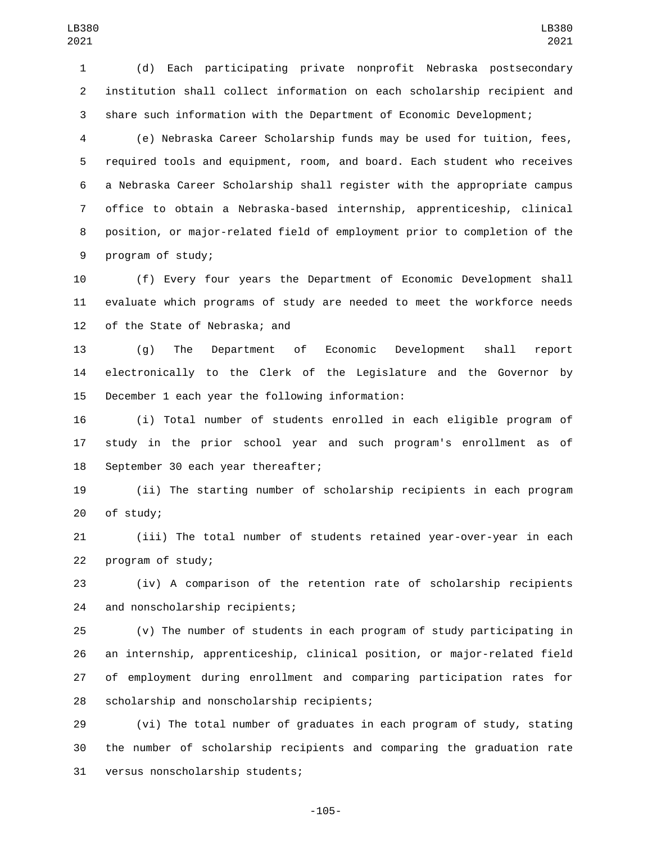(d) Each participating private nonprofit Nebraska postsecondary institution shall collect information on each scholarship recipient and share such information with the Department of Economic Development;

 (e) Nebraska Career Scholarship funds may be used for tuition, fees, required tools and equipment, room, and board. Each student who receives a Nebraska Career Scholarship shall register with the appropriate campus office to obtain a Nebraska-based internship, apprenticeship, clinical position, or major-related field of employment prior to completion of the 9 program of study;

 (f) Every four years the Department of Economic Development shall evaluate which programs of study are needed to meet the workforce needs 12 of the State of Nebraska; and

 (g) The Department of Economic Development shall report electronically to the Clerk of the Legislature and the Governor by 15 December 1 each year the following information:

 (i) Total number of students enrolled in each eligible program of study in the prior school year and such program's enrollment as of 18 September 30 each year thereafter;

 (ii) The starting number of scholarship recipients in each program 20 of study;

 (iii) The total number of students retained year-over-year in each 22 program of study;

 (iv) A comparison of the retention rate of scholarship recipients 24 and nonscholarship recipients;

 (v) The number of students in each program of study participating in an internship, apprenticeship, clinical position, or major-related field of employment during enrollment and comparing participation rates for 28 scholarship and nonscholarship recipients;

 (vi) The total number of graduates in each program of study, stating the number of scholarship recipients and comparing the graduation rate 31 versus nonscholarship students;

-105-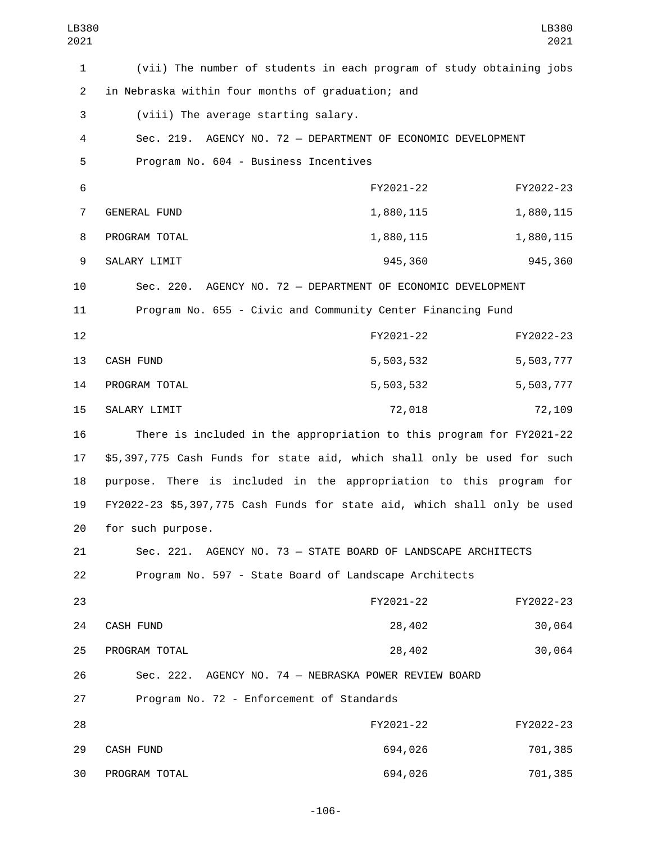| LB380<br>2021  |                                                                          |           | LB380<br>2021 |
|----------------|--------------------------------------------------------------------------|-----------|---------------|
| $\mathbf{1}$   | (vii) The number of students in each program of study obtaining jobs     |           |               |
| $\overline{2}$ | in Nebraska within four months of graduation; and                        |           |               |
| 3              | (viii) The average starting salary.                                      |           |               |
| 4              | Sec. 219. AGENCY NO. 72 - DEPARTMENT OF ECONOMIC DEVELOPMENT             |           |               |
| 5              | Program No. 604 - Business Incentives                                    |           |               |
| 6              |                                                                          | FY2021-22 | FY2022-23     |
| $\overline{7}$ | GENERAL FUND                                                             | 1,880,115 | 1,880,115     |
| 8              | PROGRAM TOTAL                                                            | 1,880,115 | 1,880,115     |
| 9              | SALARY LIMIT                                                             | 945,360   | 945,360       |
| 10             | Sec. 220. AGENCY NO. 72 - DEPARTMENT OF ECONOMIC DEVELOPMENT             |           |               |
| 11             | Program No. 655 - Civic and Community Center Financing Fund              |           |               |
| 12             |                                                                          | FY2021-22 | FY2022-23     |
| 13             | CASH FUND                                                                | 5,503,532 | 5,503,777     |
| 14             | PROGRAM TOTAL                                                            | 5,503,532 | 5,503,777     |
| 15             | SALARY LIMIT                                                             | 72,018    | 72,109        |
| 16             | There is included in the appropriation to this program for FY2021-22     |           |               |
| 17             | \$5,397,775 Cash Funds for state aid, which shall only be used for such  |           |               |
| 18             | purpose. There is included in the appropriation to this program for      |           |               |
| 19             | FY2022-23 \$5,397,775 Cash Funds for state aid, which shall only be used |           |               |
| 20             | for such purpose.                                                        |           |               |
| 21             | Sec. 221. AGENCY NO. 73 - STATE BOARD OF LANDSCAPE ARCHITECTS            |           |               |
| 22             | Program No. 597 - State Board of Landscape Architects                    |           |               |
| 23             |                                                                          | FY2021-22 | FY2022-23     |
| 24             | CASH FUND                                                                | 28,402    | 30,064        |
| 25             | PROGRAM TOTAL                                                            | 28,402    | 30,064        |
| 26             | Sec. 222. AGENCY NO. 74 - NEBRASKA POWER REVIEW BOARD                    |           |               |
| 27             | Program No. 72 - Enforcement of Standards                                |           |               |
| 28             |                                                                          | FY2021-22 | FY2022-23     |
| 29             | CASH FUND                                                                | 694,026   | 701,385       |
| 30             | PROGRAM TOTAL                                                            | 694,026   | 701,385       |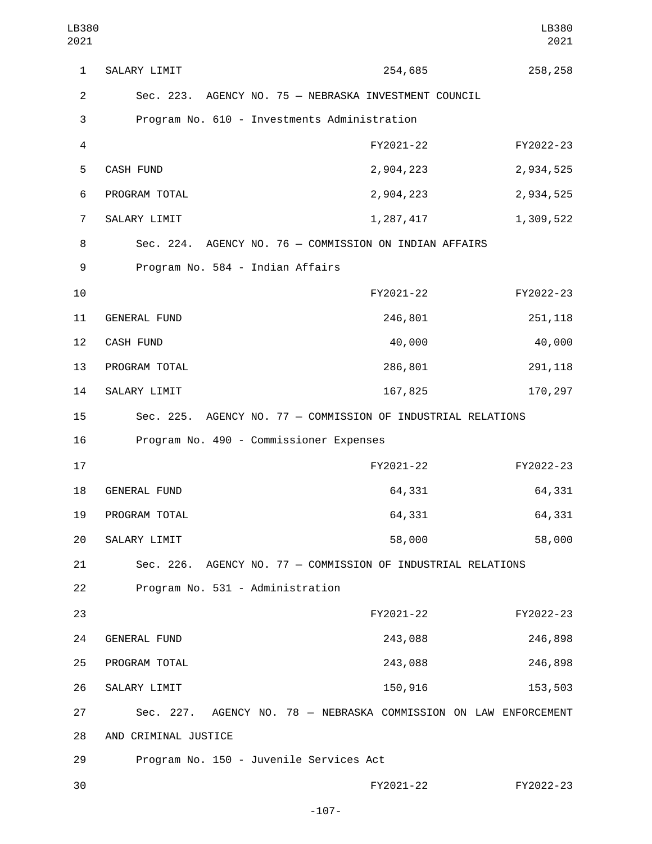1 SALARY LIMIT 254,685 258,258 2 Sec. 223. AGENCY NO. 75 — NEBRASKA INVESTMENT COUNCIL 3 Program No. 610 - Investments Administration 4 FY2021-22 FY2022-23 5 CASH FUND 2,904,223 2,934,525 6 PROGRAM TOTAL 2,904,223 2,934,525 7 SALARY LIMIT 2007, 2007, 2017 1,287, 417 1,309, 522 8 Sec. 224. AGENCY NO. 76 — COMMISSION ON INDIAN AFFAIRS 9 Program No. 584 - Indian Affairs 10 FY2021-22 FY2022-23 11 GENERAL FUND 246,801 251,118 12 CASH FUND 40,000 40,000 40,000 13 PROGRAM TOTAL 286,801 291,118 14 SALARY LIMIT 167,825 170,297 15 Sec. 225. AGENCY NO. 77 — COMMISSION OF INDUSTRIAL RELATIONS 16 Program No. 490 - Commissioner Expenses 17 FY2021-22 FY2022-23 18 GENERAL FUND 64,331 64,331 64,331 19 PROGRAM TOTAL 64,331 64,331 64,331 SALARY LIMIT20 58,000 58,000 21 Sec. 226. AGENCY NO. 77 — COMMISSION OF INDUSTRIAL RELATIONS 22 Program No. 531 - Administration 23 FY2021-22 FY2022-23 GENERAL FUND24 243,088 246,898 25 PROGRAM TOTAL 243,088 243,088 246,898 26 SALARY LIMIT 26 150,916 153,503 27 Sec. 227. AGENCY NO. 78 — NEBRASKA COMMISSION ON LAW ENFORCEMENT 28 AND CRIMINAL JUSTICE 29 Program No. 150 - Juvenile Services Act 30 FY2021-22 FY2022-23 LB380 2021 LB380 2021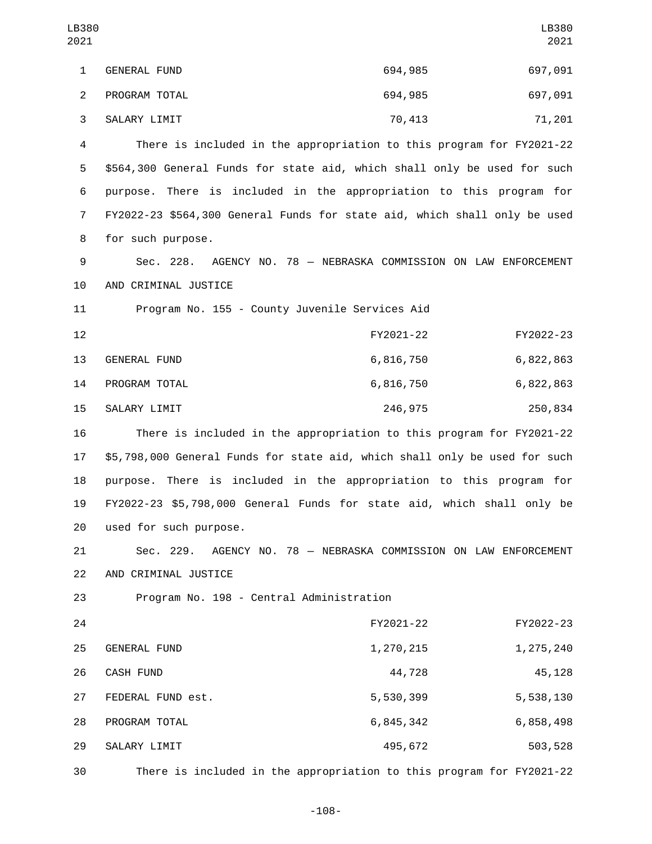| LB380<br>2021  |                                                                            |           | LB380<br>2021                                          |
|----------------|----------------------------------------------------------------------------|-----------|--------------------------------------------------------|
| $\mathbf{1}$   | <b>GENERAL FUND</b>                                                        | 694,985   | 697,091                                                |
| $\overline{2}$ | PROGRAM TOTAL                                                              | 694,985   | 697,091                                                |
| 3              | SALARY LIMIT                                                               | 70,413    | 71,201                                                 |
| 4              | There is included in the appropriation to this program for FY2021-22       |           |                                                        |
| 5              | \$564,300 General Funds for state aid, which shall only be used for such   |           |                                                        |
| 6              | purpose. There is included in the appropriation to this program for        |           |                                                        |
| 7              | FY2022-23 \$564,300 General Funds for state aid, which shall only be used  |           |                                                        |
| 8              | for such purpose.                                                          |           |                                                        |
| 9              | Sec. 228.                                                                  |           | AGENCY NO. 78 - NEBRASKA COMMISSION ON LAW ENFORCEMENT |
| 10             | AND CRIMINAL JUSTICE                                                       |           |                                                        |
| 11             | Program No. 155 - County Juvenile Services Aid                             |           |                                                        |
| 12             |                                                                            | FY2021-22 | FY2022-23                                              |
| 13             | GENERAL FUND                                                               | 6,816,750 | 6,822,863                                              |
| 14             | PROGRAM TOTAL                                                              | 6,816,750 | 6,822,863                                              |
| 15             | SALARY LIMIT                                                               | 246,975   | 250,834                                                |
| 16             | There is included in the appropriation to this program for FY2021-22       |           |                                                        |
| 17             | \$5,798,000 General Funds for state aid, which shall only be used for such |           |                                                        |
| 18             | There is included in the appropriation to this program for<br>purpose.     |           |                                                        |
| 19             | FY2022-23 \$5,798,000 General Funds for state aid, which shall only be     |           |                                                        |
| 20             | used for such purpose.                                                     |           |                                                        |
| 21             | Sec. 229.                                                                  |           | AGENCY NO. 78 - NEBRASKA COMMISSION ON LAW ENFORCEMENT |
| 22             | AND CRIMINAL JUSTICE                                                       |           |                                                        |
| 23             | Program No. 198 - Central Administration                                   |           |                                                        |
| 24             |                                                                            | FY2021-22 | FY2022-23                                              |
| 25             | GENERAL FUND                                                               | 1,270,215 | 1,275,240                                              |
| 26             | CASH FUND                                                                  | 44,728    | 45,128                                                 |
| 27             | FEDERAL FUND est.                                                          | 5,530,399 | 5,538,130                                              |
| 28             | PROGRAM TOTAL                                                              | 6,845,342 | 6,858,498                                              |
| 29             | SALARY LIMIT                                                               | 495,672   | 503,528                                                |
| 30             | There is included in the appropriation to this program for FY2021-22       |           |                                                        |

-108-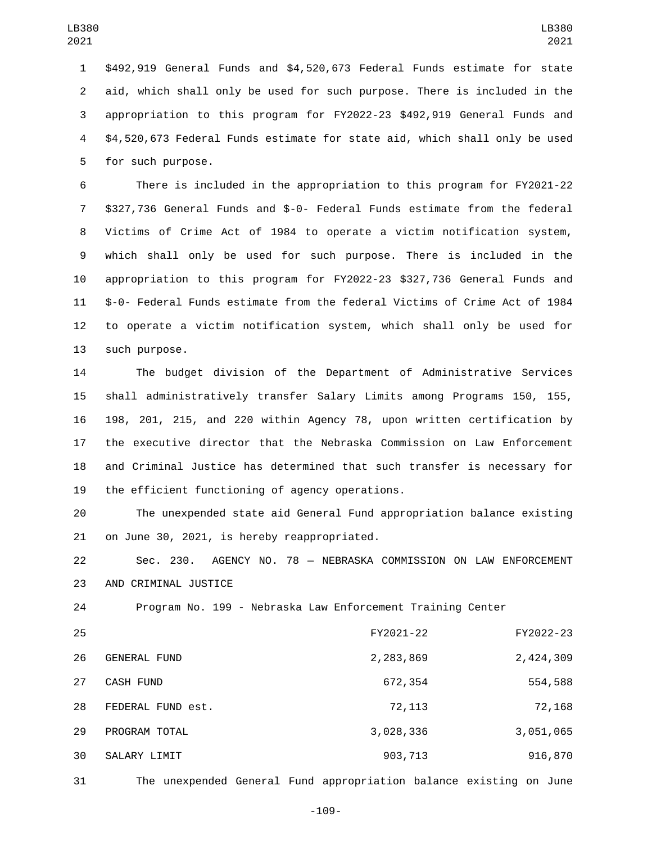\$492,919 General Funds and \$4,520,673 Federal Funds estimate for state aid, which shall only be used for such purpose. There is included in the appropriation to this program for FY2022-23 \$492,919 General Funds and \$4,520,673 Federal Funds estimate for state aid, which shall only be used 5 for such purpose.

 There is included in the appropriation to this program for FY2021-22 \$327,736 General Funds and \$-0- Federal Funds estimate from the federal Victims of Crime Act of 1984 to operate a victim notification system, which shall only be used for such purpose. There is included in the appropriation to this program for FY2022-23 \$327,736 General Funds and \$-0- Federal Funds estimate from the federal Victims of Crime Act of 1984 to operate a victim notification system, which shall only be used for 13 such purpose.

 The budget division of the Department of Administrative Services shall administratively transfer Salary Limits among Programs 150, 155, 198, 201, 215, and 220 within Agency 78, upon written certification by the executive director that the Nebraska Commission on Law Enforcement and Criminal Justice has determined that such transfer is necessary for 19 the efficient functioning of agency operations.

 The unexpended state aid General Fund appropriation balance existing 21 on June 30, 2021, is hereby reappropriated.

 Sec. 230. AGENCY NO. 78 — NEBRASKA COMMISSION ON LAW ENFORCEMENT 23 AND CRIMINAL JUSTICE

Program No. 199 - Nebraska Law Enforcement Training Center

| 25 |                     | FY2021-22 | FY2022-23 |
|----|---------------------|-----------|-----------|
| 26 | <b>GENERAL FUND</b> | 2,283,869 | 2,424,309 |
| 27 | <b>CASH FUND</b>    | 672,354   | 554,588   |
| 28 | FEDERAL FUND est.   | 72,113    | 72,168    |
| 29 | PROGRAM TOTAL       | 3,028,336 | 3,051,065 |
| 30 | SALARY LIMIT        | 903,713   | 916,870   |
|    |                     |           |           |

The unexpended General Fund appropriation balance existing on June

-109-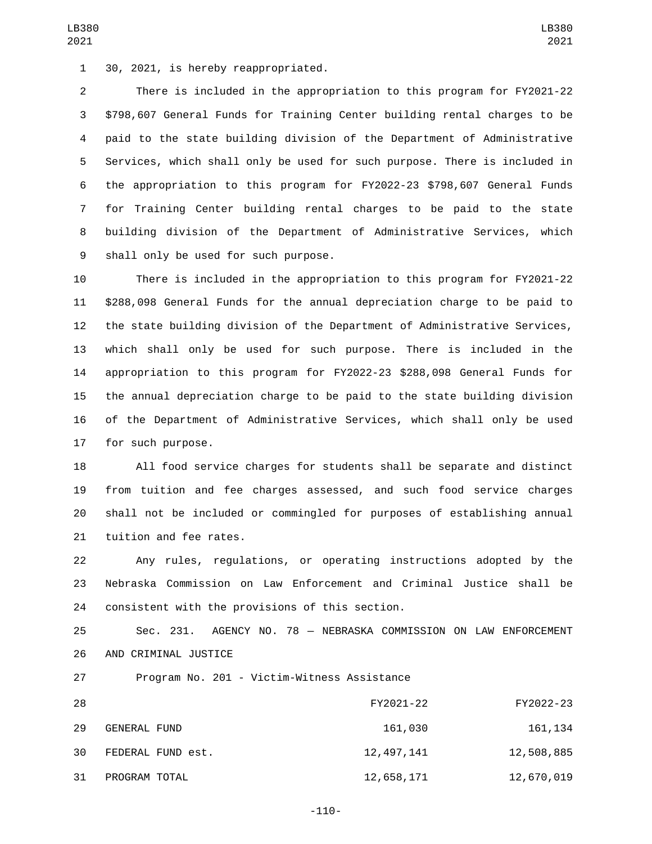LB380 

 There is included in the appropriation to this program for FY2021-22 \$798,607 General Funds for Training Center building rental charges to be paid to the state building division of the Department of Administrative Services, which shall only be used for such purpose. There is included in the appropriation to this program for FY2022-23 \$798,607 General Funds for Training Center building rental charges to be paid to the state building division of the Department of Administrative Services, which 9 shall only be used for such purpose.

 There is included in the appropriation to this program for FY2021-22 \$288,098 General Funds for the annual depreciation charge to be paid to the state building division of the Department of Administrative Services, which shall only be used for such purpose. There is included in the appropriation to this program for FY2022-23 \$288,098 General Funds for the annual depreciation charge to be paid to the state building division of the Department of Administrative Services, which shall only be used 17 for such purpose.

 All food service charges for students shall be separate and distinct from tuition and fee charges assessed, and such food service charges shall not be included or commingled for purposes of establishing annual 21 tuition and fee rates.

 Any rules, regulations, or operating instructions adopted by the Nebraska Commission on Law Enforcement and Criminal Justice shall be 24 consistent with the provisions of this section.

 Sec. 231. AGENCY NO. 78 — NEBRASKA COMMISSION ON LAW ENFORCEMENT 26 AND CRIMINAL JUSTICE

27 Program No. 201 - Victim-Witness Assistance

| 28 |                     | FY2021-22  | FY2022-23  |
|----|---------------------|------------|------------|
| 29 | <b>GENERAL FUND</b> | 161,030    | 161, 134   |
| 30 | FEDERAL FUND est.   | 12,497,141 | 12,508,885 |
| 31 | PROGRAM TOTAL       | 12,658,171 | 12,670,019 |

-110-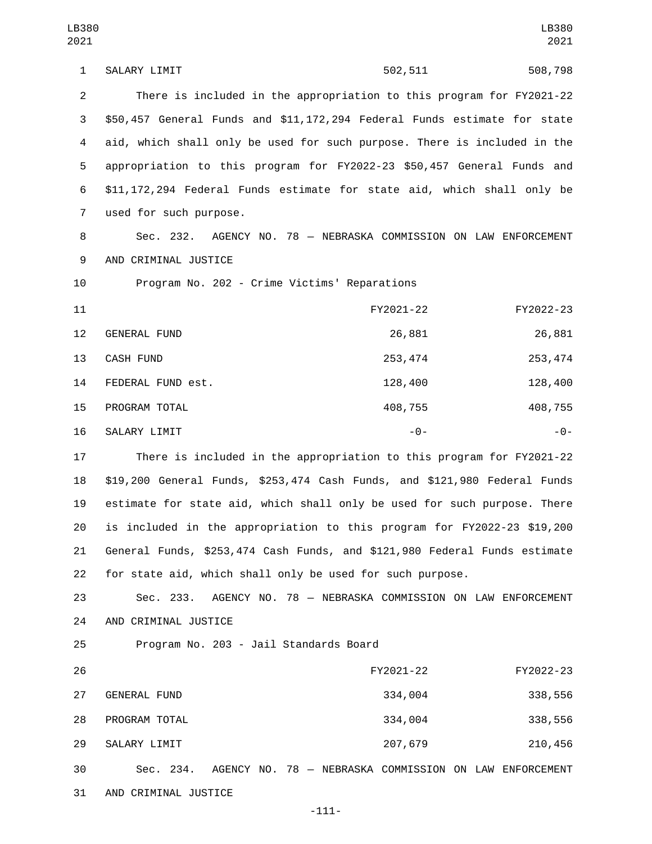1 SALARY LIMIT 602,511 508,798 2 There is included in the appropriation to this program for FY2021-22 3 \$50,457 General Funds and \$11,172,294 Federal Funds estimate for state 4 aid, which shall only be used for such purpose. There is included in the 5 appropriation to this program for FY2022-23 \$50,457 General Funds and 6 \$11,172,294 Federal Funds estimate for state aid, which shall only be 7 used for such purpose. 8 Sec. 232. AGENCY NO. 78 — NEBRASKA COMMISSION ON LAW ENFORCEMENT 9 AND CRIMINAL JUSTICE 10 Program No. 202 - Crime Victims' Reparations 11 FY2021-22 FY2022-23 12 GENERAL FUND 26,881 26,881 13 CASH FUND 253,474 253,474 253,474 14 FEDERAL FUND est. 128,400 128,400 128,400 15 PROGRAM TOTAL 2008,755 408,755 408,755 408,755 16 SALARY LIMIT **16 SALARY LIMIT** 17 There is included in the appropriation to this program for FY2021-22

 \$19,200 General Funds, \$253,474 Cash Funds, and \$121,980 Federal Funds estimate for state aid, which shall only be used for such purpose. There is included in the appropriation to this program for FY2022-23 \$19,200 General Funds, \$253,474 Cash Funds, and \$121,980 Federal Funds estimate for state aid, which shall only be used for such purpose.

23 Sec. 233. AGENCY NO. 78 — NEBRASKA COMMISSION ON LAW ENFORCEMENT 24 AND CRIMINAL JUSTICE

25 Program No. 203 - Jail Standards Board

| 26 |                     |                                        | FY2021-22 | FY2022-23       |
|----|---------------------|----------------------------------------|-----------|-----------------|
| 27 | <b>GENERAL FUND</b> |                                        | 334,004   | 338,556         |
| 28 | PROGRAM TOTAL       |                                        | 334,004   | 338,556         |
| 29 | SALARY LIMIT        |                                        | 207,679   | 210,456         |
| 30 | Sec. 234.           | AGENCY NO. 78 - NEBRASKA COMMISSION ON |           | LAW ENFORCEMENT |

31 AND CRIMINAL JUSTICE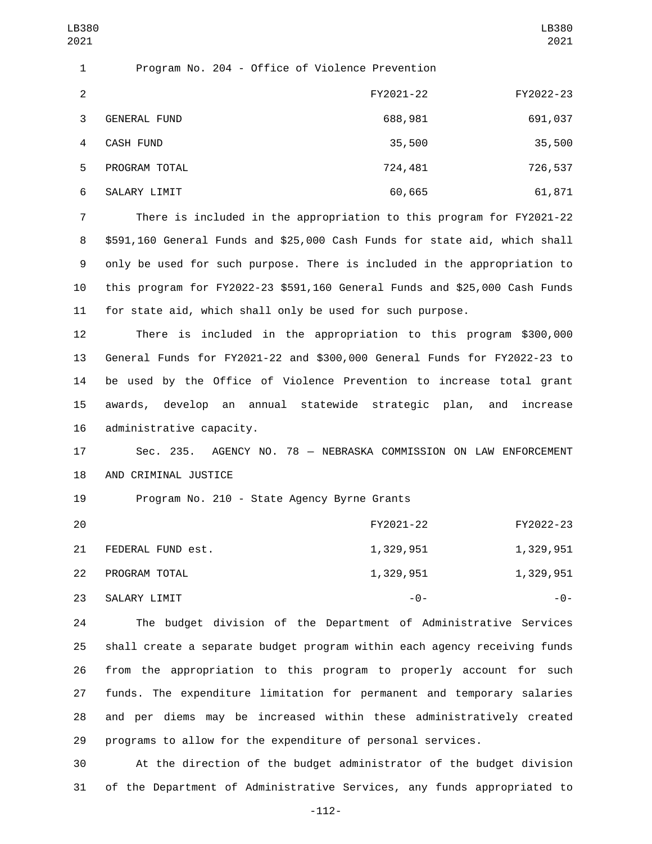| 2              |                     | FY2021-22 | FY2022-23 |
|----------------|---------------------|-----------|-----------|
| 3              | <b>GENERAL FUND</b> | 688,981   | 691,037   |
| $\overline{4}$ | CASH FUND           | 35,500    | 35,500    |
| 5              | PROGRAM TOTAL       | 724,481   | 726,537   |
| 6              | SALARY LIMIT        | 60,665    | 61,871    |

LB380 

 There is included in the appropriation to this program for FY2021-22 \$591,160 General Funds and \$25,000 Cash Funds for state aid, which shall only be used for such purpose. There is included in the appropriation to this program for FY2022-23 \$591,160 General Funds and \$25,000 Cash Funds for state aid, which shall only be used for such purpose.

 There is included in the appropriation to this program \$300,000 General Funds for FY2021-22 and \$300,000 General Funds for FY2022-23 to be used by the Office of Violence Prevention to increase total grant awards, develop an annual statewide strategic plan, and increase 16 administrative capacity.

 Sec. 235. AGENCY NO. 78 — NEBRASKA COMMISSION ON LAW ENFORCEMENT 18 AND CRIMINAL JUSTICE

19 Program No. 210 - State Agency Byrne Grants

| 20 |                   | FY2021-22 | FY2022-23 |
|----|-------------------|-----------|-----------|
| 21 | FEDERAL FUND est. | 1,329,951 | 1,329,951 |
| 22 | PROGRAM TOTAL     | 1,329,951 | 1,329,951 |
| 23 | SALARY LIMIT      | -0-       | - 0 -     |

 The budget division of the Department of Administrative Services shall create a separate budget program within each agency receiving funds from the appropriation to this program to properly account for such funds. The expenditure limitation for permanent and temporary salaries and per diems may be increased within these administratively created programs to allow for the expenditure of personal services.

 At the direction of the budget administrator of the budget division of the Department of Administrative Services, any funds appropriated to

-112-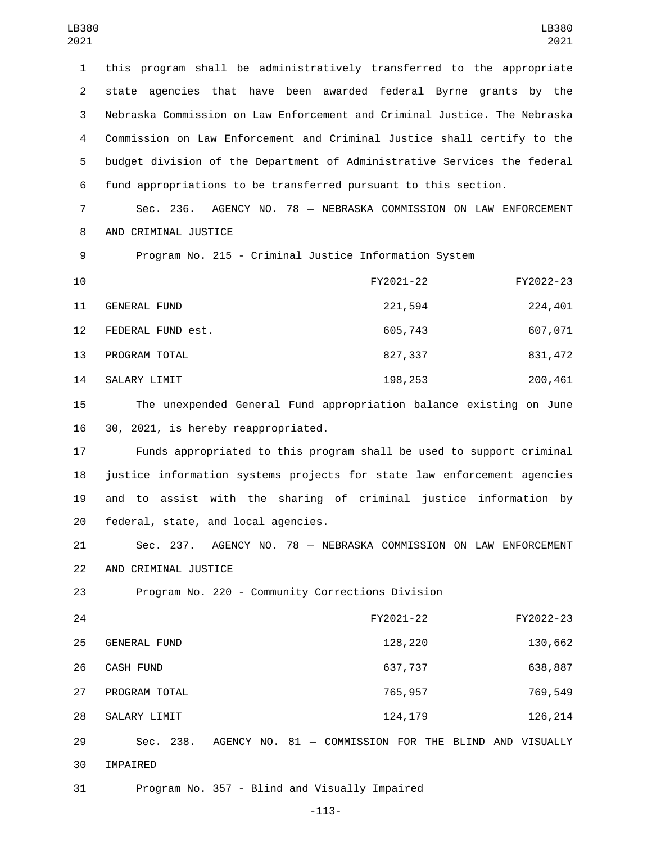this program shall be administratively transferred to the appropriate state agencies that have been awarded federal Byrne grants by the Nebraska Commission on Law Enforcement and Criminal Justice. The Nebraska Commission on Law Enforcement and Criminal Justice shall certify to the budget division of the Department of Administrative Services the federal fund appropriations to be transferred pursuant to this section.

7 Sec. 236. AGENCY NO. 78 — NEBRASKA COMMISSION ON LAW ENFORCEMENT 8 AND CRIMINAL JUSTICE

9 Program No. 215 - Criminal Justice Information System

| 10 |                     | FY2021-22 | FY2022-23 |
|----|---------------------|-----------|-----------|
| 11 | <b>GENERAL FUND</b> | 221,594   | 224,401   |
| 12 | FEDERAL FUND est.   | 605,743   | 607,071   |
| 13 | PROGRAM TOTAL       | 827,337   | 831,472   |
| 14 | SALARY LIMIT        | 198,253   | 200,461   |

15 The unexpended General Fund appropriation balance existing on June 16 30, 2021, is hereby reappropriated.

 Funds appropriated to this program shall be used to support criminal justice information systems projects for state law enforcement agencies and to assist with the sharing of criminal justice information by 20 federal, state, and local agencies.

21 Sec. 237. AGENCY NO. 78 — NEBRASKA COMMISSION ON LAW ENFORCEMENT 22 AND CRIMINAL JUSTICE

23 Program No. 220 - Community Corrections Division

| 28 | SALARY LIMIT        | 124, 179  | 126,214   |
|----|---------------------|-----------|-----------|
| 27 | PROGRAM TOTAL       | 765,957   | 769,549   |
| 26 | CASH FUND           | 637,737   | 638,887   |
| 25 | <b>GENERAL FUND</b> | 128,220   | 130,662   |
| 24 |                     | FY2021-22 | FY2022-23 |

29 Sec. 238. AGENCY NO. 81 — COMMISSION FOR THE BLIND AND VISUALLY 30 IMPAIRED

31 Program No. 357 - Blind and Visually Impaired

-113-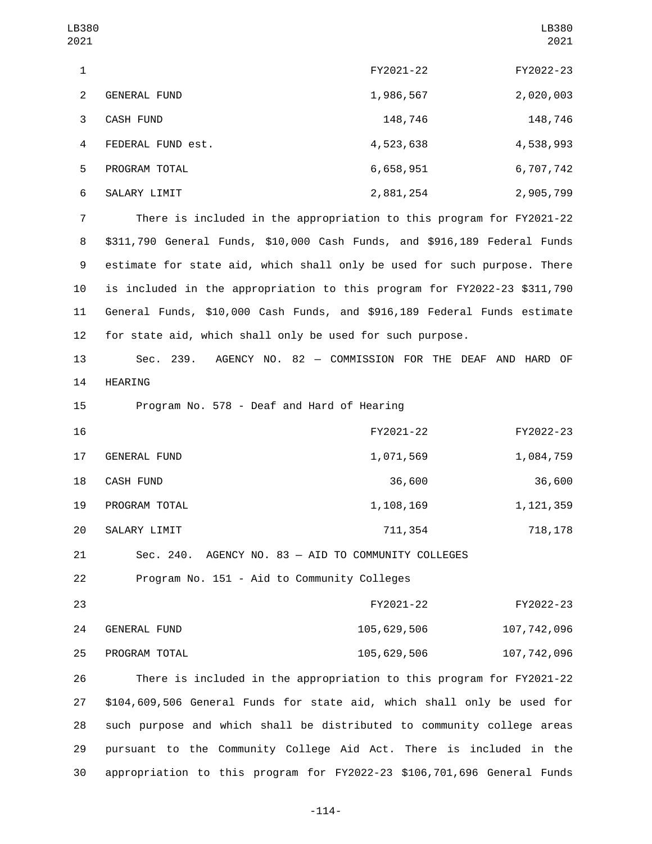| LB380<br>2021  |                                                                           |             | LB380<br>2021 |
|----------------|---------------------------------------------------------------------------|-------------|---------------|
| $\mathbf{1}$   |                                                                           | FY2021-22   | FY2022-23     |
| $\overline{2}$ | <b>GENERAL FUND</b>                                                       | 1,986,567   | 2,020,003     |
| 3              | <b>CASH FUND</b>                                                          | 148,746     | 148,746       |
| 4              | FEDERAL FUND est.                                                         | 4,523,638   | 4,538,993     |
| 5              | PROGRAM TOTAL                                                             | 6,658,951   | 6,707,742     |
| 6              | SALARY LIMIT                                                              | 2,881,254   | 2,905,799     |
| $\overline{7}$ | There is included in the appropriation to this program for FY2021-22      |             |               |
| 8              | \$311,790 General Funds, \$10,000 Cash Funds, and \$916,189 Federal Funds |             |               |
| 9              | estimate for state aid, which shall only be used for such purpose. There  |             |               |
| 10             | is included in the appropriation to this program for FY2022-23 \$311,790  |             |               |
| 11             | General Funds, \$10,000 Cash Funds, and \$916,189 Federal Funds estimate  |             |               |
| 12             | for state aid, which shall only be used for such purpose.                 |             |               |
| 13             | Sec. 239. AGENCY NO. 82 - COMMISSION FOR THE DEAF AND HARD OF             |             |               |
| 14             | HEARING                                                                   |             |               |
| 15             | Program No. 578 - Deaf and Hard of Hearing                                |             |               |
| 16             |                                                                           | FY2021-22   | FY2022-23     |
| 17             | <b>GENERAL FUND</b>                                                       | 1,071,569   | 1,084,759     |
| 18             | CASH FUND                                                                 | 36,600      | 36,600        |
| 19             | PROGRAM TOTAL                                                             | 1,108,169   | 1, 121, 359   |
| 20             | SALARY LIMIT                                                              | 711,354     | 718, 178      |
| 21             | Sec. 240.<br>AGENCY NO. 83 - AID TO COMMUNITY COLLEGES                    |             |               |
| 22             | Program No. 151 - Aid to Community Colleges                               |             |               |
| 23             |                                                                           | FY2021-22   | FY2022-23     |
| 24             | GENERAL FUND                                                              | 105,629,506 | 107,742,096   |
| 25             | PROGRAM TOTAL                                                             | 105,629,506 | 107,742,096   |
| 26             | There is included in the appropriation to this program for FY2021-22      |             |               |
| 27             | \$104,609,506 General Funds for state aid, which shall only be used for   |             |               |
| 28             | such purpose and which shall be distributed to community college areas    |             |               |

29 pursuant to the Community College Aid Act. There is included in the 30 appropriation to this program for FY2022-23 \$106,701,696 General Funds

-114-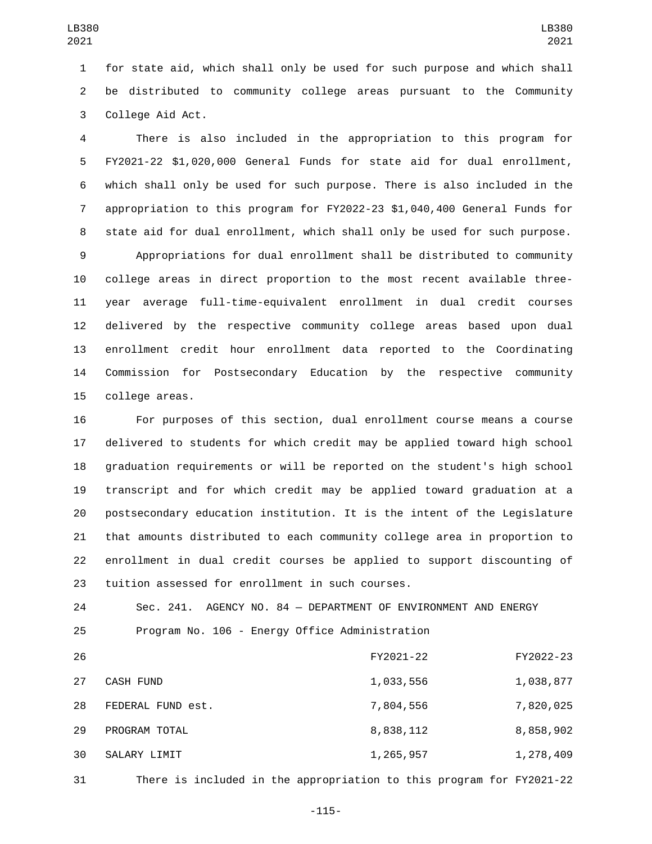for state aid, which shall only be used for such purpose and which shall be distributed to community college areas pursuant to the Community 3 College Aid Act.

 There is also included in the appropriation to this program for FY2021-22 \$1,020,000 General Funds for state aid for dual enrollment, which shall only be used for such purpose. There is also included in the appropriation to this program for FY2022-23 \$1,040,400 General Funds for state aid for dual enrollment, which shall only be used for such purpose.

 Appropriations for dual enrollment shall be distributed to community college areas in direct proportion to the most recent available three- year average full-time-equivalent enrollment in dual credit courses delivered by the respective community college areas based upon dual enrollment credit hour enrollment data reported to the Coordinating Commission for Postsecondary Education by the respective community 15 college areas.

 For purposes of this section, dual enrollment course means a course delivered to students for which credit may be applied toward high school graduation requirements or will be reported on the student's high school transcript and for which credit may be applied toward graduation at a postsecondary education institution. It is the intent of the Legislature that amounts distributed to each community college area in proportion to enrollment in dual credit courses be applied to support discounting of 23 tuition assessed for enrollment in such courses.

 Sec. 241. AGENCY NO. 84 — DEPARTMENT OF ENVIRONMENT AND ENERGY Program No. 106 - Energy Office Administration

| 26 |                   | FY2021-22 | FY2022-23 |
|----|-------------------|-----------|-----------|
| 27 | CASH FUND         | 1,033,556 | 1,038,877 |
| 28 | FEDERAL FUND est. | 7,804,556 | 7,820,025 |
| 29 | PROGRAM TOTAL     | 8,838,112 | 8,858,902 |
| 30 | SALARY LIMIT      | 1,265,957 | 1,278,409 |
|    |                   |           |           |

There is included in the appropriation to this program for FY2021-22

-115-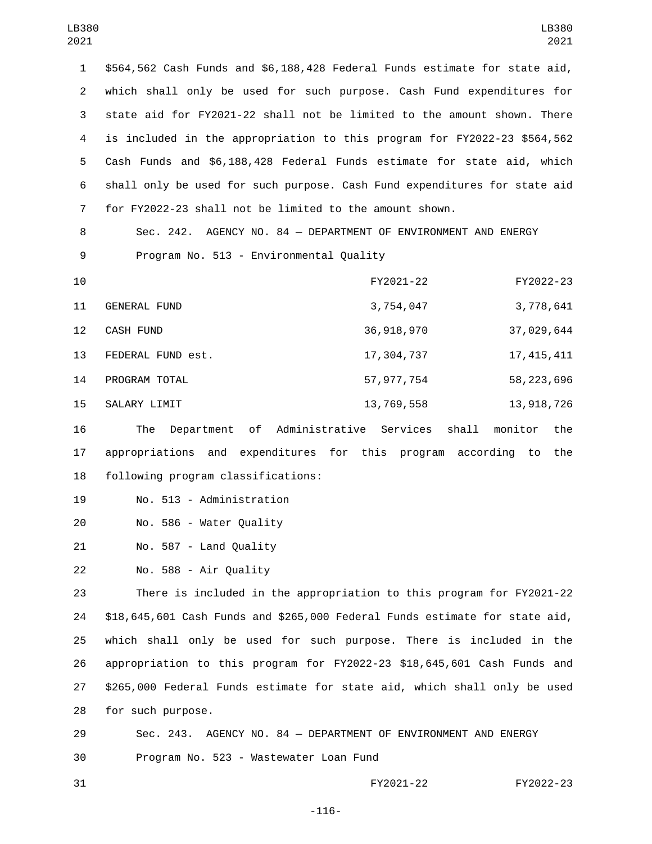\$564,562 Cash Funds and \$6,188,428 Federal Funds estimate for state aid, which shall only be used for such purpose. Cash Fund expenditures for state aid for FY2021-22 shall not be limited to the amount shown. There is included in the appropriation to this program for FY2022-23 \$564,562 Cash Funds and \$6,188,428 Federal Funds estimate for state aid, which shall only be used for such purpose. Cash Fund expenditures for state aid for FY2022-23 shall not be limited to the amount shown.

8 Sec. 242. AGENCY NO. 84 — DEPARTMENT OF ENVIRONMENT AND ENERGY 9 Program No. 513 - Environmental Quality

| 10              |                     | FY2021-22    | FY2022-23    |
|-----------------|---------------------|--------------|--------------|
| 11              | <b>GENERAL FUND</b> | 3,754,047    | 3,778,641    |
| 12 <sup>2</sup> | CASH FUND           | 36,918,970   | 37,029,644   |
| 13              | FEDERAL FUND est.   | 17,304,737   | 17, 415, 411 |
| 14              | PROGRAM TOTAL       | 57, 977, 754 | 58, 223, 696 |
| 15              | SALARY LIMIT        | 13,769,558   | 13, 918, 726 |

16 The Department of Administrative Services shall monitor the 17 appropriations and expenditures for this program according to the 18 following program classifications:

19 No. 513 - Administration

20 No. 586 - Water Quality

21 No. 587 - Land Quality

22 No. 588 - Air Quality

 There is included in the appropriation to this program for FY2021-22 \$18,645,601 Cash Funds and \$265,000 Federal Funds estimate for state aid, which shall only be used for such purpose. There is included in the appropriation to this program for FY2022-23 \$18,645,601 Cash Funds and \$265,000 Federal Funds estimate for state aid, which shall only be used 28 for such purpose.

29 Sec. 243. AGENCY NO. 84 — DEPARTMENT OF ENVIRONMENT AND ENERGY 30 Program No. 523 - Wastewater Loan Fund

31 FY2021-22 FY2022-23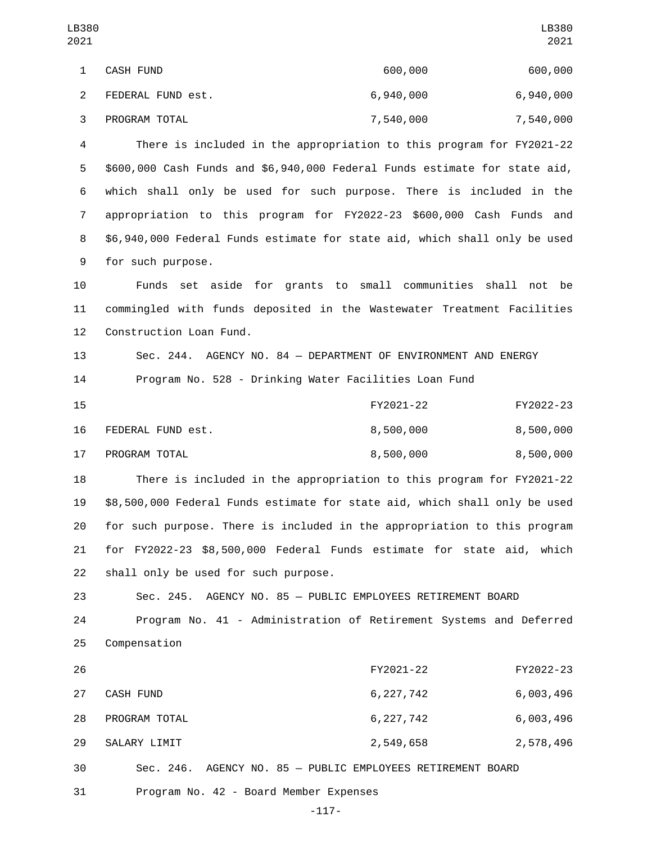| LB380<br>2021  |                                                                            |             | LB380<br>2021 |
|----------------|----------------------------------------------------------------------------|-------------|---------------|
| $\mathbf{1}$   | CASH FUND                                                                  | 600,000     | 600,000       |
| $\mathbf{2}$   | FEDERAL FUND est.                                                          | 6,940,000   | 6,940,000     |
| 3              | PROGRAM TOTAL                                                              | 7,540,000   | 7,540,000     |
| 4              | There is included in the appropriation to this program for FY2021-22       |             |               |
| 5              | \$600,000 Cash Funds and \$6,940,000 Federal Funds estimate for state aid, |             |               |
| 6              | which shall only be used for such purpose. There is included in the        |             |               |
| $\overline{7}$ | appropriation to this program for FY2022-23 \$600,000 Cash Funds and       |             |               |
| 8              | \$6,940,000 Federal Funds estimate for state aid, which shall only be used |             |               |
| 9              | for such purpose.                                                          |             |               |
| 10             | Funds set aside for grants to small communities shall not                  |             | be            |
| 11             | commingled with funds deposited in the Wastewater Treatment Facilities     |             |               |
| 12             | Construction Loan Fund.                                                    |             |               |
| 13             | Sec. 244. AGENCY NO. 84 - DEPARTMENT OF ENVIRONMENT AND ENERGY             |             |               |
| 14             | Program No. 528 - Drinking Water Facilities Loan Fund                      |             |               |
| 15             |                                                                            | FY2021-22   | FY2022-23     |
| 16             | FEDERAL FUND est.                                                          | 8,500,000   | 8,500,000     |
| 17             | PROGRAM TOTAL                                                              | 8,500,000   | 8,500,000     |
| 18             | There is included in the appropriation to this program for FY2021-22       |             |               |
| 19             | \$8,500,000 Federal Funds estimate for state aid, which shall only be used |             |               |
| 20             | for such purpose. There is included in the appropriation to this program   |             |               |
| 21             | for FY2022-23 \$8,500,000 Federal Funds estimate for state aid, which      |             |               |
| 22             | shall only be used for such purpose.                                       |             |               |
| 23             | Sec. 245. AGENCY NO. 85 - PUBLIC EMPLOYEES RETIREMENT BOARD                |             |               |
| 24             | Program No. 41 - Administration of Retirement Systems and Deferred         |             |               |
| 25             | Compensation                                                               |             |               |
| 26             |                                                                            | FY2021-22   | FY2022-23     |
| 27             | CASH FUND                                                                  | 6, 227, 742 | 6,003,496     |
| 28             | PROGRAM TOTAL                                                              | 6, 227, 742 | 6,003,496     |
| 29             | SALARY LIMIT                                                               | 2,549,658   | 2,578,496     |
| 30             | Sec. 246. AGENCY NO. 85 - PUBLIC EMPLOYEES RETIREMENT BOARD                |             |               |

-117-

31 Program No. 42 - Board Member Expenses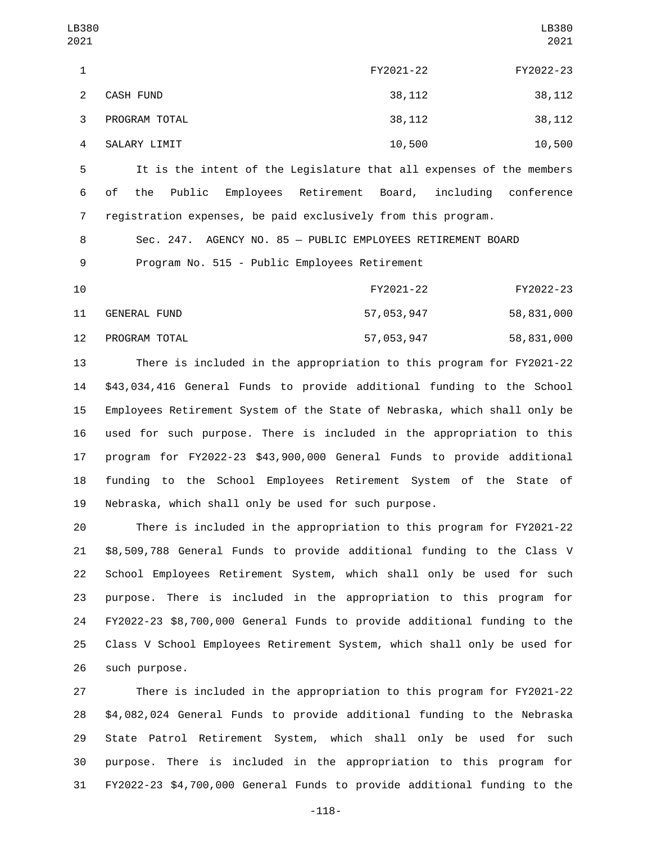It is the intent of the Legislature that all expenses of the members of the Public Employees Retirement Board, including conference registration expenses, be paid exclusively from this program.

 Sec. 247. AGENCY NO. 85 — PUBLIC EMPLOYEES RETIREMENT BOARD 9 Program No. 515 - Public Employees Retirement

| 10 |               | FY2021-22  | FY2022-23  |
|----|---------------|------------|------------|
| 11 | GENERAL FUND  | 57,053,947 | 58,831,000 |
| 12 | PROGRAM TOTAL | 57,053,947 | 58,831,000 |

 There is included in the appropriation to this program for FY2021-22 \$43,034,416 General Funds to provide additional funding to the School Employees Retirement System of the State of Nebraska, which shall only be used for such purpose. There is included in the appropriation to this program for FY2022-23 \$43,900,000 General Funds to provide additional funding to the School Employees Retirement System of the State of Nebraska, which shall only be used for such purpose.

 There is included in the appropriation to this program for FY2021-22 \$8,509,788 General Funds to provide additional funding to the Class V School Employees Retirement System, which shall only be used for such purpose. There is included in the appropriation to this program for FY2022-23 \$8,700,000 General Funds to provide additional funding to the Class V School Employees Retirement System, which shall only be used for 26 such purpose.

 There is included in the appropriation to this program for FY2021-22 \$4,082,024 General Funds to provide additional funding to the Nebraska State Patrol Retirement System, which shall only be used for such purpose. There is included in the appropriation to this program for FY2022-23 \$4,700,000 General Funds to provide additional funding to the

-118-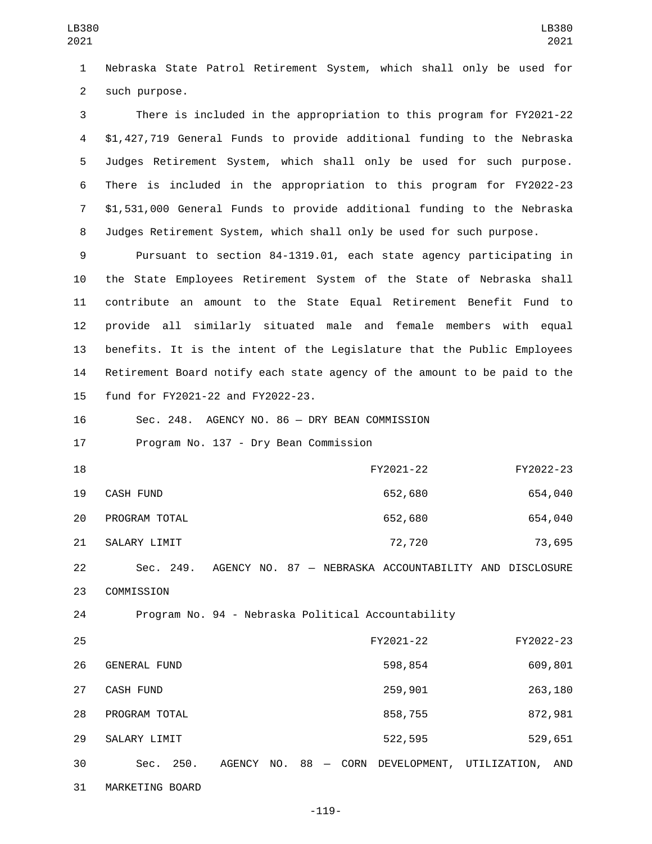1 Nebraska State Patrol Retirement System, which shall only be used for 2 such purpose.

 There is included in the appropriation to this program for FY2021-22 \$1,427,719 General Funds to provide additional funding to the Nebraska Judges Retirement System, which shall only be used for such purpose. There is included in the appropriation to this program for FY2022-23 \$1,531,000 General Funds to provide additional funding to the Nebraska Judges Retirement System, which shall only be used for such purpose.

 Pursuant to section 84-1319.01, each state agency participating in the State Employees Retirement System of the State of Nebraska shall contribute an amount to the State Equal Retirement Benefit Fund to provide all similarly situated male and female members with equal benefits. It is the intent of the Legislature that the Public Employees Retirement Board notify each state agency of the amount to be paid to the 15 fund for FY2021-22 and FY2022-23.

16 Sec. 248. AGENCY NO. 86 — DRY BEAN COMMISSION

17 Program No. 137 - Dry Bean Commission

| 18 |               | FY2021-22 | FY2022-23 |
|----|---------------|-----------|-----------|
| 19 | CASH FUND     | 652,680   | 654,040   |
| 20 | PROGRAM TOTAL | 652,680   | 654,040   |
| 21 | SALARY LIMIT  | 72,720    | 73,695    |

22 Sec. 249. AGENCY NO. 87 — NEBRASKA ACCOUNTABILITY AND DISCLOSURE 23 COMMISSION

24 Program No. 94 - Nebraska Political Accountability

| 25 |                  |        |  |                 | FY2021-22    | FY2022-23    |         |
|----|------------------|--------|--|-----------------|--------------|--------------|---------|
| 26 | GENERAL FUND     |        |  |                 | 598,854      |              | 609,801 |
| 27 | <b>CASH FUND</b> |        |  |                 | 259,901      |              | 263,180 |
| 28 | PROGRAM TOTAL    |        |  |                 | 858,755      |              | 872,981 |
| 29 | SALARY LIMIT     |        |  |                 | 522,595      |              | 529,651 |
| 30 | 250.<br>Sec.     | AGENCY |  | $NO. 88 - CORN$ | DEVELOPMENT, | UTILIZATION, | AND     |
| 31 | MARKETING BOARD  |        |  |                 |              |              |         |

-119-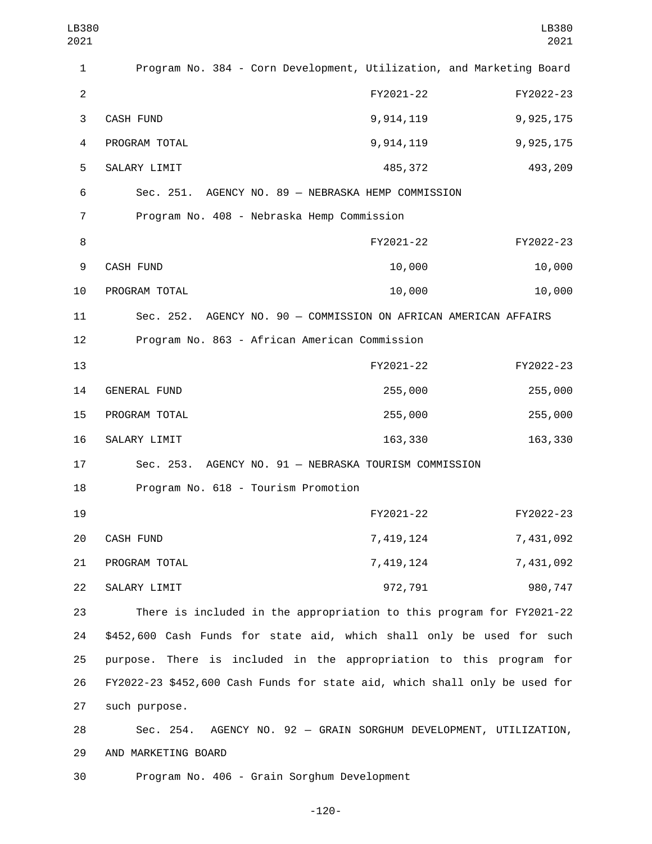| LB380<br>2021  |                                                                            |           | LB380<br>2021 |  |  |
|----------------|----------------------------------------------------------------------------|-----------|---------------|--|--|
| 1              | Program No. 384 - Corn Development, Utilization, and Marketing Board       |           |               |  |  |
| $\overline{2}$ |                                                                            | FY2021-22 | FY2022-23     |  |  |
| 3              | CASH FUND                                                                  | 9,914,119 | 9,925,175     |  |  |
| 4              | PROGRAM TOTAL                                                              | 9,914,119 | 9,925,175     |  |  |
| 5              | SALARY LIMIT                                                               | 485, 372  | 493,209       |  |  |
| 6              | Sec. 251.<br>AGENCY NO. 89 - NEBRASKA HEMP COMMISSION                      |           |               |  |  |
| 7              | Program No. 408 - Nebraska Hemp Commission                                 |           |               |  |  |
| 8              |                                                                            | FY2021-22 | FY2022-23     |  |  |
| 9              | <b>CASH FUND</b>                                                           | 10,000    | 10,000        |  |  |
| 10             | PROGRAM TOTAL                                                              | 10,000    | 10,000        |  |  |
| 11             | Sec. 252. AGENCY NO. 90 - COMMISSION ON AFRICAN AMERICAN AFFAIRS           |           |               |  |  |
| 12             | Program No. 863 - African American Commission                              |           |               |  |  |
| 13             |                                                                            | FY2021-22 | FY2022-23     |  |  |
| 14             | <b>GENERAL FUND</b>                                                        | 255,000   | 255,000       |  |  |
| 15             | PROGRAM TOTAL                                                              | 255,000   | 255,000       |  |  |
| 16             | SALARY LIMIT                                                               | 163,330   | 163,330       |  |  |
| 17             | Sec. 253. AGENCY NO. 91 - NEBRASKA TOURISM COMMISSION                      |           |               |  |  |
| 18             | Program No. 618 - Tourism Promotion                                        |           |               |  |  |
| 19             |                                                                            | FY2021-22 | FY2022-23     |  |  |
| 20             | CASH FUND                                                                  | 7,419,124 | 7,431,092     |  |  |
| 21             | PROGRAM TOTAL                                                              | 7,419,124 | 7,431,092     |  |  |
| 22             | SALARY LIMIT                                                               | 972,791   | 980,747       |  |  |
| 23             | There is included in the appropriation to this program for FY2021-22       |           |               |  |  |
| 24             | \$452,600 Cash Funds for state aid, which shall only be used for such      |           |               |  |  |
| 25             | purpose. There is included in the appropriation to this program for        |           |               |  |  |
| 26             | FY2022-23 \$452,600 Cash Funds for state aid, which shall only be used for |           |               |  |  |
| 27             | such purpose.                                                              |           |               |  |  |
| 28             | AGENCY NO. 92 - GRAIN SORGHUM DEVELOPMENT, UTILIZATION,<br>Sec. 254.       |           |               |  |  |
| 29             | AND MARKETING BOARD                                                        |           |               |  |  |
| 30             | Program No. 406 - Grain Sorghum Development                                |           |               |  |  |

-120-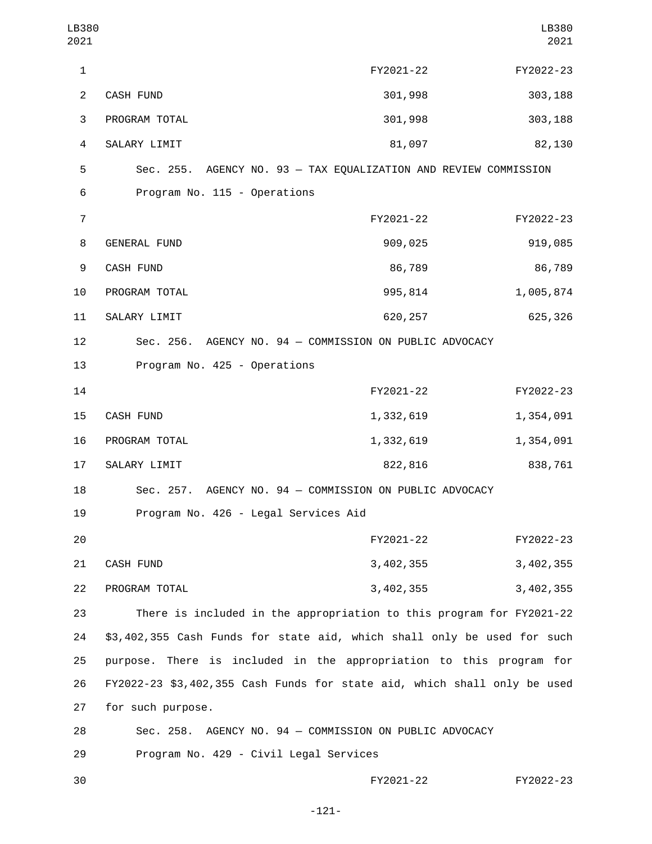| LB380<br>2021  |                                                                          |             | LB380<br>2021 |  |  |
|----------------|--------------------------------------------------------------------------|-------------|---------------|--|--|
| $\mathbf{1}$   |                                                                          | FY2021-22   | FY2022-23     |  |  |
| $\overline{2}$ | CASH FUND                                                                | 301,998     | 303,188       |  |  |
| 3              | PROGRAM TOTAL                                                            | 301,998     | 303,188       |  |  |
| 4              | SALARY LIMIT                                                             | 81,097      | 82,130        |  |  |
| 5              | Sec. 255. AGENCY NO. 93 - TAX EQUALIZATION AND REVIEW COMMISSION         |             |               |  |  |
| 6              | Program No. 115 - Operations                                             |             |               |  |  |
| $\overline{7}$ |                                                                          | FY2021-22   | FY2022-23     |  |  |
| 8              | <b>GENERAL FUND</b>                                                      | 909,025     | 919,085       |  |  |
| 9              | CASH FUND                                                                | 86,789      | 86,789        |  |  |
| 10             | PROGRAM TOTAL                                                            | 995,814     | 1,005,874     |  |  |
| 11             | SALARY LIMIT                                                             | 620, 257    | 625,326       |  |  |
| 12             | Sec. 256. AGENCY NO. 94 - COMMISSION ON PUBLIC ADVOCACY                  |             |               |  |  |
| 13             | Program No. 425 - Operations                                             |             |               |  |  |
| 14             |                                                                          | FY2021-22   | FY2022-23     |  |  |
| 15             | CASH FUND                                                                | 1,332,619   | 1,354,091     |  |  |
| 16             | PROGRAM TOTAL                                                            | 1,332,619   | 1,354,091     |  |  |
| 17             | SALARY LIMIT                                                             | 822,816     | 838,761       |  |  |
| 18             | Sec. 257. AGENCY NO. 94 - COMMISSION ON PUBLIC ADVOCACY                  |             |               |  |  |
| 19             | Program No. 426 - Legal Services Aid                                     |             |               |  |  |
| 20             |                                                                          | FY2021-22   | FY2022-23     |  |  |
| 21             | <b>CASH FUND</b>                                                         | 3, 402, 355 | 3, 402, 355   |  |  |
| 22             | PROGRAM TOTAL                                                            | 3, 402, 355 | 3,402,355     |  |  |
| 23             | There is included in the appropriation to this program for FY2021-22     |             |               |  |  |
| 24             | \$3,402,355 Cash Funds for state aid, which shall only be used for such  |             |               |  |  |
| 25             | purpose. There is included in the appropriation to this program for      |             |               |  |  |
| 26             | FY2022-23 \$3,402,355 Cash Funds for state aid, which shall only be used |             |               |  |  |
| 27             | for such purpose.                                                        |             |               |  |  |
| 28             | Sec. 258. AGENCY NO. 94 - COMMISSION ON PUBLIC ADVOCACY                  |             |               |  |  |
| 29             | Program No. 429 - Civil Legal Services                                   |             |               |  |  |
| 30             |                                                                          | FY2021-22   | FY2022-23     |  |  |

-121-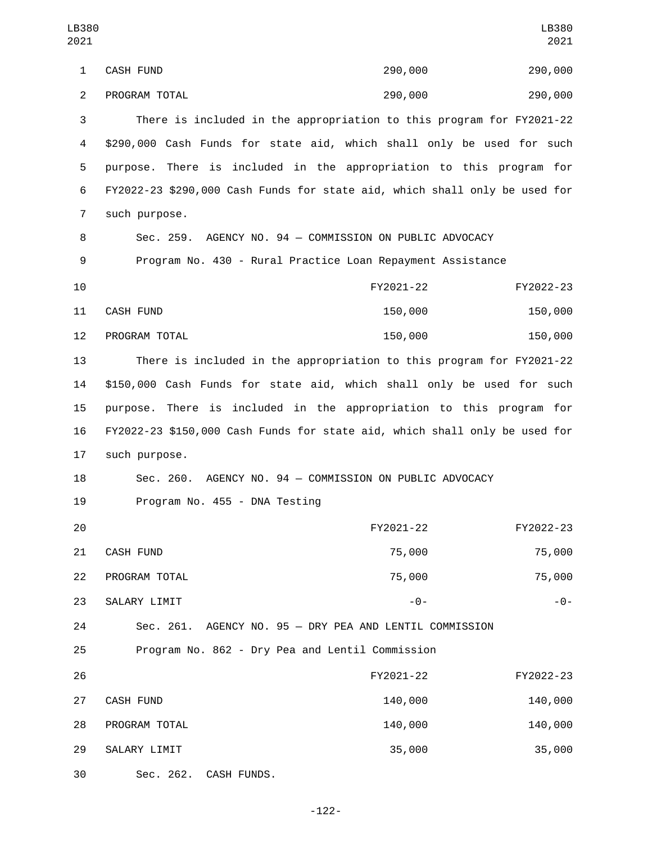| LB380<br>2021  |                                                                            |           | LB380<br>2021 |  |  |
|----------------|----------------------------------------------------------------------------|-----------|---------------|--|--|
| $\mathbf{1}$   | CASH FUND                                                                  | 290,000   | 290,000       |  |  |
| $\overline{2}$ | PROGRAM TOTAL                                                              | 290,000   | 290,000       |  |  |
| 3              | There is included in the appropriation to this program for FY2021-22       |           |               |  |  |
| 4              | \$290,000 Cash Funds for state aid, which shall only be used for such      |           |               |  |  |
| 5              | purpose. There is included in the appropriation to this program for        |           |               |  |  |
| 6              | FY2022-23 \$290,000 Cash Funds for state aid, which shall only be used for |           |               |  |  |
| $\overline{7}$ | such purpose.                                                              |           |               |  |  |
| 8              | Sec. 259. AGENCY NO. 94 - COMMISSION ON PUBLIC ADVOCACY                    |           |               |  |  |
| 9              | Program No. 430 - Rural Practice Loan Repayment Assistance                 |           |               |  |  |
| 10             |                                                                            | FY2021-22 | FY2022-23     |  |  |
| 11             | <b>CASH FUND</b>                                                           | 150,000   | 150,000       |  |  |
| 12             | PROGRAM TOTAL                                                              | 150,000   | 150,000       |  |  |
| 13             | There is included in the appropriation to this program for FY2021-22       |           |               |  |  |
| 14             | \$150,000 Cash Funds for state aid, which shall only be used for such      |           |               |  |  |
| 15             | There is included in the appropriation to this program for<br>purpose.     |           |               |  |  |
| 16             | FY2022-23 \$150,000 Cash Funds for state aid, which shall only be used for |           |               |  |  |
| 17             | such purpose.                                                              |           |               |  |  |
| 18             | AGENCY NO. 94 - COMMISSION ON PUBLIC ADVOCACY<br>Sec. 260.                 |           |               |  |  |
| 19             | Program No. 455 - DNA Testing                                              |           |               |  |  |
| 20             |                                                                            | FY2021-22 | FY2022-23     |  |  |
| 21             | CASH FUND                                                                  | 75,000    | 75,000        |  |  |
| 22             | PROGRAM TOTAL                                                              | 75,000    | 75,000        |  |  |
| 23             | SALARY LIMIT                                                               | $-0-$     | - 0 -         |  |  |
| 24             | AGENCY NO. 95 - DRY PEA AND LENTIL COMMISSION<br>Sec. 261.                 |           |               |  |  |
| 25             | Program No. 862 - Dry Pea and Lentil Commission                            |           |               |  |  |
| 26             |                                                                            | FY2021-22 | FY2022-23     |  |  |
| 27             | CASH FUND                                                                  | 140,000   | 140,000       |  |  |
| 28             | PROGRAM TOTAL                                                              | 140,000   | 140,000       |  |  |
| 29             | SALARY LIMIT                                                               | 35,000    | 35,000        |  |  |
| 30             | Sec. 262.<br>CASH FUNDS.                                                   |           |               |  |  |

-122-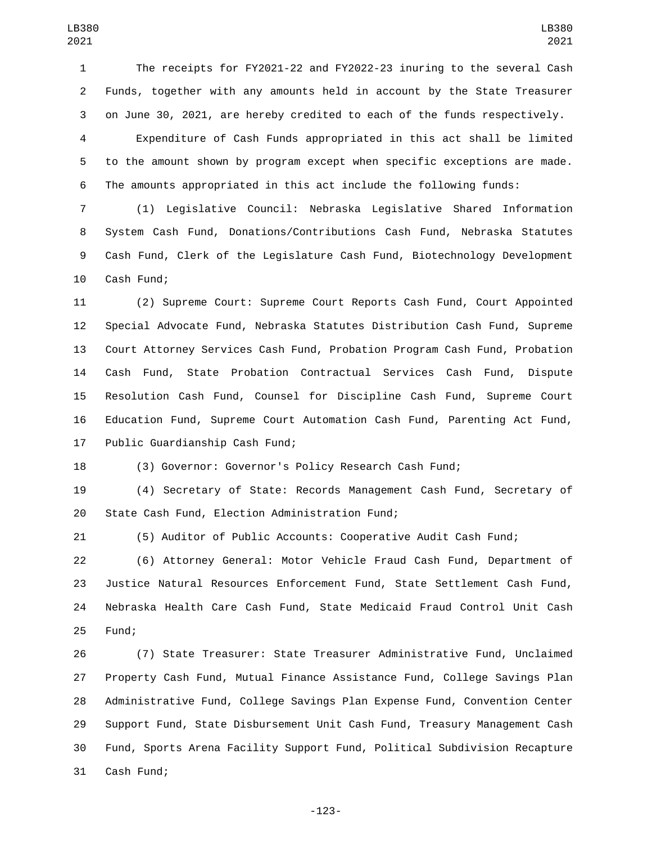The receipts for FY2021-22 and FY2022-23 inuring to the several Cash Funds, together with any amounts held in account by the State Treasurer on June 30, 2021, are hereby credited to each of the funds respectively.

 Expenditure of Cash Funds appropriated in this act shall be limited to the amount shown by program except when specific exceptions are made. The amounts appropriated in this act include the following funds:

 (1) Legislative Council: Nebraska Legislative Shared Information System Cash Fund, Donations/Contributions Cash Fund, Nebraska Statutes Cash Fund, Clerk of the Legislature Cash Fund, Biotechnology Development 10 Cash Fund;

 (2) Supreme Court: Supreme Court Reports Cash Fund, Court Appointed Special Advocate Fund, Nebraska Statutes Distribution Cash Fund, Supreme Court Attorney Services Cash Fund, Probation Program Cash Fund, Probation Cash Fund, State Probation Contractual Services Cash Fund, Dispute Resolution Cash Fund, Counsel for Discipline Cash Fund, Supreme Court Education Fund, Supreme Court Automation Cash Fund, Parenting Act Fund, 17 Public Guardianship Cash Fund;

(3) Governor: Governor's Policy Research Cash Fund;

 (4) Secretary of State: Records Management Cash Fund, Secretary of 20 State Cash Fund, Election Administration Fund;

(5) Auditor of Public Accounts: Cooperative Audit Cash Fund;

 (6) Attorney General: Motor Vehicle Fraud Cash Fund, Department of Justice Natural Resources Enforcement Fund, State Settlement Cash Fund, Nebraska Health Care Cash Fund, State Medicaid Fraud Control Unit Cash 25 Fund;

 (7) State Treasurer: State Treasurer Administrative Fund, Unclaimed Property Cash Fund, Mutual Finance Assistance Fund, College Savings Plan Administrative Fund, College Savings Plan Expense Fund, Convention Center Support Fund, State Disbursement Unit Cash Fund, Treasury Management Cash Fund, Sports Arena Facility Support Fund, Political Subdivision Recapture 31 Cash Fund;

-123-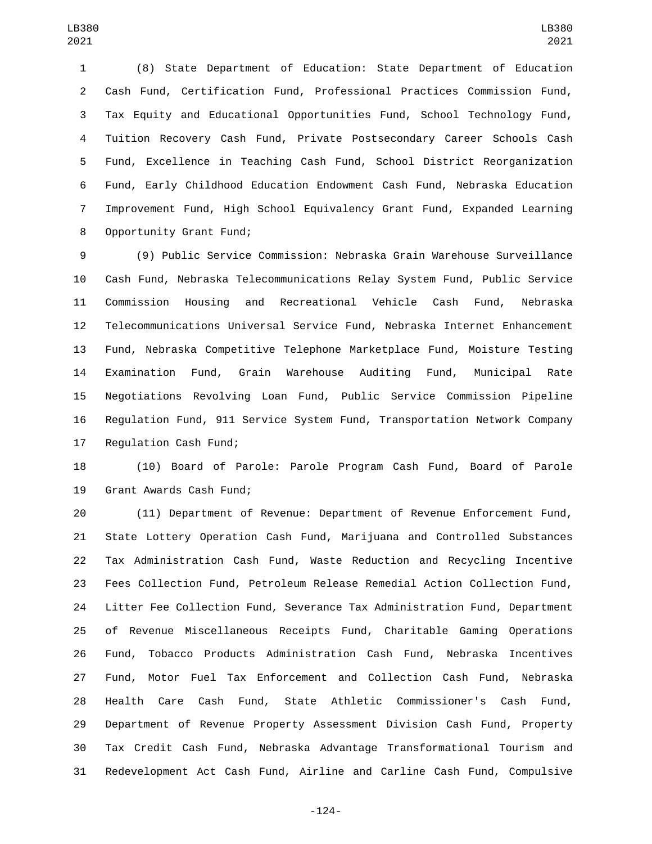(8) State Department of Education: State Department of Education Cash Fund, Certification Fund, Professional Practices Commission Fund, Tax Equity and Educational Opportunities Fund, School Technology Fund, Tuition Recovery Cash Fund, Private Postsecondary Career Schools Cash Fund, Excellence in Teaching Cash Fund, School District Reorganization Fund, Early Childhood Education Endowment Cash Fund, Nebraska Education Improvement Fund, High School Equivalency Grant Fund, Expanded Learning 8 Opportunity Grant Fund;

 (9) Public Service Commission: Nebraska Grain Warehouse Surveillance Cash Fund, Nebraska Telecommunications Relay System Fund, Public Service Commission Housing and Recreational Vehicle Cash Fund, Nebraska Telecommunications Universal Service Fund, Nebraska Internet Enhancement Fund, Nebraska Competitive Telephone Marketplace Fund, Moisture Testing Examination Fund, Grain Warehouse Auditing Fund, Municipal Rate Negotiations Revolving Loan Fund, Public Service Commission Pipeline Regulation Fund, 911 Service System Fund, Transportation Network Company 17 Regulation Cash Fund;

 (10) Board of Parole: Parole Program Cash Fund, Board of Parole 19 Grant Awards Cash Fund;

 (11) Department of Revenue: Department of Revenue Enforcement Fund, State Lottery Operation Cash Fund, Marijuana and Controlled Substances Tax Administration Cash Fund, Waste Reduction and Recycling Incentive Fees Collection Fund, Petroleum Release Remedial Action Collection Fund, Litter Fee Collection Fund, Severance Tax Administration Fund, Department of Revenue Miscellaneous Receipts Fund, Charitable Gaming Operations Fund, Tobacco Products Administration Cash Fund, Nebraska Incentives Fund, Motor Fuel Tax Enforcement and Collection Cash Fund, Nebraska Health Care Cash Fund, State Athletic Commissioner's Cash Fund, Department of Revenue Property Assessment Division Cash Fund, Property Tax Credit Cash Fund, Nebraska Advantage Transformational Tourism and Redevelopment Act Cash Fund, Airline and Carline Cash Fund, Compulsive

-124-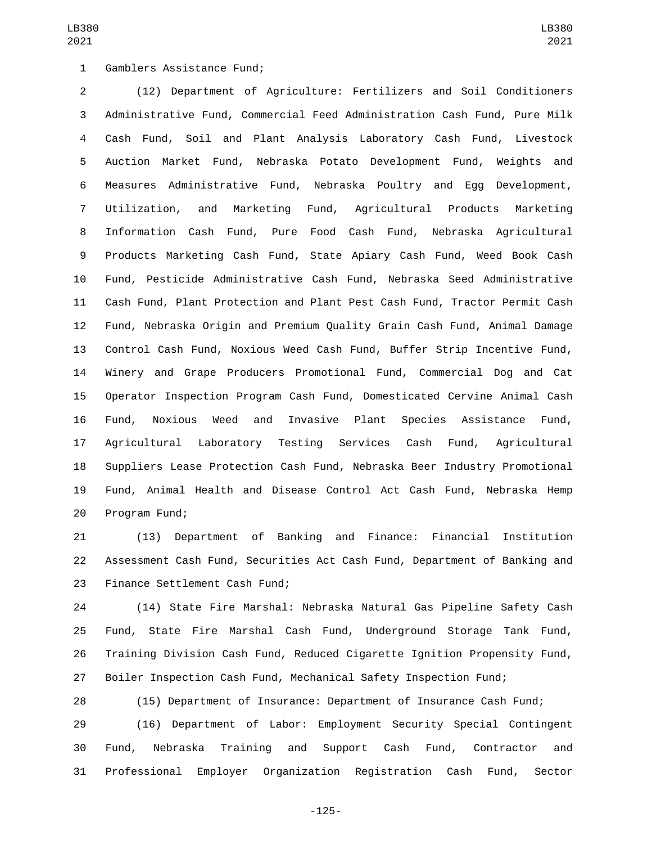1 Gamblers Assistance Fund;

 (12) Department of Agriculture: Fertilizers and Soil Conditioners Administrative Fund, Commercial Feed Administration Cash Fund, Pure Milk Cash Fund, Soil and Plant Analysis Laboratory Cash Fund, Livestock Auction Market Fund, Nebraska Potato Development Fund, Weights and Measures Administrative Fund, Nebraska Poultry and Egg Development, Utilization, and Marketing Fund, Agricultural Products Marketing Information Cash Fund, Pure Food Cash Fund, Nebraska Agricultural Products Marketing Cash Fund, State Apiary Cash Fund, Weed Book Cash Fund, Pesticide Administrative Cash Fund, Nebraska Seed Administrative Cash Fund, Plant Protection and Plant Pest Cash Fund, Tractor Permit Cash Fund, Nebraska Origin and Premium Quality Grain Cash Fund, Animal Damage Control Cash Fund, Noxious Weed Cash Fund, Buffer Strip Incentive Fund, Winery and Grape Producers Promotional Fund, Commercial Dog and Cat Operator Inspection Program Cash Fund, Domesticated Cervine Animal Cash Fund, Noxious Weed and Invasive Plant Species Assistance Fund, Agricultural Laboratory Testing Services Cash Fund, Agricultural Suppliers Lease Protection Cash Fund, Nebraska Beer Industry Promotional Fund, Animal Health and Disease Control Act Cash Fund, Nebraska Hemp 20 Program Fund;

 (13) Department of Banking and Finance: Financial Institution Assessment Cash Fund, Securities Act Cash Fund, Department of Banking and 23 Finance Settlement Cash Fund;

 (14) State Fire Marshal: Nebraska Natural Gas Pipeline Safety Cash Fund, State Fire Marshal Cash Fund, Underground Storage Tank Fund, Training Division Cash Fund, Reduced Cigarette Ignition Propensity Fund, Boiler Inspection Cash Fund, Mechanical Safety Inspection Fund;

(15) Department of Insurance: Department of Insurance Cash Fund;

 (16) Department of Labor: Employment Security Special Contingent Fund, Nebraska Training and Support Cash Fund, Contractor and Professional Employer Organization Registration Cash Fund, Sector

-125-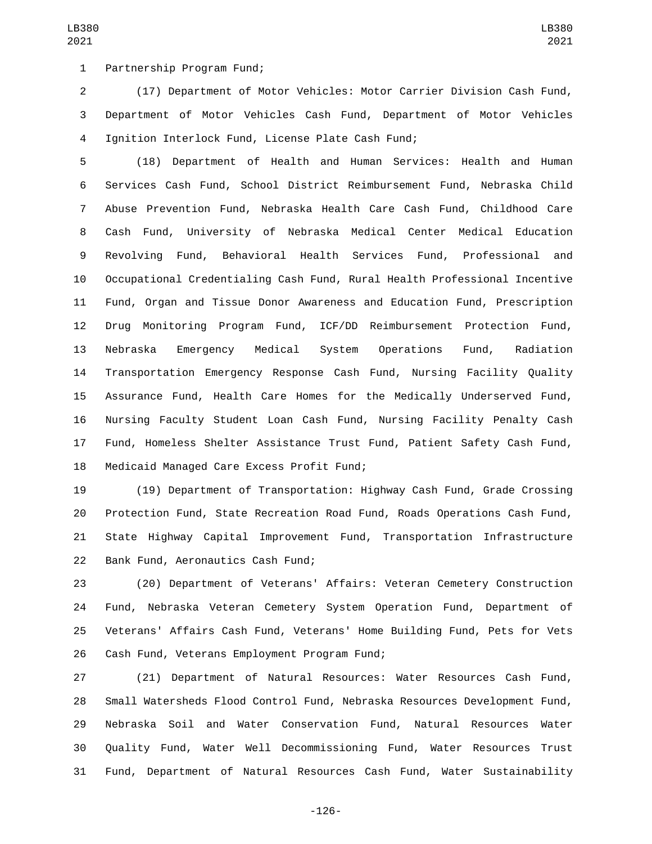1 Partnership Program Fund;

 (17) Department of Motor Vehicles: Motor Carrier Division Cash Fund, Department of Motor Vehicles Cash Fund, Department of Motor Vehicles Ignition Interlock Fund, License Plate Cash Fund;4

LB380 

 (18) Department of Health and Human Services: Health and Human Services Cash Fund, School District Reimbursement Fund, Nebraska Child Abuse Prevention Fund, Nebraska Health Care Cash Fund, Childhood Care Cash Fund, University of Nebraska Medical Center Medical Education Revolving Fund, Behavioral Health Services Fund, Professional and Occupational Credentialing Cash Fund, Rural Health Professional Incentive Fund, Organ and Tissue Donor Awareness and Education Fund, Prescription Drug Monitoring Program Fund, ICF/DD Reimbursement Protection Fund, Nebraska Emergency Medical System Operations Fund, Radiation Transportation Emergency Response Cash Fund, Nursing Facility Quality Assurance Fund, Health Care Homes for the Medically Underserved Fund, Nursing Faculty Student Loan Cash Fund, Nursing Facility Penalty Cash Fund, Homeless Shelter Assistance Trust Fund, Patient Safety Cash Fund, 18 Medicaid Managed Care Excess Profit Fund;

 (19) Department of Transportation: Highway Cash Fund, Grade Crossing Protection Fund, State Recreation Road Fund, Roads Operations Cash Fund, State Highway Capital Improvement Fund, Transportation Infrastructure 22 Bank Fund, Aeronautics Cash Fund;

 (20) Department of Veterans' Affairs: Veteran Cemetery Construction Fund, Nebraska Veteran Cemetery System Operation Fund, Department of Veterans' Affairs Cash Fund, Veterans' Home Building Fund, Pets for Vets 26 Cash Fund, Veterans Employment Program Fund;

 (21) Department of Natural Resources: Water Resources Cash Fund, Small Watersheds Flood Control Fund, Nebraska Resources Development Fund, Nebraska Soil and Water Conservation Fund, Natural Resources Water Quality Fund, Water Well Decommissioning Fund, Water Resources Trust Fund, Department of Natural Resources Cash Fund, Water Sustainability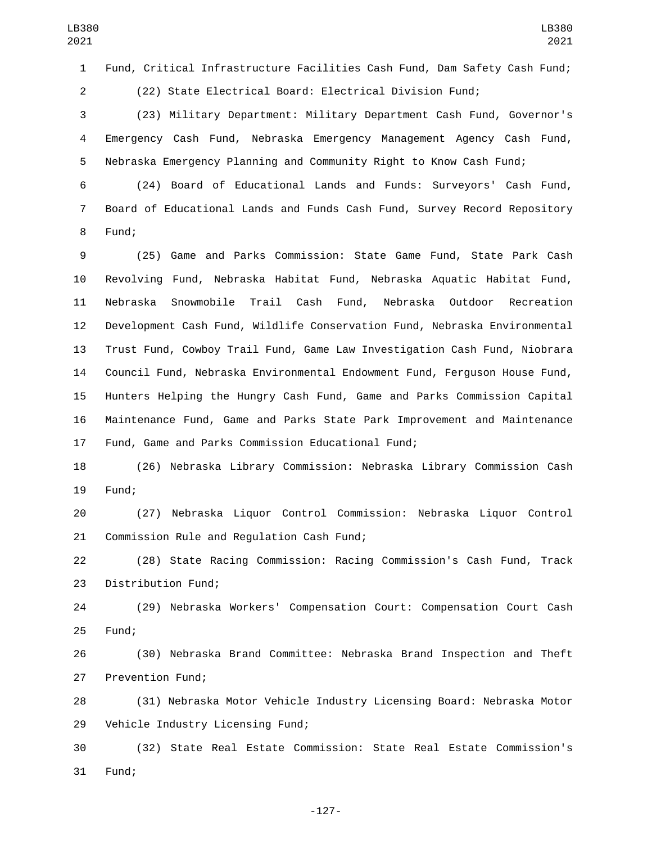Fund, Critical Infrastructure Facilities Cash Fund, Dam Safety Cash Fund;

(22) State Electrical Board: Electrical Division Fund;

 (23) Military Department: Military Department Cash Fund, Governor's Emergency Cash Fund, Nebraska Emergency Management Agency Cash Fund, Nebraska Emergency Planning and Community Right to Know Cash Fund;

 (24) Board of Educational Lands and Funds: Surveyors' Cash Fund, Board of Educational Lands and Funds Cash Fund, Survey Record Repository 8 Fund;

 (25) Game and Parks Commission: State Game Fund, State Park Cash Revolving Fund, Nebraska Habitat Fund, Nebraska Aquatic Habitat Fund, Nebraska Snowmobile Trail Cash Fund, Nebraska Outdoor Recreation Development Cash Fund, Wildlife Conservation Fund, Nebraska Environmental Trust Fund, Cowboy Trail Fund, Game Law Investigation Cash Fund, Niobrara Council Fund, Nebraska Environmental Endowment Fund, Ferguson House Fund, Hunters Helping the Hungry Cash Fund, Game and Parks Commission Capital Maintenance Fund, Game and Parks State Park Improvement and Maintenance 17 Fund, Game and Parks Commission Educational Fund;

 (26) Nebraska Library Commission: Nebraska Library Commission Cash 19 Fund:

 (27) Nebraska Liquor Control Commission: Nebraska Liquor Control 21 Commission Rule and Regulation Cash Fund;

 (28) State Racing Commission: Racing Commission's Cash Fund, Track 23 Distribution Fund;

 (29) Nebraska Workers' Compensation Court: Compensation Court Cash 25 Fund;

 (30) Nebraska Brand Committee: Nebraska Brand Inspection and Theft 27 Prevention Fund;

 (31) Nebraska Motor Vehicle Industry Licensing Board: Nebraska Motor 29 Vehicle Industry Licensing Fund;

 (32) State Real Estate Commission: State Real Estate Commission's 31 Fund:

-127-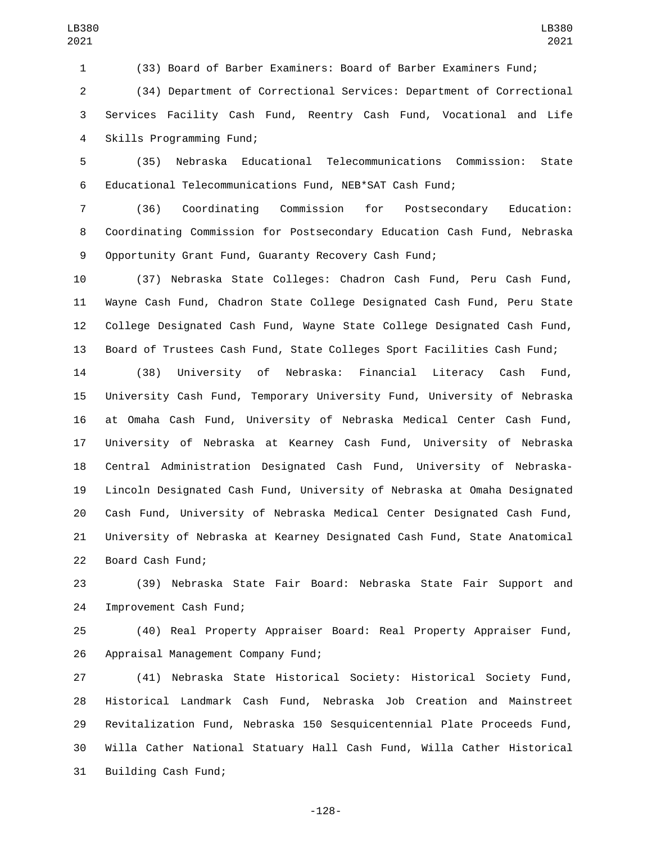(33) Board of Barber Examiners: Board of Barber Examiners Fund;

 (34) Department of Correctional Services: Department of Correctional Services Facility Cash Fund, Reentry Cash Fund, Vocational and Life 4 Skills Programming Fund;

 (35) Nebraska Educational Telecommunications Commission: State Educational Telecommunications Fund, NEB\*SAT Cash Fund;

 (36) Coordinating Commission for Postsecondary Education: Coordinating Commission for Postsecondary Education Cash Fund, Nebraska Opportunity Grant Fund, Guaranty Recovery Cash Fund;

 (37) Nebraska State Colleges: Chadron Cash Fund, Peru Cash Fund, Wayne Cash Fund, Chadron State College Designated Cash Fund, Peru State College Designated Cash Fund, Wayne State College Designated Cash Fund, Board of Trustees Cash Fund, State Colleges Sport Facilities Cash Fund;

 (38) University of Nebraska: Financial Literacy Cash Fund, University Cash Fund, Temporary University Fund, University of Nebraska at Omaha Cash Fund, University of Nebraska Medical Center Cash Fund, University of Nebraska at Kearney Cash Fund, University of Nebraska Central Administration Designated Cash Fund, University of Nebraska- Lincoln Designated Cash Fund, University of Nebraska at Omaha Designated Cash Fund, University of Nebraska Medical Center Designated Cash Fund, University of Nebraska at Kearney Designated Cash Fund, State Anatomical 22 Board Cash Fund;

 (39) Nebraska State Fair Board: Nebraska State Fair Support and 24 Improvement Cash Fund;

 (40) Real Property Appraiser Board: Real Property Appraiser Fund, 26 Appraisal Management Company Fund;

 (41) Nebraska State Historical Society: Historical Society Fund, Historical Landmark Cash Fund, Nebraska Job Creation and Mainstreet Revitalization Fund, Nebraska 150 Sesquicentennial Plate Proceeds Fund, Willa Cather National Statuary Hall Cash Fund, Willa Cather Historical 31 Building Cash Fund;

-128-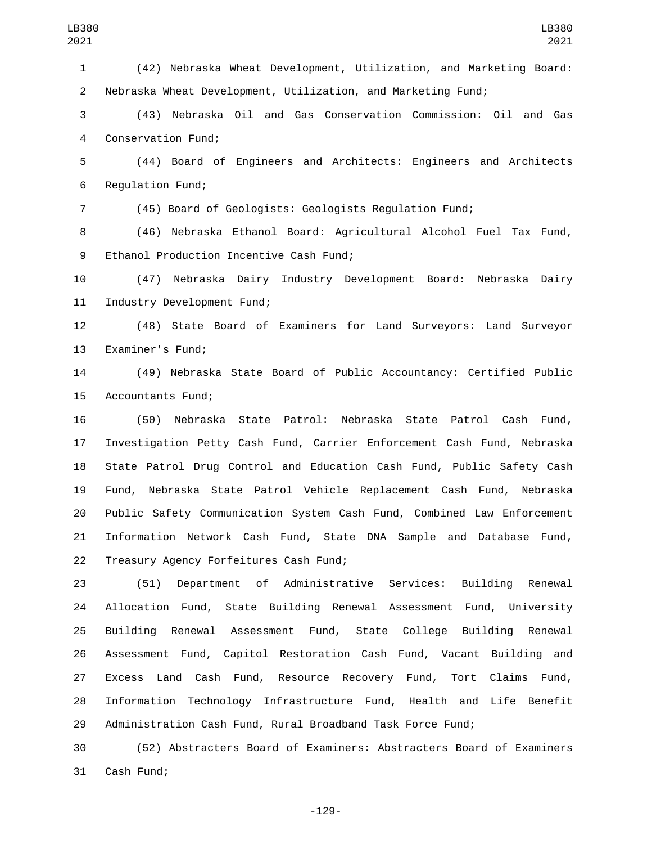(42) Nebraska Wheat Development, Utilization, and Marketing Board: Nebraska Wheat Development, Utilization, and Marketing Fund; (43) Nebraska Oil and Gas Conservation Commission: Oil and Gas 4 Conservation Fund; (44) Board of Engineers and Architects: Engineers and Architects 6 Regulation Fund; (45) Board of Geologists: Geologists Regulation Fund; LB380 

LB380 

 (46) Nebraska Ethanol Board: Agricultural Alcohol Fuel Tax Fund, 9 Ethanol Production Incentive Cash Fund;

 (47) Nebraska Dairy Industry Development Board: Nebraska Dairy 11 Industry Development Fund;

 (48) State Board of Examiners for Land Surveyors: Land Surveyor 13 Examiner's Fund;

 (49) Nebraska State Board of Public Accountancy: Certified Public 15 Accountants Fund;

 (50) Nebraska State Patrol: Nebraska State Patrol Cash Fund, Investigation Petty Cash Fund, Carrier Enforcement Cash Fund, Nebraska State Patrol Drug Control and Education Cash Fund, Public Safety Cash Fund, Nebraska State Patrol Vehicle Replacement Cash Fund, Nebraska Public Safety Communication System Cash Fund, Combined Law Enforcement Information Network Cash Fund, State DNA Sample and Database Fund, 22 Treasury Agency Forfeitures Cash Fund;

 (51) Department of Administrative Services: Building Renewal Allocation Fund, State Building Renewal Assessment Fund, University Building Renewal Assessment Fund, State College Building Renewal Assessment Fund, Capitol Restoration Cash Fund, Vacant Building and Excess Land Cash Fund, Resource Recovery Fund, Tort Claims Fund, Information Technology Infrastructure Fund, Health and Life Benefit Administration Cash Fund, Rural Broadband Task Force Fund;

 (52) Abstracters Board of Examiners: Abstracters Board of Examiners 31 Cash Fund;

-129-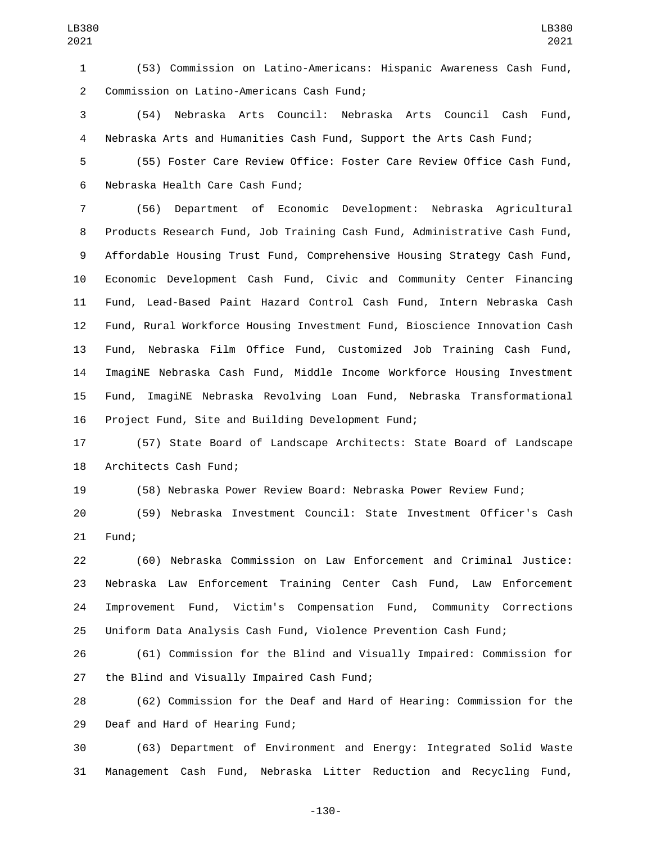(53) Commission on Latino-Americans: Hispanic Awareness Cash Fund, 2 Commission on Latino-Americans Cash Fund;

 (54) Nebraska Arts Council: Nebraska Arts Council Cash Fund, Nebraska Arts and Humanities Cash Fund, Support the Arts Cash Fund;

 (55) Foster Care Review Office: Foster Care Review Office Cash Fund, 6 Nebraska Health Care Cash Fund;

 (56) Department of Economic Development: Nebraska Agricultural Products Research Fund, Job Training Cash Fund, Administrative Cash Fund, Affordable Housing Trust Fund, Comprehensive Housing Strategy Cash Fund, Economic Development Cash Fund, Civic and Community Center Financing Fund, Lead-Based Paint Hazard Control Cash Fund, Intern Nebraska Cash Fund, Rural Workforce Housing Investment Fund, Bioscience Innovation Cash Fund, Nebraska Film Office Fund, Customized Job Training Cash Fund, ImagiNE Nebraska Cash Fund, Middle Income Workforce Housing Investment Fund, ImagiNE Nebraska Revolving Loan Fund, Nebraska Transformational 16 Project Fund, Site and Building Development Fund;

 (57) State Board of Landscape Architects: State Board of Landscape 18 Architects Cash Fund;

(58) Nebraska Power Review Board: Nebraska Power Review Fund;

 (59) Nebraska Investment Council: State Investment Officer's Cash 21 Fund;

 (60) Nebraska Commission on Law Enforcement and Criminal Justice: Nebraska Law Enforcement Training Center Cash Fund, Law Enforcement Improvement Fund, Victim's Compensation Fund, Community Corrections Uniform Data Analysis Cash Fund, Violence Prevention Cash Fund;

 (61) Commission for the Blind and Visually Impaired: Commission for 27 the Blind and Visually Impaired Cash Fund;

 (62) Commission for the Deaf and Hard of Hearing: Commission for the 29 Deaf and Hard of Hearing Fund;

 (63) Department of Environment and Energy: Integrated Solid Waste Management Cash Fund, Nebraska Litter Reduction and Recycling Fund,

-130-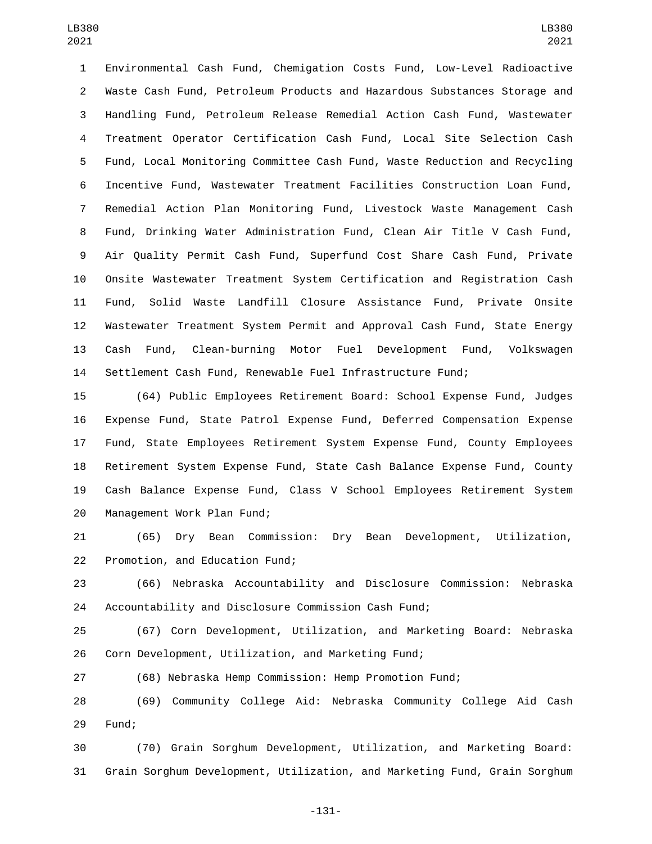Environmental Cash Fund, Chemigation Costs Fund, Low-Level Radioactive Waste Cash Fund, Petroleum Products and Hazardous Substances Storage and Handling Fund, Petroleum Release Remedial Action Cash Fund, Wastewater Treatment Operator Certification Cash Fund, Local Site Selection Cash Fund, Local Monitoring Committee Cash Fund, Waste Reduction and Recycling Incentive Fund, Wastewater Treatment Facilities Construction Loan Fund, Remedial Action Plan Monitoring Fund, Livestock Waste Management Cash Fund, Drinking Water Administration Fund, Clean Air Title V Cash Fund, Air Quality Permit Cash Fund, Superfund Cost Share Cash Fund, Private Onsite Wastewater Treatment System Certification and Registration Cash Fund, Solid Waste Landfill Closure Assistance Fund, Private Onsite Wastewater Treatment System Permit and Approval Cash Fund, State Energy Cash Fund, Clean-burning Motor Fuel Development Fund, Volkswagen Settlement Cash Fund, Renewable Fuel Infrastructure Fund;

 (64) Public Employees Retirement Board: School Expense Fund, Judges Expense Fund, State Patrol Expense Fund, Deferred Compensation Expense Fund, State Employees Retirement System Expense Fund, County Employees Retirement System Expense Fund, State Cash Balance Expense Fund, County Cash Balance Expense Fund, Class V School Employees Retirement System 20 Management Work Plan Fund;

 (65) Dry Bean Commission: Dry Bean Development, Utilization, 22 Promotion, and Education Fund;

 (66) Nebraska Accountability and Disclosure Commission: Nebraska Accountability and Disclosure Commission Cash Fund;

 (67) Corn Development, Utilization, and Marketing Board: Nebraska Corn Development, Utilization, and Marketing Fund;

(68) Nebraska Hemp Commission: Hemp Promotion Fund;

 (69) Community College Aid: Nebraska Community College Aid Cash 29 Fund;

 (70) Grain Sorghum Development, Utilization, and Marketing Board: Grain Sorghum Development, Utilization, and Marketing Fund, Grain Sorghum

-131-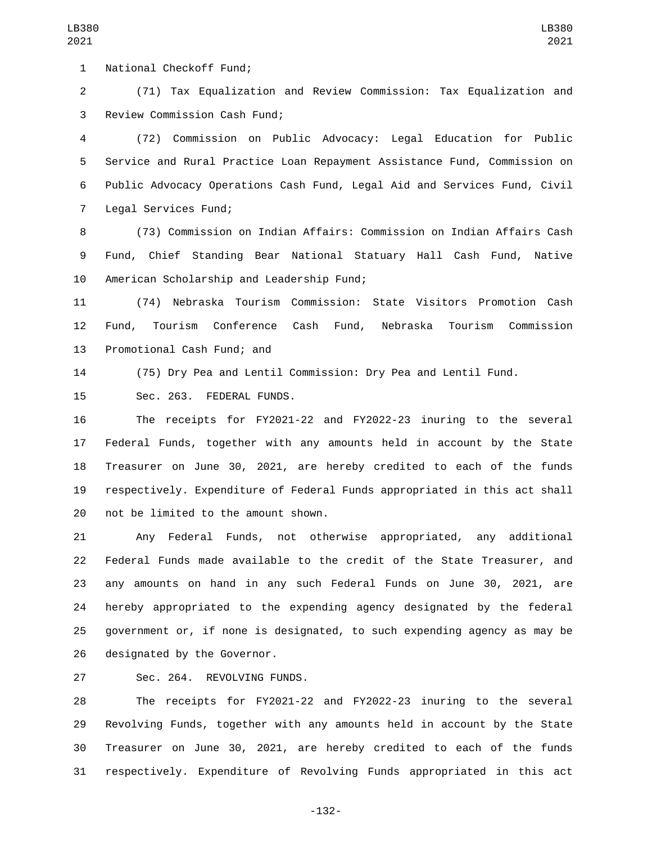1 National Checkoff Fund;

 (71) Tax Equalization and Review Commission: Tax Equalization and 3 Review Commission Cash Fund;

 (72) Commission on Public Advocacy: Legal Education for Public Service and Rural Practice Loan Repayment Assistance Fund, Commission on Public Advocacy Operations Cash Fund, Legal Aid and Services Fund, Civil 7 Legal Services Fund;

 (73) Commission on Indian Affairs: Commission on Indian Affairs Cash Fund, Chief Standing Bear National Statuary Hall Cash Fund, Native 10 American Scholarship and Leadership Fund;

 (74) Nebraska Tourism Commission: State Visitors Promotion Cash Fund, Tourism Conference Cash Fund, Nebraska Tourism Commission 13 Promotional Cash Fund; and

(75) Dry Pea and Lentil Commission: Dry Pea and Lentil Fund.

15 Sec. 263. FEDERAL FUNDS.

 The receipts for FY2021-22 and FY2022-23 inuring to the several Federal Funds, together with any amounts held in account by the State Treasurer on June 30, 2021, are hereby credited to each of the funds respectively. Expenditure of Federal Funds appropriated in this act shall 20 not be limited to the amount shown.

 Any Federal Funds, not otherwise appropriated, any additional Federal Funds made available to the credit of the State Treasurer, and any amounts on hand in any such Federal Funds on June 30, 2021, are hereby appropriated to the expending agency designated by the federal government or, if none is designated, to such expending agency as may be 26 designated by the Governor.

27 Sec. 264. REVOLVING FUNDS.

 The receipts for FY2021-22 and FY2022-23 inuring to the several Revolving Funds, together with any amounts held in account by the State Treasurer on June 30, 2021, are hereby credited to each of the funds respectively. Expenditure of Revolving Funds appropriated in this act

-132-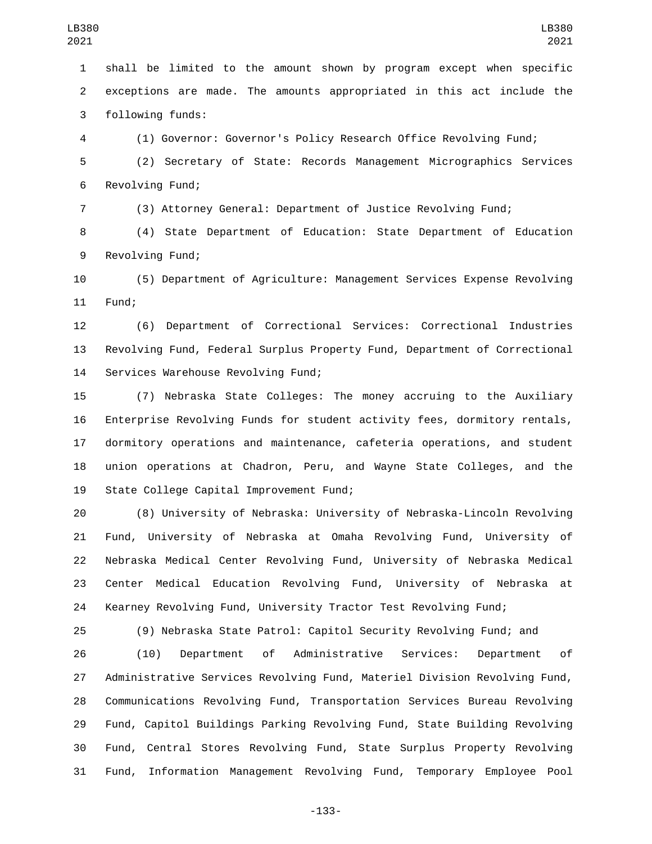shall be limited to the amount shown by program except when specific exceptions are made. The amounts appropriated in this act include the 3 following funds:

 (1) Governor: Governor's Policy Research Office Revolving Fund; (2) Secretary of State: Records Management Micrographics Services 6 Revolving Fund;

(3) Attorney General: Department of Justice Revolving Fund;

 (4) State Department of Education: State Department of Education 9 Revolving Fund;

 (5) Department of Agriculture: Management Services Expense Revolving 11 Fund;

 (6) Department of Correctional Services: Correctional Industries Revolving Fund, Federal Surplus Property Fund, Department of Correctional 14 Services Warehouse Revolving Fund;

 (7) Nebraska State Colleges: The money accruing to the Auxiliary Enterprise Revolving Funds for student activity fees, dormitory rentals, dormitory operations and maintenance, cafeteria operations, and student union operations at Chadron, Peru, and Wayne State Colleges, and the 19 State College Capital Improvement Fund;

 (8) University of Nebraska: University of Nebraska-Lincoln Revolving Fund, University of Nebraska at Omaha Revolving Fund, University of Nebraska Medical Center Revolving Fund, University of Nebraska Medical Center Medical Education Revolving Fund, University of Nebraska at Kearney Revolving Fund, University Tractor Test Revolving Fund;

(9) Nebraska State Patrol: Capitol Security Revolving Fund; and

 (10) Department of Administrative Services: Department of Administrative Services Revolving Fund, Materiel Division Revolving Fund, Communications Revolving Fund, Transportation Services Bureau Revolving Fund, Capitol Buildings Parking Revolving Fund, State Building Revolving Fund, Central Stores Revolving Fund, State Surplus Property Revolving Fund, Information Management Revolving Fund, Temporary Employee Pool

-133-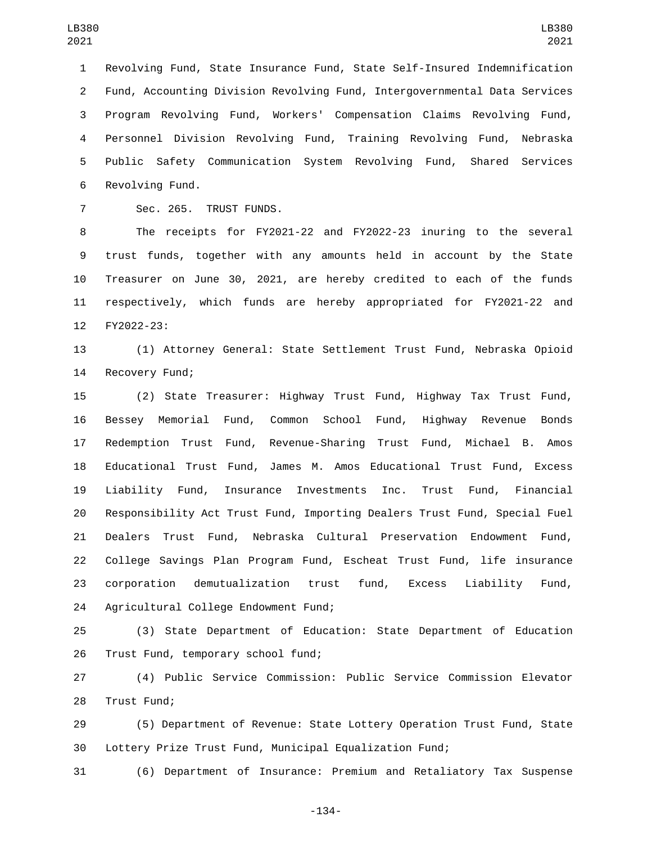Revolving Fund, State Insurance Fund, State Self-Insured Indemnification Fund, Accounting Division Revolving Fund, Intergovernmental Data Services Program Revolving Fund, Workers' Compensation Claims Revolving Fund, Personnel Division Revolving Fund, Training Revolving Fund, Nebraska Public Safety Communication System Revolving Fund, Shared Services 6 Revolving Fund.

7 Sec. 265. TRUST FUNDS.

 The receipts for FY2021-22 and FY2022-23 inuring to the several trust funds, together with any amounts held in account by the State Treasurer on June 30, 2021, are hereby credited to each of the funds respectively, which funds are hereby appropriated for FY2021-22 and 12 FY2022-23:

 (1) Attorney General: State Settlement Trust Fund, Nebraska Opioid 14 Recovery Fund;

 (2) State Treasurer: Highway Trust Fund, Highway Tax Trust Fund, Bessey Memorial Fund, Common School Fund, Highway Revenue Bonds Redemption Trust Fund, Revenue-Sharing Trust Fund, Michael B. Amos Educational Trust Fund, James M. Amos Educational Trust Fund, Excess Liability Fund, Insurance Investments Inc. Trust Fund, Financial Responsibility Act Trust Fund, Importing Dealers Trust Fund, Special Fuel Dealers Trust Fund, Nebraska Cultural Preservation Endowment Fund, College Savings Plan Program Fund, Escheat Trust Fund, life insurance corporation demutualization trust fund, Excess Liability Fund, 24 Agricultural College Endowment Fund;

 (3) State Department of Education: State Department of Education 26 Trust Fund, temporary school fund;

 (4) Public Service Commission: Public Service Commission Elevator 28 Trust Fund;

 (5) Department of Revenue: State Lottery Operation Trust Fund, State Lottery Prize Trust Fund, Municipal Equalization Fund;

(6) Department of Insurance: Premium and Retaliatory Tax Suspense

-134-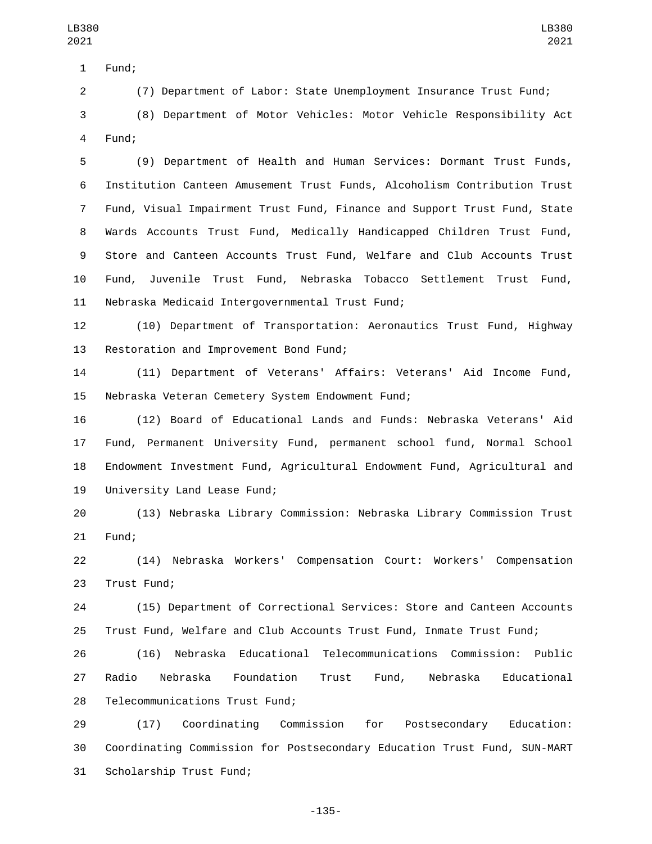1 Fund;

(7) Department of Labor: State Unemployment Insurance Trust Fund;

 (8) Department of Motor Vehicles: Motor Vehicle Responsibility Act 4 Fund:

 (9) Department of Health and Human Services: Dormant Trust Funds, Institution Canteen Amusement Trust Funds, Alcoholism Contribution Trust Fund, Visual Impairment Trust Fund, Finance and Support Trust Fund, State Wards Accounts Trust Fund, Medically Handicapped Children Trust Fund, Store and Canteen Accounts Trust Fund, Welfare and Club Accounts Trust Fund, Juvenile Trust Fund, Nebraska Tobacco Settlement Trust Fund, 11 Nebraska Medicaid Intergovernmental Trust Fund;

 (10) Department of Transportation: Aeronautics Trust Fund, Highway 13 Restoration and Improvement Bond Fund;

 (11) Department of Veterans' Affairs: Veterans' Aid Income Fund, 15 Nebraska Veteran Cemetery System Endowment Fund;

 (12) Board of Educational Lands and Funds: Nebraska Veterans' Aid Fund, Permanent University Fund, permanent school fund, Normal School Endowment Investment Fund, Agricultural Endowment Fund, Agricultural and 19 University Land Lease Fund;

 (13) Nebraska Library Commission: Nebraska Library Commission Trust 21 Fund;

 (14) Nebraska Workers' Compensation Court: Workers' Compensation 23 Trust Fund;

 (15) Department of Correctional Services: Store and Canteen Accounts Trust Fund, Welfare and Club Accounts Trust Fund, Inmate Trust Fund;

 (16) Nebraska Educational Telecommunications Commission: Public Radio Nebraska Foundation Trust Fund, Nebraska Educational 28 Telecommunications Trust Fund;

 (17) Coordinating Commission for Postsecondary Education: Coordinating Commission for Postsecondary Education Trust Fund, SUN-MART 31 Scholarship Trust Fund;

-135-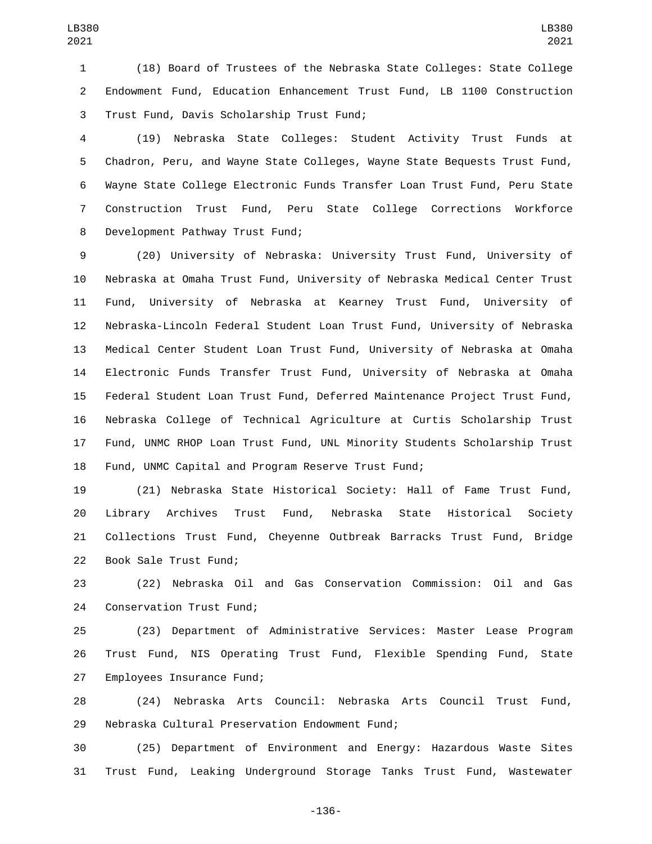(18) Board of Trustees of the Nebraska State Colleges: State College Endowment Fund, Education Enhancement Trust Fund, LB 1100 Construction 3 Trust Fund, Davis Scholarship Trust Fund;

 (19) Nebraska State Colleges: Student Activity Trust Funds at Chadron, Peru, and Wayne State Colleges, Wayne State Bequests Trust Fund, Wayne State College Electronic Funds Transfer Loan Trust Fund, Peru State Construction Trust Fund, Peru State College Corrections Workforce 8 Development Pathway Trust Fund;

 (20) University of Nebraska: University Trust Fund, University of Nebraska at Omaha Trust Fund, University of Nebraska Medical Center Trust Fund, University of Nebraska at Kearney Trust Fund, University of Nebraska-Lincoln Federal Student Loan Trust Fund, University of Nebraska Medical Center Student Loan Trust Fund, University of Nebraska at Omaha Electronic Funds Transfer Trust Fund, University of Nebraska at Omaha Federal Student Loan Trust Fund, Deferred Maintenance Project Trust Fund, Nebraska College of Technical Agriculture at Curtis Scholarship Trust Fund, UNMC RHOP Loan Trust Fund, UNL Minority Students Scholarship Trust Fund, UNMC Capital and Program Reserve Trust Fund;

 (21) Nebraska State Historical Society: Hall of Fame Trust Fund, Library Archives Trust Fund, Nebraska State Historical Society Collections Trust Fund, Cheyenne Outbreak Barracks Trust Fund, Bridge 22 Book Sale Trust Fund;

 (22) Nebraska Oil and Gas Conservation Commission: Oil and Gas 24 Conservation Trust Fund;

 (23) Department of Administrative Services: Master Lease Program Trust Fund, NIS Operating Trust Fund, Flexible Spending Fund, State 27 Employees Insurance Fund;

 (24) Nebraska Arts Council: Nebraska Arts Council Trust Fund, 29 Nebraska Cultural Preservation Endowment Fund;

 (25) Department of Environment and Energy: Hazardous Waste Sites Trust Fund, Leaking Underground Storage Tanks Trust Fund, Wastewater

-136-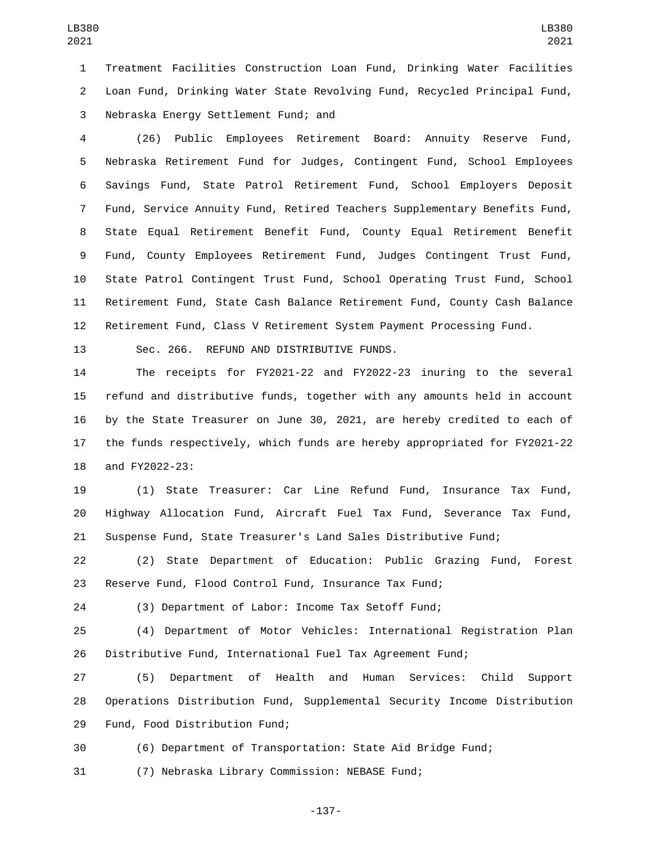Treatment Facilities Construction Loan Fund, Drinking Water Facilities Loan Fund, Drinking Water State Revolving Fund, Recycled Principal Fund, 3 Nebraska Energy Settlement Fund; and

 (26) Public Employees Retirement Board: Annuity Reserve Fund, Nebraska Retirement Fund for Judges, Contingent Fund, School Employees Savings Fund, State Patrol Retirement Fund, School Employers Deposit Fund, Service Annuity Fund, Retired Teachers Supplementary Benefits Fund, State Equal Retirement Benefit Fund, County Equal Retirement Benefit Fund, County Employees Retirement Fund, Judges Contingent Trust Fund, State Patrol Contingent Trust Fund, School Operating Trust Fund, School Retirement Fund, State Cash Balance Retirement Fund, County Cash Balance Retirement Fund, Class V Retirement System Payment Processing Fund.

13 Sec. 266. REFUND AND DISTRIBUTIVE FUNDS.

 The receipts for FY2021-22 and FY2022-23 inuring to the several refund and distributive funds, together with any amounts held in account by the State Treasurer on June 30, 2021, are hereby credited to each of the funds respectively, which funds are hereby appropriated for FY2021-22 18 and FY2022-23:

 (1) State Treasurer: Car Line Refund Fund, Insurance Tax Fund, Highway Allocation Fund, Aircraft Fuel Tax Fund, Severance Tax Fund, Suspense Fund, State Treasurer's Land Sales Distributive Fund;

 (2) State Department of Education: Public Grazing Fund, Forest Reserve Fund, Flood Control Fund, Insurance Tax Fund;

(3) Department of Labor: Income Tax Setoff Fund;

 (4) Department of Motor Vehicles: International Registration Plan Distributive Fund, International Fuel Tax Agreement Fund;

 (5) Department of Health and Human Services: Child Support Operations Distribution Fund, Supplemental Security Income Distribution 29 Fund, Food Distribution Fund;

(6) Department of Transportation: State Aid Bridge Fund;

(7) Nebraska Library Commission: NEBASE Fund;

-137-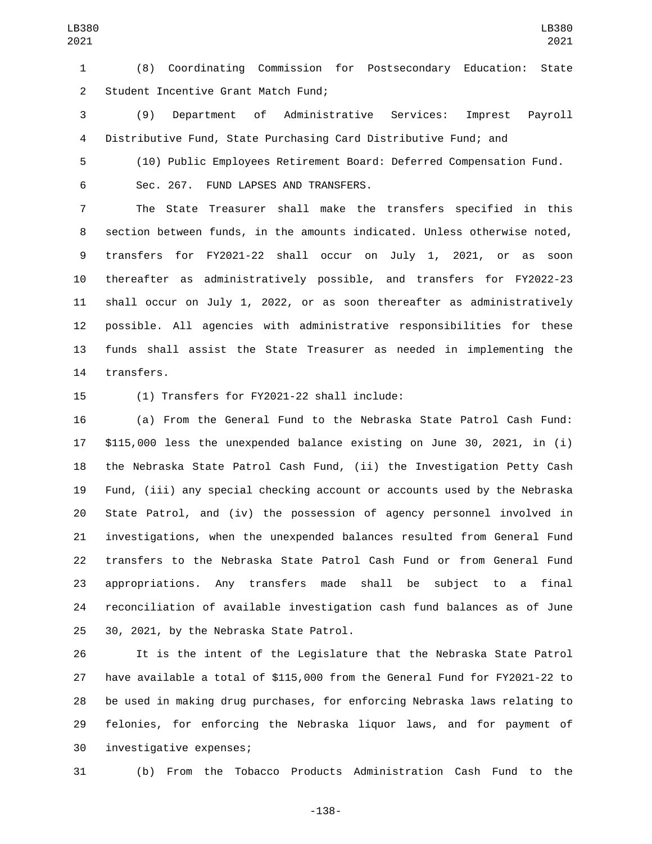(8) Coordinating Commission for Postsecondary Education: State 2 Student Incentive Grant Match Fund;

 (9) Department of Administrative Services: Imprest Payroll Distributive Fund, State Purchasing Card Distributive Fund; and

 (10) Public Employees Retirement Board: Deferred Compensation Fund. 6 Sec. 267. FUND LAPSES AND TRANSFERS.

 The State Treasurer shall make the transfers specified in this section between funds, in the amounts indicated. Unless otherwise noted, transfers for FY2021-22 shall occur on July 1, 2021, or as soon thereafter as administratively possible, and transfers for FY2022-23 shall occur on July 1, 2022, or as soon thereafter as administratively possible. All agencies with administrative responsibilities for these funds shall assist the State Treasurer as needed in implementing the 14 transfers.

15 (1) Transfers for FY2021-22 shall include:

 (a) From the General Fund to the Nebraska State Patrol Cash Fund: \$115,000 less the unexpended balance existing on June 30, 2021, in (i) the Nebraska State Patrol Cash Fund, (ii) the Investigation Petty Cash Fund, (iii) any special checking account or accounts used by the Nebraska State Patrol, and (iv) the possession of agency personnel involved in investigations, when the unexpended balances resulted from General Fund transfers to the Nebraska State Patrol Cash Fund or from General Fund appropriations. Any transfers made shall be subject to a final reconciliation of available investigation cash fund balances as of June 25 30, 2021, by the Nebraska State Patrol.

 It is the intent of the Legislature that the Nebraska State Patrol have available a total of \$115,000 from the General Fund for FY2021-22 to be used in making drug purchases, for enforcing Nebraska laws relating to felonies, for enforcing the Nebraska liquor laws, and for payment of 30 investigative expenses;

(b) From the Tobacco Products Administration Cash Fund to the

-138-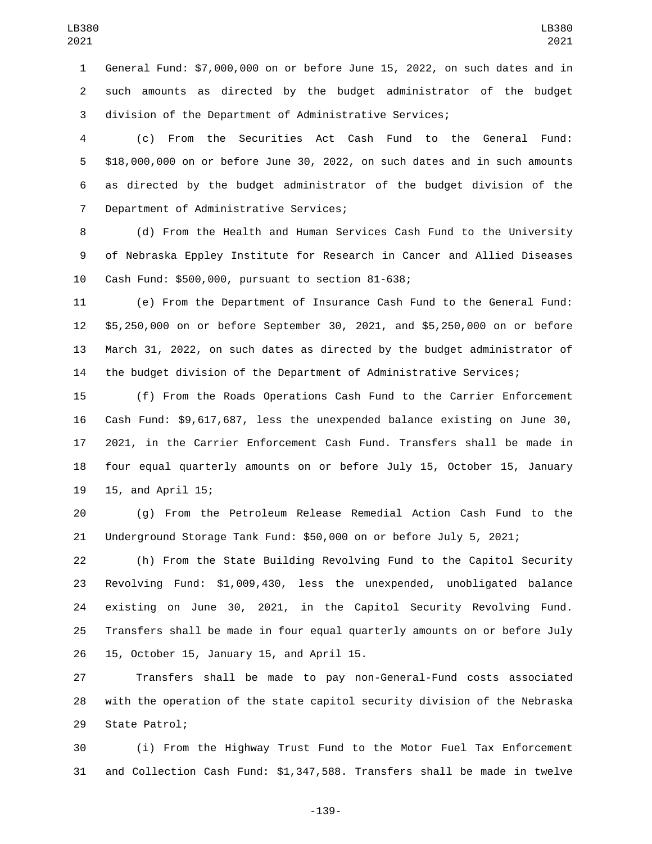General Fund: \$7,000,000 on or before June 15, 2022, on such dates and in such amounts as directed by the budget administrator of the budget division of the Department of Administrative Services;

 (c) From the Securities Act Cash Fund to the General Fund: \$18,000,000 on or before June 30, 2022, on such dates and in such amounts as directed by the budget administrator of the budget division of the 7 Department of Administrative Services;

 (d) From the Health and Human Services Cash Fund to the University of Nebraska Eppley Institute for Research in Cancer and Allied Diseases 10 Cash Fund: \$500,000, pursuant to section 81-638;

 (e) From the Department of Insurance Cash Fund to the General Fund: \$5,250,000 on or before September 30, 2021, and \$5,250,000 on or before March 31, 2022, on such dates as directed by the budget administrator of the budget division of the Department of Administrative Services;

 (f) From the Roads Operations Cash Fund to the Carrier Enforcement Cash Fund: \$9,617,687, less the unexpended balance existing on June 30, 2021, in the Carrier Enforcement Cash Fund. Transfers shall be made in four equal quarterly amounts on or before July 15, October 15, January 19 15, and April 15;

 (g) From the Petroleum Release Remedial Action Cash Fund to the Underground Storage Tank Fund: \$50,000 on or before July 5, 2021;

 (h) From the State Building Revolving Fund to the Capitol Security Revolving Fund: \$1,009,430, less the unexpended, unobligated balance existing on June 30, 2021, in the Capitol Security Revolving Fund. Transfers shall be made in four equal quarterly amounts on or before July 26 15, October 15, January 15, and April 15.

 Transfers shall be made to pay non-General-Fund costs associated with the operation of the state capitol security division of the Nebraska 29 State Patrol;

 (i) From the Highway Trust Fund to the Motor Fuel Tax Enforcement and Collection Cash Fund: \$1,347,588. Transfers shall be made in twelve

-139-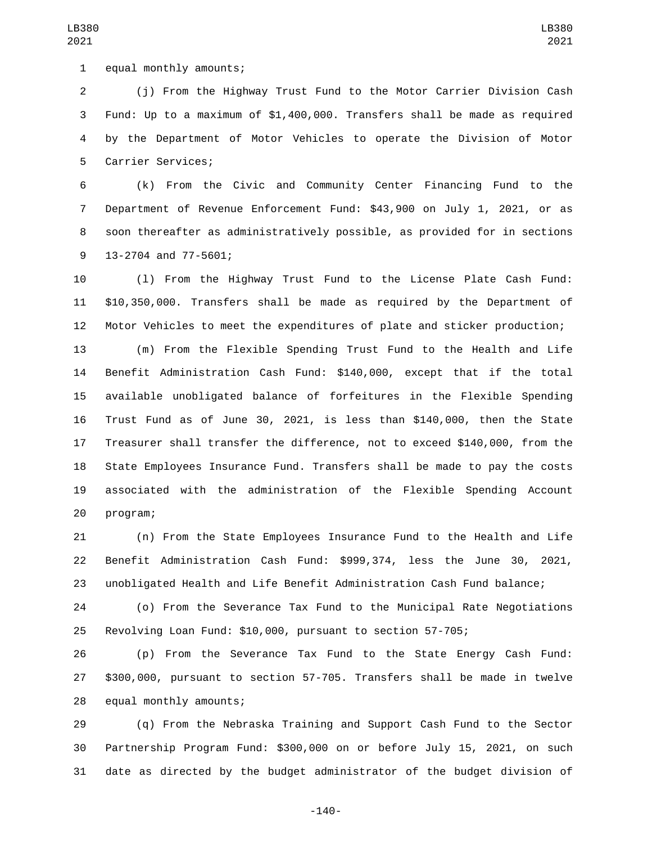1 equal monthly amounts;

 (j) From the Highway Trust Fund to the Motor Carrier Division Cash Fund: Up to a maximum of \$1,400,000. Transfers shall be made as required by the Department of Motor Vehicles to operate the Division of Motor 5 Carrier Services;

 (k) From the Civic and Community Center Financing Fund to the Department of Revenue Enforcement Fund: \$43,900 on July 1, 2021, or as soon thereafter as administratively possible, as provided for in sections 9 13-2704 and 77-5601;

 (l) From the Highway Trust Fund to the License Plate Cash Fund: \$10,350,000. Transfers shall be made as required by the Department of Motor Vehicles to meet the expenditures of plate and sticker production;

 (m) From the Flexible Spending Trust Fund to the Health and Life Benefit Administration Cash Fund: \$140,000, except that if the total available unobligated balance of forfeitures in the Flexible Spending Trust Fund as of June 30, 2021, is less than \$140,000, then the State Treasurer shall transfer the difference, not to exceed \$140,000, from the State Employees Insurance Fund. Transfers shall be made to pay the costs associated with the administration of the Flexible Spending Account 20 program;

 (n) From the State Employees Insurance Fund to the Health and Life Benefit Administration Cash Fund: \$999,374, less the June 30, 2021, unobligated Health and Life Benefit Administration Cash Fund balance;

 (o) From the Severance Tax Fund to the Municipal Rate Negotiations Revolving Loan Fund: \$10,000, pursuant to section 57-705;

 (p) From the Severance Tax Fund to the State Energy Cash Fund: \$300,000, pursuant to section 57-705. Transfers shall be made in twelve 28 equal monthly amounts;

 (q) From the Nebraska Training and Support Cash Fund to the Sector Partnership Program Fund: \$300,000 on or before July 15, 2021, on such date as directed by the budget administrator of the budget division of

LB380 

-140-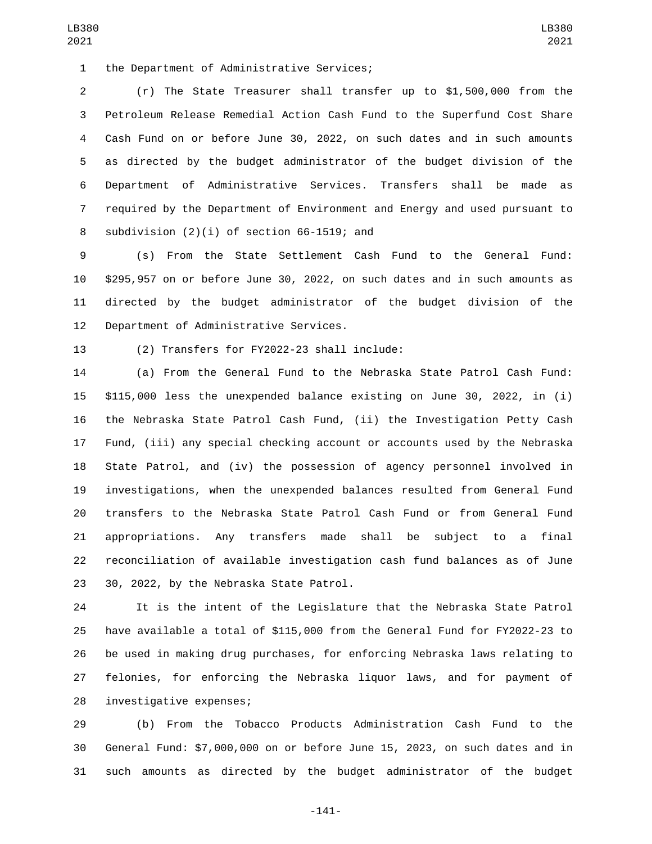1 the Department of Administrative Services;

 (r) The State Treasurer shall transfer up to \$1,500,000 from the Petroleum Release Remedial Action Cash Fund to the Superfund Cost Share Cash Fund on or before June 30, 2022, on such dates and in such amounts as directed by the budget administrator of the budget division of the Department of Administrative Services. Transfers shall be made as required by the Department of Environment and Energy and used pursuant to 8 subdivision  $(2)(i)$  of section 66-1519; and

 (s) From the State Settlement Cash Fund to the General Fund: \$295,957 on or before June 30, 2022, on such dates and in such amounts as directed by the budget administrator of the budget division of the 12 Department of Administrative Services.

13 (2) Transfers for FY2022-23 shall include:

 (a) From the General Fund to the Nebraska State Patrol Cash Fund: \$115,000 less the unexpended balance existing on June 30, 2022, in (i) the Nebraska State Patrol Cash Fund, (ii) the Investigation Petty Cash Fund, (iii) any special checking account or accounts used by the Nebraska State Patrol, and (iv) the possession of agency personnel involved in investigations, when the unexpended balances resulted from General Fund transfers to the Nebraska State Patrol Cash Fund or from General Fund appropriations. Any transfers made shall be subject to a final reconciliation of available investigation cash fund balances as of June 23 30, 2022, by the Nebraska State Patrol.

 It is the intent of the Legislature that the Nebraska State Patrol have available a total of \$115,000 from the General Fund for FY2022-23 to be used in making drug purchases, for enforcing Nebraska laws relating to felonies, for enforcing the Nebraska liquor laws, and for payment of 28 investigative expenses;

 (b) From the Tobacco Products Administration Cash Fund to the General Fund: \$7,000,000 on or before June 15, 2023, on such dates and in such amounts as directed by the budget administrator of the budget

-141-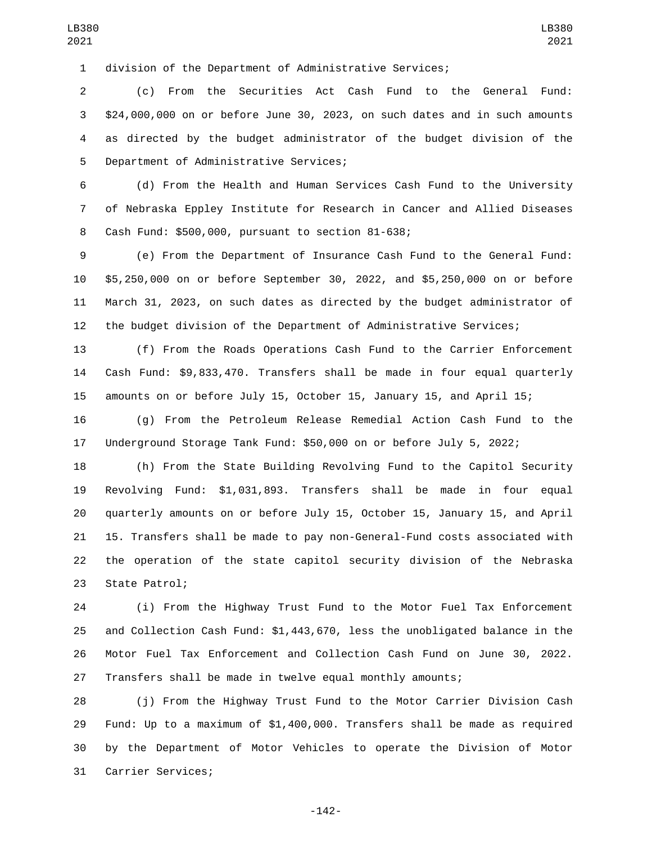division of the Department of Administrative Services;

 (c) From the Securities Act Cash Fund to the General Fund: \$24,000,000 on or before June 30, 2023, on such dates and in such amounts as directed by the budget administrator of the budget division of the 5 Department of Administrative Services;

 (d) From the Health and Human Services Cash Fund to the University of Nebraska Eppley Institute for Research in Cancer and Allied Diseases 8 Cash Fund: \$500,000, pursuant to section 81-638;

 (e) From the Department of Insurance Cash Fund to the General Fund: \$5,250,000 on or before September 30, 2022, and \$5,250,000 on or before March 31, 2023, on such dates as directed by the budget administrator of the budget division of the Department of Administrative Services;

 (f) From the Roads Operations Cash Fund to the Carrier Enforcement Cash Fund: \$9,833,470. Transfers shall be made in four equal quarterly amounts on or before July 15, October 15, January 15, and April 15;

 (g) From the Petroleum Release Remedial Action Cash Fund to the Underground Storage Tank Fund: \$50,000 on or before July 5, 2022;

 (h) From the State Building Revolving Fund to the Capitol Security Revolving Fund: \$1,031,893. Transfers shall be made in four equal quarterly amounts on or before July 15, October 15, January 15, and April 15. Transfers shall be made to pay non-General-Fund costs associated with the operation of the state capitol security division of the Nebraska 23 State Patrol;

 (i) From the Highway Trust Fund to the Motor Fuel Tax Enforcement and Collection Cash Fund: \$1,443,670, less the unobligated balance in the Motor Fuel Tax Enforcement and Collection Cash Fund on June 30, 2022. Transfers shall be made in twelve equal monthly amounts;

 (j) From the Highway Trust Fund to the Motor Carrier Division Cash Fund: Up to a maximum of \$1,400,000. Transfers shall be made as required by the Department of Motor Vehicles to operate the Division of Motor 31 Carrier Services;

-142-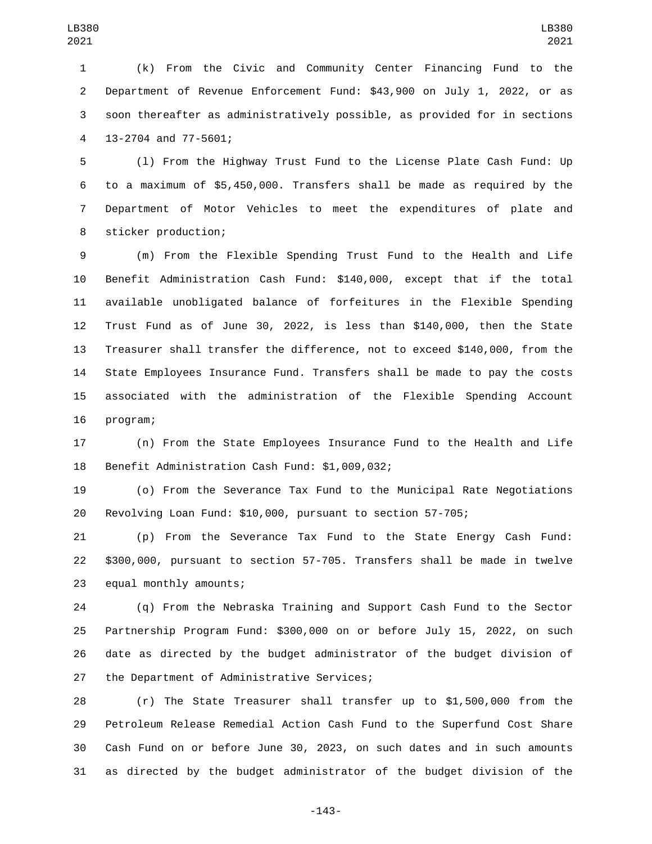(k) From the Civic and Community Center Financing Fund to the Department of Revenue Enforcement Fund: \$43,900 on July 1, 2022, or as soon thereafter as administratively possible, as provided for in sections 4 13-2704 and 77-5601;

 (l) From the Highway Trust Fund to the License Plate Cash Fund: Up to a maximum of \$5,450,000. Transfers shall be made as required by the Department of Motor Vehicles to meet the expenditures of plate and 8 sticker production;

 (m) From the Flexible Spending Trust Fund to the Health and Life Benefit Administration Cash Fund: \$140,000, except that if the total available unobligated balance of forfeitures in the Flexible Spending Trust Fund as of June 30, 2022, is less than \$140,000, then the State Treasurer shall transfer the difference, not to exceed \$140,000, from the State Employees Insurance Fund. Transfers shall be made to pay the costs associated with the administration of the Flexible Spending Account 16 program;

 (n) From the State Employees Insurance Fund to the Health and Life 18 Benefit Administration Cash Fund: \$1,009,032;

 (o) From the Severance Tax Fund to the Municipal Rate Negotiations Revolving Loan Fund: \$10,000, pursuant to section 57-705;

 (p) From the Severance Tax Fund to the State Energy Cash Fund: \$300,000, pursuant to section 57-705. Transfers shall be made in twelve 23 equal monthly amounts;

 (q) From the Nebraska Training and Support Cash Fund to the Sector Partnership Program Fund: \$300,000 on or before July 15, 2022, on such date as directed by the budget administrator of the budget division of 27 the Department of Administrative Services;

 (r) The State Treasurer shall transfer up to \$1,500,000 from the Petroleum Release Remedial Action Cash Fund to the Superfund Cost Share Cash Fund on or before June 30, 2023, on such dates and in such amounts as directed by the budget administrator of the budget division of the

-143-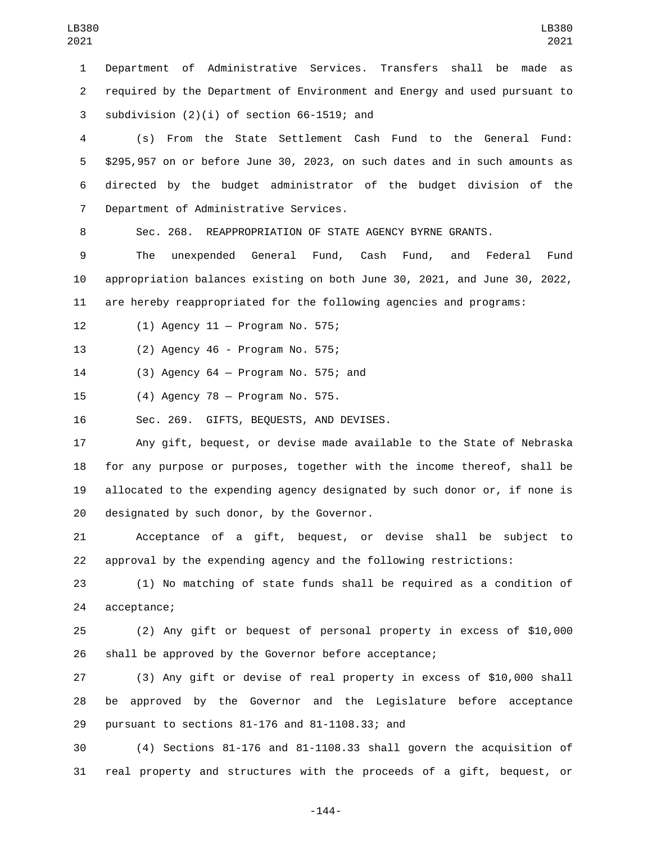Department of Administrative Services. Transfers shall be made as required by the Department of Environment and Energy and used pursuant to 3 subdivision  $(2)(i)$  of section 66-1519; and

 (s) From the State Settlement Cash Fund to the General Fund: \$295,957 on or before June 30, 2023, on such dates and in such amounts as directed by the budget administrator of the budget division of the 7 Department of Administrative Services.

Sec. 268. REAPPROPRIATION OF STATE AGENCY BYRNE GRANTS.

 The unexpended General Fund, Cash Fund, and Federal Fund appropriation balances existing on both June 30, 2021, and June 30, 2022, are hereby reappropriated for the following agencies and programs:

(1) Agency 11 — Program No. 575;12

13 (2) Agency 46 - Program No. 575;

(3) Agency 64 — Program No. 575; and14

15 (4) Agency 78 - Program No. 575.

16 Sec. 269. GIFTS, BEQUESTS, AND DEVISES.

 Any gift, bequest, or devise made available to the State of Nebraska for any purpose or purposes, together with the income thereof, shall be allocated to the expending agency designated by such donor or, if none is 20 designated by such donor, by the Governor.

 Acceptance of a gift, bequest, or devise shall be subject to approval by the expending agency and the following restrictions:

 (1) No matching of state funds shall be required as a condition of 24 acceptance;

 (2) Any gift or bequest of personal property in excess of \$10,000 shall be approved by the Governor before acceptance;

 (3) Any gift or devise of real property in excess of \$10,000 shall be approved by the Governor and the Legislature before acceptance pursuant to sections 81-176 and 81-1108.33; and29

 (4) Sections 81-176 and 81-1108.33 shall govern the acquisition of real property and structures with the proceeds of a gift, bequest, or

-144-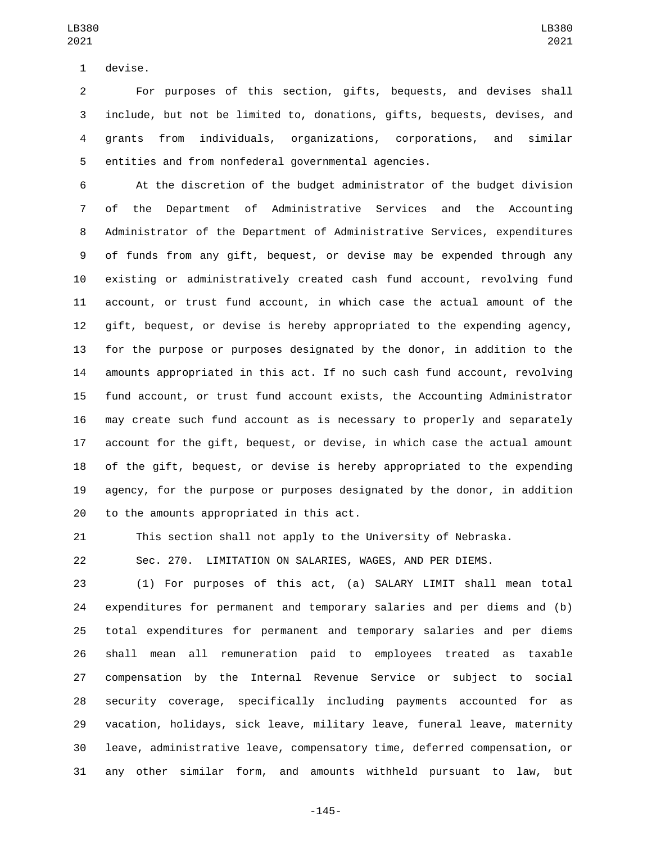1 devise.

 For purposes of this section, gifts, bequests, and devises shall include, but not be limited to, donations, gifts, bequests, devises, and grants from individuals, organizations, corporations, and similar entities and from nonfederal governmental agencies.

 At the discretion of the budget administrator of the budget division of the Department of Administrative Services and the Accounting Administrator of the Department of Administrative Services, expenditures of funds from any gift, bequest, or devise may be expended through any existing or administratively created cash fund account, revolving fund account, or trust fund account, in which case the actual amount of the gift, bequest, or devise is hereby appropriated to the expending agency, for the purpose or purposes designated by the donor, in addition to the amounts appropriated in this act. If no such cash fund account, revolving fund account, or trust fund account exists, the Accounting Administrator may create such fund account as is necessary to properly and separately account for the gift, bequest, or devise, in which case the actual amount of the gift, bequest, or devise is hereby appropriated to the expending agency, for the purpose or purposes designated by the donor, in addition 20 to the amounts appropriated in this act.

This section shall not apply to the University of Nebraska.

Sec. 270. LIMITATION ON SALARIES, WAGES, AND PER DIEMS.

 (1) For purposes of this act, (a) SALARY LIMIT shall mean total expenditures for permanent and temporary salaries and per diems and (b) total expenditures for permanent and temporary salaries and per diems shall mean all remuneration paid to employees treated as taxable compensation by the Internal Revenue Service or subject to social security coverage, specifically including payments accounted for as vacation, holidays, sick leave, military leave, funeral leave, maternity leave, administrative leave, compensatory time, deferred compensation, or any other similar form, and amounts withheld pursuant to law, but

-145-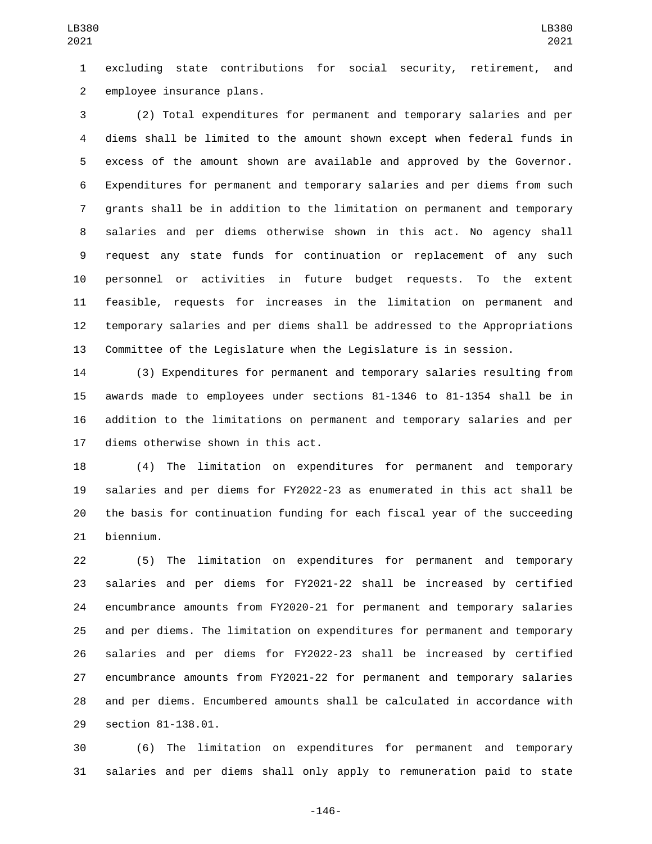excluding state contributions for social security, retirement, and 2 employee insurance plans.

 (2) Total expenditures for permanent and temporary salaries and per diems shall be limited to the amount shown except when federal funds in excess of the amount shown are available and approved by the Governor. Expenditures for permanent and temporary salaries and per diems from such grants shall be in addition to the limitation on permanent and temporary salaries and per diems otherwise shown in this act. No agency shall request any state funds for continuation or replacement of any such personnel or activities in future budget requests. To the extent feasible, requests for increases in the limitation on permanent and temporary salaries and per diems shall be addressed to the Appropriations Committee of the Legislature when the Legislature is in session.

 (3) Expenditures for permanent and temporary salaries resulting from awards made to employees under sections 81-1346 to 81-1354 shall be in addition to the limitations on permanent and temporary salaries and per 17 diems otherwise shown in this act.

 (4) The limitation on expenditures for permanent and temporary salaries and per diems for FY2022-23 as enumerated in this act shall be the basis for continuation funding for each fiscal year of the succeeding 21 biennium.

 (5) The limitation on expenditures for permanent and temporary salaries and per diems for FY2021-22 shall be increased by certified encumbrance amounts from FY2020-21 for permanent and temporary salaries and per diems. The limitation on expenditures for permanent and temporary salaries and per diems for FY2022-23 shall be increased by certified encumbrance amounts from FY2021-22 for permanent and temporary salaries and per diems. Encumbered amounts shall be calculated in accordance with 29 section 81-138.01.

 (6) The limitation on expenditures for permanent and temporary salaries and per diems shall only apply to remuneration paid to state

-146-